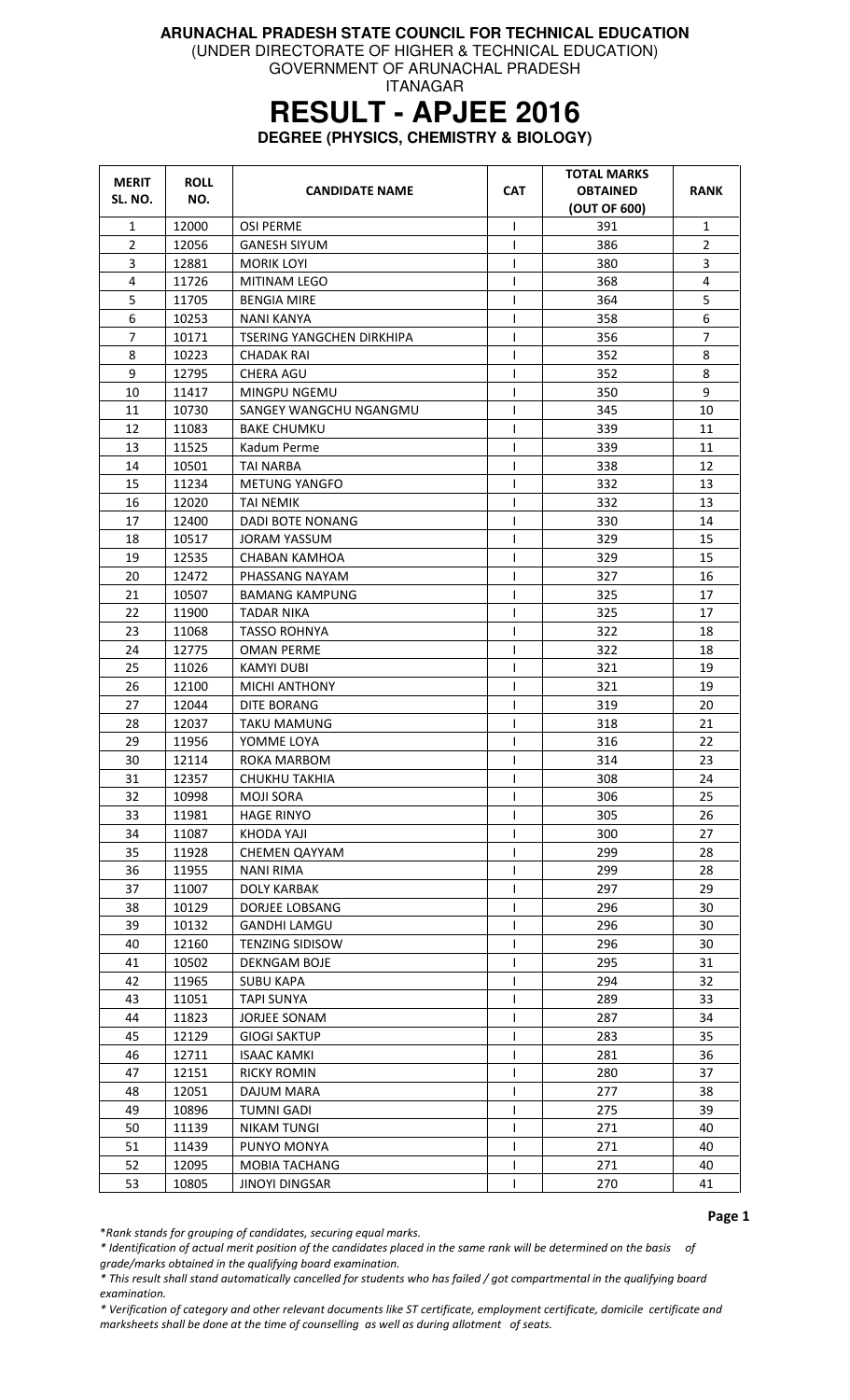(UNDER DIRECTORATE OF HIGHER & TECHNICAL EDUCATION)

GOVERNMENT OF ARUNACHAL PRADESH ITANAGAR

### **RESULT - APJEE 2016**

**DEGREE (PHYSICS, CHEMISTRY & BIOLOGY)** 

| <b>MERIT</b><br>SL. NO. | <b>ROLL</b><br>NO. | <b>CANDIDATE NAME</b>     | <b>CAT</b>   | <b>TOTAL MARKS</b><br><b>OBTAINED</b><br>(OUT OF 600) | <b>RANK</b>    |
|-------------------------|--------------------|---------------------------|--------------|-------------------------------------------------------|----------------|
| $\mathbf{1}$            | 12000              | <b>OSI PERME</b>          | $\mathsf{I}$ | 391                                                   | $\mathbf{1}$   |
| $\overline{2}$          | 12056              | <b>GANESH SIYUM</b>       | $\mathsf{l}$ | 386                                                   | $\overline{2}$ |
| 3                       | 12881              | <b>MORIK LOYI</b>         | $\mathsf{I}$ | 380                                                   | 3              |
| 4                       | 11726              | MITINAM LEGO              | $\mathsf{I}$ | 368                                                   | 4              |
| 5                       | 11705              | <b>BENGIA MIRE</b>        | $\mathsf{I}$ | 364                                                   | 5              |
| 6                       | 10253              | NANI KANYA                | T            | 358                                                   | 6              |
| 7                       | 10171              | TSERING YANGCHEN DIRKHIPA | T            | 356                                                   | $\overline{7}$ |
| 8                       | 10223              | <b>CHADAK RAI</b>         | T            | 352                                                   | 8              |
| 9                       | 12795              | CHERA AGU                 | $\mathsf{l}$ | 352                                                   | 8              |
| 10                      | 11417              | MINGPU NGEMU              | T            | 350                                                   | 9              |
| 11                      | 10730              | SANGEY WANGCHU NGANGMU    | T            | 345                                                   | 10             |
| 12                      | 11083              | <b>BAKE CHUMKU</b>        | T            | 339                                                   | 11             |
| 13                      | 11525              | Kadum Perme               | T            | 339                                                   | 11             |
| 14                      | 10501              | <b>TAI NARBA</b>          | T            | 338                                                   | 12             |
| 15                      | 11234              | <b>METUNG YANGFO</b>      | $\mathsf{I}$ | 332                                                   | 13             |
| 16                      | 12020              | TAI NEMIK                 | L            | 332                                                   | 13             |
| 17                      | 12400              | <b>DADI BOTE NONANG</b>   | T            | 330                                                   | 14             |
| 18                      | 10517              | <b>JORAM YASSUM</b>       | $\mathsf{I}$ | 329                                                   | 15             |
| 19                      | 12535              | CHABAN KAMHOA             | T            | 329                                                   | 15             |
| 20                      | 12472              | PHASSANG NAYAM            | T            | 327                                                   | 16             |
| 21                      | 10507              | <b>BAMANG KAMPUNG</b>     | T            | 325                                                   | 17             |
| 22                      | 11900              | <b>TADAR NIKA</b>         | T            | 325                                                   | 17             |
| 23                      | 11068              | <b>TASSO ROHNYA</b>       | $\mathsf{I}$ | 322                                                   | 18             |
| 24                      | 12775              | <b>OMAN PERME</b>         | $\mathsf{I}$ | 322                                                   | 18             |
| 25                      | 11026              | KAMYI DUBI                | T            | 321                                                   | 19             |
| 26                      | 12100              | <b>MICHI ANTHONY</b>      | $\mathsf{l}$ | 321                                                   | 19             |
| 27                      | 12044              | DITE BORANG               | $\mathsf{I}$ | 319                                                   | 20             |
| 28                      | 12037              | TAKU MAMUNG               | T            | 318                                                   | 21             |
| 29                      | 11956              | YOMME LOYA                | $\mathsf{I}$ | 316                                                   | 22             |
| 30                      | 12114              | ROKA MARBOM               | T            | 314                                                   | 23             |
| 31                      | 12357              | CHUKHU TAKHIA             | T            | 308                                                   | 24             |
| 32                      | 10998              | <b>MOJI SORA</b>          | $\mathsf{l}$ | 306                                                   | 25             |
| 33                      | 11981              | <b>HAGE RINYO</b>         | $\mathsf{l}$ | 305                                                   | 26             |
| 34                      | 11087              | KHODA YAJI                | $\mathsf{l}$ | 300                                                   | 27             |
| 35                      | 11928              | <b>CHEMEN QAYYAM</b>      |              | 299                                                   | 28             |
| 36                      | 11955              | <b>NANI RIMA</b>          | T            | 299                                                   | 28             |
| 37                      | 11007              | <b>DOLY KARBAK</b>        | $\mathsf{I}$ | 297                                                   | 29             |
| 38                      | 10129              | DORJEE LOBSANG            | $\mathsf{l}$ | 296                                                   | 30             |
| 39                      | 10132              | <b>GANDHI LAMGU</b>       | T            | 296                                                   | 30             |
| 40                      | 12160              | <b>TENZING SIDISOW</b>    | $\mathsf{l}$ | 296                                                   | 30             |
| 41                      | 10502              | <b>DEKNGAM BOJE</b>       | T            | 295                                                   | 31             |
| 42                      | 11965              | <b>SUBU KAPA</b>          | T            | 294                                                   | 32             |
| 43                      | 11051              | <b>TAPI SUNYA</b>         | T            | 289                                                   | 33             |
| 44                      | 11823              | JORJEE SONAM              | $\mathsf{l}$ | 287                                                   | 34             |
| 45                      | 12129              | <b>GIOGI SAKTUP</b>       | T            | 283                                                   | 35             |
| 46                      | 12711              | <b>ISAAC KAMKI</b>        | T            | 281                                                   | 36             |
| 47                      | 12151              | <b>RICKY ROMIN</b>        |              | 280                                                   | 37             |
| 48                      | 12051              | DAJUM MARA                | I            | 277                                                   | 38             |
| 49                      | 10896              | <b>TUMNI GADI</b>         | T            | 275                                                   | 39             |
| 50                      | 11139              | <b>NIKAM TUNGI</b>        | T            | 271                                                   | 40             |
| 51                      | 11439              | PUNYO MONYA               | T            | 271                                                   | 40             |
| 52                      | 12095              | MOBIA TACHANG             | T            | 271                                                   | 40             |
| 53                      | 10805              | <b>JINOYI DINGSAR</b>     |              | 270                                                   | 41             |

Page 1

\*Rank stands for grouping of candidates, securing equal marks.

\* Identification of actual merit position of the candidates placed in the same rank will be determined on the basis of grade/marks obtained in the qualifying board examination.

\* This result shall stand automatically cancelled for students who has failed / got compartmental in the qualifying board examination.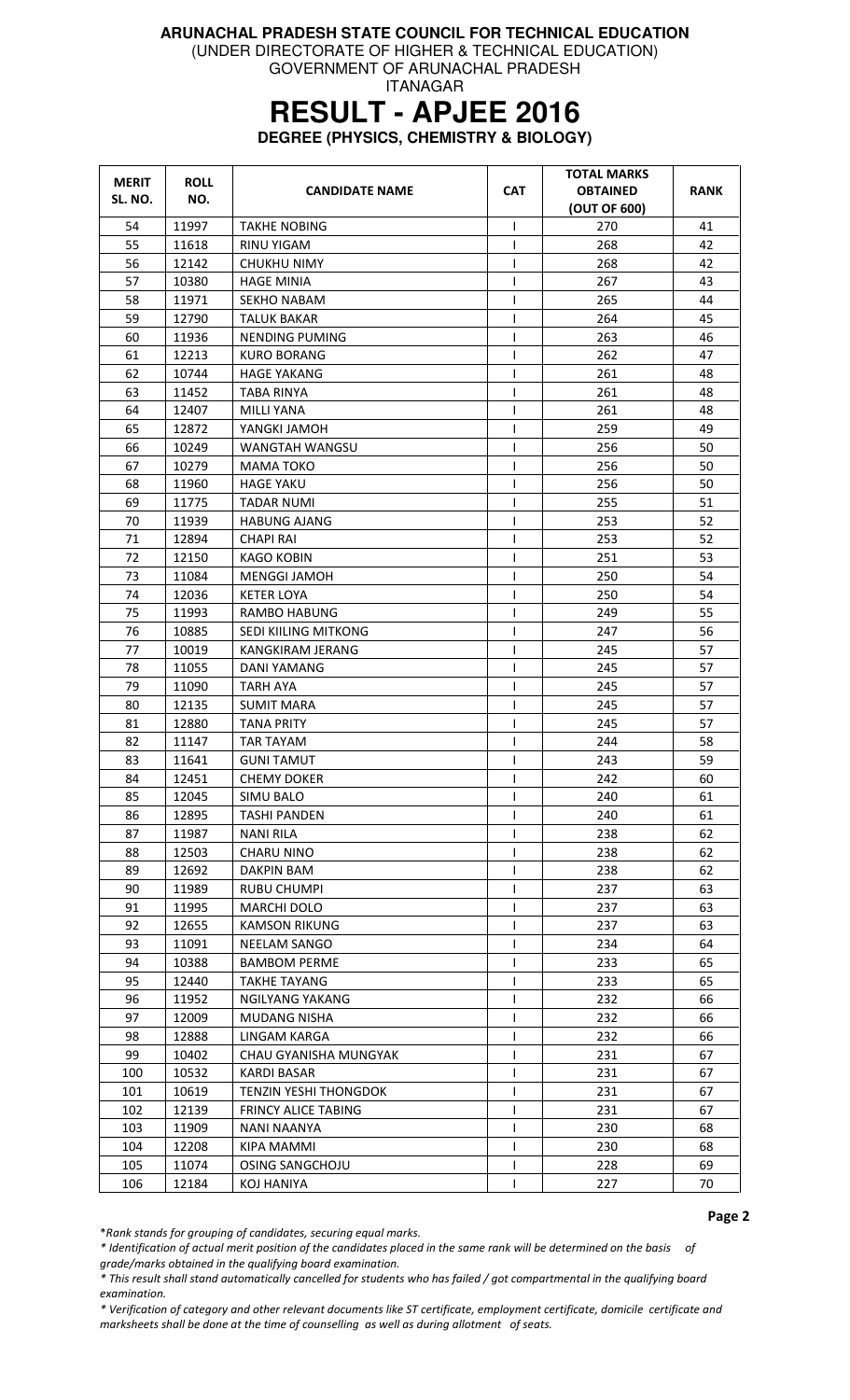(UNDER DIRECTORATE OF HIGHER & TECHNICAL EDUCATION)

GOVERNMENT OF ARUNACHAL PRADESH ITANAGAR

# **RESULT - APJEE 2016**

**DEGREE (PHYSICS, CHEMISTRY & BIOLOGY)** 

| <b>MERIT</b><br>SL. NO. | <b>ROLL</b><br>NO. | <b>CANDIDATE NAME</b>        | <b>CAT</b>     | TOTAL MARKS<br><b>OBTAINED</b><br>(OUT OF 600) | <b>RANK</b> |
|-------------------------|--------------------|------------------------------|----------------|------------------------------------------------|-------------|
| 54                      | 11997              | <b>TAKHE NOBING</b>          | I.             | 270                                            | 41          |
| 55                      | 11618              | RINU YIGAM                   | ı              | 268                                            | 42          |
| 56                      | 12142              | CHUKHU NIMY                  |                | 268                                            | 42          |
| 57                      | 10380              | <b>HAGE MINIA</b>            | ı              | 267                                            | 43          |
| 58                      | 11971              | <b>SEKHO NABAM</b>           | I              | 265                                            | 44          |
| 59                      | 12790              | <b>TALUK BAKAR</b>           | I              | 264                                            | 45          |
| 60                      | 11936              | NENDING PUMING               | T              | 263                                            | 46          |
| 61                      | 12213              | <b>KURO BORANG</b>           |                | 262                                            | 47          |
| 62                      | 10744              | <b>HAGE YAKANG</b>           |                | 261                                            | 48          |
| 63                      | 11452              | TABA RINYA                   | ı              | 261                                            | 48          |
| 64                      | 12407              | <b>MILLI YANA</b>            | $\mathbf{I}$   | 261                                            | 48          |
| 65                      | 12872              | YANGKI JAMOH                 |                | 259                                            | 49          |
| 66                      | 10249              | WANGTAH WANGSU               | I              | 256                                            | 50          |
| 67                      | 10279              | <b>MAMA TOKO</b>             | $\mathbf{I}$   | 256                                            | 50          |
| 68                      | 11960              | <b>HAGE YAKU</b>             | ı              | 256                                            | 50          |
| 69                      | 11775              | <b>TADAR NUMI</b>            | T              | 255                                            | 51          |
| 70                      | 11939              | <b>HABUNG AJANG</b>          |                | 253                                            | 52          |
| 71                      | 12894              | <b>CHAPI RAI</b>             | ı              | 253                                            | 52          |
| 72                      | 12150              | KAGO KOBIN                   | ı              | 251                                            | 53          |
| 73                      | 11084              | <b>MENGGI JAMOH</b>          | I              | 250                                            | 54          |
| 74                      | 12036              | <b>KETER LOYA</b>            | $\mathbf{I}$   | 250                                            | 54          |
| 75                      | 11993              | <b>RAMBO HABUNG</b>          |                | 249                                            | 55          |
| 76                      | 10885              | SEDI KIILING MITKONG         | $\mathsf{I}$   | 247                                            | 56          |
| 77                      | 10019              | KANGKIRAM JERANG             | 1              | 245                                            | 57          |
| 78                      | 11055              | DANI YAMANG                  | I              | 245                                            | 57          |
| 79                      | 11090              | <b>TARH AYA</b>              | $\mathsf{I}$   | 245                                            | 57          |
| 80                      | 12135              | <b>SUMIT MARA</b>            | $\overline{1}$ | 245                                            | 57          |
| 81                      | 12880              | <b>TANA PRITY</b>            | ı              | 245                                            | 57          |
| 82                      | 11147              | <b>TAR TAYAM</b>             | $\mathsf{I}$   | 244                                            | 58          |
| 83                      | 11641              | <b>GUNI TAMUT</b>            | 1              | 243                                            | 59          |
| 84                      | 12451              | <b>CHEMY DOKER</b>           | $\mathsf{I}$   | 242                                            | 60          |
| 85                      | 12045              | <b>SIMU BALO</b>             | $\mathbf{I}$   | 240                                            | 61          |
| 86                      | 12895              | <b>TASHI PANDEN</b>          |                | 240                                            | 61          |
| 87                      | 11987              | <b>NANI RILA</b>             |                | 238                                            | 62          |
| 88                      | 12503              | <b>CHARU NINO</b>            |                | 238                                            | 62          |
| 89                      | 12692              | DAKPIN BAM                   |                | 238                                            | 62          |
| 90                      | 11989              | <b>RUBU CHUMPI</b>           |                | 237                                            | 63          |
| 91                      | 11995              | MARCHI DOLO                  | $\mathbf{I}$   | 237                                            | 63          |
| 92                      | 12655              | <b>KAMSON RIKUNG</b>         | ı              | 237                                            | 63          |
| 93                      | 11091              | <b>NEELAM SANGO</b>          | $\mathbf{I}$   | 234                                            | 64          |
| 94                      | 10388              | <b>BAMBOM PERME</b>          | $\mathbf{I}$   | 233                                            | 65          |
| 95                      | 12440              | <b>TAKHE TAYANG</b>          |                | 233                                            | 65          |
| 96                      | 11952              | NGILYANG YAKANG              | I              | 232                                            | 66          |
| 97                      | 12009              | <b>MUDANG NISHA</b>          |                | 232                                            | 66          |
| 98                      | 12888              | LINGAM KARGA                 |                | 232                                            | 66          |
| 99                      | 10402              | CHAU GYANISHA MUNGYAK        |                | 231                                            | 67          |
| 100                     | 10532              | <b>KARDI BASAR</b>           |                | 231                                            | 67          |
| 101                     | 10619              | <b>TENZIN YESHI THONGDOK</b> | $\mathbf{I}$   | 231                                            | 67          |
| 102                     | 12139              | <b>FRINCY ALICE TABING</b>   | $\mathbf{I}$   | 231                                            | 67          |
| 103                     | 11909              | NANI NAANYA                  |                | 230                                            | 68          |
| 104                     | 12208              | KIPA MAMMI                   |                | 230                                            | 68          |
| 105                     | 11074              | OSING SANGCHOJU              | L              | 228                                            | 69          |
| 106                     | 12184              | KOJ HANIYA                   | ı              | 227                                            | 70          |

Page 2

\*Rank stands for grouping of candidates, securing equal marks.

\* Identification of actual merit position of the candidates placed in the same rank will be determined on the basis of

grade/marks obtained in the qualifying board examination.

\* This result shall stand automatically cancelled for students who has failed / got compartmental in the qualifying board examination.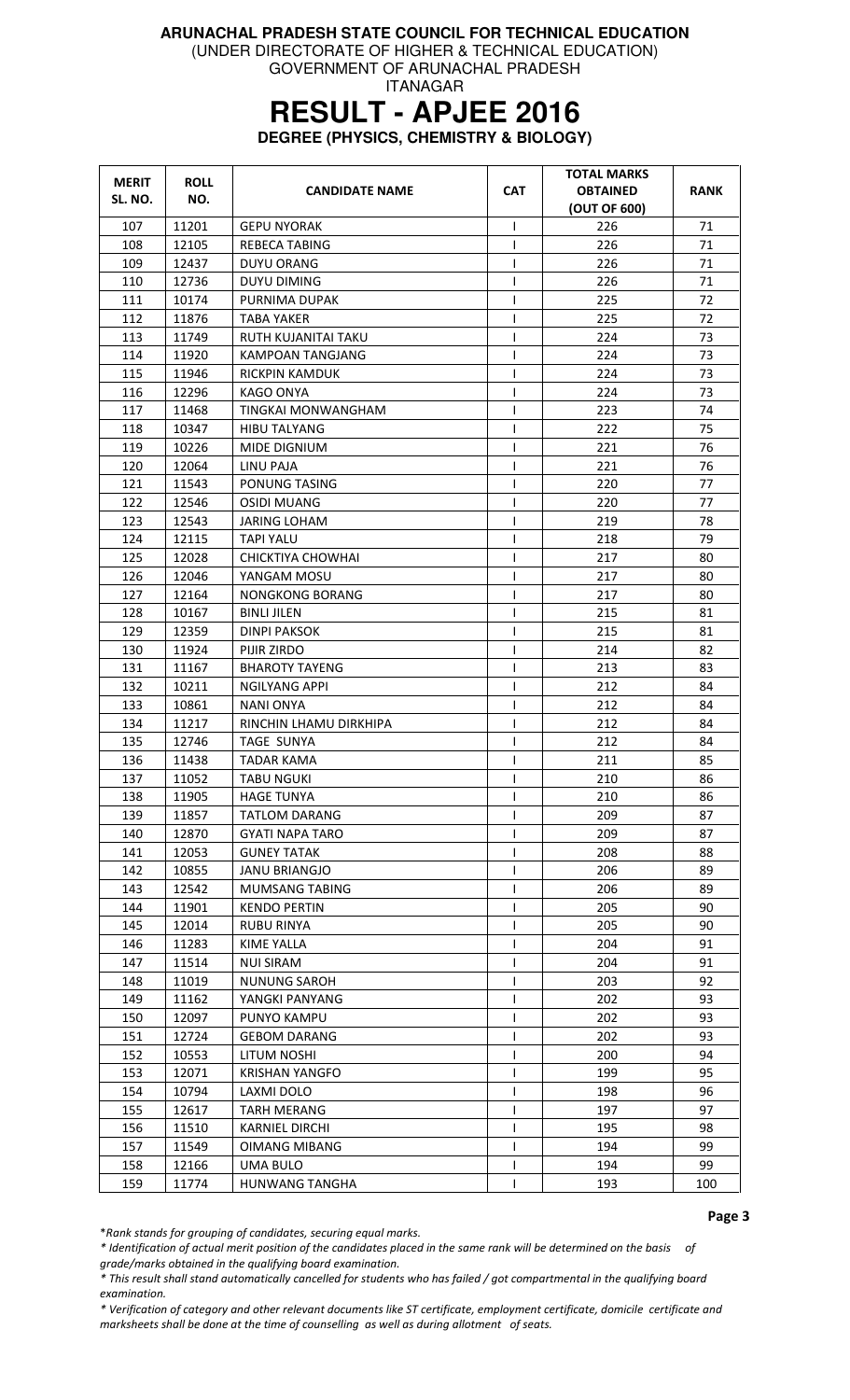(UNDER DIRECTORATE OF HIGHER & TECHNICAL EDUCATION)

GOVERNMENT OF ARUNACHAL PRADESH ITANAGAR

# **RESULT - APJEE 2016**

**DEGREE (PHYSICS, CHEMISTRY & BIOLOGY)** 

| <b>MERIT</b><br>SL. NO. | <b>ROLL</b><br>NO. | <b>CANDIDATE NAME</b>  | <b>CAT</b>   | <b>TOTAL MARKS</b><br><b>OBTAINED</b><br>(OUT OF 600) | <b>RANK</b> |
|-------------------------|--------------------|------------------------|--------------|-------------------------------------------------------|-------------|
| 107                     | 11201              | <b>GEPU NYORAK</b>     | I            | 226                                                   | 71          |
| 108                     | 12105              | <b>REBECA TABING</b>   | $\mathsf{I}$ | 226                                                   | 71          |
| 109                     | 12437              | <b>DUYU ORANG</b>      | ı            | 226                                                   | 71          |
| 110                     | 12736              | <b>DUYU DIMING</b>     |              | 226                                                   | 71          |
| 111                     | 10174              | PURNIMA DUPAK          | I            | 225                                                   | 72          |
| 112                     | 11876              | <b>TABA YAKER</b>      | I            | 225                                                   | 72          |
| 113                     | 11749              | RUTH KUJANITAI TAKU    | I            | 224                                                   | 73          |
| 114                     | 11920              | KAMPOAN TANGJANG       | ı            | 224                                                   | 73          |
| 115                     | 11946              | RICKPIN KAMDUK         | ı            | 224                                                   | 73          |
| 116                     | 12296              | KAGO ONYA              | 1            | 224                                                   | 73          |
| 117                     | 11468              | TINGKAI MONWANGHAM     | ı            | 223                                                   | 74          |
| 118                     | 10347              | <b>HIBU TALYANG</b>    | $\mathbf{I}$ | 222                                                   | 75          |
| 119                     | 10226              | MIDE DIGNIUM           | $\mathbf{I}$ | 221                                                   | 76          |
| 120                     | 12064              | LINU PAJA              | I            | 221                                                   | 76          |
| 121                     | 11543              | PONUNG TASING          | ı            | 220                                                   | 77          |
| 122                     | 12546              | <b>OSIDI MUANG</b>     | I            | 220                                                   | 77          |
| 123                     | 12543              | <b>JARING LOHAM</b>    | I            | 219                                                   | 78          |
| 124                     | 12115              | <b>TAPI YALU</b>       | 1            | 218                                                   | 79          |
| 125                     | 12028              | CHICKTIYA CHOWHAI      | $\mathsf{I}$ | 217                                                   | 80          |
| 126                     | 12046              | YANGAM MOSU            | 1            | 217                                                   | 80          |
| 127                     | 12164              | <b>NONGKONG BORANG</b> | I            | 217                                                   | 80          |
| 128                     | 10167              | <b>BINLI JILEN</b>     | $\mathbf{I}$ | 215                                                   | 81          |
| 129                     | 12359              | DINPI PAKSOK           |              | 215                                                   | 81          |
| 130                     | 11924              | PIJIR ZIRDO            | $\mathsf{I}$ | 214                                                   | 82          |
| 131                     | 11167              | <b>BHAROTY TAYENG</b>  | $\mathsf{I}$ | 213                                                   | 83          |
| 132                     | 10211              | NGILYANG APPI          | I            | 212                                                   | 84          |
| 133                     | 10861              | NANI ONYA              | $\mathbf{I}$ | 212                                                   | 84          |
| 134                     | 11217              | RINCHIN LHAMU DIRKHIPA | T            | 212                                                   | 84          |
| 135                     | 12746              | <b>TAGE SUNYA</b>      | $\mathsf{I}$ | 212                                                   | 84          |
| 136                     | 11438              | TADAR KAMA             | 1            | 211                                                   | 85          |
| 137                     | 11052              | <b>TABU NGUKI</b>      | I            | 210                                                   | 86          |
| 138                     | 11905              | <b>HAGE TUNYA</b>      | T            | 210                                                   | 86          |
| 139                     | 11857              | <b>TATLOM DARANG</b>   |              | 209                                                   | 87          |
| 140                     | 12870              | GYATI NAPA TARO        | L            | 209                                                   | 87          |
| 141                     | 12053              | <b>GUNEY TATAK</b>     |              | 208                                                   | 88          |
| 142                     | 10855              | <b>JANU BRIANGJO</b>   | T            | 206                                                   | 89          |
| 143                     | 12542              | <b>MUMSANG TABING</b>  |              | 206                                                   | 89          |
| 144                     | 11901              | <b>KENDO PERTIN</b>    |              | 205                                                   | 90          |
| 145                     | 12014              | <b>RUBU RINYA</b>      | L            | 205                                                   | 90          |
| 146                     | 11283              | KIME YALLA             | $\mathbf{I}$ | 204                                                   | 91          |
| 147                     | 11514              | <b>NUI SIRAM</b>       |              | 204                                                   | 91          |
| 148                     | 11019              | <b>NUNUNG SAROH</b>    |              | 203                                                   | 92          |
| 149                     | 11162              | YANGKI PANYANG         |              | 202                                                   | 93          |
| 150                     | 12097              | PUNYO KAMPU            |              | 202                                                   | 93          |
| 151                     | 12724              | <b>GEBOM DARANG</b>    |              | 202                                                   | 93          |
| 152                     | 10553              | LITUM NOSHI            | $\mathbf{I}$ | 200                                                   | 94          |
| 153                     | 12071              | <b>KRISHAN YANGFO</b>  |              | 199                                                   | 95          |
| 154                     | 10794              | LAXMI DOLO             | $\mathsf{I}$ | 198                                                   | 96          |
| 155                     | 12617              | <b>TARH MERANG</b>     | I            | 197                                                   | 97          |
| 156                     | 11510              | <b>KARNIEL DIRCHI</b>  | $\mathbf{I}$ | 195                                                   | 98          |
| 157                     | 11549              | <b>OIMANG MIBANG</b>   |              | 194                                                   | 99          |
| 158                     | 12166              | <b>UMA BULO</b>        |              | 194                                                   | 99          |
| 159                     | 11774              | <b>HUNWANG TANGHA</b>  |              | 193                                                   | 100         |

Page 3

\*Rank stands for grouping of candidates, securing equal marks.

\* Identification of actual merit position of the candidates placed in the same rank will be determined on the basis of grade/marks obtained in the qualifying board examination.

\* This result shall stand automatically cancelled for students who has failed / got compartmental in the qualifying board examination.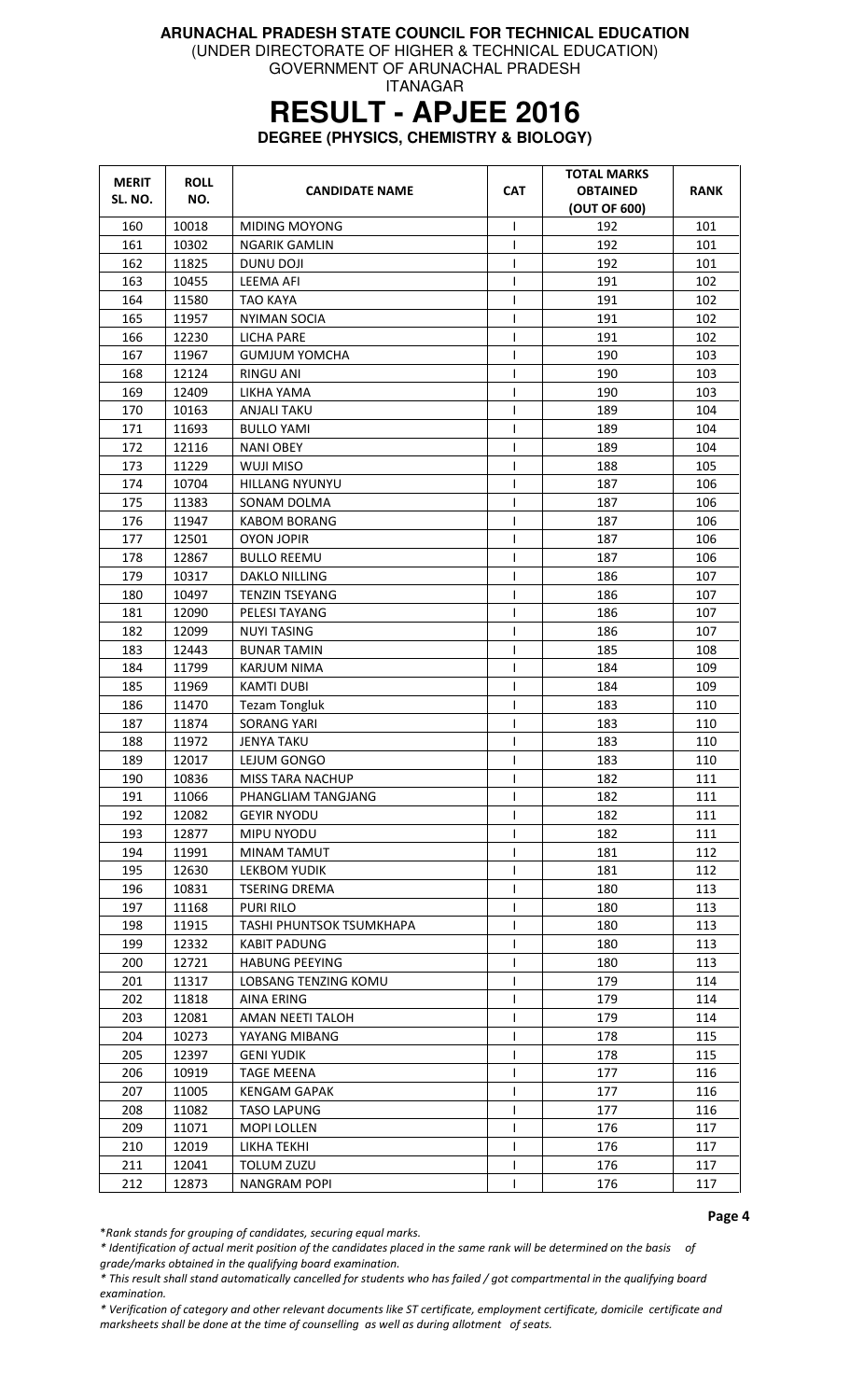(UNDER DIRECTORATE OF HIGHER & TECHNICAL EDUCATION)

GOVERNMENT OF ARUNACHAL PRADESH ITANAGAR

# **RESULT - APJEE 2016**

**DEGREE (PHYSICS, CHEMISTRY & BIOLOGY)** 

| <b>MERIT</b><br>SL. NO. | <b>ROLL</b><br>NO. | <b>CANDIDATE NAME</b>           | <b>CAT</b>     | <b>TOTAL MARKS</b><br><b>OBTAINED</b><br>(OUT OF 600) | <b>RANK</b> |
|-------------------------|--------------------|---------------------------------|----------------|-------------------------------------------------------|-------------|
| 160                     | 10018              | MIDING MOYONG                   | I              | 192                                                   | 101         |
| 161                     | 10302              | <b>NGARIK GAMLIN</b>            | T              | 192                                                   | 101         |
| 162                     | 11825              | DUNU DOJI                       | T              | 192                                                   | 101         |
| 163                     | 10455              | <b>LEEMA AFI</b>                | $\mathsf{I}$   | 191                                                   | 102         |
| 164                     | 11580              | <b>TAO KAYA</b>                 | T              | 191                                                   | 102         |
| 165                     | 11957              | <b>NYIMAN SOCIA</b>             | I              | 191                                                   | 102         |
| 166                     | 12230              | <b>LICHA PARE</b>               | $\mathsf{l}$   | 191                                                   | 102         |
| 167                     | 11967              | <b>GUMJUM YOMCHA</b>            | T              | 190                                                   | 103         |
| 168                     | 12124              | RINGU ANI                       | ı              | 190                                                   | 103         |
| 169                     | 12409              | LIKHA YAMA                      | T              | 190                                                   | 103         |
| 170                     | 10163              | <b>ANJALI TAKU</b>              | $\mathbf{I}$   | 189                                                   | 104         |
| 171                     | 11693              | <b>BULLO YAMI</b>               | $\mathsf{l}$   | 189                                                   | 104         |
| 172                     | 12116              | <b>NANI OBEY</b>                | T              | 189                                                   | 104         |
| 173                     | 11229              | WUJI MISO                       | $\mathsf{l}$   | 188                                                   | 105         |
| 174                     | 10704              | <b>HILLANG NYUNYU</b>           | $\overline{1}$ | 187                                                   | 106         |
| 175                     | 11383              | SONAM DOLMA                     | $\mathsf{I}$   | 187                                                   | 106         |
| 176                     | 11947              | <b>KABOM BORANG</b>             | T              | 187                                                   | 106         |
| 177                     | 12501              | <b>OYON JOPIR</b>               | $\mathsf{I}$   | 187                                                   | 106         |
| 178                     | 12867              | <b>BULLO REEMU</b>              | $\mathsf{l}$   | 187                                                   | 106         |
| 179                     | 10317              | <b>DAKLO NILLING</b>            | $\mathsf{l}$   | 186                                                   | 107         |
| 180                     | 10497              | <b>TENZIN TSEYANG</b>           | ı              | 186                                                   | 107         |
| 181                     | 12090              | PELESI TAYANG                   | $\overline{1}$ | 186                                                   | 107         |
| 182                     | 12099              | <b>NUYI TASING</b>              | T              | 186                                                   | 107         |
| 183                     | 12443              | <b>BUNAR TAMIN</b>              | T              | 185                                                   | 108         |
| 184                     | 11799              | <b>KARJUM NIMA</b>              | T              | 184                                                   | 109         |
| 185                     | 11969              | <b>KAMTI DUBI</b>               | $\mathbf{I}$   | 184                                                   | 109         |
| 186                     | 11470              | <b>Tezam Tongluk</b>            | $\overline{1}$ | 183                                                   | 110         |
| 187                     | 11874              | <b>SORANG YARI</b>              | $\mathsf{l}$   | 183                                                   | 110         |
| 188                     | 11972              | <b>JENYA TAKU</b>               | I              | 183                                                   | 110         |
| 189                     | 12017              | LEJUM GONGO                     | $\mathsf{l}$   | 183                                                   | 110         |
| 190                     | 10836              | <b>MISS TARA NACHUP</b>         | $\mathbf{I}$   | 182                                                   | 111         |
| 191                     | 11066              | PHANGLIAM TANGJANG              | I              | 182                                                   | 111         |
| 192                     | 12082              | <b>GEYIR NYODU</b>              |                | 182                                                   | 111         |
| 193                     | 12877              | MIPU NYODU                      | T              | 182                                                   | 111         |
| 194                     | 11991              | MINAM TAMUT                     | T              | 181                                                   | 112         |
| 195                     | 12630              | <b>LEKBOM YUDIK</b>             |                | 181                                                   | 112         |
| 196                     | 10831              | <b>TSERING DREMA</b>            |                | 180                                                   | 113         |
| 197                     | 11168              | PURI RILO                       | $\mathbf{I}$   | 180                                                   | 113         |
| 198                     | 11915              | <b>TASHI PHUNTSOK TSUMKHAPA</b> | T              | 180                                                   | 113         |
| 199                     | 12332              | <b>KABIT PADUNG</b>             | T              | 180                                                   | 113         |
| 200                     | 12721              | <b>HABUNG PEEYING</b>           | T              | 180                                                   | 113         |
| 201                     | 11317              | LOBSANG TENZING KOMU            | ı              | 179                                                   | 114         |
| 202                     | 11818              | <b>AINA ERING</b>               | T              | 179                                                   | 114         |
| 203                     | 12081              | AMAN NEETI TALOH                | $\mathbf{I}$   | 179                                                   | 114         |
| 204                     | 10273              | YAYANG MIBANG                   |                | 178                                                   | 115         |
| 205                     | 12397              | <b>GENI YUDIK</b>               |                | 178                                                   | 115         |
| 206                     | 10919              | TAGE MEENA                      |                | 177                                                   | 116         |
| 207                     | 11005              | <b>KENGAM GAPAK</b>             | L              | 177                                                   | 116         |
| 208                     | 11082              | <b>TASO LAPUNG</b>              | T              | 177                                                   | 116         |
| 209                     | 11071              | MOPI LOLLEN                     | $\mathbf{I}$   | 176                                                   | 117         |
| 210                     | 12019              | LIKHA TEKHI                     |                | 176                                                   | 117         |
| 211                     | 12041              | TOLUM ZUZU                      |                | 176                                                   | 117         |
| 212                     | 12873              | <b>NANGRAM POPI</b>             | T              | 176                                                   | 117         |

Page 4

\*Rank stands for grouping of candidates, securing equal marks.

\* Identification of actual merit position of the candidates placed in the same rank will be determined on the basis of grade/marks obtained in the qualifying board examination.

\* This result shall stand automatically cancelled for students who has failed / got compartmental in the qualifying board examination.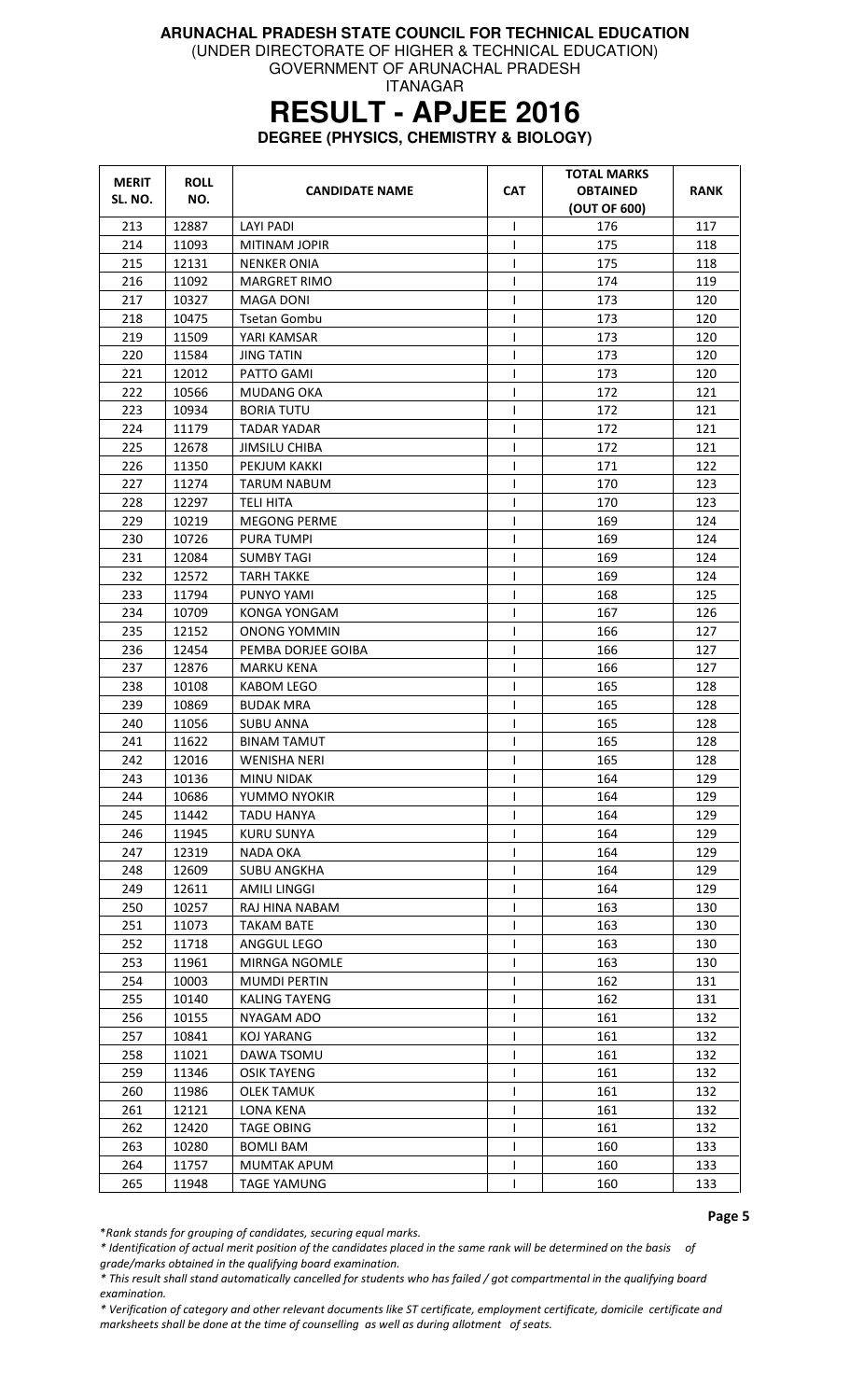(UNDER DIRECTORATE OF HIGHER & TECHNICAL EDUCATION)

GOVERNMENT OF ARUNACHAL PRADESH ITANAGAR

# **RESULT - APJEE 2016**

**DEGREE (PHYSICS, CHEMISTRY & BIOLOGY)** 

| <b>MERIT</b> | <b>ROLL</b> | <b>CANDIDATE NAME</b> | <b>CAT</b>   | <b>TOTAL MARKS</b><br><b>OBTAINED</b> | RANK |
|--------------|-------------|-----------------------|--------------|---------------------------------------|------|
| SL. NO.      | NO.         |                       |              | (OUT OF 600)                          |      |
| 213          | 12887       | LAYI PADI             | $\mathsf{I}$ | 176                                   | 117  |
| 214          | 11093       | <b>MITINAM JOPIR</b>  | $\mathbf{I}$ | 175                                   | 118  |
| 215          | 12131       | NENKER ONIA           |              | 175                                   | 118  |
| 216          | 11092       | <b>MARGRET RIMO</b>   | $\mathsf{I}$ | 174                                   | 119  |
| 217          | 10327       | MAGA DONI             | ı            | 173                                   | 120  |
| 218          | 10475       | <b>Tsetan Gombu</b>   | $\mathbf{I}$ | 173                                   | 120  |
| 219          | 11509       | YARI KAMSAR           |              | 173                                   | 120  |
| 220          | 11584       | <b>JING TATIN</b>     |              | 173                                   | 120  |
| 221          | 12012       | PATTO GAMI            | T            | 173                                   | 120  |
| 222          | 10566       | MUDANG OKA            | 1            | 172                                   | 121  |
| 223          | 10934       | <b>BORIA TUTU</b>     | $\mathbf{I}$ | 172                                   | 121  |
| 224          | 11179       | TADAR YADAR           | $\mathsf{I}$ | 172                                   | 121  |
| 225          | 12678       | JIMSILU CHIBA         | $\mathbf{I}$ | 172                                   | 121  |
| 226          | 11350       | PEKJUM KAKKI          | T            | 171                                   | 122  |
| 227          | 11274       | <b>TARUM NABUM</b>    | T            | 170                                   | 123  |
| 228          | 12297       | <b>TELI HITA</b>      | $\mathsf{I}$ | 170                                   | 123  |
| 229          | 10219       | <b>MEGONG PERME</b>   | $\mathbf{I}$ | 169                                   | 124  |
| 230          | 10726       | <b>PURA TUMPI</b>     |              | 169                                   | 124  |
| 231          | 12084       | SUMBY TAGI            | $\mathsf{I}$ | 169                                   | 124  |
| 232          | 12572       | TARH TAKKE            | T            | 169                                   | 124  |
| 233          | 11794       | PUNYO YAMI            | T            | 168                                   | 125  |
| 234          | 10709       | KONGA YONGAM          | T            | 167                                   | 126  |
| 235          | 12152       | <b>ONONG YOMMIN</b>   | 1            | 166                                   | 127  |
| 236          | 12454       | PEMBA DORJEE GOIBA    | $\mathbf{I}$ | 166                                   | 127  |
| 237          | 12876       | <b>MARKU KENA</b>     | T            | 166                                   | 127  |
| 238          | 10108       | <b>KABOM LEGO</b>     | $\mathsf{I}$ | 165                                   | 128  |
| 239          | 10869       | <b>BUDAK MRA</b>      | T            | 165                                   | 128  |
| 240          | 11056       | <b>SUBU ANNA</b>      | T            | 165                                   | 128  |
| 241          | 11622       | <b>BINAM TAMUT</b>    | 1            | 165                                   | 128  |
| 242          | 12016       | <b>WENISHA NERI</b>   | T            | 165                                   | 128  |
| 243          | 10136       | MINU NIDAK            | T            | 164                                   | 129  |
| 244          | 10686       | YUMMO NYOKIR          | T            | 164                                   | 129  |
| 245          | 11442       | <b>TADU HANYA</b>     |              | 164                                   | 129  |
| 246          | 11945       | <b>KURU SUNYA</b>     |              | 164                                   | 129  |
| 247          | 12319       | NADA OKA              |              | 164                                   | 129  |
| 248          | 12609       | <b>SUBU ANGKHA</b>    |              | 164                                   | 129  |
| 249          | 12611       | <b>AMILI LINGGI</b>   | $\mathbf{I}$ | 164                                   | 129  |
| 250          | 10257       | RAJ HINA NABAM        |              | 163                                   | 130  |
| 251          | 11073       | <b>TAKAM BATE</b>     |              | 163                                   | 130  |
| 252          | 11718       | ANGGUL LEGO           | $\mathsf{I}$ | 163                                   | 130  |
| 253          | 11961       | MIRNGA NGOMLE         |              | 163                                   | 130  |
| 254          | 10003       | <b>MUMDI PERTIN</b>   | $\mathbf{I}$ | 162                                   | 131  |
| 255          | 10140       | KALING TAYENG         |              | 162                                   | 131  |
| 256          | 10155       | NYAGAM ADO            |              | 161                                   | 132  |
| 257          | 10841       | <b>KOJ YARANG</b>     |              | 161                                   | 132  |
| 258          | 11021       | DAWA TSOMU            |              | 161                                   | 132  |
| 259          | 11346       | <b>OSIK TAYENG</b>    | $\mathbf{I}$ | 161                                   | 132  |
| 260          | 11986       | <b>OLEK TAMUK</b>     | I.           | 161                                   | 132  |
| 261          | 12121       | LONA KENA             |              | 161                                   | 132  |
| 262          | 12420       | <b>TAGE OBING</b>     | $\mathbf{I}$ | 161                                   | 132  |
| 263          | 10280       | <b>BOMLI BAM</b>      | $\mathbf{I}$ | 160                                   | 133  |
| 264          | 11757       | MUMTAK APUM           |              | 160                                   | 133  |
| 265          | 11948       | <b>TAGE YAMUNG</b>    |              | 160                                   | 133  |

Page 5

\*Rank stands for grouping of candidates, securing equal marks.

\* Identification of actual merit position of the candidates placed in the same rank will be determined on the basis of grade/marks obtained in the qualifying board examination.

\* This result shall stand automatically cancelled for students who has failed / got compartmental in the qualifying board examination.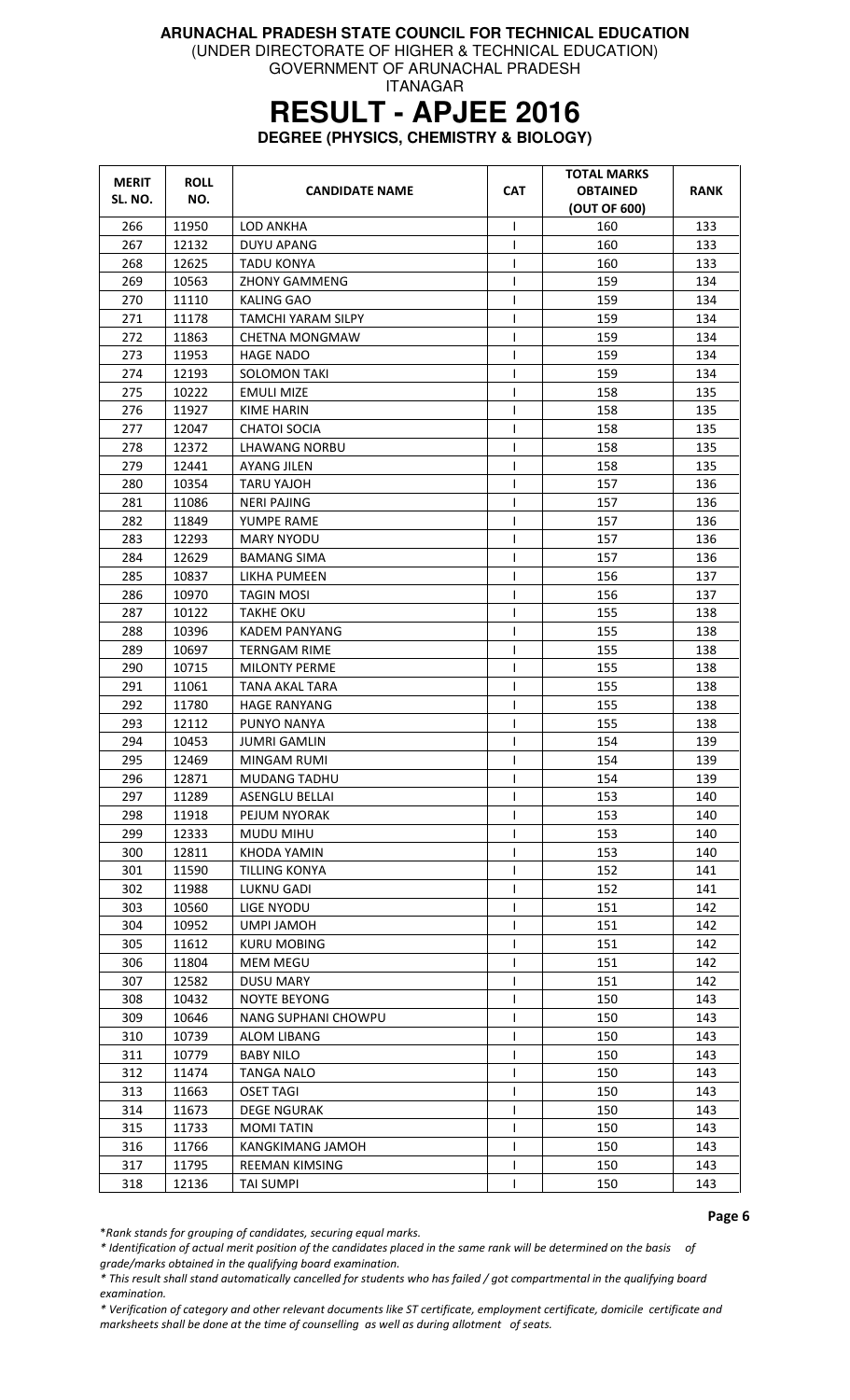(UNDER DIRECTORATE OF HIGHER & TECHNICAL EDUCATION)

GOVERNMENT OF ARUNACHAL PRADESH ITANAGAR

# **RESULT - APJEE 2016**

**DEGREE (PHYSICS, CHEMISTRY & BIOLOGY)** 

| <b>MERIT</b> | <b>ROLL</b>    |                                         |                   | <b>TOTAL MARKS</b> |             |
|--------------|----------------|-----------------------------------------|-------------------|--------------------|-------------|
| SL. NO.      | NO.            | <b>CANDIDATE NAME</b>                   | <b>CAT</b>        | <b>OBTAINED</b>    | <b>RANK</b> |
|              |                |                                         |                   | (OUT OF 600)       |             |
| 266          | 11950          | <b>LOD ANKHA</b>                        | T                 | 160                | 133         |
| 267          | 12132          | <b>DUYU APANG</b>                       | T                 | 160                | 133         |
| 268          | 12625          | <b>TADU KONYA</b>                       | T<br>T            | 160                | 133         |
| 269          | 10563          | <b>ZHONY GAMMENG</b>                    |                   | 159                | 134         |
| 270          | 11110          | <b>KALING GAO</b><br>TAMCHI YARAM SILPY | T                 | 159                | 134         |
| 271          | 11178          |                                         | $\mathsf{I}$      | 159                | 134         |
| 272          | 11863          | <b>CHETNA MONGMAW</b>                   | T                 | 159                | 134         |
| 273<br>274   | 11953<br>12193 | <b>HAGE NADO</b><br><b>SOLOMON TAKI</b> | ı<br>$\mathbf{I}$ | 159<br>159         | 134<br>134  |
| 275          | 10222          | <b>EMULI MIZE</b>                       | $\mathsf{I}$      | 158                | 135         |
| 276          | 11927          | <b>KIME HARIN</b>                       | T                 | 158                | 135         |
| 277          | 12047          | <b>CHATOI SOCIA</b>                     | $\mathsf{I}$      | 158                | 135         |
| 278          | 12372          | <b>LHAWANG NORBU</b>                    | T                 | 158                | 135         |
| 279          | 12441          | <b>AYANG JILEN</b>                      | T                 | 158                | 135         |
| 280          | 10354          | TARU YAJOH                              | $\mathsf{I}$      | 157                | 136         |
| 281          | 11086          | <b>NERI PAJING</b>                      | T                 | 157                | 136         |
| 282          | 11849          | YUMPE RAME                              | $\mathsf{I}$      | 157                | 136         |
| 283          | 12293          | <b>MARY NYODU</b>                       | $\mathbf{I}$      | 157                | 136         |
| 284          | 12629          | <b>BAMANG SIMA</b>                      | T                 | 157                | 136         |
| 285          | 10837          | LIKHA PUMEEN                            | I                 | 156                | 137         |
| 286          | 10970          | <b>TAGIN MOSI</b>                       | $\mathsf{I}$      | 156                | 137         |
| 287          | 10122          | TAKHE OKU                               | T                 | 155                | 138         |
| 288          | 10396          | KADEM PANYANG                           | T                 | 155                | 138         |
| 289          | 10697          | TERNGAM RIME                            | T                 | 155                | 138         |
| 290          | 10715          | <b>MILONTY PERME</b>                    | $\mathsf{I}$      | 155                | 138         |
| 291          | 11061          | TANA AKAL TARA                          | T                 | 155                | 138         |
| 292          | 11780          | <b>HAGE RANYANG</b>                     | T                 | 155                | 138         |
| 293          | 12112          | PUNYO NANYA                             | T                 | 155                | 138         |
| 294          | 10453          | <b>JUMRI GAMLIN</b>                     | T                 | 154                | 139         |
| 295          | 12469          | MINGAM RUMI                             | T                 | 154                | 139         |
| 296          | 12871          | MUDANG TADHU                            | T                 | 154                | 139         |
| 297          | 11289          | <b>ASENGLU BELLAI</b>                   | $\mathsf{I}$      | 153                | 140         |
| 298          | 11918          | PEJUM NYORAK                            |                   | 153                | 140         |
| 299          | 12333          | MUDU MIHU                               | L                 | 153                | 140         |
| 300          | 12811          | KHODA YAMIN                             | T                 | 153                | 140         |
| 301          | 11590          | <b>TILLING KONYA</b>                    | $\mathsf{I}$      | 152                | 141         |
| 302          | 11988          | <b>LUKNU GADI</b>                       | L                 | 152                | 141         |
| 303          | 10560          | <b>LIGE NYODU</b>                       | $\mathsf{I}$      | 151                | 142         |
| 304          | 10952          | UMPI JAMOH                              | T                 | 151                | 142         |
| 305          | 11612          | KURU MOBING                             | T                 | 151                | 142         |
| 306          | 11804          | <b>MEM MEGU</b>                         | $\mathbf{I}$      | 151                | 142         |
| 307          | 12582          | <b>DUSU MARY</b>                        | $\mathsf{I}$      | 151                | 142         |
| 308          | 10432          | NOYTE BEYONG                            | $\mathsf{I}$      | 150                | 143         |
| 309          | 10646          | NANG SUPHANI CHOWPU                     | ı                 | 150                | 143         |
| 310          | 10739          | <b>ALOM LIBANG</b>                      | $\mathsf{I}$      | 150                | 143         |
| 311          | 10779          | <b>BABY NILO</b>                        | $\mathsf{I}$      | 150                | 143         |
| 312          | 11474          | TANGA NALO                              |                   | 150                | 143         |
| 313          | 11663          | <b>OSET TAGI</b>                        | $\mathsf{I}$      | 150                | 143         |
| 314          | 11673          | <b>DEGE NGURAK</b>                      | T                 | 150                | 143         |
| 315          | 11733          | <b>MOMI TATIN</b>                       | $\mathsf{I}$      | 150                | 143         |
| 316          | 11766          | KANGKIMANG JAMOH                        | L                 | 150                | 143         |
| 317          | 11795          | <b>REEMAN KIMSING</b>                   | I                 | 150                | 143         |
| 318          | 12136          | <b>TAI SUMPI</b>                        |                   | 150                | 143         |

Page 6

\*Rank stands for grouping of candidates, securing equal marks.

\* Identification of actual merit position of the candidates placed in the same rank will be determined on the basis of grade/marks obtained in the qualifying board examination.

\* This result shall stand automatically cancelled for students who has failed / got compartmental in the qualifying board examination.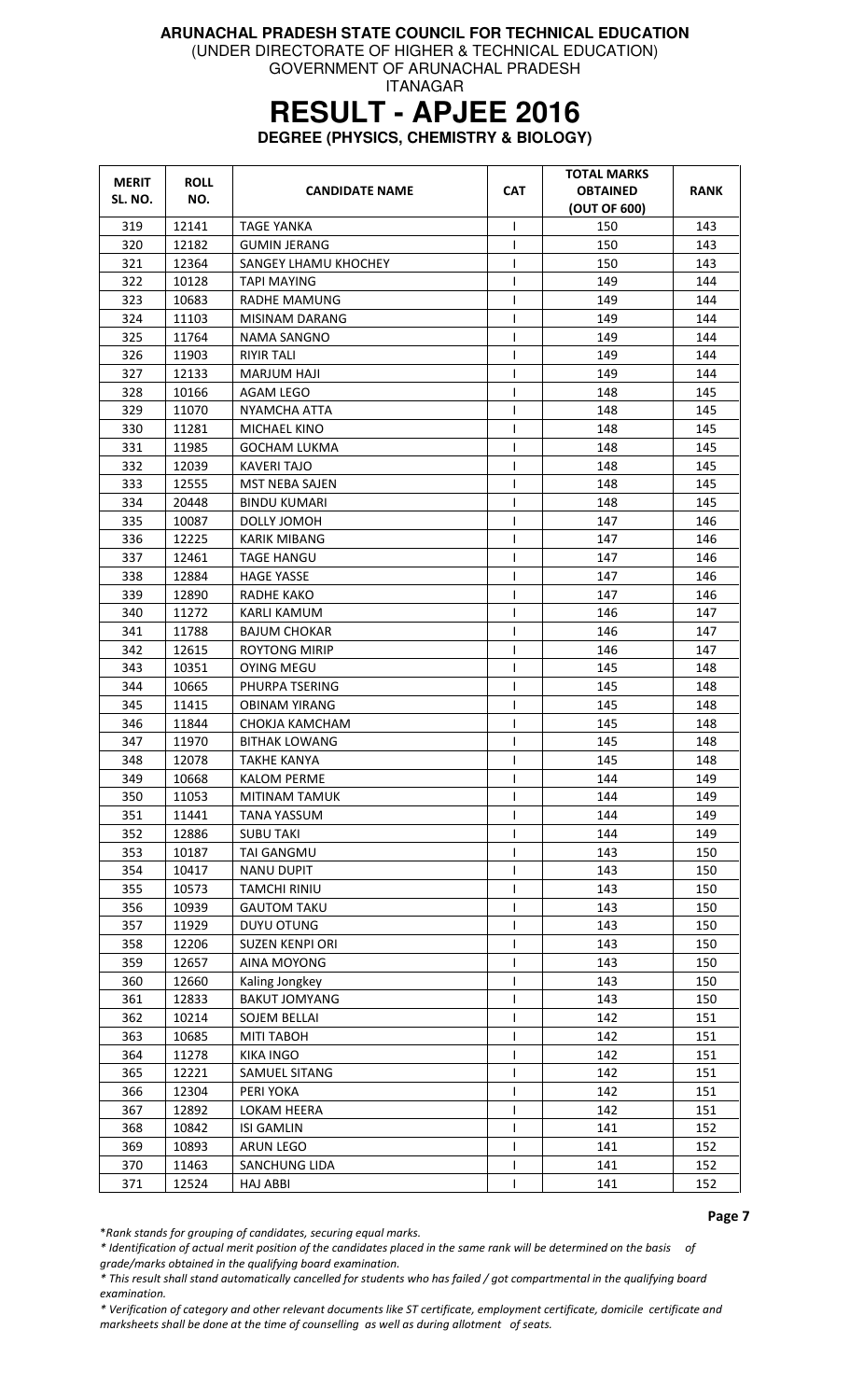(UNDER DIRECTORATE OF HIGHER & TECHNICAL EDUCATION)

GOVERNMENT OF ARUNACHAL PRADESH ITANAGAR

# **RESULT - APJEE 2016**

**DEGREE (PHYSICS, CHEMISTRY & BIOLOGY)** 

| <b>MERIT</b> | <b>ROLL</b> | <b>CANDIDATE NAME</b>  | <b>CAT</b>   | <b>TOTAL MARKS</b><br><b>OBTAINED</b> | RANK |
|--------------|-------------|------------------------|--------------|---------------------------------------|------|
| SL. NO.      | NO.         |                        |              | (OUT OF 600)                          |      |
| 319          | 12141       | <b>TAGE YANKA</b>      | T            | 150                                   | 143  |
| 320          | 12182       | <b>GUMIN JERANG</b>    | T            | 150                                   | 143  |
| 321          | 12364       | SANGEY LHAMU KHOCHEY   | $\mathsf{I}$ | 150                                   | 143  |
| 322          | 10128       | <b>TAPI MAYING</b>     | L            | 149                                   | 144  |
| 323          | 10683       | RADHE MAMUNG           | I            | 149                                   | 144  |
| 324          | 11103       | MISINAM DARANG         | T            | 149                                   | 144  |
| 325          | 11764       | NAMA SANGNO            | T            | 149                                   | 144  |
| 326          | 11903       | RIYIR TALI             | $\mathsf{I}$ | 149                                   | 144  |
| 327          | 12133       | MARJUM HAJI            | T            | 149                                   | 144  |
| 328          | 10166       | AGAM LEGO              | $\mathsf{I}$ | 148                                   | 145  |
| 329          | 11070       | NYAMCHA ATTA           | T            | 148                                   | 145  |
| 330          | 11281       | MICHAEL KINO           | $\mathsf{I}$ | 148                                   | 145  |
| 331          | 11985       | GOCHAM LUKMA           | T            | 148                                   | 145  |
| 332          | 12039       | KAVERI TAJO            | $\mathsf{l}$ | 148                                   | 145  |
| 333          | 12555       | MST NEBA SAJEN         | $\mathsf{l}$ | 148                                   | 145  |
| 334          | 20448       | <b>BINDU KUMARI</b>    | T            | 148                                   | 145  |
| 335          | 10087       | DOLLY JOMOH            | $\mathsf{l}$ | 147                                   | 146  |
| 336          | 12225       | <b>KARIK MIBANG</b>    | T            | 147                                   | 146  |
| 337          | 12461       | TAGE HANGU             | T            | 147                                   | 146  |
| 338          | 12884       | HAGE YASSE             | $\mathsf{l}$ | 147                                   | 146  |
| 339          | 12890       | RADHE KAKO             | T            | 147                                   | 146  |
| 340          | 11272       | KARLI KAMUM            | T            | 146                                   | 147  |
| 341          | 11788       | <b>BAJUM CHOKAR</b>    | T            | 146                                   | 147  |
| 342          | 12615       | <b>ROYTONG MIRIP</b>   | I            | 146                                   | 147  |
| 343          | 10351       | OYING MEGU             | $\mathsf{l}$ | 145                                   | 148  |
| 344          | 10665       | PHURPA TSERING         | T            | 145                                   | 148  |
| 345          | 11415       | OBINAM YIRANG          | T            | 145                                   | 148  |
| 346          | 11844       | CHOKJA KAMCHAM         | T            | 145                                   | 148  |
| 347          | 11970       | BITHAK LOWANG          | I            | 145                                   | 148  |
| 348          | 12078       | TAKHE KANYA            | T            | 145                                   | 148  |
| 349          | 10668       | KALOM PERME            | $\mathsf{I}$ | 144                                   | 149  |
| 350          | 11053       | MITINAM TAMUK          | T            | 144                                   | 149  |
| 351          | 11441       | <b>TANA YASSUM</b>     |              | 144                                   | 149  |
| 352          | 12886       | <b>SUBU TAKI</b>       | T            | 144                                   | 149  |
| 353          | 10187       | TAI GANGMU             | T            | 143                                   | 150  |
| 354          | 10417       | <b>NANU DUPIT</b>      | T            | 143                                   | 150  |
| 355          | 10573       | <b>TAMCHI RINIU</b>    | T            | 143                                   | 150  |
| 356          | 10939       | <b>GAUTOM TAKU</b>     | T            | 143                                   | 150  |
| 357          | 11929       | <b>DUYU OTUNG</b>      | T            | 143                                   | 150  |
| 358          | 12206       | <b>SUZEN KENPI ORI</b> | T            | 143                                   | 150  |
| 359          | 12657       | AINA MOYONG            | T            | 143                                   | 150  |
| 360          | 12660       | Kaling Jongkey         | $\mathsf{I}$ | 143                                   | 150  |
| 361          | 12833       | <b>BAKUT JOMYANG</b>   | L            | 143                                   | 150  |
| 362          | 10214       | <b>SOJEM BELLAI</b>    | $\mathsf{l}$ | 142                                   | 151  |
| 363          | 10685       | MITI TABOH             | $\mathsf{I}$ | 142                                   | 151  |
| 364          | 11278       | <b>KIKA INGO</b>       | T            | 142                                   | 151  |
| 365          | 12221       | <b>SAMUEL SITANG</b>   | I            | 142                                   | 151  |
| 366          | 12304       | PERI YOKA              | T            | 142                                   | 151  |
| 367          | 12892       | LOKAM HEERA            | $\mathsf{l}$ | 142                                   | 151  |
| 368          | 10842       | <b>ISI GAMLIN</b>      |              | 141                                   | 152  |
| 369          | 10893       | ARUN LEGO              | T            | 141                                   | 152  |
| 370          | 11463       | SANCHUNG LIDA          | L            | 141                                   | 152  |
| 371          | 12524       | <b>HAJ ABBI</b>        | ı            | 141                                   | 152  |

Page 7

\*Rank stands for grouping of candidates, securing equal marks.

\* Identification of actual merit position of the candidates placed in the same rank will be determined on the basis of grade/marks obtained in the qualifying board examination.

\* This result shall stand automatically cancelled for students who has failed / got compartmental in the qualifying board examination.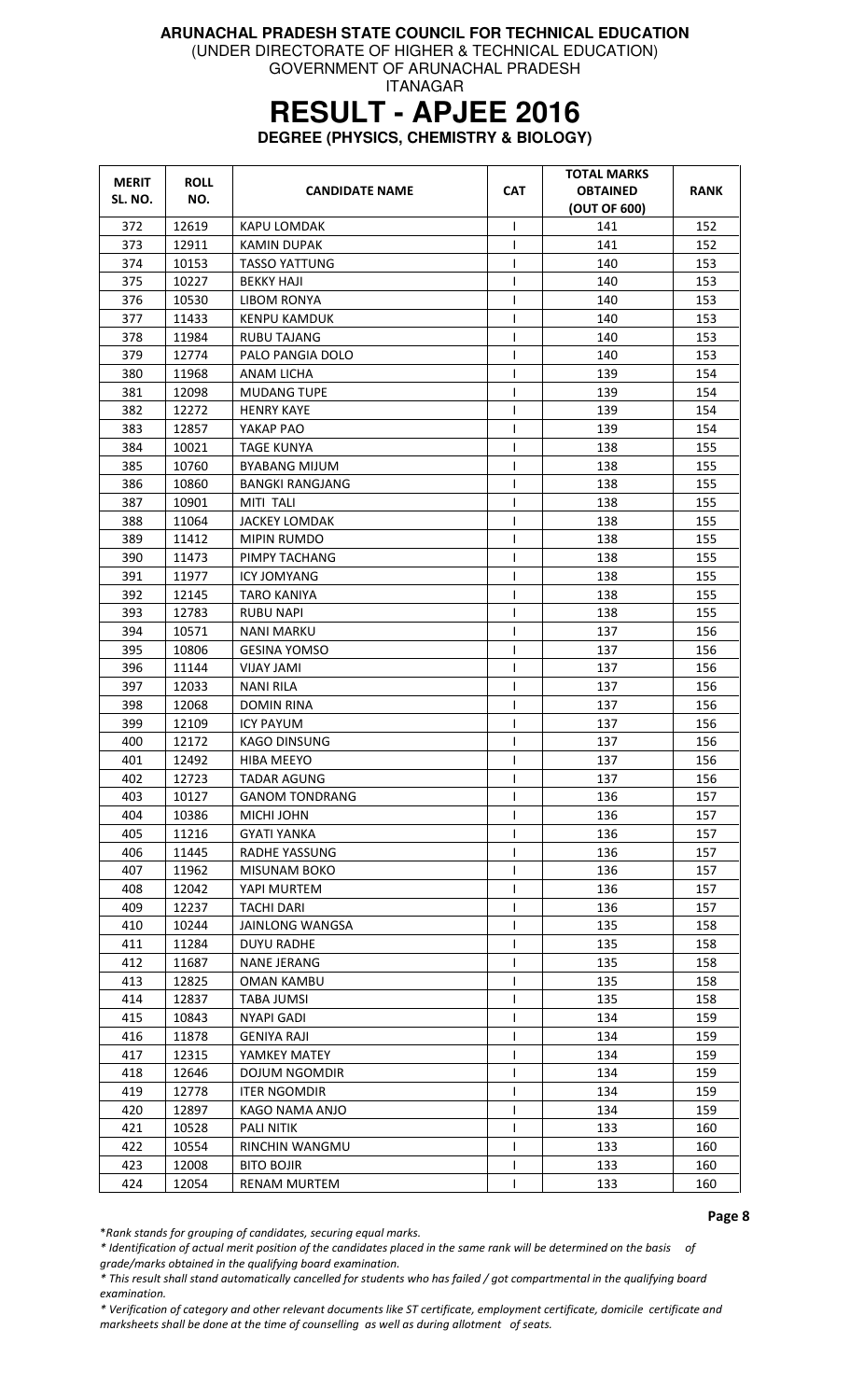(UNDER DIRECTORATE OF HIGHER & TECHNICAL EDUCATION)

GOVERNMENT OF ARUNACHAL PRADESH ITANAGAR

# **RESULT - APJEE 2016**

**DEGREE (PHYSICS, CHEMISTRY & BIOLOGY)** 

| <b>MERIT</b> | <b>ROLL</b> | <b>CANDIDATE NAME</b>  | <b>CAT</b>   | <b>TOTAL MARKS</b><br><b>OBTAINED</b> | <b>RANK</b> |
|--------------|-------------|------------------------|--------------|---------------------------------------|-------------|
| SL. NO.      | NO.         |                        |              | (OUT OF 600)                          |             |
| 372          | 12619       | KAPU LOMDAK            | ı            | 141                                   | 152         |
| 373          | 12911       | <b>KAMIN DUPAK</b>     | T            | 141                                   | 152         |
| 374          | 10153       | <b>TASSO YATTUNG</b>   | $\mathbf{I}$ | 140                                   | 153         |
| 375          | 10227       | <b>BEKKY HAJI</b>      |              | 140                                   | 153         |
| 376          | 10530       | LIBOM RONYA            | $\mathbf{I}$ | 140                                   | 153         |
| 377          | 11433       | <b>KENPU KAMDUK</b>    | ı            | 140                                   | 153         |
| 378          | 11984       | <b>RUBU TAJANG</b>     |              | 140                                   | 153         |
| 379          | 12774       | PALO PANGIA DOLO       |              | 140                                   | 153         |
| 380          | 11968       | ANAM LICHA             | T            | 139                                   | 154         |
| 381          | 12098       | <b>MUDANG TUPE</b>     | 1            | 139                                   | 154         |
| 382          | 12272       | <b>HENRY KAYE</b>      | $\mathbf{I}$ | 139                                   | 154         |
| 383          | 12857       | YAKAP PAO              | $\mathbf{I}$ | 139                                   | 154         |
| 384          | 10021       | <b>TAGE KUNYA</b>      | T            | 138                                   | 155         |
| 385          | 10760       | BYABANG MIJUM          | T            | 138                                   | 155         |
| 386          | 10860       | <b>BANGKI RANGJANG</b> | T            | 138                                   | 155         |
| 387          | 10901       | MITI TALI              | $\mathsf{I}$ | 138                                   | 155         |
| 388          | 11064       | <b>JACKEY LOMDAK</b>   | $\mathbf{I}$ | 138                                   | 155         |
| 389          | 11412       | <b>MIPIN RUMDO</b>     |              | 138                                   | 155         |
| 390          | 11473       | PIMPY TACHANG          | ı            | 138                                   | 155         |
| 391          | 11977       | <b>ICY JOMYANG</b>     | $\mathsf{I}$ | 138                                   | 155         |
| 392          | 12145       | <b>TARO KANIYA</b>     | T            | 138                                   | 155         |
| 393          | 12783       | RUBU NAPI              | T            | 138                                   | 155         |
| 394          | 10571       | NANI MARKU             | 1            | 137                                   | 156         |
| 395          | 10806       | <b>GESINA YOMSO</b>    | $\mathsf{l}$ | 137                                   | 156         |
| 396          | 11144       | <b>VIJAY JAMI</b>      | $\mathbf{I}$ | 137                                   | 156         |
| 397          | 12033       | NANI RILA              | T            | 137                                   | 156         |
| 398          | 12068       | DOMIN RINA             | T            | 137                                   | 156         |
| 399          | 12109       | <b>ICY PAYUM</b>       | $\mathsf{I}$ | 137                                   | 156         |
| 400          | 12172       | <b>KAGO DINSUNG</b>    | 1            | 137                                   | 156         |
| 401          | 12492       | <b>HIBA MEEYO</b>      | $\mathbf{I}$ | 137                                   | 156         |
| 402          | 12723       | <b>TADAR AGUNG</b>     | T            | 137                                   | 156         |
| 403          | 10127       | <b>GANOM TONDRANG</b>  | T            | 136                                   | 157         |
| 404          | 10386       | MICHI JOHN             | $\mathsf{I}$ | 136                                   | 157         |
| 405          | 11216       | <b>GYATI YANKA</b>     | I.           | 136                                   | 157         |
| 406          | 11445       | RADHE YASSUNG          | $\mathbf{I}$ | 136                                   | 157         |
| 407          | 11962       | <b>MISUNAM BOKO</b>    |              | 136                                   | 157         |
| 408          | 12042       | YAPI MURTEM            | $\mathbf{I}$ | 136                                   | 157         |
| 409          | 12237       | <b>TACHI DARI</b>      | $\mathbf{I}$ | 136                                   | 157         |
| 410          | 10244       | <b>JAINLONG WANGSA</b> | I.           | 135                                   | 158         |
| 411          | 11284       | <b>DUYU RADHE</b>      | $\mathsf{I}$ | 135                                   | 158         |
| 412          | 11687       | <b>NANE JERANG</b>     |              | 135                                   | 158         |
| 413          | 12825       | <b>OMAN KAMBU</b>      |              | 135                                   | 158         |
| 414          | 12837       | TABA JUMSI             |              | 135                                   | 158         |
| 415          | 10843       | NYAPI GADI             |              | 134                                   | 159         |
| 416          | 11878       | <b>GENIYA RAJI</b>     |              | 134                                   | 159         |
| 417          | 12315       | YAMKEY MATEY           | $\mathbf{I}$ | 134                                   | 159         |
| 418          | 12646       | <b>DOJUM NGOMDIR</b>   |              | 134                                   | 159         |
| 419          | 12778       | <b>ITER NGOMDIR</b>    | $\mathsf{l}$ | 134                                   | 159         |
| 420          | 12897       | KAGO NAMA ANJO         |              | 134                                   | 159         |
| 421          | 10528       | <b>PALI NITIK</b>      |              | 133                                   | 160         |
| 422          | 10554       | RINCHIN WANGMU         |              | 133                                   | 160         |
| 423          | 12008       | <b>BITO BOJIR</b>      | $\mathbf{I}$ | 133                                   | 160         |
| 424          | 12054       | RENAM MURTEM           |              | 133                                   | 160         |

Page 8

\*Rank stands for grouping of candidates, securing equal marks.

\* Identification of actual merit position of the candidates placed in the same rank will be determined on the basis of grade/marks obtained in the qualifying board examination.

\* This result shall stand automatically cancelled for students who has failed / got compartmental in the qualifying board examination.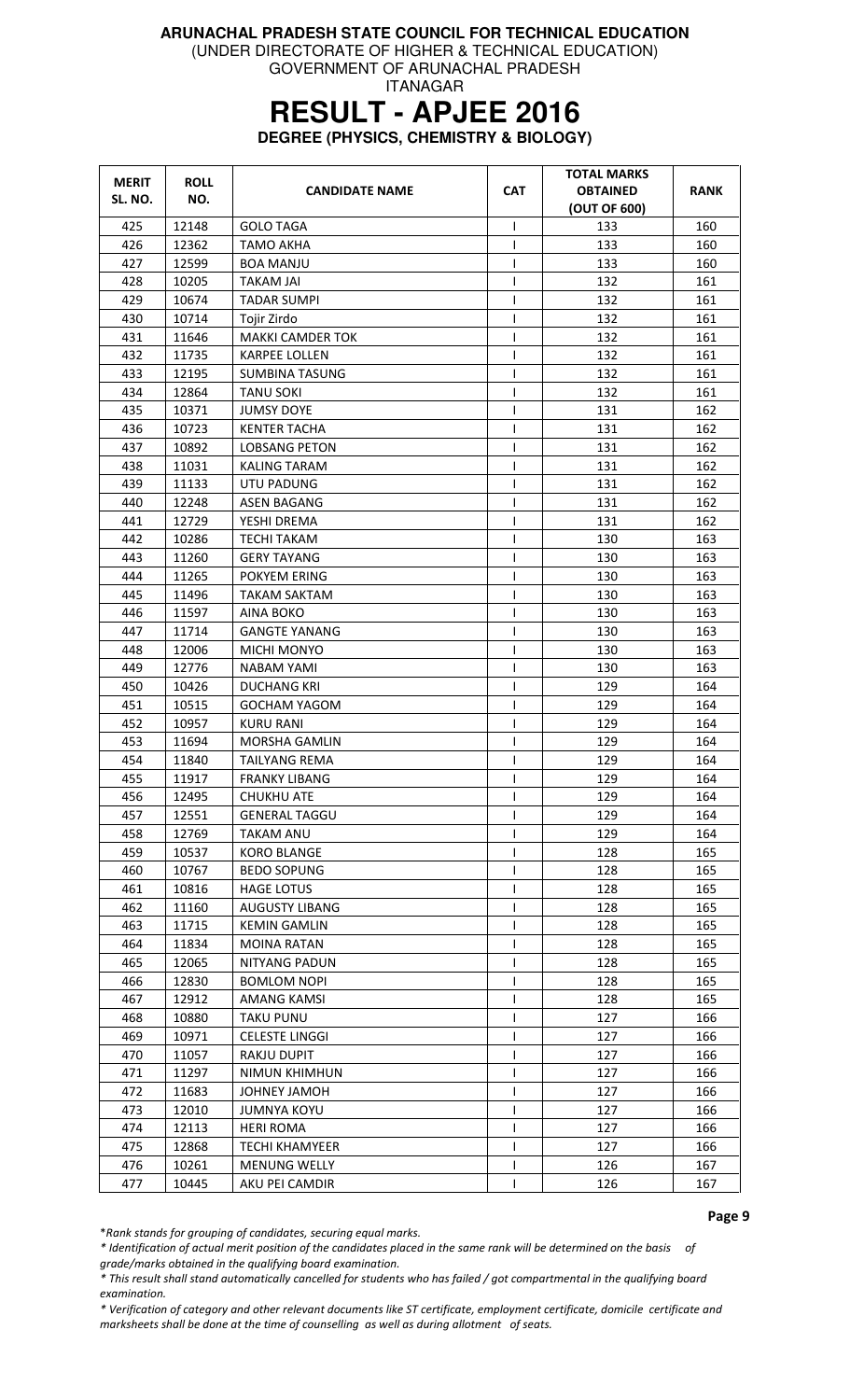(UNDER DIRECTORATE OF HIGHER & TECHNICAL EDUCATION)

GOVERNMENT OF ARUNACHAL PRADESH ITANAGAR

# **RESULT - APJEE 2016**

**DEGREE (PHYSICS, CHEMISTRY & BIOLOGY)** 

| <b>MERIT</b><br>SL. NO. | <b>ROLL</b><br>NO. | <b>CANDIDATE NAME</b>   | <b>CAT</b>   | TOTAL MARKS<br><b>OBTAINED</b><br>(OUT OF 600) | <b>RANK</b> |
|-------------------------|--------------------|-------------------------|--------------|------------------------------------------------|-------------|
| 425                     | 12148              | <b>GOLO TAGA</b>        | $\mathbf{I}$ | 133                                            | 160         |
| 426                     | 12362              | <b>TAMO AKHA</b>        | ı            | 133                                            | 160         |
| 427                     | 12599              | <b>BOA MANJU</b>        |              | 133                                            | 160         |
| 428                     | 10205              | <b>TAKAM JAI</b>        | ı            | 132                                            | 161         |
| 429                     | 10674              | <b>TADAR SUMPI</b>      | $\mathsf{I}$ | 132                                            | 161         |
| 430                     | 10714              | Tojir Zirdo             | $\mathbf{I}$ | 132                                            | 161         |
| 431                     | 11646              | <b>MAKKI CAMDER TOK</b> | $\mathbf{I}$ | 132                                            | 161         |
| 432                     | 11735              | <b>KARPEE LOLLEN</b>    | $\mathbf{I}$ | 132                                            | 161         |
| 433                     | 12195              | <b>SUMBINA TASUNG</b>   |              | 132                                            | 161         |
| 434                     | 12864              | <b>TANU SOKI</b>        | ı            | 132                                            | 161         |
| 435                     | 10371              | <b>JUMSY DOYE</b>       | $\mathsf{I}$ | 131                                            | 162         |
| 436                     | 10723              | <b>KENTER TACHA</b>     | $\mathbf{I}$ | 131                                            | 162         |
| 437                     | 10892              | <b>LOBSANG PETON</b>    | $\mathsf{I}$ | 131                                            | 162         |
| 438                     | 11031              | KALING TARAM            | ı            | 131                                            | 162         |
| 439                     | 11133              | UTU PADUNG              | ı            | 131                                            | 162         |
| 440                     | 12248              | <b>ASEN BAGANG</b>      | T            | 131                                            | 162         |
| 441                     | 12729              | YESHI DREMA             | $\mathbf{I}$ | 131                                            | 162         |
| 442                     | 10286              | <b>TECHI TAKAM</b>      | $\mathsf{I}$ | 130                                            | 163         |
| 443                     | 11260              | <b>GERY TAYANG</b>      | $\mathsf{l}$ | 130                                            | 163         |
| 444                     | 11265              | POKYEM ERING            | $\mathsf{I}$ | 130                                            | 163         |
| 445                     | 11496              | <b>TAKAM SAKTAM</b>     | ı            | 130                                            | 163         |
| 446                     | 11597              | AINA BOKO               |              | 130                                            | 163         |
| 447                     | 11714              | <b>GANGTE YANANG</b>    | T            | 130                                            | 163         |
| 448                     | 12006              | <b>MICHI MONYO</b>      | $\mathsf{I}$ | 130                                            | 163         |
| 449                     | 12776              | NABAM YAMI              | ı            | 130                                            | 163         |
| 450                     | 10426              | <b>DUCHANG KRI</b>      | $\mathbf{I}$ | 129                                            | 164         |
| 451                     | 10515              | <b>GOCHAM YAGOM</b>     | $\mathbf{I}$ | 129                                            | 164         |
| 452                     | 10957              | <b>KURU RANI</b>        | ı            | 129                                            | 164         |
| 453                     | 11694              | <b>MORSHA GAMLIN</b>    | $\mathsf{I}$ | 129                                            | 164         |
| 454                     | 11840              | <b>TAILYANG REMA</b>    | $\mathbf{I}$ | 129                                            | 164         |
| 455                     | 11917              | <b>FRANKY LIBANG</b>    | $\mathbf{I}$ | 129                                            | 164         |
| 456                     | 12495              | <b>CHUKHU ATE</b>       | I            | 129                                            | 164         |
| 457                     | 12551              | <b>GENERAL TAGGU</b>    |              | 129                                            | 164         |
| 458                     | 12769              | <b>TAKAM ANU</b>        |              | 129                                            | 164         |
| 459                     | 10537              | <b>KORO BLANGE</b>      |              | 128                                            | 165         |
| 460                     | 10767              | <b>BEDO SOPUNG</b>      |              | 128                                            | 165         |
| 461                     | 10816              | <b>HAGE LOTUS</b>       | $\mathbf{I}$ | 128                                            | 165         |
| 462                     | 11160              | AUGUSTY LIBANG          | I.           | 128                                            | 165         |
| 463                     | 11715              | <b>KEMIN GAMLIN</b>     |              | 128                                            | 165         |
| 464                     | 11834              | <b>MOINA RATAN</b>      |              | 128                                            | 165         |
| 465                     | 12065              | <b>NITYANG PADUN</b>    |              | 128                                            | 165         |
| 466                     | 12830              | <b>BOMLOM NOPI</b>      | $\mathbf{I}$ | 128                                            | 165         |
| 467                     | 12912              | AMANG KAMSI             | I            | 128                                            | 165         |
| 468                     | 10880              | <b>TAKU PUNU</b>        |              | 127                                            | 166         |
| 469                     | 10971              | CELESTE LINGGI          |              | 127                                            | 166         |
| 470                     | 11057              | <b>RAKJU DUPIT</b>      |              | 127                                            | 166         |
| 471                     | 11297              | <b>NIMUN KHIMHUN</b>    |              | 127                                            | 166         |
| 472                     | 11683              | <b>JOHNEY JAMOH</b>     | $\mathbf{I}$ | 127                                            | 166         |
| 473                     | 12010              | <b>JUMNYA KOYU</b>      |              | 127                                            | 166         |
| 474                     | 12113              | <b>HERI ROMA</b>        | $\mathsf{I}$ | 127                                            | 166         |
| 475                     | 12868              | <b>TECHI KHAMYEER</b>   |              | 127                                            | 166         |
| 476                     | 10261              | <b>MENUNG WELLY</b>     | $\mathbf{I}$ | 126                                            | 167         |
| 477                     | 10445              | AKU PEI CAMDIR          |              | 126                                            | 167         |

Page 9

\*Rank stands for grouping of candidates, securing equal marks.

\* Identification of actual merit position of the candidates placed in the same rank will be determined on the basis of

grade/marks obtained in the qualifying board examination.

\* This result shall stand automatically cancelled for students who has failed / got compartmental in the qualifying board examination.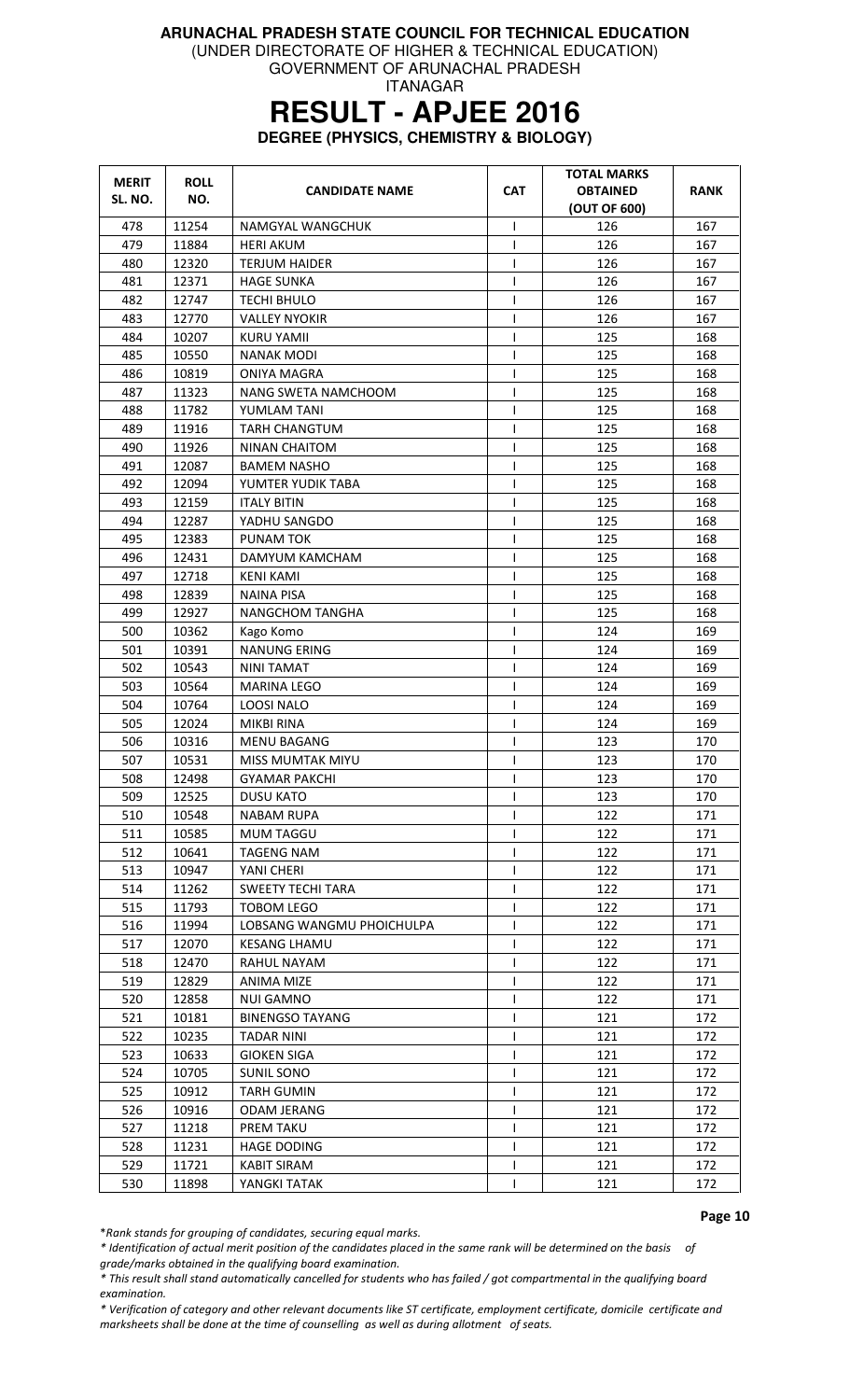(UNDER DIRECTORATE OF HIGHER & TECHNICAL EDUCATION)

GOVERNMENT OF ARUNACHAL PRADESH ITANAGAR

# **RESULT - APJEE 2016**

**DEGREE (PHYSICS, CHEMISTRY & BIOLOGY)** 

| <b>MERIT</b> | <b>ROLL</b> | <b>CANDIDATE NAME</b>     | <b>CAT</b>   | <b>TOTAL MARKS</b><br><b>OBTAINED</b> | RANK |
|--------------|-------------|---------------------------|--------------|---------------------------------------|------|
| SL. NO.      | NO.         |                           |              | (OUT OF 600)                          |      |
| 478          | 11254       | NAMGYAL WANGCHUK          | ı            | 126                                   | 167  |
| 479          | 11884       | <b>HERI AKUM</b>          | T            | 126                                   | 167  |
| 480          | 12320       | <b>TERJUM HAIDER</b>      | T            | 126                                   | 167  |
| 481          | 12371       | <b>HAGE SUNKA</b>         | T            | 126                                   | 167  |
| 482          | 12747       | TECHI BHULO               | I            | 126                                   | 167  |
| 483          | 12770       | <b>VALLEY NYOKIR</b>      | $\mathsf{I}$ | 126                                   | 167  |
| 484          | 10207       | <b>KURU YAMII</b>         | ı            | 125                                   | 168  |
| 485          | 10550       | <b>NANAK MODI</b>         | T            | 125                                   | 168  |
| 486          | 10819       | <b>ONIYA MAGRA</b>        | T            | 125                                   | 168  |
| 487          | 11323       | NANG SWETA NAMCHOOM       | T            | 125                                   | 168  |
| 488          | 11782       | YUMLAM TANI               | ı            | 125                                   | 168  |
| 489          | 11916       | <b>TARH CHANGTUM</b>      | ı            | 125                                   | 168  |
| 490          | 11926       | <b>NINAN CHAITOM</b>      | T            | 125                                   | 168  |
| 491          | 12087       | <b>BAMEM NASHO</b>        | $\mathsf{I}$ | 125                                   | 168  |
| 492          | 12094       | YUMTER YUDIK TABA         | $\mathsf{I}$ | 125                                   | 168  |
| 493          | 12159       | <b>ITALY BITIN</b>        | $\mathsf{I}$ | 125                                   | 168  |
| 494          | 12287       | YADHU SANGDO              | $\mathsf{I}$ | 125                                   | 168  |
| 495          | 12383       | PUNAM TOK                 | T            | 125                                   | 168  |
| 496          | 12431       | DAMYUM KAMCHAM            | ı            | 125                                   | 168  |
| 497          | 12718       | <b>KENI KAMI</b>          | ı            | 125                                   | 168  |
| 498          | 12839       | <b>NAINA PISA</b>         | T            | 125                                   | 168  |
| 499          | 12927       | <b>NANGCHOM TANGHA</b>    | T            | 125                                   | 168  |
| 500          | 10362       | Kago Komo                 | I            | 124                                   | 169  |
| 501          | 10391       | <b>NANUNG ERING</b>       | ı            | 124                                   | 169  |
| 502          | 10543       | <b>NINI TAMAT</b>         | ı            | 124                                   | 169  |
| 503          | 10564       | <b>MARINA LEGO</b>        | T            | 124                                   | 169  |
| 504          | 10764       | <b>LOOSI NALO</b>         | T            | 124                                   | 169  |
| 505          | 12024       | <b>MIKBI RINA</b>         | T            | 124                                   | 169  |
| 506          | 10316       | <b>MENU BAGANG</b>        | 1            | 123                                   | 170  |
| 507          | 10531       | <b>MISS MUMTAK MIYU</b>   | $\mathsf{I}$ | 123                                   | 170  |
| 508          | 12498       | GYAMAR PAKCHI             | T            | 123                                   | 170  |
| 509          | 12525       | <b>DUSU KATO</b>          | $\mathsf{I}$ | 123                                   | 170  |
| 510          | 10548       | <b>NABAM RUPA</b>         |              | 122                                   | 171  |
| 511          | 10585       | <b>MUM TAGGU</b>          | T            | 122                                   | 171  |
| 512          | 10641       | <b>TAGENG NAM</b>         | T            | 122                                   | 171  |
| 513          | 10947       | YANI CHERI                | $\mathsf{I}$ | 122                                   | 171  |
| 514          | 11262       | <b>SWEETY TECHI TARA</b>  | $\mathsf{I}$ | 122                                   | 171  |
| 515          | 11793       | <b>TOBOM LEGO</b>         | $\mathsf{I}$ | 122                                   | 171  |
| 516          | 11994       | LOBSANG WANGMU PHOICHULPA | T            | 122                                   | 171  |
| 517          | 12070       | <b>KESANG LHAMU</b>       | T            | 122                                   | 171  |
| 518          | 12470       | RAHUL NAYAM               | T            | 122                                   | 171  |
| 519          | 12829       | <b>ANIMA MIZE</b>         | T            | 122                                   | 171  |
| 520          | 12858       | <b>NUI GAMNO</b>          | I.           | 122                                   | 171  |
| 521          | 10181       | <b>BINENGSO TAYANG</b>    |              | 121                                   | 172  |
| 522          | 10235       | <b>TADAR NINI</b>         |              | 121                                   | 172  |
| 523          | 10633       | GIOKEN SIGA               | T            | 121                                   | 172  |
| 524          | 10705       | SUNIL SONO                | I            | 121                                   | 172  |
| 525          | 10912       | <b>TARH GUMIN</b>         | ı            | 121                                   | 172  |
| 526          | 10916       | ODAM JERANG               | ı            | 121                                   | 172  |
| 527          | 11218       | <b>PREM TAKU</b>          |              | 121                                   | 172  |
| 528          | 11231       | <b>HAGE DODING</b>        | $\mathsf{I}$ | 121                                   | 172  |
| 529          | 11721       | <b>KABIT SIRAM</b>        | T            | 121                                   | 172  |
| 530          | 11898       | YANGKI TATAK              |              | 121                                   | 172  |

Page 10

\*Rank stands for grouping of candidates, securing equal marks.

\* Identification of actual merit position of the candidates placed in the same rank will be determined on the basis of grade/marks obtained in the qualifying board examination.

\* This result shall stand automatically cancelled for students who has failed / got compartmental in the qualifying board examination.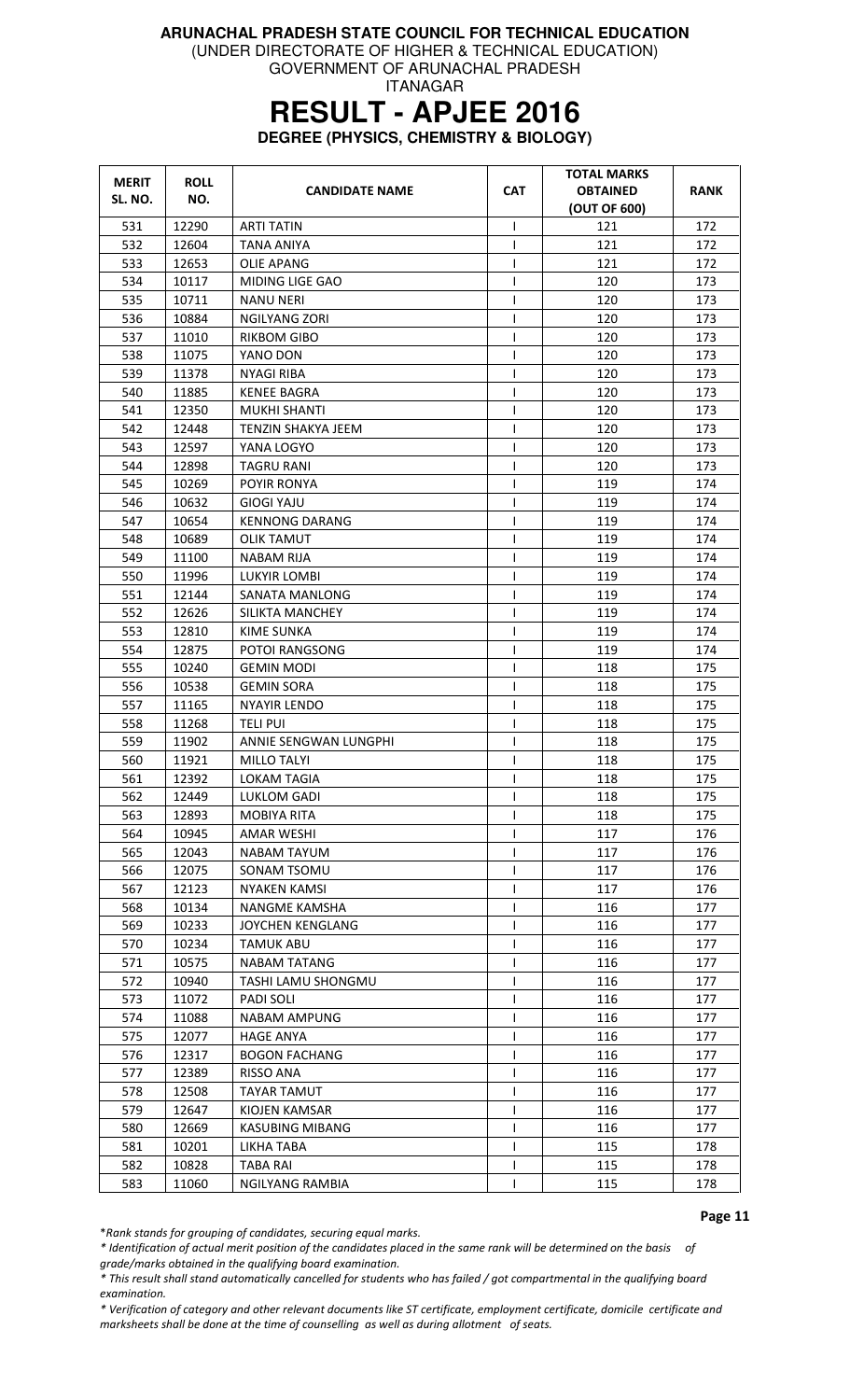(UNDER DIRECTORATE OF HIGHER & TECHNICAL EDUCATION)

GOVERNMENT OF ARUNACHAL PRADESH ITANAGAR

# **RESULT - APJEE 2016**

**DEGREE (PHYSICS, CHEMISTRY & BIOLOGY)** 

| <b>MERIT</b> | <b>ROLL</b> | <b>CANDIDATE NAME</b>     | <b>CAT</b>   | <b>TOTAL MARKS</b><br><b>OBTAINED</b> | RANK |
|--------------|-------------|---------------------------|--------------|---------------------------------------|------|
| SL. NO.      | NO.         |                           |              | (OUT OF 600)                          |      |
| 531          | 12290       | <b>ARTI TATIN</b>         | $\mathsf{I}$ | 121                                   | 172  |
| 532          | 12604       | <b>TANA ANIYA</b>         | T            | 121                                   | 172  |
| 533          | 12653       | <b>OLIE APANG</b>         | T            | 121                                   | 172  |
| 534          | 10117       | MIDING LIGE GAO           | $\mathsf{I}$ | 120                                   | 173  |
| 535          | 10711       | NANU NERI                 | I            | 120                                   | 173  |
| 536          | 10884       | NGILYANG ZORI             | T            | 120                                   | 173  |
| 537          | 11010       | RIKBOM GIBO               | $\mathsf{l}$ | 120                                   | 173  |
| 538          | 11075       | YANO DON                  | $\mathsf{I}$ | 120                                   | 173  |
| 539          | 11378       | NYAGI RIBA                | T            | 120                                   | 173  |
| 540          | 11885       | KENEE BAGRA               | T            | 120                                   | 173  |
| 541          | 12350       | <b>MUKHI SHANTI</b>       | ı            | 120                                   | 173  |
| 542          | 12448       | <b>TENZIN SHAKYA JEEM</b> | $\mathsf{I}$ | 120                                   | 173  |
| 543          | 12597       | YANA LOGYO                | $\mathsf{I}$ | 120                                   | 173  |
| 544          | 12898       | <b>TAGRU RANI</b>         | T            | 120                                   | 173  |
| 545          | 10269       | POYIR RONYA               | $\mathsf{l}$ | 119                                   | 174  |
| 546          | 10632       | <b>GIOGI YAJU</b>         | T            | 119                                   | 174  |
| 547          | 10654       | <b>KENNONG DARANG</b>     | T            | 119                                   | 174  |
| 548          | 10689       | <b>OLIK TAMUT</b>         | $\mathsf{I}$ | 119                                   | 174  |
| 549          | 11100       | NABAM RIJA                | T            | 119                                   | 174  |
| 550          | 11996       | LUKYIR LOMBI              | $\mathsf{l}$ | 119                                   | 174  |
| 551          | 12144       | SANATA MANLONG            | T            | 119                                   | 174  |
| 552          | 12626       | SILIKTA MANCHEY           | $\mathsf{I}$ | 119                                   | 174  |
| 553          | 12810       | <b>KIME SUNKA</b>         | T            | 119                                   | 174  |
| 554          | 12875       | POTOI RANGSONG            | T            | 119                                   | 174  |
| 555          | 10240       | <b>GEMIN MODI</b>         | $\mathsf{l}$ | 118                                   | 175  |
| 556          | 10538       | GEMIN SORA                | $\mathsf{l}$ | 118                                   | 175  |
| 557          | 11165       | <b>NYAYIR LENDO</b>       | $\mathsf{I}$ | 118                                   | 175  |
| 558          | 11268       | <b>TELI PUI</b>           | $\mathsf{I}$ | 118                                   | 175  |
| 559          | 11902       | ANNIE SENGWAN LUNGPHI     | I            | 118                                   | 175  |
| 560          | 11921       | <b>MILLO TALYI</b>        | $\mathsf{l}$ | 118                                   | 175  |
| 561          | 12392       | LOKAM TAGIA               | L            | 118                                   | 175  |
| 562          | 12449       | LUKLOM GADI               | $\mathsf{l}$ | 118                                   | 175  |
| 563          | 12893       | MOBIYA RITA               |              | 118                                   | 175  |
| 564          | 10945       | <b>AMAR WESHI</b>         | $\mathsf{l}$ | 117                                   | 176  |
| 565          | 12043       | <b>NABAM TAYUM</b>        | ı            | 117                                   | 176  |
| 566          | 12075       | SONAM TSOMU               | $\mathsf{l}$ | 117                                   | 176  |
| 567          | 12123       | NYAKEN KAMSI              | T            | 117                                   | 176  |
| 568          | 10134       | NANGME KAMSHA             | T            | 116                                   | 177  |
| 569          | 10233       | <b>JOYCHEN KENGLANG</b>   | T            | 116                                   | 177  |
| 570          | 10234       | <b>TAMUK ABU</b>          | T            | 116                                   | 177  |
| 571          | 10575       | <b>NABAM TATANG</b>       | T            | 116                                   | 177  |
| 572          | 10940       | TASHI LAMU SHONGMU        | $\mathsf{I}$ | 116                                   | 177  |
| 573          | 11072       | PADI SOLI                 | $\mathsf{l}$ | 116                                   | 177  |
| 574          | 11088       | <b>NABAM AMPUNG</b>       | T            | 116                                   | 177  |
| 575          | 12077       | <b>HAGE ANYA</b>          | T            | 116                                   | 177  |
| 576          | 12317       | <b>BOGON FACHANG</b>      | T            | 116                                   | 177  |
| 577          | 12389       | <b>RISSO ANA</b>          | $\mathsf{l}$ | 116                                   | 177  |
| 578          | 12508       | <b>TAYAR TAMUT</b>        | $\mathsf{l}$ | 116                                   | 177  |
| 579          | 12647       | KIOJEN KAMSAR             | T            | 116                                   | 177  |
| 580          | 12669       | <b>KASUBING MIBANG</b>    | T            | 116                                   | 177  |
| 581          | 10201       | LIKHA TABA                | T            | 115                                   | 178  |
| 582          | 10828       | TABA RAI                  | T            | 115                                   | 178  |
| 583          | 11060       | NGILYANG RAMBIA           | ı            | 115                                   | 178  |

Page 11

\*Rank stands for grouping of candidates, securing equal marks.

\* Identification of actual merit position of the candidates placed in the same rank will be determined on the basis of grade/marks obtained in the qualifying board examination.

\* This result shall stand automatically cancelled for students who has failed / got compartmental in the qualifying board examination.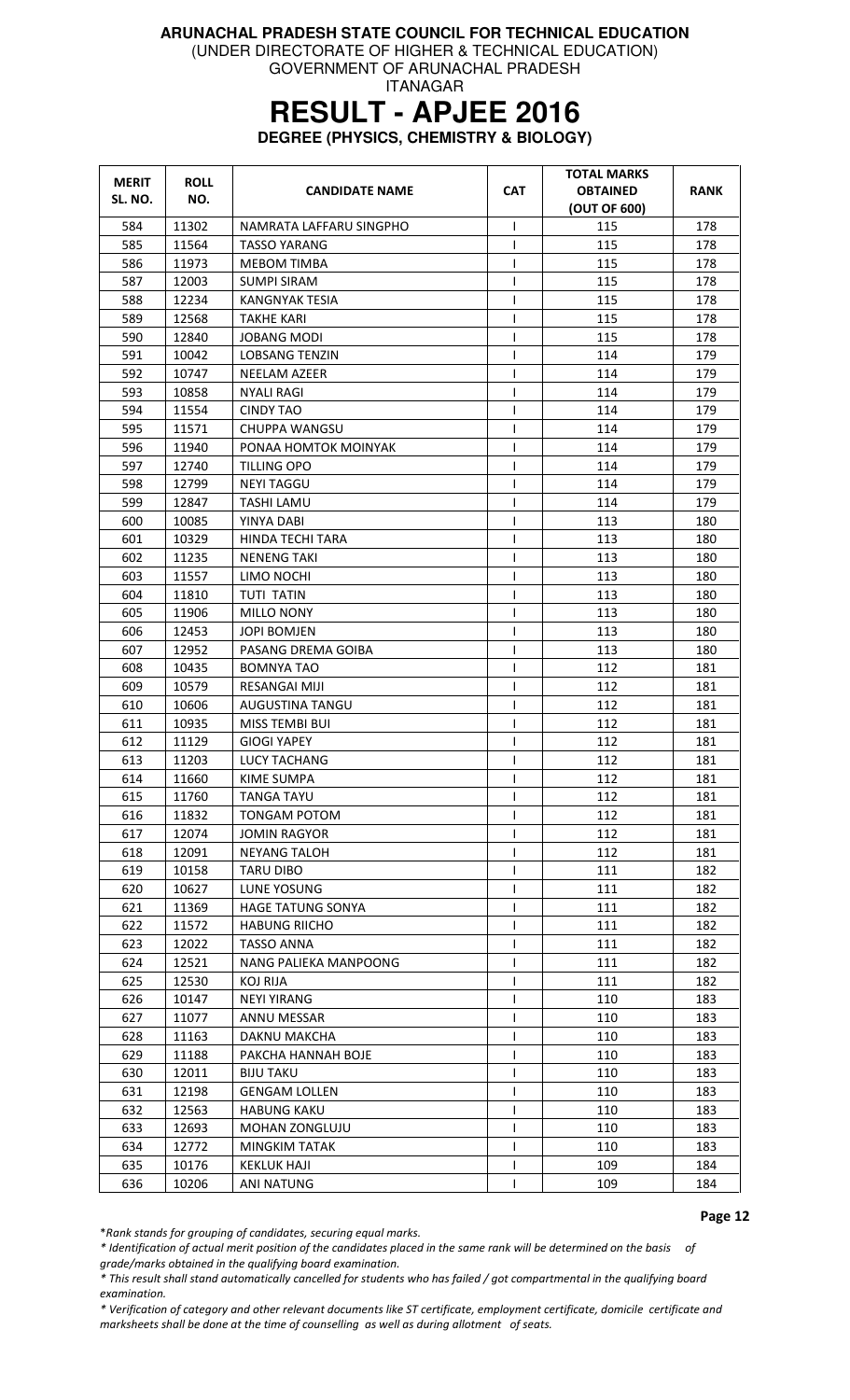(UNDER DIRECTORATE OF HIGHER & TECHNICAL EDUCATION)

GOVERNMENT OF ARUNACHAL PRADESH ITANAGAR

# **RESULT - APJEE 2016**

**DEGREE (PHYSICS, CHEMISTRY & BIOLOGY)** 

| <b>MERIT</b><br>SL. NO. | <b>ROLL</b><br>NO. | <b>CANDIDATE NAME</b>    | <b>CAT</b>     | <b>TOTAL MARKS</b><br><b>OBTAINED</b><br>(OUT OF 600) | <b>RANK</b> |
|-------------------------|--------------------|--------------------------|----------------|-------------------------------------------------------|-------------|
| 584                     | 11302              | NAMRATA LAFFARU SINGPHO  | T              | 115                                                   | 178         |
| 585                     | 11564              | <b>TASSO YARANG</b>      | $\mathsf{I}$   | 115                                                   | 178         |
| 586                     | 11973              | <b>MEBOM TIMBA</b>       | $\mathsf{I}$   | 115                                                   | 178         |
| 587                     | 12003              | SUMPI SIRAM              | $\mathsf{I}$   | 115                                                   | 178         |
| 588                     | 12234              | KANGNYAK TESIA           | T              | 115                                                   | 178         |
| 589                     | 12568              | <b>TAKHE KARI</b>        | T              | 115                                                   | 178         |
| 590                     | 12840              | <b>JOBANG MODI</b>       | T              | 115                                                   | 178         |
| 591                     | 10042              | <b>LOBSANG TENZIN</b>    | $\mathsf{l}$   | 114                                                   | 179         |
| 592                     | 10747              | NEELAM AZEER             | $\mathsf{l}$   | 114                                                   | 179         |
| 593                     | 10858              | NYALI RAGI               | T              | 114                                                   | 179         |
| 594                     | 11554              | <b>CINDY TAO</b>         | $\mathsf{l}$   | 114                                                   | 179         |
| 595                     | 11571              | CHUPPA WANGSU            | T              | 114                                                   | 179         |
| 596                     | 11940              | PONAA HOMTOK MOINYAK     | T              | 114                                                   | 179         |
| 597                     | 12740              | TILLING OPO              | $\mathsf{l}$   | 114                                                   | 179         |
| 598                     | 12799              | <b>NEYI TAGGU</b>        | T              | 114                                                   | 179         |
| 599                     | 12847              | TASHI LAMU               | $\mathsf{I}$   | 114                                                   | 179         |
| 600                     | 10085              | YINYA DABI               | $\overline{1}$ | 113                                                   | 180         |
| 601                     | 10329              | <b>HINDA TECHI TARA</b>  | $\mathsf{I}$   | 113                                                   | 180         |
| 602                     | 11235              | <b>NENENG TAKI</b>       | T              | 113                                                   | 180         |
| 603                     | 11557              | LIMO NOCHI               | $\mathsf{l}$   | 113                                                   | 180         |
| 604                     | 11810              | <b>TUTI TATIN</b>        | $\mathsf{I}$   | 113                                                   | 180         |
| 605                     | 11906              | MILLO NONY               | $\overline{1}$ | 113                                                   | 180         |
| 606                     | 12453              | <b>JOPI BOMJEN</b>       | T              | 113                                                   | 180         |
| 607                     | 12952              | PASANG DREMA GOIBA       | T              | 113                                                   | 180         |
| 608                     | 10435              | <b>BOMNYA TAO</b>        | $\mathsf{I}$   | 112                                                   | 181         |
| 609                     | 10579              | RESANGAI MIJI            | T              | 112                                                   | 181         |
| 610                     | 10606              | AUGUSTINA TANGU          | T              | 112                                                   | 181         |
| 611                     | 10935              | MISS TEMBI BUI           | $\mathsf{I}$   | 112                                                   | 181         |
| 612                     | 11129              | <b>GIOGI YAPEY</b>       | $\mathsf{I}$   | 112                                                   | 181         |
| 613                     | 11203              | <b>LUCY TACHANG</b>      | $\mathsf{I}$   | 112                                                   | 181         |
| 614                     | 11660              | <b>KIME SUMPA</b>        | T              | 112                                                   | 181         |
| 615                     | 11760              | <b>TANGA TAYU</b>        | T              | 112                                                   | 181         |
| 616                     | 11832              | <b>TONGAM POTOM</b>      | $\mathsf{l}$   | 112                                                   | 181         |
| 617                     | 12074              | <b>JOMIN RAGYOR</b>      | ı              | 112                                                   | 181         |
| 618                     | 12091              | <b>NEYANG TALOH</b>      |                | 112                                                   | 181         |
| 619                     | 10158              | <b>TARU DIBO</b>         |                | 111                                                   | 182         |
| 620                     | 10627              | LUNE YOSUNG              | $\mathsf{I}$   | 111                                                   | 182         |
| 621                     | 11369              | <b>HAGE TATUNG SONYA</b> | ı              | 111                                                   | 182         |
| 622                     | 11572              | <b>HABUNG RIICHO</b>     | T              | 111                                                   | 182         |
| 623                     | 12022              | <b>TASSO ANNA</b>        | T              | 111                                                   | 182         |
| 624                     | 12521              | NANG PALIEKA MANPOONG    | T              | 111                                                   | 182         |
| 625                     | 12530              | <b>KOJ RIJA</b>          | T              | 111                                                   | 182         |
| 626                     | 10147              | <b>NEYI YIRANG</b>       | T              | 110                                                   | 183         |
| 627                     | 11077              | ANNU MESSAR              | T              | 110                                                   | 183         |
|                         |                    |                          |                |                                                       |             |
| 628                     | 11163              | DAKNU MAKCHA             | T              | 110                                                   | 183         |
| 629                     | 11188              | PAKCHA HANNAH BOJE       | T              | 110                                                   | 183         |
| 630                     | 12011              | BIJU TAKU                | ı              | 110                                                   | 183         |
| 631                     | 12198              | <b>GENGAM LOLLEN</b>     | I              | 110                                                   | 183         |
| 632                     | 12563              | <b>HABUNG KAKU</b>       | T              | 110                                                   | 183         |
| 633                     | 12693              | <b>MOHAN ZONGLUJU</b>    | T              | 110                                                   | 183         |
| 634                     | 12772              | <b>MINGKIM TATAK</b>     | T              | 110                                                   | 183         |
| 635                     | 10176              | KEKLUK HAJI              | T              | 109                                                   | 184         |
| 636                     | 10206              | ANI NATUNG               | ı              | 109                                                   | 184         |

Page 12

\*Rank stands for grouping of candidates, securing equal marks.

\* Identification of actual merit position of the candidates placed in the same rank will be determined on the basis of

grade/marks obtained in the qualifying board examination.

\* This result shall stand automatically cancelled for students who has failed / got compartmental in the qualifying board examination.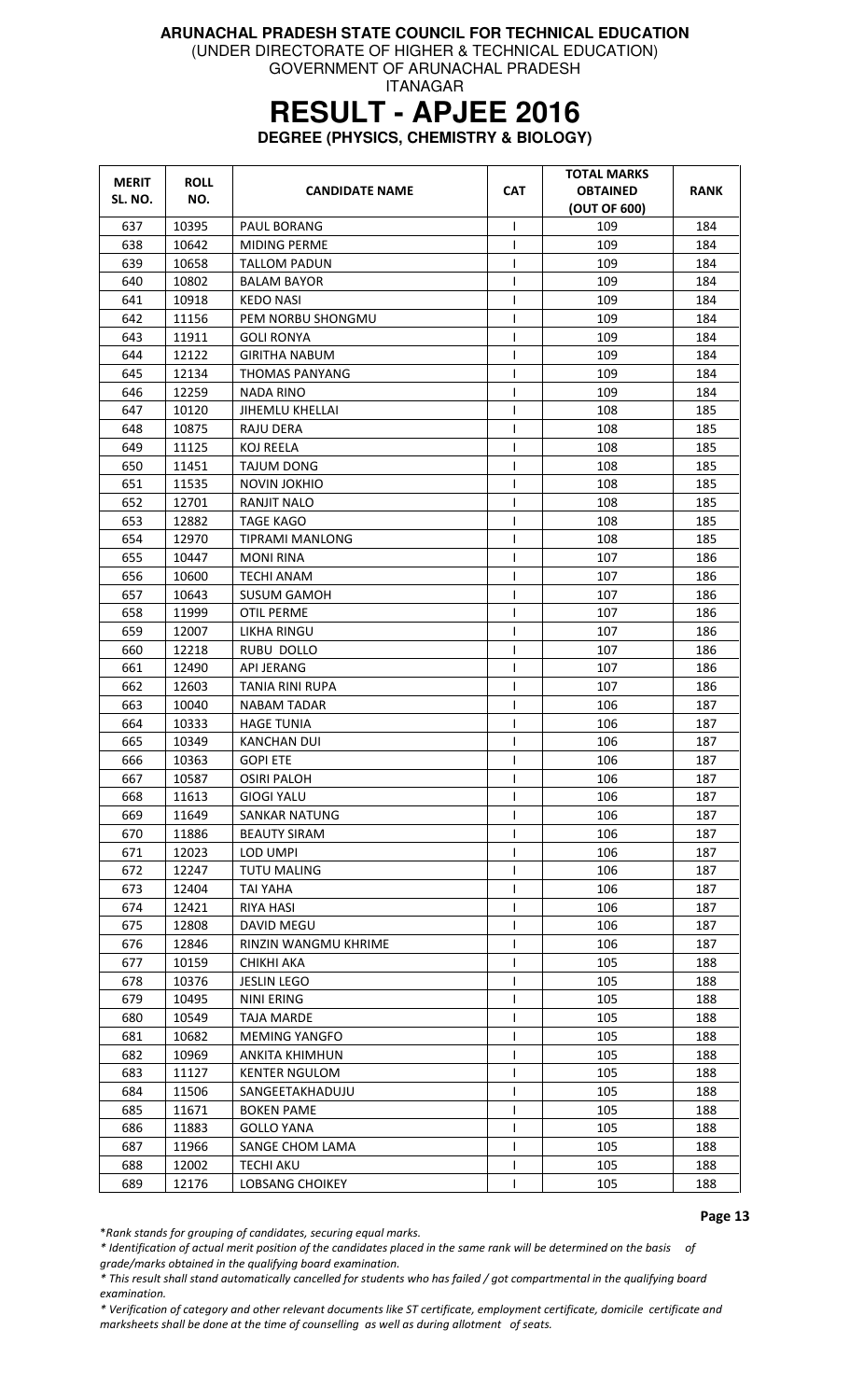(UNDER DIRECTORATE OF HIGHER & TECHNICAL EDUCATION)

GOVERNMENT OF ARUNACHAL PRADESH ITANAGAR

### **RESULT - APJEE 2016**

**DEGREE (PHYSICS, CHEMISTRY & BIOLOGY)** 

| <b>MERIT</b> | <b>ROLL</b> | <b>CANDIDATE NAME</b>       | <b>CAT</b>   | <b>TOTAL MARKS</b><br><b>OBTAINED</b> | <b>RANK</b> |
|--------------|-------------|-----------------------------|--------------|---------------------------------------|-------------|
| SL. NO.      | NO.         |                             |              | (OUT OF 600)                          |             |
| 637          | 10395       | PAUL BORANG                 | ı            | 109                                   | 184         |
| 638          | 10642       | <b>MIDING PERME</b>         | $\mathsf{I}$ | 109                                   | 184         |
| 639          | 10658       | <b>TALLOM PADUN</b>         | $\mathbf{I}$ | 109                                   | 184         |
| 640          | 10802       | <b>BALAM BAYOR</b>          | $\mathsf{I}$ | 109                                   | 184         |
| 641          | 10918       | KEDO NASI                   | $\mathsf{l}$ | 109                                   | 184         |
| 642          | 11156       | PEM NORBU SHONGMU           | T            | 109                                   | 184         |
| 643          | 11911       | <b>GOLI RONYA</b>           | $\mathbf{I}$ | 109                                   | 184         |
| 644          | 12122       | GIRITHA NABUM               |              | 109                                   | 184         |
| 645          | 12134       | <b>THOMAS PANYANG</b>       | T            | 109                                   | 184         |
| 646          | 12259       | NADA RINO                   | 1            | 109                                   | 184         |
| 647          | 10120       | <b>JIHEMLU KHELLAI</b>      | $\mathbf{I}$ | 108                                   | 185         |
| 648          | 10875       | RAJU DERA                   | $\mathbf{I}$ | 108                                   | 185         |
| 649          | 11125       | KOJ REELA                   | $\mathbf{I}$ | 108                                   | 185         |
| 650          | 11451       | <b>TAJUM DONG</b>           | T            | 108                                   | 185         |
| 651          | 11535       | <b>NOVIN JOKHIO</b>         | T            | 108                                   | 185         |
| 652          | 12701       | <b>RANJIT NALO</b>          | T            | 108                                   | 185         |
| 653          | 12882       | TAGE KAGO                   |              | 108                                   | 185         |
| 654          | 12970       | TIPRAMI MANLONG             |              | 108                                   | 185         |
| 655          | 10447       | MONI RINA                   | ı            | 107                                   | 186         |
| 656          | 10600       | <b>TECHI ANAM</b>           | $\mathsf{I}$ | 107                                   | 186         |
| 657          | 10643       | <b>SUSUM GAMOH</b>          | $\mathsf{I}$ | 107                                   | 186         |
| 658          | 11999       | <b>OTIL PERME</b>           | $\mathbf{I}$ | 107                                   | 186         |
| 659          | 12007       | LIKHA RINGU                 | 1            | 107                                   | 186         |
| 660          | 12218       | RUBU DOLLO                  | $\mathbf{I}$ | 107                                   | 186         |
| 661          | 12490       | <b>API JERANG</b>           | T            | 107                                   | 186         |
| 662          | 12603       | TANIA RINI RUPA             | T            | 107                                   | 186         |
| 663          | 10040       | NABAM TADAR                 | T            | 106                                   | 187         |
| 664          | 10333       | <b>HAGE TUNIA</b>           | ı            | 106                                   | 187         |
| 665          | 10349       | KANCHAN DUI                 | 1            | 106                                   | 187         |
| 666          | 10363       | <b>GOPI ETE</b>             | $\mathbf{I}$ | 106                                   | 187         |
| 667          | 10587       | <b>OSIRI PALOH</b>          | $\mathsf{I}$ | 106                                   | 187         |
| 668          | 11613       | <b>GIOGI YALU</b>           | $\mathbf{I}$ | 106                                   | 187         |
| 669          | 11649       | <b>SANKAR NATUNG</b>        |              | 106                                   | 187         |
| 670          | 11886       | <b>BEAUTY SIRAM</b>         | $\mathbf{I}$ | 106                                   | 187         |
| 671          | 12023       | LOD UMPI                    | $\mathbf{I}$ | 106                                   | 187         |
| 672          | 12247       | <b>TUTU MALING</b>          |              | 106                                   | 187         |
| 673          | 12404       | <b>TAI YAHA</b>             | $\mathbf{I}$ | 106                                   | 187         |
| 674          | 12421       | RIYA HASI                   | $\mathbf{I}$ | 106                                   | 187         |
| 675          | 12808       | DAVID MEGU                  | $\mathbf{I}$ | 106                                   | 187         |
| 676          | 12846       | <b>RINZIN WANGMU KHRIME</b> | T            | 106                                   | 187         |
| 677          | 10159       | <b>CHIKHI AKA</b>           |              | 105                                   | 188         |
| 678          | 10376       | <b>JESLIN LEGO</b>          | $\mathsf{I}$ | 105                                   | 188         |
| 679          | 10495       | <b>NINI ERING</b>           |              | 105                                   | 188         |
| 680          | 10549       | <b>TAJA MARDE</b>           |              | 105                                   | 188         |
| 681          | 10682       | <b>MEMING YANGFO</b>        | $\mathsf{I}$ | 105                                   | 188         |
| 682          | 10969       | ANKITA KHIMHUN              |              | 105                                   | 188         |
| 683          | 11127       | <b>KENTER NGULOM</b>        |              | 105                                   | 188         |
| 684          | 11506       | SANGEETAKHADUJU             | ı            | 105                                   | 188         |
| 685          | 11671       | <b>BOKEN PAME</b>           |              | 105                                   | 188         |
| 686          | 11883       | <b>GOLLO YANA</b>           | $\mathbf{I}$ | 105                                   | 188         |
| 687          | 11966       | SANGE CHOM LAMA             | $\mathbf{I}$ | 105                                   | 188         |
| 688          | 12002       | <b>TECHI AKU</b>            | $\mathbf{I}$ | 105                                   | 188         |
| 689          | 12176       | <b>LOBSANG CHOIKEY</b>      |              | 105                                   | 188         |

Page 13

\*Rank stands for grouping of candidates, securing equal marks.

\* Identification of actual merit position of the candidates placed in the same rank will be determined on the basis of

grade/marks obtained in the qualifying board examination.

\* This result shall stand automatically cancelled for students who has failed / got compartmental in the qualifying board examination.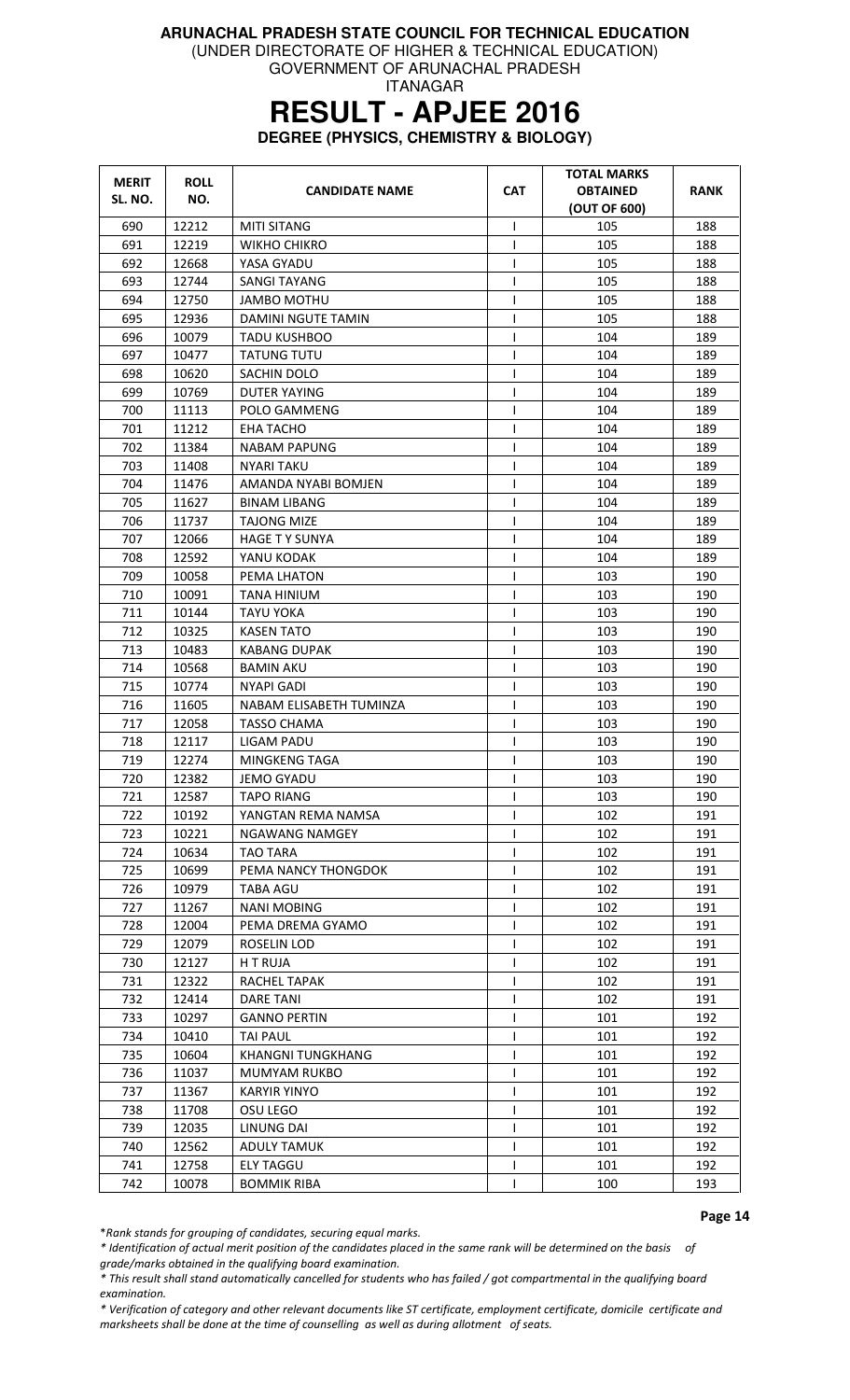(UNDER DIRECTORATE OF HIGHER & TECHNICAL EDUCATION)

GOVERNMENT OF ARUNACHAL PRADESH ITANAGAR

### **RESULT - APJEE 2016**

**DEGREE (PHYSICS, CHEMISTRY & BIOLOGY)** 

| <b>MERIT</b><br>SL. NO. | <b>ROLL</b><br>NO. | <b>CANDIDATE NAME</b>    | <b>CAT</b>     | <b>TOTAL MARKS</b><br><b>OBTAINED</b><br>(OUT OF 600) | <b>RANK</b> |
|-------------------------|--------------------|--------------------------|----------------|-------------------------------------------------------|-------------|
| 690                     | 12212              | <b>MITI SITANG</b>       | $\mathsf{I}$   | 105                                                   | 188         |
| 691                     | 12219              | WIKHO CHIKRO             | T              | 105                                                   | 188         |
| 692                     | 12668              | YASA GYADU               | $\mathsf{I}$   | 105                                                   | 188         |
| 693                     | 12744              | SANGI TAYANG             | T              | 105                                                   | 188         |
| 694                     | 12750              | JAMBO MOTHU              | $\mathsf{I}$   | 105                                                   | 188         |
| 695                     | 12936              | DAMINI NGUTE TAMIN       | T              | 105                                                   | 188         |
| 696                     | 10079              | <b>TADU KUSHBOO</b>      | $\mathsf{I}$   | 104                                                   | 189         |
| 697                     | 10477              | <b>TATUNG TUTU</b>       | T              | 104                                                   | 189         |
| 698                     | 10620              | SACHIN DOLO              | $\mathsf{l}$   | 104                                                   | 189         |
| 699                     | 10769              | DUTER YAYING             | $\mathsf{I}$   | 104                                                   | 189         |
| 700                     | 11113              | POLO GAMMENG             | T              | 104                                                   | 189         |
| 701                     | 11212              | EHA TACHO                | $\mathsf{I}$   | 104                                                   | 189         |
| 702                     | 11384              | <b>NABAM PAPUNG</b>      | T              | 104                                                   | 189         |
| 703                     | 11408              | NYARI TAKU               | T              | 104                                                   | 189         |
| 704                     | 11476              | AMANDA NYABI BOMJEN      | T              | 104                                                   | 189         |
| 705                     | 11627              | <b>BINAM LIBANG</b>      | T              | 104                                                   | 189         |
| 706                     | 11737              | <b>TAJONG MIZE</b>       | $\overline{1}$ | 104                                                   | 189         |
| 707                     | 12066              | <b>HAGE T Y SUNYA</b>    | $\mathsf{I}$   | 104                                                   | 189         |
| 708                     | 12592              | YANU KODAK               | T              | 104                                                   | 189         |
| 709                     | 10058              | PEMA LHATON              | $\mathsf{l}$   | 103                                                   | 190         |
| 710                     | 10091              | TANA HINIUM              | T              | 103                                                   | 190         |
| 711                     | 10144              | <b>TAYU YOKA</b>         | T              | 103                                                   | 190         |
| 712                     | 10325              | <b>KASEN TATO</b>        | ı              | 103                                                   | 190         |
| 713                     | 10483              | <b>KABANG DUPAK</b>      | T              | 103                                                   | 190         |
| 714                     | 10568              | <b>BAMIN AKU</b>         | T              | 103                                                   | 190         |
| 715                     | 10774              | NYAPI GADI               | T              | 103                                                   | 190         |
| 716                     | 11605              | NABAM ELISABETH TUMINZA  | T              | 103                                                   | 190         |
| 717                     | 12058              | TASSO CHAMA              | $\mathsf{I}$   | 103                                                   | 190         |
| 718                     | 12117              | <b>LIGAM PADU</b>        | T              | 103                                                   | 190         |
| 719                     | 12274              | <b>MINGKENG TAGA</b>     | T              | 103                                                   | 190         |
| 720                     | 12382              | JEMO GYADU               | $\mathsf{I}$   | 103                                                   | 190         |
| 721                     | 12587              | <b>TAPO RIANG</b>        | T              | 103                                                   | 190         |
| 722                     | 10192              | YANGTAN REMA NAMSA       | T              | 102                                                   | 191         |
| 723                     | 10221              | <b>NGAWANG NAMGEY</b>    | T              | 102                                                   | 191         |
| 724                     | 10634              | <b>TAO TARA</b>          |                | 102                                                   | 191         |
| 725                     | 10699              | PEMA NANCY THONGDOK      | T              | 102                                                   | 191         |
| 726                     | 10979              | <b>TABA AGU</b>          | T              | 102                                                   | 191         |
| 727                     | 11267              | <b>NANI MOBING</b>       | I              | 102                                                   | 191         |
| 728                     | 12004              | PEMA DREMA GYAMO         | $\mathsf{l}$   | 102                                                   | 191         |
| 729                     | 12079              | ROSELIN LOD              | $\mathsf{l}$   | 102                                                   | 191         |
| 730                     | 12127              | H T RUJA                 |                | 102                                                   | 191         |
| 731                     | 12322              | RACHEL TAPAK             | T              | 102                                                   | 191         |
| 732                     | 12414              | <b>DARE TANI</b>         | $\mathsf{l}$   | 102                                                   | 191         |
| 733                     |                    | <b>GANNO PERTIN</b>      | T              | 101                                                   | 192         |
|                         | 10297              |                          |                |                                                       |             |
| 734                     | 10410              | <b>TAI PAUL</b>          | T<br>T         | 101                                                   | 192         |
| 735                     | 10604              | <b>KHANGNI TUNGKHANG</b> |                | 101                                                   | 192         |
| 736                     | 11037              | MUMYAM RUKBO             | I              | 101                                                   | 192         |
| 737                     | 11367              | <b>KARYIR YINYO</b>      | I              | 101                                                   | 192         |
| 738                     | 11708              | OSU LEGO                 | $\mathsf{I}$   | 101                                                   | 192         |
| 739                     | 12035              | LINUNG DAI               | T              | 101                                                   | 192         |
| 740                     | 12562              | <b>ADULY TAMUK</b>       | T              | 101                                                   | 192         |
| 741                     | 12758              | ELY TAGGU                | I              | 101                                                   | 192         |
| 742                     | 10078              | <b>BOMMIK RIBA</b>       | ı              | 100                                                   | 193         |

Page 14

\*Rank stands for grouping of candidates, securing equal marks.

\* Identification of actual merit position of the candidates placed in the same rank will be determined on the basis of grade/marks obtained in the qualifying board examination.

\* This result shall stand automatically cancelled for students who has failed / got compartmental in the qualifying board examination.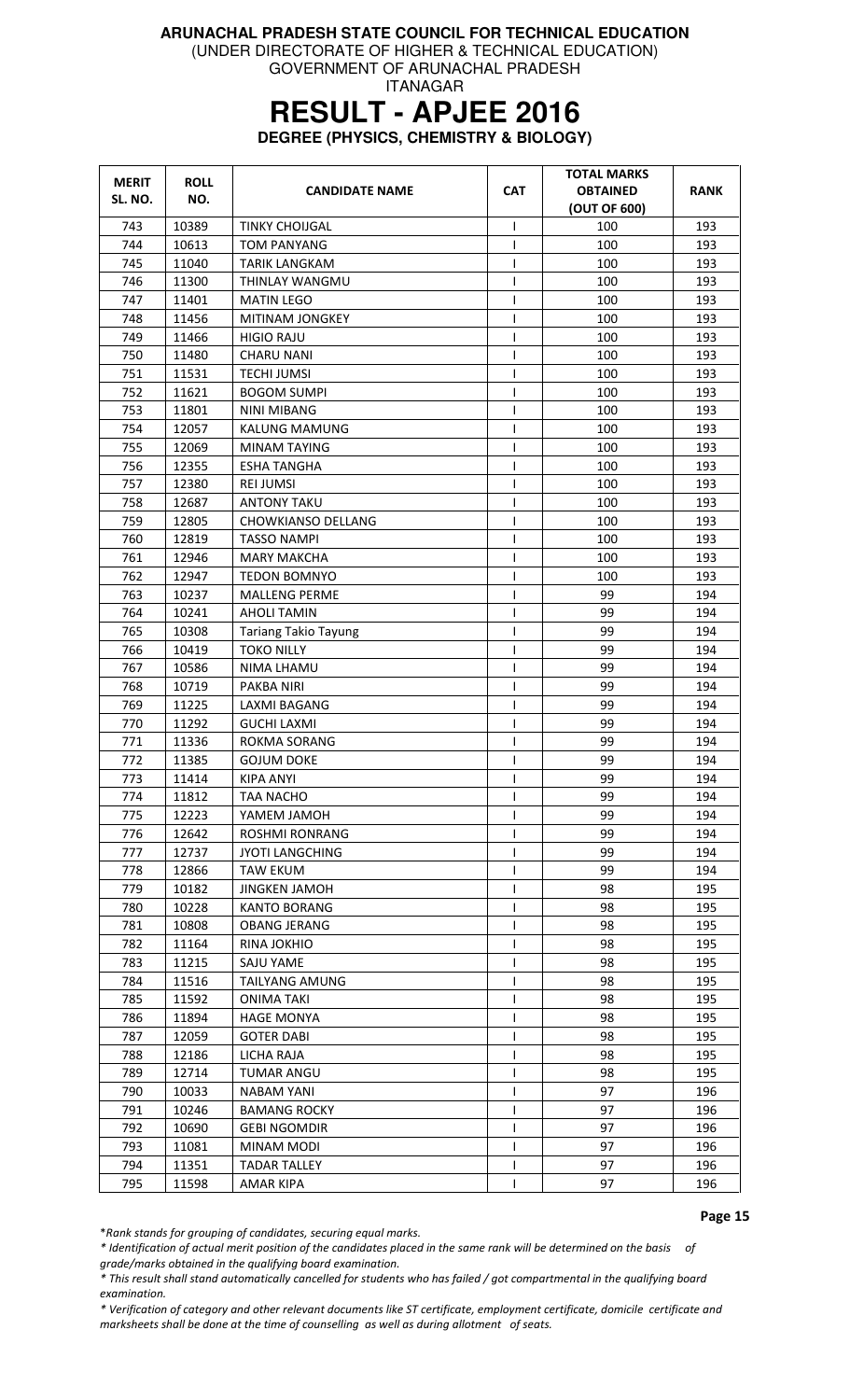(UNDER DIRECTORATE OF HIGHER & TECHNICAL EDUCATION)

GOVERNMENT OF ARUNACHAL PRADESH ITANAGAR

# **RESULT - APJEE 2016**

**DEGREE (PHYSICS, CHEMISTRY & BIOLOGY)** 

| <b>MERIT</b> | <b>ROLL</b> | <b>CANDIDATE NAME</b>       | <b>CAT</b>   | <b>TOTAL MARKS</b><br><b>OBTAINED</b> | <b>RANK</b> |
|--------------|-------------|-----------------------------|--------------|---------------------------------------|-------------|
| SL. NO.      | NO.         |                             |              | (OUT OF 600)                          |             |
| 743          | 10389       | <b>TINKY CHOIJGAL</b>       | $\mathsf{l}$ | 100                                   | 193         |
| 744          | 10613       | <b>TOM PANYANG</b>          | T            | 100                                   | 193         |
| 745          | 11040       | <b>TARIK LANGKAM</b>        | T            | 100                                   | 193         |
| 746          | 11300       | THINLAY WANGMU              | T            | 100                                   | 193         |
| 747          | 11401       | <b>MATIN LEGO</b>           | $\mathsf{l}$ | 100                                   | 193         |
| 748          | 11456       | MITINAM JONGKEY             | T            | 100                                   | 193         |
| 749          | 11466       | <b>HIGIO RAJU</b>           | T            | 100                                   | 193         |
| 750          | 11480       | <b>CHARU NANI</b>           | T            | 100                                   | 193         |
| 751          | 11531       | <b>TECHI JUMSI</b>          | $\mathsf{I}$ | 100                                   | 193         |
| 752          | 11621       | <b>BOGOM SUMPI</b>          | $\mathsf{I}$ | 100                                   | 193         |
| 753          | 11801       | <b>NINI MIBANG</b>          | I            | 100                                   | 193         |
| 754          | 12057       | <b>KALUNG MAMUNG</b>        | T            | 100                                   | 193         |
| 755          | 12069       | <b>MINAM TAYING</b>         | T            | 100                                   | 193         |
| 756          | 12355       | <b>ESHA TANGHA</b>          | T            | 100                                   | 193         |
| 757          | 12380       | <b>REI JUMSI</b>            | $\mathsf{l}$ | 100                                   | 193         |
| 758          | 12687       | <b>ANTONY TAKU</b>          | T            | 100                                   | 193         |
| 759          | 12805       | CHOWKIANSO DELLANG          | $\mathsf{l}$ | 100                                   | 193         |
| 760          | 12819       | <b>TASSO NAMPI</b>          | $\mathsf{I}$ | 100                                   | 193         |
| 761          | 12946       | MARY MAKCHA                 | I            | 100                                   | 193         |
| 762          | 12947       | <b>TEDON BOMNYO</b>         | ı            | 100                                   | 193         |
| 763          | 10237       | <b>MALLENG PERME</b>        | $\mathsf{I}$ | 99                                    | 194         |
| 764          | 10241       | <b>AHOLI TAMIN</b>          | $\mathsf{I}$ | 99                                    | 194         |
| 765          | 10308       | <b>Tariang Takio Tayung</b> | $\mathsf{l}$ | 99                                    | 194         |
| 766          | 10419       | <b>TOKO NILLY</b>           | $\mathsf{l}$ | 99                                    | 194         |
| 767          | 10586       | NIMA LHAMU                  | T            | 99                                    | 194         |
| 768          | 10719       | PAKBA NIRI                  | I            | 99                                    | 194         |
| 769          | 11225       | <b>LAXMI BAGANG</b>         | T            | 99                                    | 194         |
| 770          | 11292       | <b>GUCHI LAXMI</b>          | $\mathsf{I}$ | 99                                    | 194         |
| 771          | 11336       | <b>ROKMA SORANG</b>         | I            | 99                                    | 194         |
| 772          | 11385       | <b>GOJUM DOKE</b>           | $\mathsf{l}$ | 99                                    | 194         |
| 773          | 11414       | <b>KIPA ANYI</b>            | T            | 99                                    | 194         |
| 774          | 11812       | TAA NACHO                   | T            | 99                                    | 194         |
| 775          | 12223       | YAMEM JAMOH                 |              | 99                                    | 194         |
| 776          | 12642       | <b>ROSHMI RONRANG</b>       | I            | 99                                    | 194         |
| 777          | 12737       | <b>JYOTI LANGCHING</b>      |              | 99                                    | 194         |
| 778          | 12866       | <b>TAW EKUM</b>             | T            | 99                                    | 194         |
| 779          | 10182       | <b>JINGKEN JAMOH</b>        | T            | 98                                    | 195         |
| 780          | 10228       | <b>KANTO BORANG</b>         | I            | 98                                    | 195         |
| 781          | 10808       | <b>OBANG JERANG</b>         | I            | 98                                    | 195         |
| 782          | 11164       | <b>RINA JOKHIO</b>          | T            | 98                                    | 195         |
| 783          | 11215       | SAJU YAME                   | $\mathsf{l}$ | 98                                    | 195         |
| 784          | 11516       | <b>TAILYANG AMUNG</b>       | T            | 98                                    | 195         |
| 785          | 11592       | ONIMA TAKI                  | L            | 98                                    | 195         |
| 786          | 11894       | <b>HAGE MONYA</b>           | I            | 98                                    | 195         |
| 787          | 12059       | <b>GOTER DABI</b>           |              | 98                                    | 195         |
| 788          | 12186       | LICHA RAJA                  | T            | 98                                    | 195         |
| 789          | 12714       | <b>TUMAR ANGU</b>           | T            | 98                                    | 195         |
| 790          | 10033       | NABAM YANI                  | T            | 97                                    | 196         |
| 791          | 10246       | <b>BAMANG ROCKY</b>         | T            | 97                                    | 196         |
| 792          | 10690       | <b>GEBI NGOMDIR</b>         |              | 97                                    | 196         |
| 793          | 11081       | MINAM MODI                  | T            | 97                                    | 196         |
| 794          | 11351       | <b>TADAR TALLEY</b>         | $\mathsf{I}$ | 97                                    | 196         |
| 795          | 11598       | AMAR KIPA                   | T            | 97                                    | 196         |

\*Rank stands for grouping of candidates, securing equal marks.

\* Identification of actual merit position of the candidates placed in the same rank will be determined on the basis of grade/marks obtained in the qualifying board examination.

\* This result shall stand automatically cancelled for students who has failed / got compartmental in the qualifying board examination.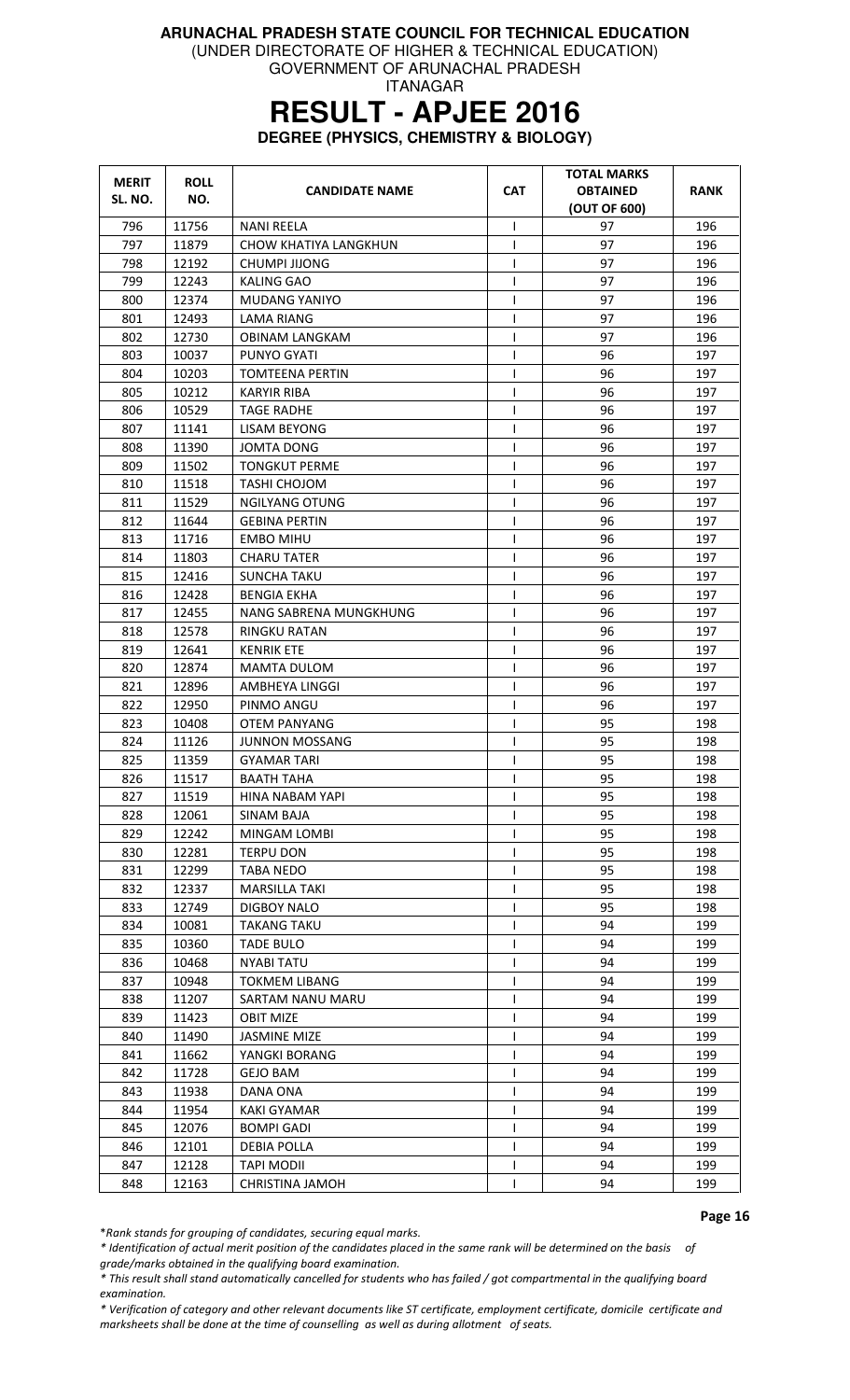(UNDER DIRECTORATE OF HIGHER & TECHNICAL EDUCATION)

GOVERNMENT OF ARUNACHAL PRADESH ITANAGAR

### **RESULT - APJEE 2016**

**DEGREE (PHYSICS, CHEMISTRY & BIOLOGY)** 

| <b>MERIT</b> | <b>ROLL</b> | <b>CANDIDATE NAME</b>  | <b>CAT</b>   | <b>TOTAL MARKS</b><br><b>OBTAINED</b> | <b>RANK</b> |
|--------------|-------------|------------------------|--------------|---------------------------------------|-------------|
| SL. NO.      | NO.         |                        |              | (OUT OF 600)                          |             |
| 796          | 11756       | <b>NANI REELA</b>      | I            | 97                                    | 196         |
| 797          | 11879       | CHOW KHATIYA LANGKHUN  | T            | 97                                    | 196         |
| 798          | 12192       | CHUMPI JIJONG          |              | 97                                    | 196         |
| 799          | 12243       | <b>KALING GAO</b>      |              | 97                                    | 196         |
| 800          | 12374       | MUDANG YANIYO          | I            | 97                                    | 196         |
| 801          | 12493       | LAMA RIANG             | I            | 97                                    | 196         |
| 802          | 12730       | <b>OBINAM LANGKAM</b>  |              | 97                                    | 196         |
| 803          | 10037       | PUNYO GYATI            |              | 96                                    | 197         |
| 804          | 10203       | <b>TOMTEENA PERTIN</b> | $\mathsf{I}$ | 96                                    | 197         |
| 805          | 10212       | KARYIR RIBA            | ı            | 96                                    | 197         |
| 806          | 10529       | <b>TAGE RADHE</b>      | $\mathbf{I}$ | 96                                    | 197         |
| 807          | 11141       | LISAM BEYONG           | $\mathsf{I}$ | 96                                    | 197         |
| 808          | 11390       | <b>JOMTA DONG</b>      | $\mathbf{I}$ | 96                                    | 197         |
| 809          | 11502       | <b>TONGKUT PERME</b>   | T            | 96                                    | 197         |
| 810          | 11518       | <b>TASHI CHOJOM</b>    | $\mathsf{I}$ | 96                                    | 197         |
| 811          | 11529       | <b>NGILYANG OTUNG</b>  | T            | 96                                    | 197         |
| 812          | 11644       | <b>GEBINA PERTIN</b>   |              | 96                                    | 197         |
| 813          | 11716       | EMBO MIHU              | 1            | 96                                    | 197         |
| 814          | 11803       | CHARU TATER            | $\mathsf{I}$ | 96                                    | 197         |
| 815          | 12416       | SUNCHA TAKU            | ı            | 96                                    | 197         |
| 816          | 12428       | <b>BENGIA EKHA</b>     | T            | 96                                    | 197         |
| 817          | 12455       | NANG SABRENA MUNGKHUNG | ı            | 96                                    | 197         |
| 818          | 12578       | <b>RINGKU RATAN</b>    | ı            | 96                                    | 197         |
| 819          | 12641       | <b>KENRIK ETE</b>      | $\mathbf{I}$ | 96                                    | 197         |
| 820          | 12874       | MAMTA DULOM            | $\mathbf{I}$ | 96                                    | 197         |
| 821          | 12896       | AMBHEYA LINGGI         | T            | 96                                    | 197         |
| 822          | 12950       | PINMO ANGU             | ı            | 96                                    | 197         |
| 823          | 10408       | <b>OTEM PANYANG</b>    |              | 95                                    | 198         |
| 824          | 11126       | <b>JUNNON MOSSANG</b>  | ı            | 95                                    | 198         |
| 825          | 11359       | <b>GYAMAR TARI</b>     | 1            | 95                                    | 198         |
| 826          | 11517       | <b>BAATH TAHA</b>      | T            | 95                                    | 198         |
| 827          | 11519       | HINA NABAM YAPI        | T            | 95                                    | 198         |
| 828          | 12061       | SINAM BAJA             |              | 95                                    | 198         |
| 829          | 12242       | MINGAM LOMBI           |              | 95                                    | 198         |
| 830          | 12281       | <b>TERPU DON</b>       | $\mathbf{I}$ | 95                                    | 198         |
| 831          | 12299       | TABA NEDO              | $\mathbf{I}$ | 95                                    | 198         |
| 832          | 12337       | <b>MARSILLA TAKI</b>   |              | 95                                    | 198         |
| 833          | 12749       | <b>DIGBOY NALO</b>     | $\mathbf{I}$ | 95                                    | 198         |
| 834          | 10081       | <b>TAKANG TAKU</b>     |              | 94                                    | 199         |
| 835          | 10360       | <b>TADE BULO</b>       | $\mathsf{I}$ | 94                                    | 199         |
| 836          | 10468       | <b>NYABI TATU</b>      |              | 94                                    | 199         |
| 837          | 10948       | <b>TOKMEM LIBANG</b>   | $\mathbf{I}$ | 94                                    | 199         |
| 838          | 11207       | SARTAM NANU MARU       |              | 94                                    | 199         |
| 839          | 11423       | <b>OBIT MIZE</b>       | $\mathbf{I}$ | 94                                    | 199         |
| 840          | 11490       | <b>JASMINE MIZE</b>    | $\mathsf{I}$ | 94                                    | 199         |
| 841          | 11662       | YANGKI BORANG          |              | 94                                    | 199         |
| 842          | 11728       | <b>GEJO BAM</b>        | $\mathbf{I}$ | 94                                    | 199         |
| 843          | 11938       | DANA ONA               | T            | 94                                    | 199         |
| 844          | 11954       | KAKI GYAMAR            |              | 94                                    | 199         |
| 845          | 12076       | <b>BOMPI GADI</b>      |              | 94                                    | 199         |
| 846          | 12101       | <b>DEBIA POLLA</b>     | $\mathbf{I}$ | 94                                    | 199         |
| 847          | 12128       | TAPI MODII             | $\mathsf{I}$ | 94                                    | 199         |
| 848          | 12163       | CHRISTINA JAMOH        |              | 94                                    | 199         |

Page 16

\*Rank stands for grouping of candidates, securing equal marks.

\* Identification of actual merit position of the candidates placed in the same rank will be determined on the basis of grade/marks obtained in the qualifying board examination.

\* This result shall stand automatically cancelled for students who has failed / got compartmental in the qualifying board examination.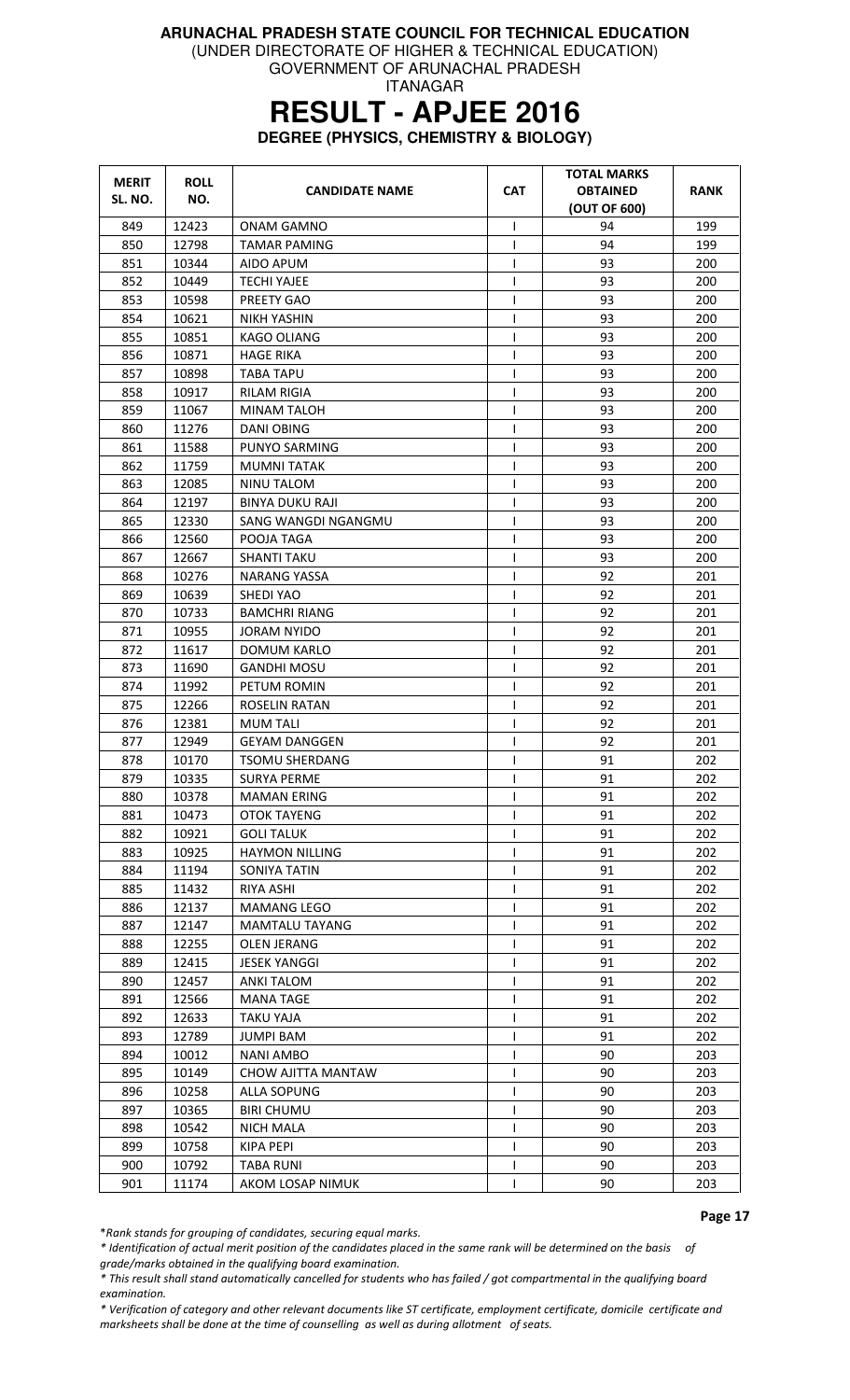(UNDER DIRECTORATE OF HIGHER & TECHNICAL EDUCATION)

GOVERNMENT OF ARUNACHAL PRADESH ITANAGAR

### **RESULT - APJEE 2016**

**DEGREE (PHYSICS, CHEMISTRY & BIOLOGY)** 

| <b>MERIT</b><br>SL. NO. | <b>ROLL</b><br>NO. | <b>CANDIDATE NAME</b> | <b>CAT</b>   | <b>TOTAL MARKS</b><br><b>OBTAINED</b><br>(OUT OF 600) | <b>RANK</b> |
|-------------------------|--------------------|-----------------------|--------------|-------------------------------------------------------|-------------|
| 849                     | 12423              | ONAM GAMNO            | T            | 94                                                    | 199         |
| 850                     | 12798              | <b>TAMAR PAMING</b>   | ı            | 94                                                    | 199         |
| 851                     | 10344              | AIDO APUM             | T            | 93                                                    | 200         |
| 852                     | 10449              | TECHI YAJEE           | $\mathbf{I}$ | 93                                                    | 200         |
| 853                     | 10598              | PREETY GAO            | $\mathsf{I}$ | 93                                                    | 200         |
| 854                     | 10621              | <b>NIKH YASHIN</b>    | T            | 93                                                    | 200         |
| 855                     | 10851              | KAGO OLIANG           | T            | 93                                                    | 200         |
| 856                     | 10871              | <b>HAGE RIKA</b>      | 1            | 93                                                    | 200         |
| 857                     | 10898              | <b>TABA TAPU</b>      | I            | 93                                                    | 200         |
| 858                     | 10917              | <b>RILAM RIGIA</b>    | 1            | 93                                                    | 200         |
| 859                     | 11067              | MINAM TALOH           | $\mathbf{I}$ | 93                                                    | 200         |
| 860                     | 11276              | DANI OBING            |              | 93                                                    | 200         |
| 861                     | 11588              | PUNYO SARMING         | T            | 93                                                    | 200         |
| 862                     | 11759              | <b>MUMNI TATAK</b>    | ı            | 93                                                    | 200         |
| 863                     | 12085              | NINU TALOM            | I            | 93                                                    | 200         |
| 864                     | 12197              | BINYA DUKU RAJI       | T            | 93                                                    | 200         |
| 865                     | 12330              | SANG WANGDI NGANGMU   |              | 93                                                    | 200         |
| 866                     | 12560              | POOJA TAGA            |              | 93                                                    | 200         |
| 867                     | 12667              | <b>SHANTI TAKU</b>    | I            | 93                                                    | 200         |
| 868                     | 10276              | <b>NARANG YASSA</b>   | T            | 92                                                    | 201         |
| 869                     | 10639              | SHEDI YAO             | $\mathbf{I}$ | 92                                                    | 201         |
| 870                     | 10733              | <b>BAMCHRI RIANG</b>  |              | 92                                                    | 201         |
| 871                     | 10955              | <b>JORAM NYIDO</b>    | $\mathsf{I}$ | 92                                                    | 201         |
| 872                     | 11617              | <b>DOMUM KARLO</b>    | $\mathsf{I}$ | 92                                                    | 201         |
| 873                     | 11690              | <b>GANDHI MOSU</b>    | $\mathsf{I}$ | 92                                                    | 201         |
| 874                     | 11992              | PETUM ROMIN           | T            | 92                                                    | 201         |
| 875                     | 12266              | ROSELIN RATAN         | $\mathsf{I}$ | 92                                                    | 201         |
| 876                     | 12381              | MUM TALI              | $\mathsf{I}$ | 92                                                    | 201         |
| 877                     | 12949              | <b>GEYAM DANGGEN</b>  | ı            | 92                                                    | 201         |
| 878                     | 10170              | <b>TSOMU SHERDANG</b> | $\mathbf{I}$ | 91                                                    | 202         |
| 879                     | 10335              | <b>SURYA PERME</b>    | $\mathsf{I}$ | 91                                                    | 202         |
| 880                     | 10378              | <b>MAMAN ERING</b>    | T            | 91                                                    | 202         |
| 881                     | 10473              | <b>OTOK TAYENG</b>    | $\mathsf{I}$ | 91                                                    | 202         |
| 882                     | 10921              | <b>GOLI TALUK</b>     | $\mathbf{I}$ | 91                                                    | 202         |
| 883                     | 10925              | <b>HAYMON NILLING</b> |              | 91                                                    | 202         |
| 884                     | 11194              | <b>SONIYA TATIN</b>   |              | 91                                                    | 202         |
| 885                     | 11432              | RIYA ASHI             | $\mathsf{I}$ | 91                                                    | 202         |
| 886                     | 12137              | <b>MAMANG LEGO</b>    |              | 91                                                    | 202         |
| 887                     | 12147              | <b>MAMTALU TAYANG</b> | T            | 91                                                    | 202         |
| 888                     | 12255              | <b>OLEN JERANG</b>    |              | 91                                                    | 202         |
| 889                     | 12415              | <b>JESEK YANGGI</b>   | $\mathsf{I}$ | 91                                                    | 202         |
| 890                     | 12457              | ANKI TALOM            |              | 91                                                    | 202         |
| 891                     | 12566              | <b>MANA TAGE</b>      |              | 91                                                    | 202         |
| 892                     | 12633              | <b>TAKU YAJA</b>      |              | 91                                                    | 202         |
| 893                     | 12789              | JUMPI BAM             |              | 91                                                    | 202         |
| 894                     | 10012              | NANI AMBO             |              | 90                                                    | 203         |
| 895                     | 10149              | CHOW AJITTA MANTAW    |              | 90                                                    | 203         |
| 896                     | 10258              | ALLA SOPUNG           |              | 90                                                    | 203         |
| 897                     | 10365              | <b>BIRI CHUMU</b>     | I.           | 90                                                    | 203         |
|                         |                    |                       |              | 90                                                    |             |
| 898                     | 10542              | NICH MALA             |              |                                                       | 203         |
| 899                     | 10758              | <b>KIPA PEPI</b>      | I            | 90                                                    | 203         |
| 900                     | 10792              | TABA RUNI             | L            | 90                                                    | 203         |
| 901                     | 11174              | AKOM LOSAP NIMUK      |              | 90                                                    | 203         |

Page 17

\*Rank stands for grouping of candidates, securing equal marks.

\* Identification of actual merit position of the candidates placed in the same rank will be determined on the basis of grade/marks obtained in the qualifying board examination.

\* This result shall stand automatically cancelled for students who has failed / got compartmental in the qualifying board examination.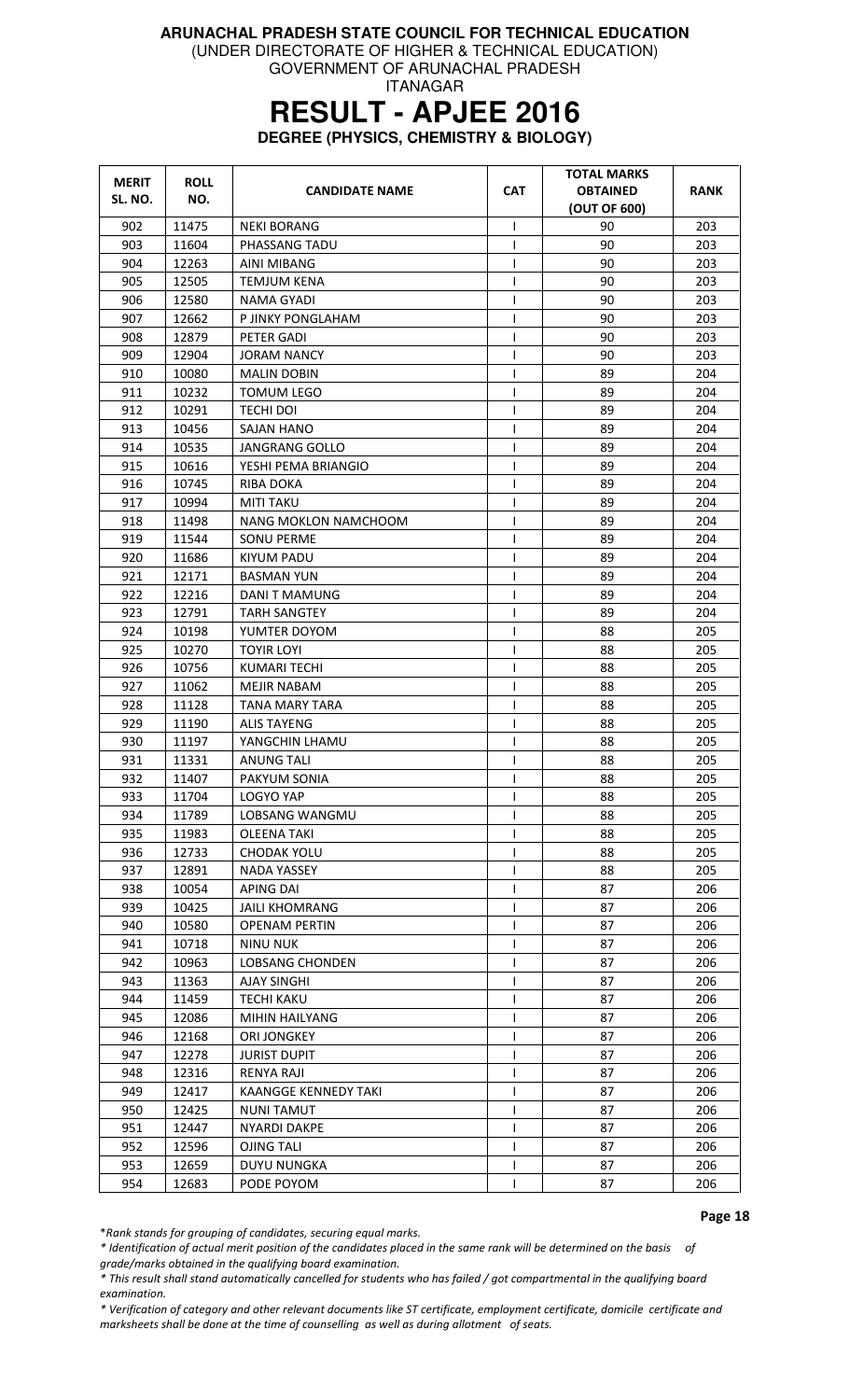(UNDER DIRECTORATE OF HIGHER & TECHNICAL EDUCATION)

GOVERNMENT OF ARUNACHAL PRADESH ITANAGAR

# **RESULT - APJEE 2016**

**DEGREE (PHYSICS, CHEMISTRY & BIOLOGY)** 

| <b>MERIT</b><br>SL. NO. | <b>ROLL</b><br>NO. | <b>CANDIDATE NAME</b>  | <b>CAT</b>   | <b>TOTAL MARKS</b><br><b>OBTAINED</b><br>(OUT OF 600) | <b>RANK</b> |
|-------------------------|--------------------|------------------------|--------------|-------------------------------------------------------|-------------|
| 902                     | 11475              | <b>NEKI BORANG</b>     | I            | 90                                                    | 203         |
| 903                     | 11604              | PHASSANG TADU          | L            | 90                                                    | 203         |
| 904                     | 12263              | AINI MIBANG            | T            | 90                                                    | 203         |
| 905                     | 12505              | <b>TEMJUM KENA</b>     | T            | 90                                                    | 203         |
| 906                     | 12580              | NAMA GYADI             | T            | 90                                                    | 203         |
| 907                     | 12662              | P JINKY PONGLAHAM      | T            | 90                                                    | 203         |
| 908                     | 12879              | PETER GADI             | $\mathsf{I}$ | 90                                                    | 203         |
| 909                     | 12904              | <b>JORAM NANCY</b>     | T            | 90                                                    | 203         |
| 910                     | 10080              | <b>MALIN DOBIN</b>     | I            | 89                                                    | 204         |
| 911                     | 10232              | TOMUM LEGO             | I            | 89                                                    | 204         |
| 912                     | 10291              | <b>TECHI DOI</b>       | $\mathsf{I}$ | 89                                                    | 204         |
| 913                     | 10456              | SAJAN HANO             | T            | 89                                                    | 204         |
| 914                     | 10535              | JANGRANG GOLLO         | T            | 89                                                    | 204         |
| 915                     | 10616              | YESHI PEMA BRIANGIO    | T            | 89                                                    | 204         |
| 916                     | 10745              | RIBA DOKA              | T            | 89                                                    | 204         |
| 917                     | 10994              | <b>MITI TAKU</b>       | I            | 89                                                    | 204         |
| 918                     | 11498              | NANG MOKLON NAMCHOOM   | T            | 89                                                    | 204         |
| 919                     | 11544              | <b>SONU PERME</b>      | T            | 89                                                    | 204         |
| 920                     | 11686              | KIYUM PADU             | T            | 89                                                    | 204         |
| 921                     | 12171              | <b>BASMAN YUN</b>      | T            | 89                                                    | 204         |
| 922                     | 12216              | DANI T MAMUNG          | I            | 89                                                    | 204         |
| 923                     | 12791              | <b>TARH SANGTEY</b>    | $\mathsf{I}$ | 89                                                    | 204         |
| 924                     | 10198              | YUMTER DOYOM           | T            | 88                                                    | 205         |
| 925                     | 10270              | TOYIR LOYI             | $\mathsf{I}$ | 88                                                    | 205         |
| 926                     | 10756              | <b>KUMARI TECHI</b>    | $\mathsf{I}$ | 88                                                    | 205         |
| 927                     | 11062              | <b>MEJIR NABAM</b>     | T            | 88                                                    | 205         |
| 928                     | 11128              | <b>TANA MARY TARA</b>  | T            | 88                                                    | 205         |
| 929                     | 11190              | <b>ALIS TAYENG</b>     | $\mathsf{I}$ | 88                                                    | 205         |
| 930                     | 11197              | YANGCHIN LHAMU         | T            | 88                                                    | 205         |
| 931                     | 11331              | <b>ANUNG TALI</b>      | T            | 88                                                    | 205         |
| 932                     | 11407              | PAKYUM SONIA           | T            | 88                                                    | 205         |
| 933                     | 11704              | LOGYO YAP              | $\mathsf{I}$ | 88                                                    | 205         |
| 934                     | 11789              | LOBSANG WANGMU         | I            | 88                                                    | 205         |
| 935                     | 11983              | <b>OLEENA TAKI</b>     | $\mathsf{I}$ | 88                                                    | 205         |
| 936                     | 12733              | <b>CHODAK YOLU</b>     | $\mathsf{I}$ | 88                                                    | 205         |
| 937                     | 12891              | NADA YASSEY            | $\mathsf{I}$ | 88                                                    | 205         |
| 938                     | 10054              | <b>APING DAI</b>       |              | 87                                                    | 206         |
| 939                     | 10425              | <b>JAILI KHOMRANG</b>  | T            | 87                                                    | 206         |
| 940                     | 10580              | <b>OPENAM PERTIN</b>   | I            | 87                                                    | 206         |
| 941                     | 10718              | <b>NINU NUK</b>        | T            | 87                                                    | 206         |
| 942                     | 10963              | <b>LOBSANG CHONDEN</b> | $\mathsf{I}$ | 87                                                    | 206         |
| 943                     | 11363              | <b>AJAY SINGHI</b>     | T            | 87                                                    | 206         |
| 944                     | 11459              | <b>TECHI KAKU</b>      | T            | 87                                                    | 206         |
| 945                     | 12086              | MIHIN HAILYANG         | T            | 87                                                    | 206         |
| 946                     | 12168              | ORI JONGKEY            | $\mathsf{I}$ | 87                                                    | 206         |
| 947                     | 12278              | <b>JURIST DUPIT</b>    | $\mathsf{I}$ | 87                                                    | 206         |
| 948                     | 12316              | RENYA RAJI             | ı            | 87                                                    | 206         |
| 949                     | 12417              | KAANGGE KENNEDY TAKI   | T            | 87                                                    | 206         |
| 950                     | 12425              | <b>NUNITAMUT</b>       | T            | 87                                                    | 206         |
| 951                     | 12447              | <b>NYARDI DAKPE</b>    | T            | 87                                                    | 206         |
| 952                     | 12596              | <b>OJING TALI</b>      | $\mathbf{I}$ | 87                                                    | 206         |
| 953                     | 12659              | <b>DUYU NUNGKA</b>     | T            | 87                                                    | 206         |
| 954                     | 12683              | PODE POYOM             | $\mathsf{I}$ | 87                                                    | 206         |

Page 18

\*Rank stands for grouping of candidates, securing equal marks.

\* Identification of actual merit position of the candidates placed in the same rank will be determined on the basis of grade/marks obtained in the qualifying board examination.

\* This result shall stand automatically cancelled for students who has failed / got compartmental in the qualifying board examination.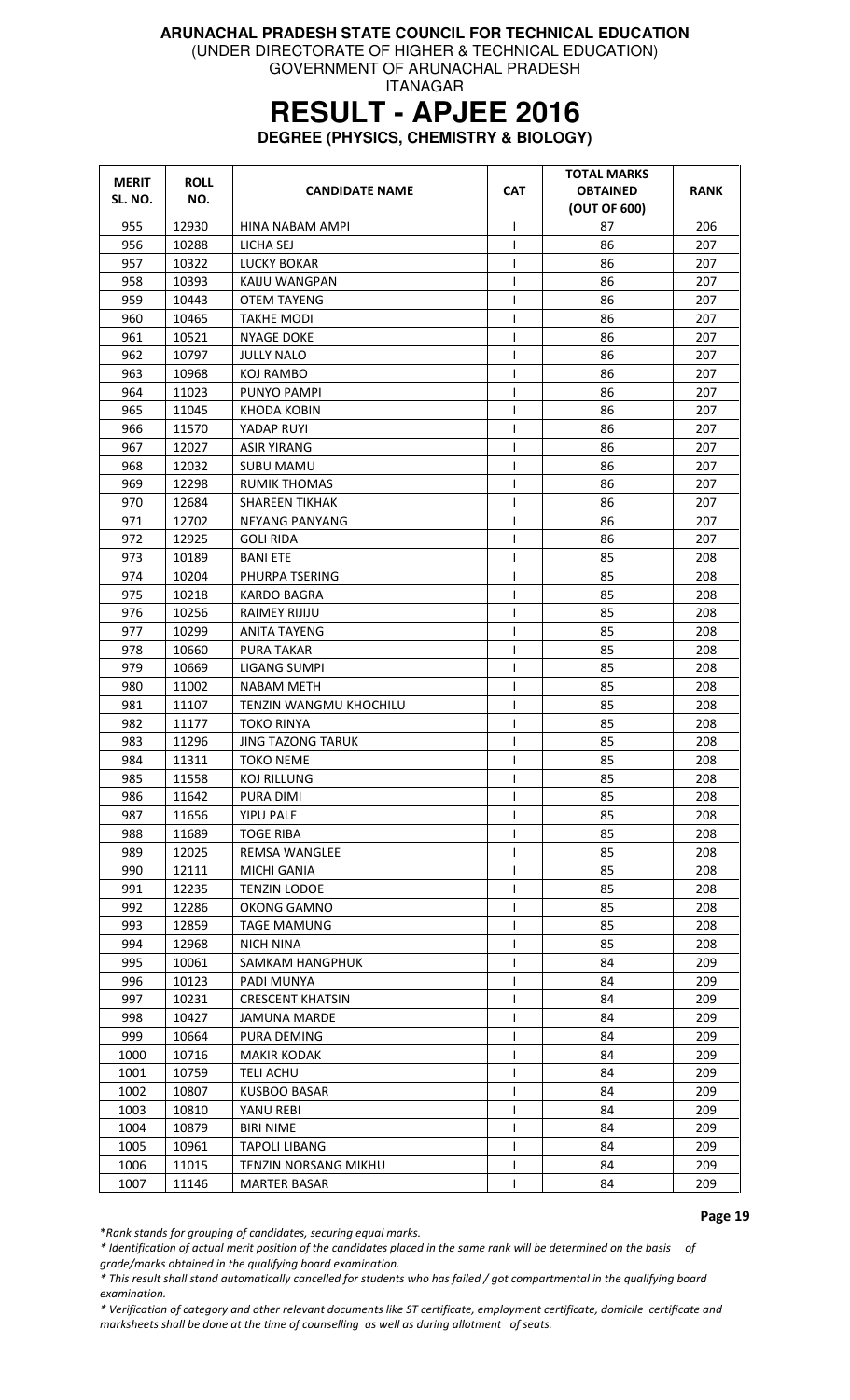(UNDER DIRECTORATE OF HIGHER & TECHNICAL EDUCATION)

GOVERNMENT OF ARUNACHAL PRADESH ITANAGAR

# **RESULT - APJEE 2016**

**DEGREE (PHYSICS, CHEMISTRY & BIOLOGY)** 

| <b>MERIT</b><br>SL. NO. | <b>ROLL</b><br>NO. | <b>CANDIDATE NAME</b>                   | <b>CAT</b>        | TOTAL MARKS<br><b>OBTAINED</b><br>(OUT OF 600) | <b>RANK</b> |
|-------------------------|--------------------|-----------------------------------------|-------------------|------------------------------------------------|-------------|
| 955                     | 12930              | HINA NABAM AMPI                         | I.                | 87                                             | 206         |
| 956                     | 10288              | LICHA SEJ                               | $\mathsf{I}$      | 86                                             | 207         |
| 957                     | 10322              | <b>LUCKY BOKAR</b>                      |                   | 86                                             | 207         |
| 958                     | 10393              | KAIJU WANGPAN                           | ı                 | 86                                             | 207         |
| 959                     | 10443              | <b>OTEM TAYENG</b>                      | $\mathsf{I}$      | 86                                             | 207         |
| 960                     | 10465              | <b>TAKHE MODI</b>                       | $\mathbf{I}$      | 86                                             | 207         |
| 961                     | 10521              | NYAGE DOKE                              | $\mathsf{I}$      | 86                                             | 207         |
| 962                     | 10797              | <b>JULLY NALO</b>                       | $\mathbf{I}$      | 86                                             | 207         |
| 963                     | 10968              | KOJ RAMBO                               |                   | 86                                             | 207         |
| 964                     | 11023              | PUNYO PAMPI                             | 1                 | 86                                             | 207         |
| 965                     | 11045              | <b>KHODA KOBIN</b>                      |                   | 86                                             | 207         |
| 966                     | 11570              | YADAP RUYI                              |                   | 86                                             | 207         |
| 967                     | 12027              | <b>ASIR YIRANG</b>                      | T                 | 86                                             | 207         |
| 968                     | 12032              | <b>SUBU MAMU</b>                        | I                 | 86                                             | 207         |
| 969                     | 12298              | <b>RUMIK THOMAS</b>                     | $\mathsf{l}$      | 86                                             | 207         |
| 970                     | 12684              | <b>SHAREEN TIKHAK</b>                   |                   | 86                                             | 207         |
| 971                     | 12702              | <b>NEYANG PANYANG</b>                   |                   | 86                                             | 207         |
| 972                     | 12925              | GOLI RIDA                               | $\mathsf{l}$      | 86                                             | 207         |
| 973                     | 10189              | <b>BANI ETE</b>                         | $\mathbf{I}$      | 85                                             | 208         |
| 974                     | 10204              | PHURPA TSERING                          | I                 | 85                                             | 208         |
| 975                     | 10218              | <b>KARDO BAGRA</b>                      |                   | 85                                             | 208         |
| 976                     | 10256              | <b>RAIMEY RIJIJU</b>                    |                   | 85                                             | 208         |
| 977                     | 10299              | <b>ANITA TAYENG</b>                     |                   | 85                                             | 208         |
| 978                     | 10660              | PURA TAKAR                              |                   | 85                                             | 208         |
| 979                     | 10669              | LIGANG SUMPI                            | ı                 | 85                                             | 208         |
| 980                     | 11002              | NABAM METH                              | T                 | 85                                             | 208         |
| 981                     | 11107              | TENZIN WANGMU KHOCHILU                  |                   | 85                                             | 208         |
| 982                     | 11177              | <b>TOKO RINYA</b>                       | $\mathsf{l}$      | 85                                             | 208         |
| 983                     | 11296              | <b>JING TAZONG TARUK</b>                | ı                 | 85                                             | 208         |
| 984                     | 11311              | <b>TOKO NEME</b>                        | $\mathbf{I}$      | 85                                             | 208         |
| 985                     | 11558              | KOJ RILLUNG                             | $\mathbf{I}$      | 85                                             | 208         |
| 986                     | 11642              | PURA DIMI                               | ı                 | 85                                             | 208         |
| 987                     | 11656              | <b>YIPU PALE</b>                        |                   | 85                                             | 208         |
| 988                     | 11689              | <b>TOGE RIBA</b>                        | $\mathbf{I}$      | 85                                             | 208         |
| 989                     | 12025              | REMSA WANGLEE                           | $\mathbf{I}$      | 85                                             | 208         |
| 990                     | 12111              | MICHI GANIA                             |                   | 85                                             | 208         |
| 991                     | 12235              | <b>TENZIN LODOE</b>                     | $\mathbf{I}$      | 85                                             | 208         |
| 992                     | 12286              | OKONG GAMNO                             | I.                | 85                                             | 208         |
| 993                     | 12859              | <b>TAGE MAMUNG</b>                      |                   | 85                                             | 208         |
| 994                     | 12968              | <b>NICH NINA</b>                        |                   | 85                                             | 208         |
| 995                     | 10061              | SAMKAM HANGPHUK                         |                   | 84                                             | 209         |
| 996                     | 10123              | PADI MUNYA                              |                   | 84                                             | 209         |
| 997                     | 10231              | <b>CRESCENT KHATSIN</b>                 | $\mathbf{I}$      | 84                                             | 209         |
| 998                     | 10427              | <b>JAMUNA MARDE</b>                     |                   | 84                                             | 209         |
| 999                     | 10664              |                                         |                   | 84                                             | 209         |
| 1000                    | 10716              | PURA DEMING<br>MAKIR KODAK              |                   | 84                                             | 209         |
| 1001                    |                    |                                         | $\mathsf{I}$      | 84                                             | 209         |
| 1002                    | 10759<br>10807     | <b>TELI ACHU</b><br><b>KUSBOO BASAR</b> | ı                 | 84                                             | 209         |
| 1003                    | 10810              | YANU REBI                               |                   | 84                                             | 209         |
|                         |                    |                                         |                   | 84                                             |             |
| 1004                    | 10879              | <b>BIRI NIME</b>                        | $\mathsf{I}$      |                                                | 209         |
| 1005                    | 10961              | <b>TAPOLI LIBANG</b>                    |                   | 84                                             | 209         |
| 1006<br>1007            | 11015              | TENZIN NORSANG MIKHU                    | L<br>$\mathsf{I}$ | 84<br>84                                       | 209         |
|                         | 11146              | <b>MARTER BASAR</b>                     |                   |                                                | 209         |

\*Rank stands for grouping of candidates, securing equal marks.

\* Identification of actual merit position of the candidates placed in the same rank will be determined on the basis of

grade/marks obtained in the qualifying board examination.

\* This result shall stand automatically cancelled for students who has failed / got compartmental in the qualifying board examination.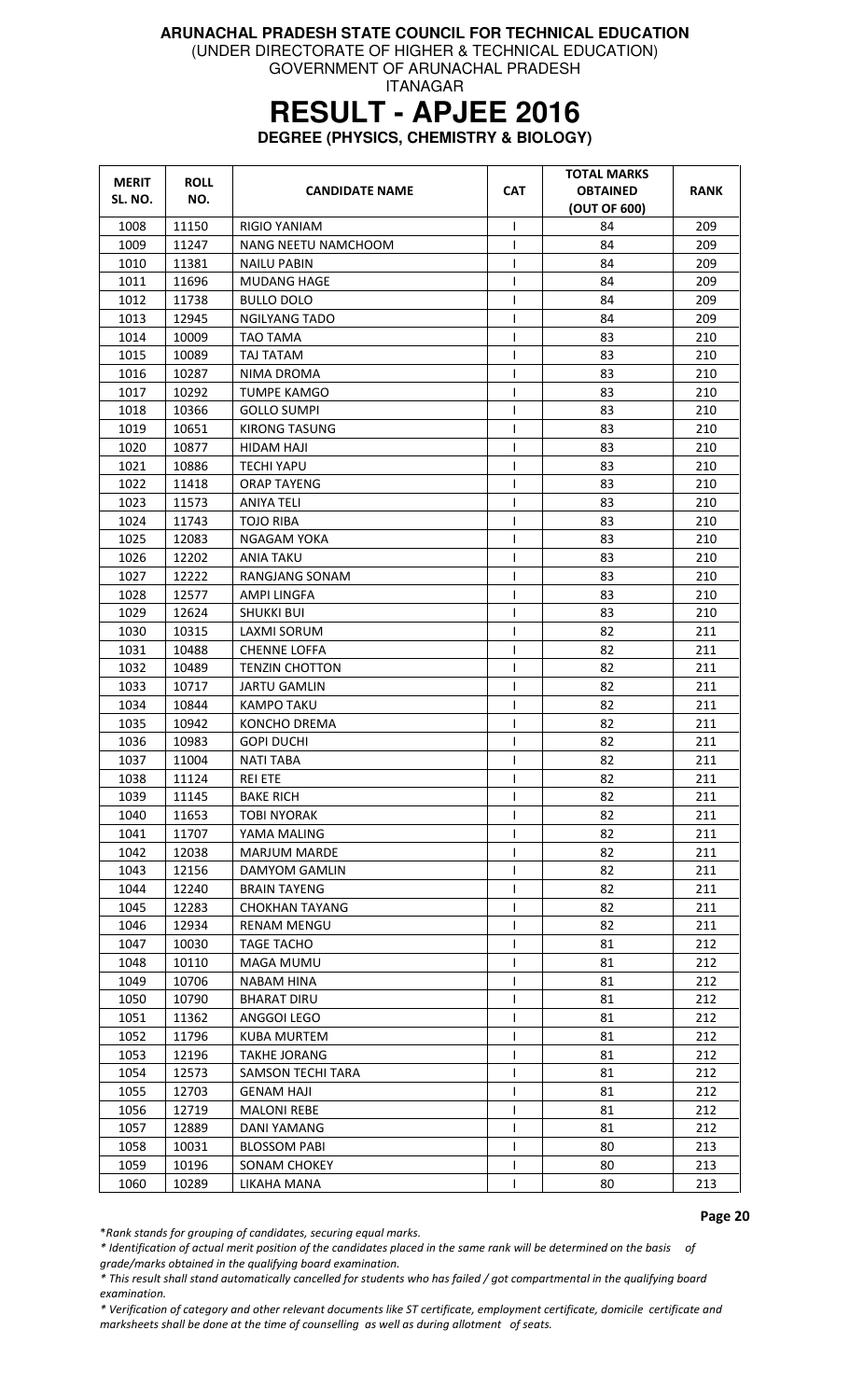(UNDER DIRECTORATE OF HIGHER & TECHNICAL EDUCATION)

GOVERNMENT OF ARUNACHAL PRADESH ITANAGAR

# **RESULT - APJEE 2016**

**DEGREE (PHYSICS, CHEMISTRY & BIOLOGY)** 

| <b>MERIT</b> | <b>ROLL</b> | <b>CANDIDATE NAME</b>    | <b>CAT</b>   | <b>TOTAL MARKS</b><br><b>OBTAINED</b> | RANK |
|--------------|-------------|--------------------------|--------------|---------------------------------------|------|
| SL. NO.      | NO.         |                          |              | (OUT OF 600)                          |      |
| 1008         | 11150       | RIGIO YANIAM             | I            | 84                                    | 209  |
| 1009         | 11247       | NANG NEETU NAMCHOOM      | T            | 84                                    | 209  |
| 1010         | 11381       | NAILU PABIN              |              | 84                                    | 209  |
| 1011         | 11696       | <b>MUDANG HAGE</b>       |              | 84                                    | 209  |
| 1012         | 11738       | <b>BULLO DOLO</b>        | $\mathsf{l}$ | 84                                    | 209  |
| 1013         | 12945       | <b>NGILYANG TADO</b>     | T            | 84                                    | 209  |
| 1014         | 10009       | TAO TAMA                 |              | 83                                    | 210  |
| 1015         | 10089       | TAJ TATAM                | $\mathsf{I}$ | 83                                    | 210  |
| 1016         | 10287       | NIMA DROMA               | T            | 83                                    | 210  |
| 1017         | 10292       | TUMPE KAMGO              | ı            | 83                                    | 210  |
| 1018         | 10366       | <b>GOLLO SUMPI</b>       | $\mathbf{I}$ | 83                                    | 210  |
| 1019         | 10651       | <b>KIRONG TASUNG</b>     | $\mathbf{I}$ | 83                                    | 210  |
| 1020         | 10877       | HIDAM HAJI               | T            | 83                                    | 210  |
| 1021         | 10886       | <b>TECHI YAPU</b>        | $\mathsf{I}$ | 83                                    | 210  |
| 1022         | 11418       | <b>ORAP TAYENG</b>       | T            | 83                                    | 210  |
| 1023         | 11573       | <b>ANIYA TELI</b>        | $\mathsf{I}$ | 83                                    | 210  |
| 1024         | 11743       | <b>TOJO RIBA</b>         | $\mathbf{I}$ | 83                                    | 210  |
| 1025         | 12083       | NGAGAM YOKA              |              | 83                                    | 210  |
| 1026         | 12202       | ANIA TAKU                | I            | 83                                    | 210  |
| 1027         | 12222       | RANGJANG SONAM           | ı            | 83                                    | 210  |
| 1028         | 12577       | AMPI LINGFA              | T            | 83                                    | 210  |
| 1029         | 12624       | SHUKKI BUI               | T            | 83                                    | 210  |
| 1030         | 10315       | LAXMI SORUM              | $\mathbf{I}$ | 82                                    | 211  |
| 1031         | 10488       | <b>CHENNE LOFFA</b>      | $\mathsf{l}$ | 82                                    | 211  |
| 1032         | 10489       | <b>TENZIN CHOTTON</b>    | $\mathbf{I}$ | 82                                    | 211  |
| 1033         | 10717       | <b>JARTU GAMLIN</b>      | T            | 82                                    | 211  |
| 1034         | 10844       | <b>KAMPO TAKU</b>        | T            | 82                                    | 211  |
| 1035         | 10942       | <b>KONCHO DREMA</b>      | $\mathsf{I}$ | 82                                    | 211  |
| 1036         | 10983       | <b>GOPI DUCHI</b>        | $\mathsf{l}$ | 82                                    | 211  |
| 1037         | 11004       | <b>NATI TABA</b>         | T            | 82                                    | 211  |
| 1038         | 11124       | <b>REI ETE</b>           | $\mathsf{I}$ | 82                                    | 211  |
| 1039         | 11145       | <b>BAKE RICH</b>         | T            | 82                                    | 211  |
| 1040         | 11653       | <b>TOBI NYORAK</b>       |              | 82                                    | 211  |
| 1041         | 11707       | YAMA MALING              |              | 82                                    | 211  |
| 1042         | 12038       | <b>MARJUM MARDE</b>      |              | 82                                    | 211  |
| 1043         | 12156       | DAMYOM GAMLIN            | $\mathbf{I}$ | 82                                    | 211  |
| 1044         | 12240       | <b>BRAIN TAYENG</b>      |              | 82                                    | 211  |
| 1045         | 12283       | <b>CHOKHAN TAYANG</b>    |              | 82                                    | 211  |
| 1046         | 12934       | <b>RENAM MENGU</b>       |              | 82                                    | 211  |
| 1047         | 10030       | <b>TAGE TACHO</b>        | $\mathbf{I}$ | 81                                    | 212  |
| 1048         | 10110       | <b>MAGA MUMU</b>         |              | 81                                    | 212  |
| 1049         | 10706       | <b>NABAM HINA</b>        |              | 81                                    | 212  |
| 1050         | 10790       | BHARAT DIRU              |              | 81                                    | 212  |
| 1051         | 11362       | ANGGOI LEGO              |              | 81                                    | 212  |
| 1052         | 11796       | <b>KUBA MURTEM</b>       |              | 81                                    | 212  |
| 1053         | 12196       | <b>TAKHE JORANG</b>      |              | 81                                    | 212  |
| 1054         | 12573       | <b>SAMSON TECHI TARA</b> | $\mathbf{I}$ | 81                                    | 212  |
| 1055         | 12703       | <b>GENAM HAJI</b>        | I.           | 81                                    | 212  |
| 1056         | 12719       | <b>MALONI REBE</b>       | $\mathbf{I}$ | 81                                    | 212  |
| 1057         | 12889       | DANI YAMANG              |              | 81                                    | 212  |
| 1058         | 10031       | <b>BLOSSOM PABI</b>      |              | 80                                    | 213  |
| 1059         | 10196       | SONAM CHOKEY             | $\mathsf{I}$ | 80                                    | 213  |
| 1060         | 10289       | LIKAHA MANA              |              | 80                                    | 213  |

Page 20

\*Rank stands for grouping of candidates, securing equal marks.

\* Identification of actual merit position of the candidates placed in the same rank will be determined on the basis of grade/marks obtained in the qualifying board examination.

\* This result shall stand automatically cancelled for students who has failed / got compartmental in the qualifying board examination.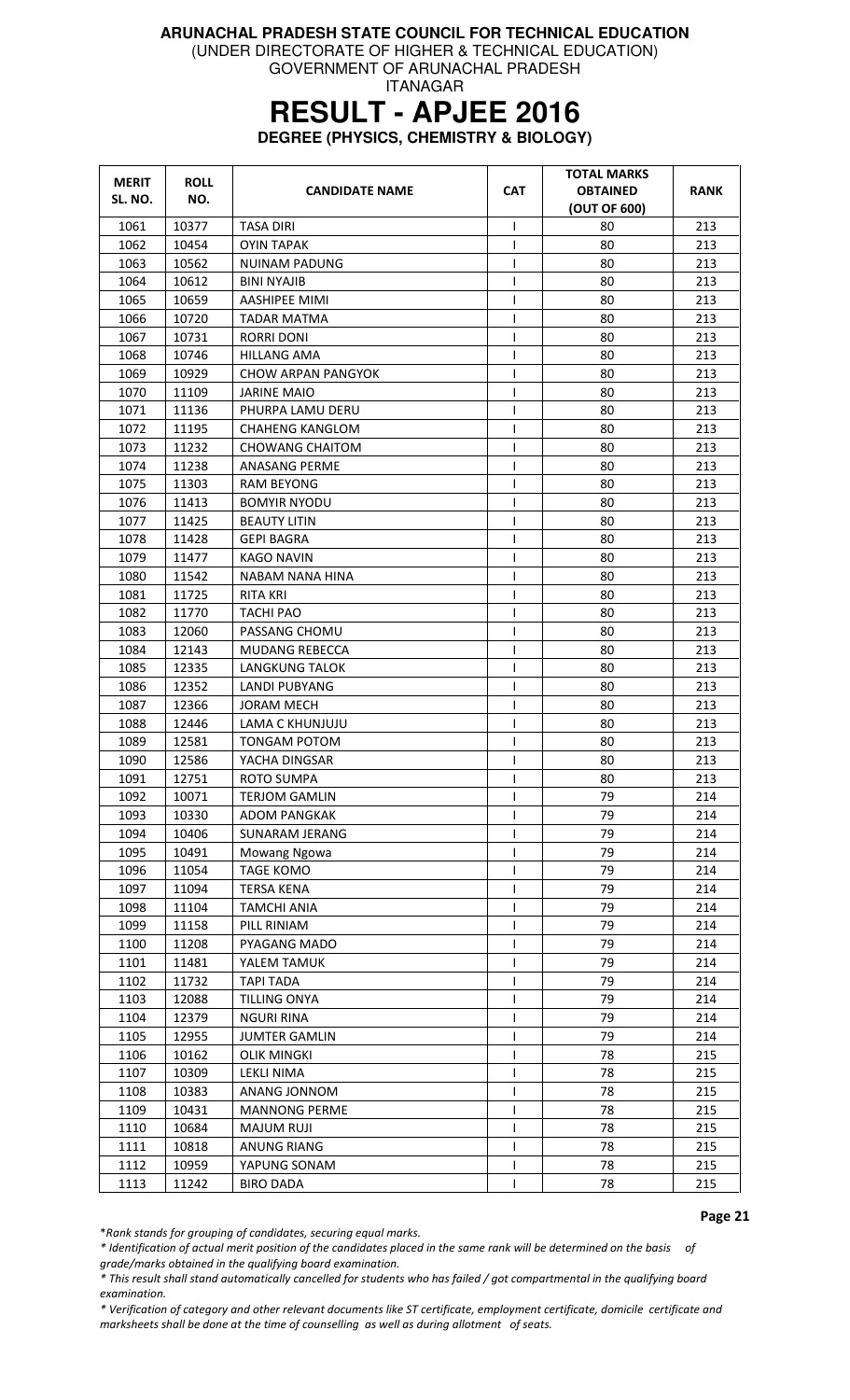(UNDER DIRECTORATE OF HIGHER & TECHNICAL EDUCATION)

GOVERNMENT OF ARUNACHAL PRADESH ITANAGAR

# **RESULT - APJEE 2016**

**DEGREE (PHYSICS, CHEMISTRY & BIOLOGY)** 

| <b>MERIT</b><br>SL. NO. | <b>ROLL</b><br>NO. | <b>CANDIDATE NAME</b>  | <b>CAT</b>     | <b>TOTAL MARKS</b><br><b>OBTAINED</b><br>(OUT OF 600) | <b>RANK</b> |
|-------------------------|--------------------|------------------------|----------------|-------------------------------------------------------|-------------|
| 1061                    | 10377              | TASA DIRI              | $\mathsf{l}$   | 80                                                    | 213         |
| 1062                    | 10454              | <b>OYIN TAPAK</b>      | L              | 80                                                    | 213         |
| 1063                    | 10562              | NUINAM PADUNG          | T              | 80                                                    | 213         |
| 1064                    | 10612              | BINI NYAJIB            | T              | 80                                                    | 213         |
| 1065                    | 10659              | AASHIPEE MIMI          | $\mathsf{I}$   | 80                                                    | 213         |
| 1066                    | 10720              | <b>TADAR MATMA</b>     | I              | 80                                                    | 213         |
| 1067                    | 10731              | RORRI DONI             | $\mathsf{I}$   | 80                                                    | 213         |
| 1068                    | 10746              | HILLANG AMA            | T              | 80                                                    | 213         |
| 1069                    | 10929              | CHOW ARPAN PANGYOK     | T              | 80                                                    | 213         |
| 1070                    | 11109              | <b>JARINE MAIO</b>     | T              | 80                                                    | 213         |
| 1071                    | 11136              | PHURPA LAMU DERU       | T              | 80                                                    | 213         |
| 1072                    | 11195              | <b>CHAHENG KANGLOM</b> | T              | 80                                                    | 213         |
| 1073                    | 11232              | <b>CHOWANG CHAITOM</b> | T              | 80                                                    | 213         |
| 1074                    | 11238              | ANASANG PERME          | T              | 80                                                    | 213         |
| 1075                    | 11303              | <b>RAM BEYONG</b>      | $\mathsf{I}$   | 80                                                    | 213         |
| 1076                    | 11413              | <b>BOMYIR NYODU</b>    | $\mathsf{l}$   | 80                                                    | 213         |
| 1077                    | 11425              | <b>BEAUTY LITIN</b>    | $\mathsf{I}$   | 80                                                    | 213         |
| 1078                    | 11428              | <b>GEPI BAGRA</b>      | T              | 80                                                    | 213         |
| 1079                    | 11477              | KAGO NAVIN             | I              | 80                                                    | 213         |
| 1080                    | 11542              | NABAM NANA HINA        | T              | 80                                                    | 213         |
| 1081                    | 11725              | RITA KRI               | T              | 80                                                    | 213         |
| 1082                    | 11770              | TACHI PAO              | T              | 80                                                    | 213         |
| 1083                    | 12060              | PASSANG CHOMU          | T              | 80                                                    | 213         |
| 1084                    | 12143              | <b>MUDANG REBECCA</b>  | T              | 80                                                    | 213         |
| 1085                    | 12335              | <b>LANGKUNG TALOK</b>  | T              | 80                                                    | 213         |
| 1086                    | 12352              | LANDI PUBYANG          | L              | 80                                                    | 213         |
| 1087                    | 12366              | JORAM MECH             | $\overline{1}$ | 80                                                    | 213         |
| 1088                    | 12446              | LAMA C KHUNJUJU        | T              | 80                                                    | 213         |
| 1089                    | 12581              | <b>TONGAM POTOM</b>    | T              | 80                                                    | 213         |
| 1090                    | 12586              | YACHA DINGSAR          | ı              | 80                                                    | 213         |
| 1091                    | 12751              | ROTO SUMPA             | $\mathsf{I}$   | 80                                                    | 213         |
| 1092                    | 10071              | <b>TERJOM GAMLIN</b>   | $\mathsf{I}$   | 79                                                    | 214         |
| 1093                    | 10330              | <b>ADOM PANGKAK</b>    | L              | 79                                                    | 214         |
| 1094                    | 10406              | SUNARAM JERANG         | ı              | 79                                                    | 214         |
| 1095                    | 10491              | Mowang Ngowa           | ı              | 79                                                    | 214         |
| 1096                    | 11054              | <b>TAGE KOMO</b>       | ı              | 79                                                    | 214         |
| 1097                    | 11094              | <b>TERSA KENA</b>      | $\mathsf{l}$   | 79                                                    | 214         |
| 1098                    | 11104              | TAMCHI ANIA            | T              | 79                                                    | 214         |
| 1099                    | 11158              | PILL RINIAM            | T              | 79                                                    | 214         |
| 1100                    | 11208              | PYAGANG MADO           | T              | 79                                                    | 214         |
| 1101                    | 11481              | YALEM TAMUK            | $\mathsf{I}$   | 79                                                    | 214         |
| 1102                    | 11732              | <b>TAPI TADA</b>       | T              | 79                                                    | 214         |
| 1103                    | 12088              | TILLING ONYA           | $\mathsf{l}$   | 79                                                    | 214         |
| 1104                    | 12379              | <b>NGURI RINA</b>      | T              | 79                                                    | 214         |
| 1105                    | 12955              | <b>JUMTER GAMLIN</b>   | T              | 79                                                    | 214         |
| 1106                    | 10162              | <b>OLIK MINGKI</b>     | T              | 78                                                    | 215         |
| 1107                    | 10309              | LEKLI NIMA             | $\mathsf{I}$   | 78                                                    | 215         |
| 1108                    | 10383              | ANANG JONNOM           | ı              | 78                                                    | 215         |
| 1109                    | 10431              | <b>MANNONG PERME</b>   | T              | 78                                                    | 215         |
| 1110                    | 10684              | <b>MAJUM RUJI</b>      | T              | 78                                                    | 215         |
| 1111                    | 10818              | <b>ANUNG RIANG</b>     | T              | 78                                                    | 215         |
| 1112                    | 10959              | YAPUNG SONAM           | T              | 78                                                    | 215         |
| 1113                    | 11242              | <b>BIRO DADA</b>       | $\mathsf{I}$   | 78                                                    | 215         |

Page 21

\*Rank stands for grouping of candidates, securing equal marks.

\* Identification of actual merit position of the candidates placed in the same rank will be determined on the basis of grade/marks obtained in the qualifying board examination.

\* This result shall stand automatically cancelled for students who has failed / got compartmental in the qualifying board examination.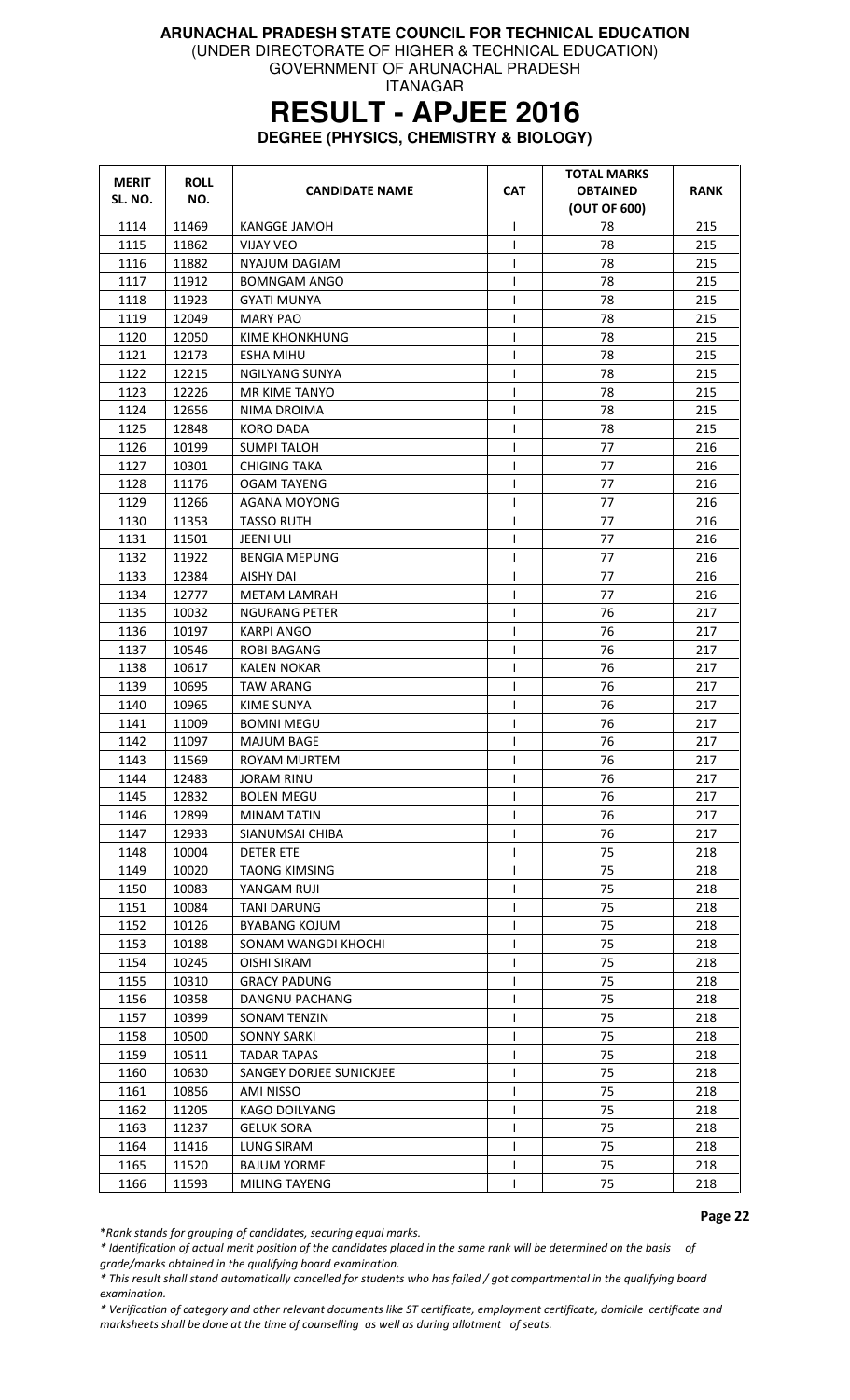(UNDER DIRECTORATE OF HIGHER & TECHNICAL EDUCATION)

GOVERNMENT OF ARUNACHAL PRADESH ITANAGAR

### **RESULT - APJEE 2016**

**DEGREE (PHYSICS, CHEMISTRY & BIOLOGY)** 

| <b>MERIT</b> | <b>ROLL</b> | <b>CANDIDATE NAME</b>   | <b>CAT</b>   | <b>TOTAL MARKS</b><br><b>OBTAINED</b> | RANK |
|--------------|-------------|-------------------------|--------------|---------------------------------------|------|
| SL. NO.      | NO.         |                         |              | (OUT OF 600)                          |      |
| 1114         | 11469       | <b>KANGGE JAMOH</b>     | T            | 78                                    | 215  |
| 1115         | 11862       | <b>VIJAY VEO</b>        | $\mathsf{I}$ | 78                                    | 215  |
| 1116         | 11882       | NYAJUM DAGIAM           |              | 78                                    | 215  |
| 1117         | 11912       | BOMNGAM ANGO            |              | 78                                    | 215  |
| 1118         | 11923       | GYATI MUNYA             | I.           | 78                                    | 215  |
| 1119         | 12049       | <b>MARY PAO</b>         | T            | 78                                    | 215  |
| 1120         | 12050       | KIME KHONKHUNG          |              | 78                                    | 215  |
| 1121         | 12173       | <b>ESHA MIHU</b>        | $\mathbf{I}$ | 78                                    | 215  |
| 1122         | 12215       | <b>NGILYANG SUNYA</b>   | T            | 78                                    | 215  |
| 1123         | 12226       | MR KIME TANYO           | $\mathsf{I}$ | 78                                    | 215  |
| 1124         | 12656       | NIMA DROIMA             | ı            | 78                                    | 215  |
| 1125         | 12848       | KORO DADA               | $\mathbf{I}$ | 78                                    | 215  |
| 1126         | 10199       | <b>SUMPI TALOH</b>      | $\mathbf{I}$ | 77                                    | 216  |
| 1127         | 10301       | <b>CHIGING TAKA</b>     | T            | 77                                    | 216  |
| 1128         | 11176       | <b>OGAM TAYENG</b>      | ı            | 77                                    | 216  |
| 1129         | 11266       | <b>AGANA MOYONG</b>     | T            | 77                                    | 216  |
| 1130         | 11353       | <b>TASSO RUTH</b>       | $\mathbf{I}$ | 77                                    | 216  |
| 1131         | 11501       | JEENI ULI               | 1            | 77                                    | 216  |
| 1132         | 11922       | <b>BENGIA MEPUNG</b>    | T            | 77                                    | 216  |
| 1133         | 12384       | AISHY DAI               | $\mathsf{I}$ | 77                                    | 216  |
| 1134         | 12777       | <b>METAM LAMRAH</b>     | $\mathsf{I}$ | 77                                    | 216  |
| 1135         | 10032       | NGURANG PETER           | T            | 76                                    | 217  |
| 1136         | 10197       | <b>KARPI ANGO</b>       |              | 76                                    | 217  |
| 1137         | 10546       | ROBI BAGANG             | ı            | 76                                    | 217  |
| 1138         | 10617       | KALEN NOKAR             | T            | 76                                    | 217  |
| 1139         | 10695       | <b>TAW ARANG</b>        | T            | 76                                    | 217  |
| 1140         | 10965       | <b>KIME SUNYA</b>       |              | 76                                    | 217  |
| 1141         | 11009       | <b>BOMNI MEGU</b>       |              | 76                                    | 217  |
| 1142         | 11097       | MAJUM BAGE              | ı            | 76                                    | 217  |
| 1143         | 11569       | ROYAM MURTEM            | $\mathbf{I}$ | 76                                    | 217  |
| 1144         | 12483       | JORAM RINU              | T            | 76                                    | 217  |
| 1145         | 12832       | <b>BOLEN MEGU</b>       | $\mathbf{I}$ | 76                                    | 217  |
| 1146         | 12899       | <b>MINAM TATIN</b>      |              | 76                                    | 217  |
| 1147         | 12933       | SIANUMSAI CHIBA         |              | 76                                    | 217  |
| 1148         | 10004       | <b>DETER ETE</b>        | $\mathbf{I}$ | 75                                    | 218  |
| 1149         | 10020       | <b>TAONG KIMSING</b>    |              | 75                                    | 218  |
| 1150         | 10083       | YANGAM RUJI             |              | 75                                    | 218  |
| 1151         | 10084       | <b>TANI DARUNG</b>      |              | 75                                    | 218  |
| 1152         | 10126       | <b>BYABANG KOJUM</b>    |              | 75                                    | 218  |
| 1153         | 10188       | SONAM WANGDI KHOCHI     | T            | 75                                    | 218  |
| 1154         | 10245       | OISHI SIRAM             | $\mathbf{I}$ | 75                                    | 218  |
| 1155         | 10310       | <b>GRACY PADUNG</b>     |              | 75                                    | 218  |
| 1156         | 10358       | DANGNU PACHANG          |              | 75                                    | 218  |
| 1157         | 10399       | SONAM TENZIN            |              | 75                                    | 218  |
| 1158         | 10500       | <b>SONNY SARKI</b>      |              | 75                                    | 218  |
| 1159         | 10511       | TADAR TAPAS             |              | 75                                    | 218  |
| 1160         | 10630       | SANGEY DORJEE SUNICKJEE | $\mathbf{I}$ | 75                                    | 218  |
| 1161         | 10856       | AMI NISSO               | $\mathsf{l}$ | 75                                    | 218  |
| 1162         | 11205       | KAGO DOILYANG           |              | 75                                    | 218  |
| 1163         | 11237       | <b>GELUK SORA</b>       |              | 75                                    | 218  |
| 1164         | 11416       | LUNG SIRAM              |              | 75                                    | 218  |
| 1165         | 11520       | <b>BAJUM YORME</b>      | $\mathsf{I}$ | 75                                    | 218  |
| 1166         | 11593       | MILING TAYENG           |              | 75                                    | 218  |

Page 22

\*Rank stands for grouping of candidates, securing equal marks.

\* Identification of actual merit position of the candidates placed in the same rank will be determined on the basis of

grade/marks obtained in the qualifying board examination.

\* This result shall stand automatically cancelled for students who has failed / got compartmental in the qualifying board examination.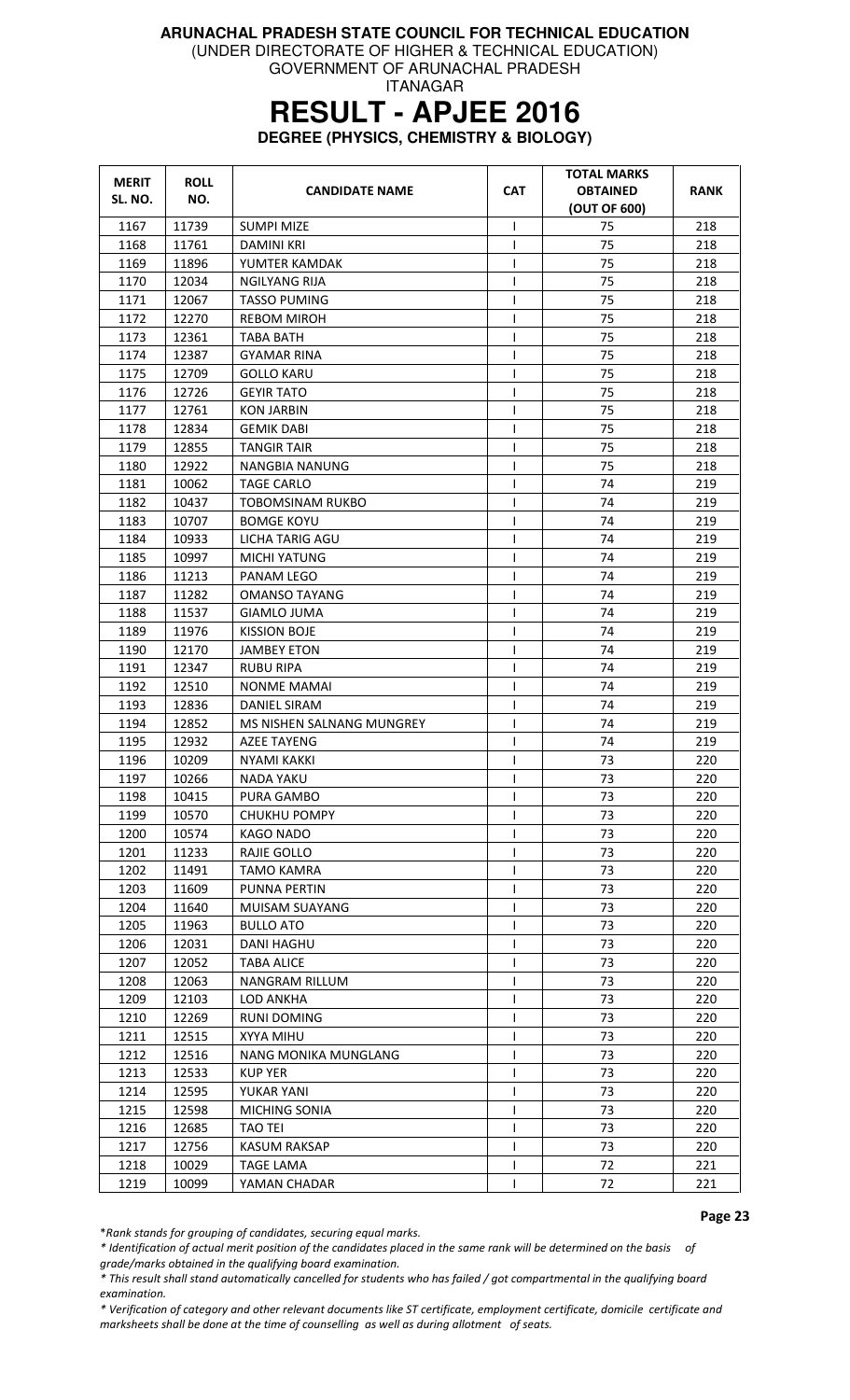(UNDER DIRECTORATE OF HIGHER & TECHNICAL EDUCATION)

GOVERNMENT OF ARUNACHAL PRADESH ITANAGAR

# **RESULT - APJEE 2016**

**DEGREE (PHYSICS, CHEMISTRY & BIOLOGY)** 

| <b>MERIT</b><br>SL. NO. | <b>ROLL</b><br>NO. | <b>CANDIDATE NAME</b>     | <b>CAT</b>   | <b>TOTAL MARKS</b><br><b>OBTAINED</b><br>(OUT OF 600) | <b>RANK</b> |
|-------------------------|--------------------|---------------------------|--------------|-------------------------------------------------------|-------------|
| 1167                    | 11739              | <b>SUMPI MIZE</b>         | $\mathsf{I}$ | 75                                                    | 218         |
| 1168                    | 11761              | DAMINI KRI                | T            | 75                                                    | 218         |
| 1169                    | 11896              | YUMTER KAMDAK             | T            | 75                                                    | 218         |
| 1170                    | 12034              | NGILYANG RIJA             | T            | 75                                                    | 218         |
| 1171                    | 12067              | <b>TASSO PUMING</b>       | T            | 75                                                    | 218         |
| 1172                    | 12270              | <b>REBOM MIROH</b>        | $\mathsf{I}$ | 75                                                    | 218         |
| 1173                    | 12361              | <b>TABA BATH</b>          | T            | 75                                                    | 218         |
| 1174                    | 12387              | <b>GYAMAR RINA</b>        | T            | 75                                                    | 218         |
| 1175                    | 12709              | GOLLO KARU                | $\mathsf{l}$ | 75                                                    | 218         |
| 1176                    | 12726              | <b>GEYIR TATO</b>         | $\mathsf{I}$ | 75                                                    | 218         |
| 1177                    | 12761              | <b>KON JARBIN</b>         | T            | 75                                                    | 218         |
| 1178                    | 12834              | <b>GEMIK DABI</b>         | T            | 75                                                    | 218         |
| 1179                    | 12855              | <b>TANGIR TAIR</b>        | T            | 75                                                    | 218         |
| 1180                    | 12922              | NANGBIA NANUNG            | ı            | 75                                                    | 218         |
| 1181                    | 10062              | <b>TAGE CARLO</b>         | $\mathsf{l}$ | 74                                                    | 219         |
| 1182                    | 10437              | <b>TOBOMSINAM RUKBO</b>   | T            | 74                                                    | 219         |
| 1183                    | 10707              | <b>BOMGE KOYU</b>         | $\mathsf{I}$ | 74                                                    | 219         |
| 1184                    | 10933              | LICHA TARIG AGU           | T            | 74                                                    | 219         |
| 1185                    | 10997              | <b>MICHI YATUNG</b>       | T            | 74                                                    | 219         |
| 1186                    | 11213              | PANAM LEGO                | T            | 74                                                    | 219         |
| 1187                    | 11282              | OMANSO TAYANG             | T            | 74                                                    | 219         |
| 1188                    | 11537              | <b>GIAMLO JUMA</b>        | T            | 74                                                    | 219         |
| 1189                    | 11976              | <b>KISSION BOJE</b>       | $\mathsf{I}$ | 74                                                    | 219         |
| 1190                    | 12170              | <b>JAMBEY ETON</b>        | $\mathsf{I}$ | 74                                                    | 219         |
| 1191                    | 12347              | <b>RUBU RIPA</b>          | T            | 74                                                    | 219         |
| 1192                    | 12510              | NONME MAMAI               | T            | 74                                                    | 219         |
| 1193                    | 12836              | DANIEL SIRAM              | $\mathsf{I}$ | 74                                                    | 219         |
| 1194                    | 12852              | MS NISHEN SALNANG MUNGREY | T            | 74                                                    | 219         |
| 1195                    | 12932              | <b>AZEE TAYENG</b>        | $\mathsf{I}$ | 74                                                    | 219         |
| 1196                    | 10209              | NYAMI KAKKI               | T            | 73                                                    | 220         |
| 1197                    | 10266              | NADA YAKU                 | T            | 73                                                    | 220         |
| 1198                    | 10415              | PURA GAMBO                | T            | 73                                                    | 220         |
| 1199                    | 10570              | <b>CHUKHU POMPY</b>       | T            | 73                                                    | 220         |
| 1200                    | 10574              | <b>KAGO NADO</b>          | ı            | 73                                                    | 220         |
| 1201                    | 11233              | RAJIE GOLLO               |              | 73                                                    | 220         |
| 1202                    | 11491              | <b>TAMO KAMRA</b>         | ı            | 73                                                    | 220         |
| 1203                    | 11609              | PUNNA PERTIN              | T            | 73                                                    | 220         |
| 1204                    | 11640              | MUISAM SUAYANG            | ı            | 73                                                    | 220         |
| 1205                    | 11963              | <b>BULLO ATO</b>          | $\mathsf{l}$ | 73                                                    | 220         |
| 1206                    | 12031              | <b>DANI HAGHU</b>         | T            | 73                                                    | 220         |
| 1207                    | 12052              | <b>TABA ALICE</b>         |              | 73                                                    | 220         |
| 1208                    | 12063              | <b>NANGRAM RILLUM</b>     | T            | 73                                                    | 220         |
| 1209                    | 12103              | LOD ANKHA                 | ı            | 73                                                    | 220         |
| 1210                    | 12269              | <b>RUNI DOMING</b>        | T            | 73                                                    | 220         |
| 1211                    | 12515              | XYYA MIHU                 | $\mathsf{l}$ | 73                                                    | 220         |
| 1212                    | 12516              | NANG MONIKA MUNGLANG      | T            | 73                                                    | 220         |
| 1213                    | 12533              | <b>KUP YER</b>            | T            | 73                                                    | 220         |
| 1214                    | 12595              | YUKAR YANI                | T            | 73                                                    | 220         |
| 1215                    | 12598              | <b>MICHING SONIA</b>      | T            | 73                                                    | 220         |
| 1216                    | 12685              | <b>TAO TEI</b>            | $\mathsf{l}$ | 73                                                    | 220         |
| 1217                    | 12756              | <b>KASUM RAKSAP</b>       | T            | 73                                                    | 220         |
| 1218                    | 10029              | <b>TAGE LAMA</b>          | I            | 72                                                    | 221         |
| 1219                    | 10099              | YAMAN CHADAR              | ı            | 72                                                    | 221         |

Page 23

\*Rank stands for grouping of candidates, securing equal marks.

\* Identification of actual merit position of the candidates placed in the same rank will be determined on the basis of grade/marks obtained in the qualifying board examination.

\* This result shall stand automatically cancelled for students who has failed / got compartmental in the qualifying board examination.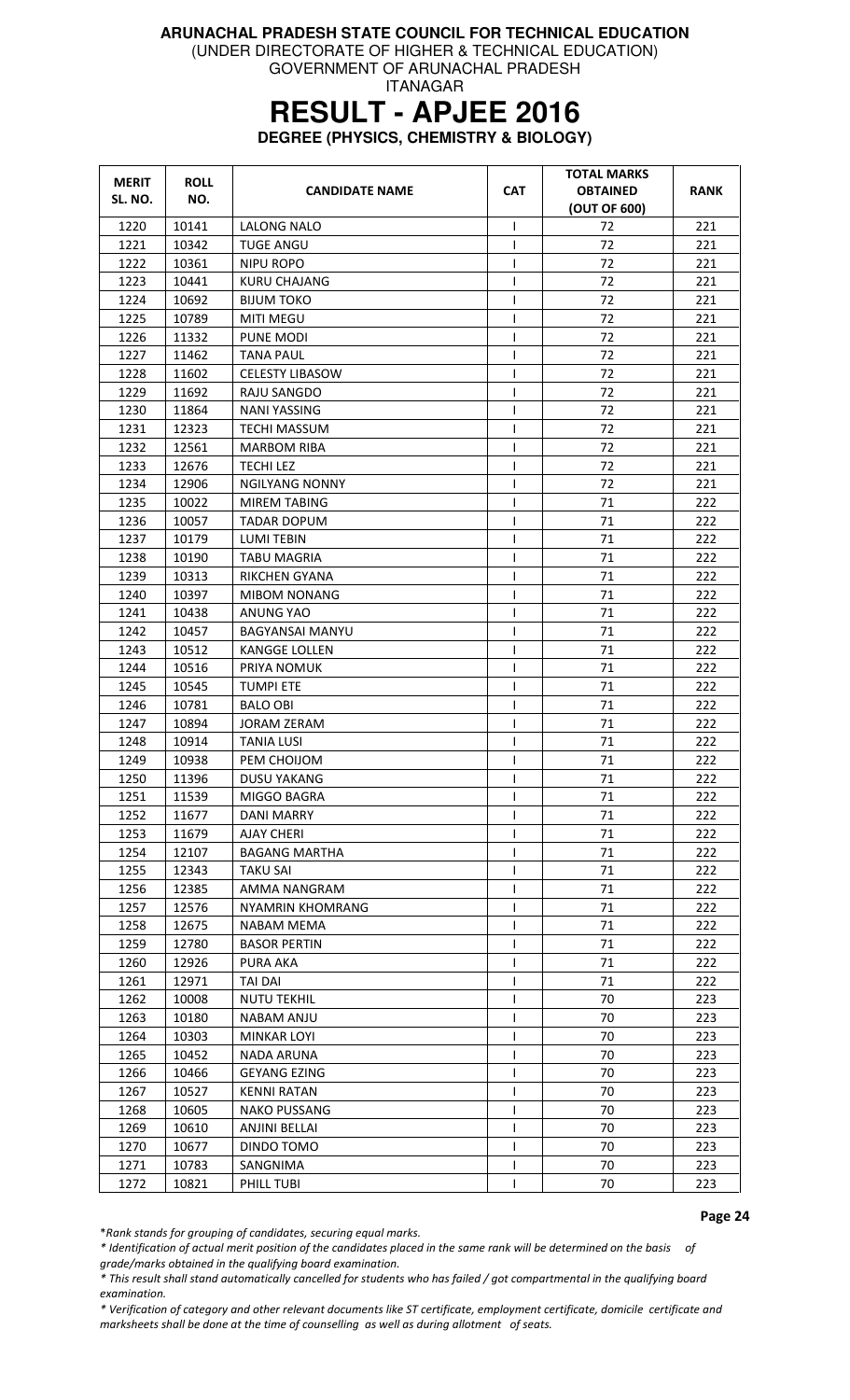(UNDER DIRECTORATE OF HIGHER & TECHNICAL EDUCATION)

GOVERNMENT OF ARUNACHAL PRADESH ITANAGAR

# **RESULT - APJEE 2016**

**DEGREE (PHYSICS, CHEMISTRY & BIOLOGY)** 

| <b>MERIT</b> | <b>ROLL</b> | <b>CANDIDATE NAME</b>   | <b>CAT</b>     | <b>TOTAL MARKS</b><br><b>OBTAINED</b> | <b>RANK</b> |
|--------------|-------------|-------------------------|----------------|---------------------------------------|-------------|
| SL. NO.      | NO.         |                         |                | (OUT OF 600)                          |             |
| 1220         | 10141       | LALONG NALO             | T              | 72                                    | 221         |
| 1221         | 10342       | <b>TUGE ANGU</b>        | T              | 72                                    | 221         |
| 1222         | 10361       | NIPU ROPO               | I              | 72                                    | 221         |
| 1223         | 10441       | <b>KURU CHAJANG</b>     | T              | 72                                    | 221         |
| 1224         | 10692       | BIJUM TOKO              | I              | 72                                    | 221         |
| 1225         | 10789       | <b>MITI MEGU</b>        | I              | 72                                    | 221         |
| 1226         | 11332       | PUNE MODI               | ı              | 72                                    | 221         |
| 1227         | 11462       | TANA PAUL               | ı              | 72                                    | 221         |
| 1228         | 11602       | <b>CELESTY LIBASOW</b>  | I              | 72                                    | 221         |
| 1229         | 11692       | RAJU SANGDO             | I              | 72                                    | 221         |
| 1230         | 11864       | <b>NANI YASSING</b>     | T              | 72                                    | 221         |
| 1231         | 12323       | <b>TECHI MASSUM</b>     | $\mathsf{I}$   | 72                                    | 221         |
| 1232         | 12561       | MARBOM RIBA             | T              | 72                                    | 221         |
| 1233         | 12676       | <b>TECHILEZ</b>         | I              | 72                                    | 221         |
| 1234         | 12906       | <b>NGILYANG NONNY</b>   | I              | 72                                    | 221         |
| 1235         | 10022       | <b>MIREM TABING</b>     | T              | 71                                    | 222         |
| 1236         | 10057       | <b>TADAR DOPUM</b>      | T              | 71                                    | 222         |
| 1237         | 10179       | <b>LUMI TEBIN</b>       | $\mathsf{I}$   | 71                                    | 222         |
| 1238         | 10190       | <b>TABU MAGRIA</b>      | ı              | 71                                    | 222         |
| 1239         | 10313       | RIKCHEN GYANA           | ı              | 71                                    | 222         |
| 1240         | 10397       | <b>MIBOM NONANG</b>     | ı              | 71                                    | 222         |
| 1241         | 10438       | ANUNG YAO               | T              | 71                                    | 222         |
| 1242         | 10457       | BAGYANSAI MANYU         | T              | 71                                    | 222         |
| 1243         | 10512       | <b>KANGGE LOLLEN</b>    | $\overline{1}$ | 71                                    | 222         |
| 1244         | 10516       | PRIYA NOMUK             | I              | 71                                    | 222         |
| 1245         | 10545       | <b>TUMPI ETE</b>        | $\mathsf{I}$   | 71                                    | 222         |
| 1246         | 10781       | <b>BALO OBI</b>         | $\mathsf{I}$   | 71                                    | 222         |
| 1247         | 10894       | <b>JORAM ZERAM</b>      | $\mathsf{I}$   | 71                                    | 222         |
| 1248         | 10914       | <b>TANIA LUSI</b>       | ı              | 71                                    | 222         |
| 1249         | 10938       | PEM CHOIJOM             | $\mathsf{l}$   | 71                                    | 222         |
| 1250         | 11396       | <b>DUSU YAKANG</b>      | T              | 71                                    | 222         |
| 1251         | 11539       | MIGGO BAGRA             | I              | 71                                    | 222         |
| 1252         | 11677       | <b>DANI MARRY</b>       |                | 71                                    | 222         |
| 1253         | 11679       | <b>AJAY CHERI</b>       | $\mathsf{I}$   | 71                                    | 222         |
| 1254         | 12107       | <b>BAGANG MARTHA</b>    | ı              | 71                                    | 222         |
| 1255         | 12343       | <b>TAKU SAI</b>         | ı              | 71                                    | 222         |
| 1256         | 12385       | AMMA NANGRAM            | ı              | 71                                    | 222         |
| 1257         | 12576       | <b>NYAMRIN KHOMRANG</b> | ı              | 71                                    | 222         |
| 1258         | 12675       | NABAM MEMA              | ı              | 71                                    | 222         |
| 1259         | 12780       | <b>BASOR PERTIN</b>     | $\mathsf{I}$   | 71                                    | 222         |
| 1260         | 12926       | <b>PURA AKA</b>         |                | 71                                    | 222         |
| 1261         | 12971       | <b>TAI DAI</b>          |                | 71                                    | 222         |
| 1262         | 10008       | <b>NUTU TEKHIL</b>      | ı              | 70                                    | 223         |
| 1263         | 10180       | NABAM ANJU              |                | 70                                    | 223         |
| 1264         | 10303       | <b>MINKAR LOYI</b>      | I              | 70                                    | 223         |
| 1265         | 10452       | NADA ARUNA              | I              | 70                                    | 223         |
| 1266         | 10466       | <b>GEYANG EZING</b>     |                | 70                                    | 223         |
| 1267         | 10527       | <b>KENNI RATAN</b>      | ı              | 70                                    | 223         |
| 1268         | 10605       | <b>NAKO PUSSANG</b>     | ı              | 70                                    | 223         |
| 1269         | 10610       | <b>ANJINI BELLAI</b>    | ı              | 70                                    | 223         |
| 1270         | 10677       | DINDO TOMO              | $\mathbf{I}$   | 70                                    | 223         |
| 1271         | 10783       | SANGNIMA                | ı              | 70                                    | 223         |
| 1272         | 10821       | PHILL TUBI              |                | 70                                    | 223         |

Page 24

\*Rank stands for grouping of candidates, securing equal marks.

\* Identification of actual merit position of the candidates placed in the same rank will be determined on the basis of grade/marks obtained in the qualifying board examination.

\* This result shall stand automatically cancelled for students who has failed / got compartmental in the qualifying board examination.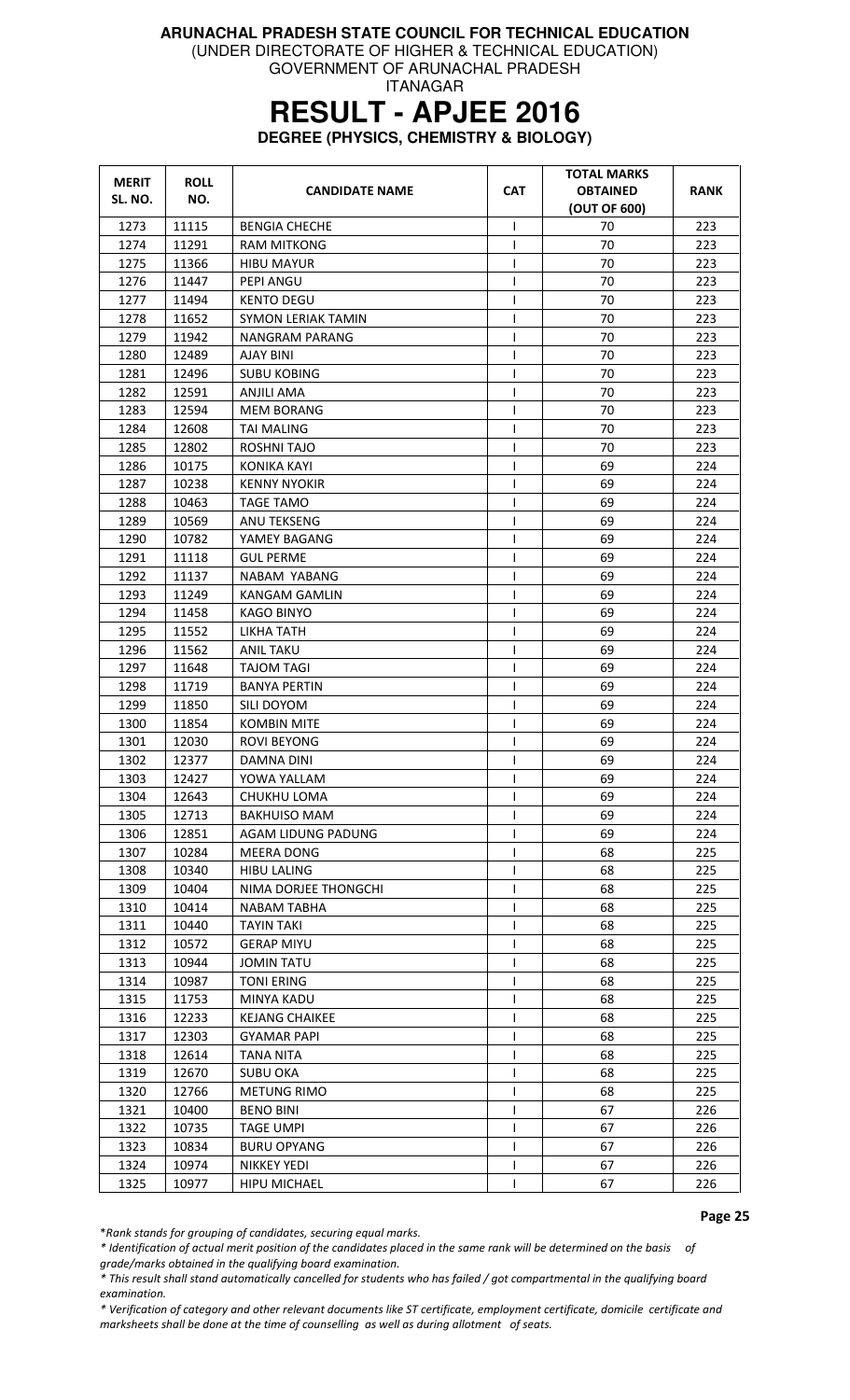(UNDER DIRECTORATE OF HIGHER & TECHNICAL EDUCATION)

GOVERNMENT OF ARUNACHAL PRADESH ITANAGAR

### **RESULT - APJEE 2016**

**DEGREE (PHYSICS, CHEMISTRY & BIOLOGY)** 

| <b>MERIT</b><br>SL. NO. | <b>ROLL</b><br>NO. | <b>CANDIDATE NAME</b>     | <b>CAT</b>   | <b>TOTAL MARKS</b><br><b>OBTAINED</b><br>(OUT OF 600) | RANK |
|-------------------------|--------------------|---------------------------|--------------|-------------------------------------------------------|------|
| 1273                    | 11115              | <b>BENGIA CHECHE</b>      | $\mathbf{I}$ | 70                                                    | 223  |
| 1274                    | 11291              | <b>RAM MITKONG</b>        | T            | 70                                                    | 223  |
| 1275                    | 11366              | <b>HIBU MAYUR</b>         | 1            | 70                                                    | 223  |
| 1276                    | 11447              | PEPI ANGU                 |              | 70                                                    | 223  |
| 1277                    | 11494              | KENTO DEGU                | $\mathbf{I}$ | 70                                                    | 223  |
| 1278                    | 11652              | <b>SYMON LERIAK TAMIN</b> | $\mathsf{I}$ | 70                                                    | 223  |
| 1279                    | 11942              | <b>NANGRAM PARANG</b>     | $\mathbf{I}$ | 70                                                    | 223  |
| 1280                    | 12489              | <b>AJAY BINI</b>          | T            | 70                                                    | 223  |
| 1281                    | 12496              | <b>SUBU KOBING</b>        | ı            | 70                                                    | 223  |
| 1282                    | 12591              | ANJILI AMA                | ı            | 70                                                    | 223  |
| 1283                    | 12594              | <b>MEM BORANG</b>         | ı            | 70                                                    | 223  |
| 1284                    | 12608              | TAI MALING                | L            | 70                                                    | 223  |
| 1285                    | 12802              | ROSHNI TAJO               | $\mathbf{I}$ | 70                                                    | 223  |
| 1286                    | 10175              | <b>KONIKA KAYI</b>        | T            | 69                                                    | 224  |
| 1287                    | 10238              | <b>KENNY NYOKIR</b>       | ı            | 69                                                    | 224  |
| 1288                    | 10463              | <b>TAGE TAMO</b>          | $\mathbf{I}$ | 69                                                    | 224  |
| 1289                    | 10569              | ANU TEKSENG               | T            | 69                                                    | 224  |
| 1290                    | 10782              | YAMEY BAGANG              |              | 69                                                    | 224  |
| 1291                    | 11118              | <b>GUL PERME</b>          | $\mathsf{I}$ | 69                                                    | 224  |
| 1292                    | 11137              | NABAM YABANG              | T            | 69                                                    | 224  |
| 1293                    | 11249              | <b>KANGAM GAMLIN</b>      | ı            | 69                                                    | 224  |
| 1294                    | 11458              | <b>KAGO BINYO</b>         | ı            | 69                                                    | 224  |
| 1295                    | 11552              | LIKHA TATH                | $\mathbf{I}$ | 69                                                    | 224  |
| 1296                    | 11562              | ANIL TAKU                 | I.           | 69                                                    | 224  |
| 1297                    | 11648              | TAJOM TAGI                | $\mathsf{l}$ | 69                                                    | 224  |
| 1298                    | 11719              | <b>BANYA PERTIN</b>       | T            | 69                                                    | 224  |
| 1299                    | 11850              | SILI DOYOM                | $\mathbf{I}$ | 69                                                    | 224  |
| 1300                    | 11854              | <b>KOMBIN MITE</b>        | $\mathbf{I}$ | 69                                                    | 224  |
| 1301                    | 12030              | ROVI BEYONG               | $\mathsf{l}$ | 69                                                    | 224  |
| 1302                    | 12377              | DAMNA DINI                | ı            | 69                                                    | 224  |
| 1303                    | 12427              | YOWA YALLAM               | $\mathsf{I}$ | 69                                                    | 224  |
| 1304                    | 12643              | CHUKHU LOMA               | ı            | 69                                                    | 224  |
| 1305                    | 12713              | <b>BAKHUISO MAM</b>       |              | 69                                                    | 224  |
| 1306                    | 12851              | AGAM LIDUNG PADUNG        |              | 69                                                    | 224  |
| 1307                    | 10284              | MEERA DONG                | $\mathbf{I}$ | 68                                                    | 225  |
| 1308                    | 10340              | HIBU LALING               |              | 68                                                    | 225  |
| 1309                    | 10404              | NIMA DORJEE THONGCHI      |              | 68                                                    | 225  |
| 1310                    | 10414              | <b>NABAM TABHA</b>        |              | 68                                                    | 225  |
| 1311                    | 10440              | <b>TAYIN TAKI</b>         |              | 68                                                    | 225  |
| 1312                    | 10572              | <b>GERAP MIYU</b>         |              | 68                                                    | 225  |
| 1313                    | 10944              | <b>JOMIN TATU</b>         |              | 68                                                    | 225  |
| 1314                    | 10987              | <b>TONI ERING</b>         |              | 68                                                    | 225  |
| 1315                    | 11753              | <b>MINYA KADU</b>         |              | 68                                                    | 225  |
| 1316                    | 12233              | <b>KEJANG CHAIKEE</b>     |              | 68                                                    | 225  |
| 1317                    | 12303              | <b>GYAMAR PAPI</b>        |              | 68                                                    | 225  |
| 1318                    | 12614              | <b>TANA NITA</b>          |              | 68                                                    | 225  |
| 1319                    | 12670              | <b>SUBU OKA</b>           |              | 68                                                    | 225  |
| 1320                    | 12766              | <b>METUNG RIMO</b>        | $\mathbf{I}$ | 68                                                    | 225  |
| 1321                    | 10400              | <b>BENO BINI</b>          |              | 67                                                    | 226  |
| 1322                    | 10735              | <b>TAGE UMPI</b>          |              | 67                                                    | 226  |
| 1323                    | 10834              | <b>BURU OPYANG</b>        |              | 67                                                    | 226  |
| 1324                    | 10974              | <b>NIKKEY YEDI</b>        | $\mathsf{l}$ | 67                                                    | 226  |
| 1325                    | 10977              | <b>HIPU MICHAEL</b>       | $\mathbf{I}$ | 67                                                    | 226  |

Page 25

\*Rank stands for grouping of candidates, securing equal marks.

\* Identification of actual merit position of the candidates placed in the same rank will be determined on the basis of grade/marks obtained in the qualifying board examination.

\* This result shall stand automatically cancelled for students who has failed / got compartmental in the qualifying board examination.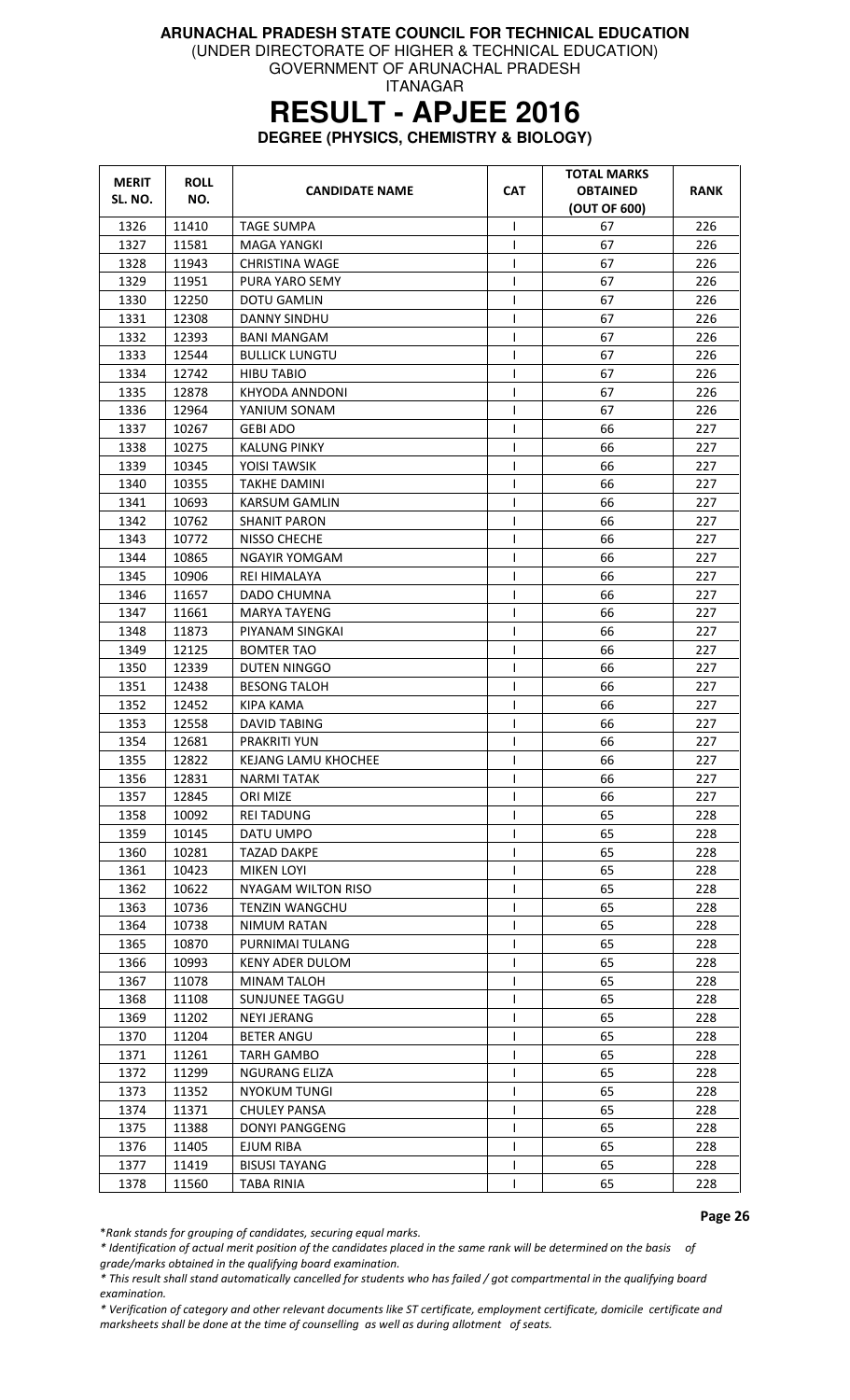(UNDER DIRECTORATE OF HIGHER & TECHNICAL EDUCATION)

GOVERNMENT OF ARUNACHAL PRADESH ITANAGAR

# **RESULT - APJEE 2016**

**DEGREE (PHYSICS, CHEMISTRY & BIOLOGY)** 

| <b>MERIT</b><br>SL. NO. | <b>ROLL</b><br>NO. | <b>CANDIDATE NAME</b>      | <b>CAT</b>   | <b>TOTAL MARKS</b><br><b>OBTAINED</b><br>(OUT OF 600) | <b>RANK</b> |
|-------------------------|--------------------|----------------------------|--------------|-------------------------------------------------------|-------------|
| 1326                    | 11410              | <b>TAGE SUMPA</b>          | ı            | 67                                                    | 226         |
| 1327                    | 11581              | <b>MAGA YANGKI</b>         | I            | 67                                                    | 226         |
| 1328                    | 11943              | <b>CHRISTINA WAGE</b>      | ı            | 67                                                    | 226         |
| 1329                    | 11951              | PURA YARO SEMY             | $\mathsf{l}$ | 67                                                    | 226         |
| 1330                    | 12250              | <b>DOTU GAMLIN</b>         | I            | 67                                                    | 226         |
| 1331                    | 12308              | DANNY SINDHU               | I            | 67                                                    | 226         |
| 1332                    | 12393              | <b>BANI MANGAM</b>         | ı            | 67                                                    | 226         |
| 1333                    | 12544              | <b>BULLICK LUNGTU</b>      | 1            | 67                                                    | 226         |
| 1334                    | 12742              | <b>HIBU TABIO</b>          | 1            | 67                                                    | 226         |
| 1335                    | 12878              | KHYODA ANNDONI             | I            | 67                                                    | 226         |
| 1336                    | 12964              | YANIUM SONAM               | ı            | 67                                                    | 226         |
| 1337                    | 10267              | <b>GEBI ADO</b>            | $\mathsf{I}$ | 66                                                    | 227         |
| 1338                    | 10275              | <b>KALUNG PINKY</b>        | T            | 66                                                    | 227         |
| 1339                    | 10345              | YOISI TAWSIK               | $\mathbf{I}$ | 66                                                    | 227         |
| 1340                    | 10355              | <b>TAKHE DAMINI</b>        | 1            | 66                                                    | 227         |
| 1341                    | 10693              | KARSUM GAMLIN              | I            | 66                                                    | 227         |
| 1342                    | 10762              | <b>SHANIT PARON</b>        | 1            | 66                                                    | 227         |
| 1343                    | 10772              | NISSO CHECHE               | $\mathbf{I}$ | 66                                                    | 227         |
| 1344                    | 10865              | NGAYIR YOMGAM              | ı            | 66                                                    | 227         |
| 1345                    | 10906              | REI HIMALAYA               | $\mathsf{l}$ | 66                                                    | 227         |
| 1346                    | 11657              | DADO CHUMNA                | I            | 66                                                    | 227         |
| 1347                    | 11661              | MARYA TAYENG               | I            | 66                                                    | 227         |
| 1348                    | 11873              | PIYANAM SINGKAI            |              | 66                                                    | 227         |
| 1349                    | 12125              | <b>BOMTER TAO</b>          | $\mathsf{I}$ | 66                                                    | 227         |
| 1350                    | 12339              | DUTEN NINGGO               | ı            | 66                                                    | 227         |
| 1351                    | 12438              | <b>BESONG TALOH</b>        | $\mathbf{I}$ | 66                                                    | 227         |
| 1352                    | 12452              | KIPA KAMA                  | $\mathbf{I}$ | 66                                                    | 227         |
| 1353                    | 12558              | <b>DAVID TABING</b>        | $\mathbf{I}$ | 66                                                    | 227         |
| 1354                    | 12681              | <b>PRAKRITI YUN</b>        | ı            | 66                                                    | 227         |
| 1355                    | 12822              | <b>KEJANG LAMU KHOCHEE</b> | ı            | 66                                                    | 227         |
| 1356                    | 12831              | <b>NARMI TATAK</b>         | I            | 66                                                    | 227         |
| 1357                    | 12845              | ORI MIZE                   | $\mathbf{I}$ | 66                                                    | 227         |
| 1358                    | 10092              | <b>REI TADUNG</b>          |              | 65                                                    | 228         |
| 1359                    | 10145              | DATU UMPO                  |              | 65                                                    | 228         |
| 1360                    | 10281              | TAZAD DAKPE                |              | 65                                                    | 228         |
| 1361                    | 10423              | <b>MIKEN LOYI</b>          | $\mathsf{I}$ | 65                                                    | 228         |
| 1362                    | 10622              | NYAGAM WILTON RISO         |              | 65                                                    | 228         |
| 1363                    | 10736              | <b>TENZIN WANGCHU</b>      |              | 65                                                    | 228         |
| 1364                    | 10738              | NIMUM RATAN                | I.           | 65                                                    | 228         |
| 1365                    | 10870              | PURNIMAI TULANG            |              | 65                                                    | 228         |
| 1366                    | 10993              | <b>KENY ADER DULOM</b>     |              | 65                                                    | 228         |
| 1367                    | 11078              | MINAM TALOH                |              | 65                                                    | 228         |
| 1368                    | 11108              | SUNJUNEE TAGGU             |              | 65                                                    | 228         |
| 1369                    | 11202              | NEYI JERANG                |              | 65                                                    | 228         |
| 1370                    | 11204              | <b>BETER ANGU</b>          |              | 65                                                    | 228         |
| 1371                    | 11261              | TARH GAMBO                 |              | 65                                                    | 228         |
| 1372                    | 11299              | NGURANG ELIZA              |              | 65                                                    | 228         |
| 1373                    | 11352              | <b>NYOKUM TUNGI</b>        |              | 65                                                    | 228         |
| 1374                    | 11371              | <b>CHULEY PANSA</b>        | $\mathsf{I}$ | 65                                                    | 228         |
| 1375                    | 11388              | <b>DONYI PANGGENG</b>      |              | 65                                                    | 228         |
| 1376                    | 11405              | EJUM RIBA                  |              | 65                                                    | 228         |
| 1377                    | 11419              | <b>BISUSI TAYANG</b>       |              | 65                                                    | 228         |
| 1378                    | 11560              | <b>TABA RINIA</b>          |              | 65                                                    | 228         |

Page 26

\*Rank stands for grouping of candidates, securing equal marks.

\* Identification of actual merit position of the candidates placed in the same rank will be determined on the basis of grade/marks obtained in the qualifying board examination.

\* This result shall stand automatically cancelled for students who has failed / got compartmental in the qualifying board examination.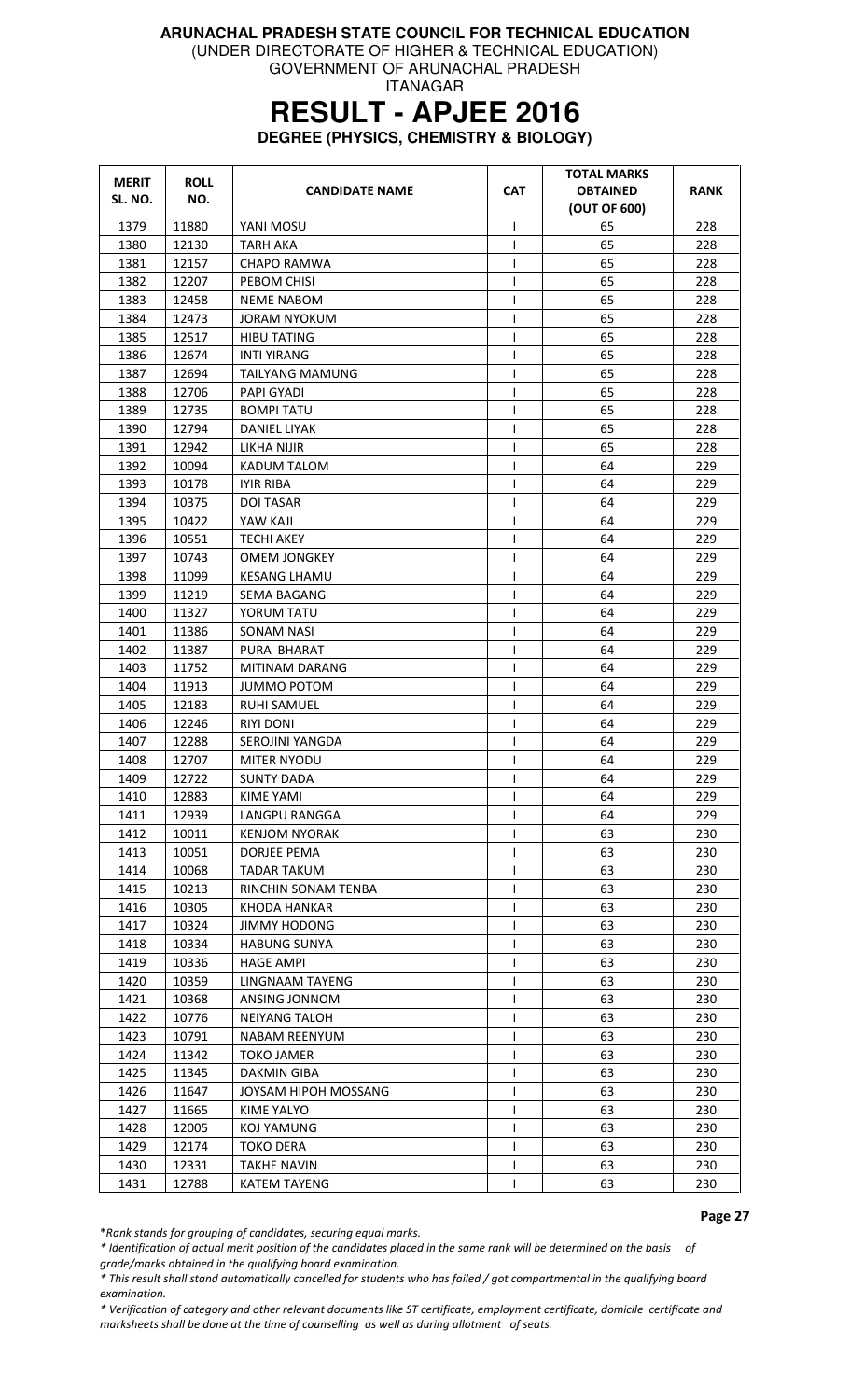(UNDER DIRECTORATE OF HIGHER & TECHNICAL EDUCATION)

GOVERNMENT OF ARUNACHAL PRADESH ITANAGAR

# **RESULT - APJEE 2016**

**DEGREE (PHYSICS, CHEMISTRY & BIOLOGY)** 

| <b>MERIT</b><br>SL. NO. | <b>ROLL</b><br>NO. | <b>CANDIDATE NAME</b> | <b>CAT</b>   | TOTAL MARKS<br><b>OBTAINED</b><br>(OUT OF 600) | RANK |
|-------------------------|--------------------|-----------------------|--------------|------------------------------------------------|------|
| 1379                    | 11880              | YANI MOSU             | I.           | 65                                             | 228  |
| 1380                    | 12130              | <b>TARH AKA</b>       | $\mathbf{I}$ | 65                                             | 228  |
| 1381                    | 12157              | CHAPO RAMWA           |              | 65                                             | 228  |
| 1382                    | 12207              | PEBOM CHISI           | $\mathbf{I}$ | 65                                             | 228  |
| 1383                    | 12458              | <b>NEME NABOM</b>     | I            | 65                                             | 228  |
| 1384                    | 12473              | <b>JORAM NYOKUM</b>   | I            | 65                                             | 228  |
| 1385                    | 12517              | <b>HIBU TATING</b>    | ı            | 65                                             | 228  |
| 1386                    | 12674              | <b>INTI YIRANG</b>    |              | 65                                             | 228  |
| 1387                    | 12694              | TAILYANG MAMUNG       |              | 65                                             | 228  |
| 1388                    | 12706              | PAPI GYADI            | 1            | 65                                             | 228  |
| 1389                    | 12735              | <b>BOMPI TATU</b>     |              | 65                                             | 228  |
| 1390                    | 12794              | DANIEL LIYAK          | $\mathbf{I}$ | 65                                             | 228  |
| 1391                    | 12942              | LIKHA NIJIR           | T            | 65                                             | 228  |
| 1392                    | 10094              | KADUM TALOM           | I            | 64                                             | 229  |
| 1393                    | 10178              | <b>IYIR RIBA</b>      | $\mathbf{I}$ | 64                                             | 229  |
| 1394                    | 10375              | <b>DOI TASAR</b>      | $\mathbf{I}$ | 64                                             | 229  |
| 1395                    | 10422              | YAW KAJI              |              | 64                                             | 229  |
| 1396                    | 10551              | <b>TECHI AKEY</b>     | $\mathsf{l}$ | 64                                             | 229  |
| 1397                    | 10743              | <b>OMEM JONGKEY</b>   | $\mathsf{l}$ | 64                                             | 229  |
| 1398                    | 11099              | <b>KESANG LHAMU</b>   | I            | 64                                             | 229  |
| 1399                    | 11219              | SEMA BAGANG           |              | 64                                             | 229  |
| 1400                    | 11327              | YORUM TATU            | $\mathbf{I}$ | 64                                             | 229  |
| 1401                    | 11386              | <b>SONAM NASI</b>     |              | 64                                             | 229  |
| 1402                    | 11387              | PURA BHARAT           |              | 64                                             | 229  |
| 1403                    | 11752              | MITINAM DARANG        | I            | 64                                             | 229  |
| 1404                    | 11913              | JUMMO POTOM           | $\mathsf{I}$ | 64                                             | 229  |
| 1405                    | 12183              | <b>RUHI SAMUEL</b>    | $\mathsf{l}$ | 64                                             | 229  |
| 1406                    | 12246              | <b>RIYI DONI</b>      | $\mathsf{I}$ | 64                                             | 229  |
| 1407                    | 12288              | SEROJINI YANGDA       | T            | 64                                             | 229  |
| 1408                    | 12707              | <b>MITER NYODU</b>    | $\mathbf{I}$ | 64                                             | 229  |
| 1409                    | 12722              | <b>SUNTY DADA</b>     | $\mathsf{I}$ | 64                                             | 229  |
| 1410                    | 12883              | <b>KIME YAMI</b>      | $\mathbf{I}$ | 64                                             | 229  |
| 1411                    | 12939              | LANGPU RANGGA         |              | 64                                             | 229  |
| 1412                    | 10011              | <b>KENJOM NYORAK</b>  |              | 63                                             | 230  |
| 1413                    | 10051              | DORJEE PEMA           | $\mathsf{I}$ | 63                                             | 230  |
| 1414                    | 10068              | TADAR TAKUM           |              | 63                                             | 230  |
| 1415                    | 10213              | RINCHIN SONAM TENBA   |              | 63                                             | 230  |
| 1416                    | 10305              | KHODA HANKAR          | L            | 63                                             | 230  |
| 1417                    | 10324              | JIMMY HODONG          | $\mathbf{I}$ | 63                                             | 230  |
| 1418                    | 10334              | <b>HABUNG SUNYA</b>   |              | 63                                             | 230  |
| 1419                    | 10336              | <b>HAGE AMPI</b>      |              | 63                                             | 230  |
| 1420                    | 10359              | LINGNAAM TAYENG       |              | 63                                             | 230  |
| 1421                    | 10368              | ANSING JONNOM         |              | 63                                             | 230  |
| 1422                    | 10776              | <b>NEIYANG TALOH</b>  | $\mathbf{I}$ | 63                                             | 230  |
| 1423                    | 10791              | NABAM REENYUM         |              | 63                                             | 230  |
| 1424                    | 11342              | TOKO JAMER            |              | 63                                             | 230  |
| 1425                    | 11345              | <b>DAKMIN GIBA</b>    |              | 63                                             | 230  |
| 1426                    | 11647              | JOYSAM HIPOH MOSSANG  | $\mathbf{I}$ | 63                                             | 230  |
| 1427                    | 11665              | KIME YALYO            | $\mathbf{I}$ | 63                                             | 230  |
| 1428                    | 12005              | KOJ YAMUNG            |              | 63                                             | 230  |
| 1429                    | 12174              | <b>TOKO DERA</b>      |              | 63                                             | 230  |
| 1430                    | 12331              | <b>TAKHE NAVIN</b>    | L            | 63                                             | 230  |
| 1431                    | 12788              | <b>KATEM TAYENG</b>   | $\mathsf{I}$ | 63                                             | 230  |

Page 27

\*Rank stands for grouping of candidates, securing equal marks.

\* Identification of actual merit position of the candidates placed in the same rank will be determined on the basis of grade/marks obtained in the qualifying board examination.

\* This result shall stand automatically cancelled for students who has failed / got compartmental in the qualifying board examination.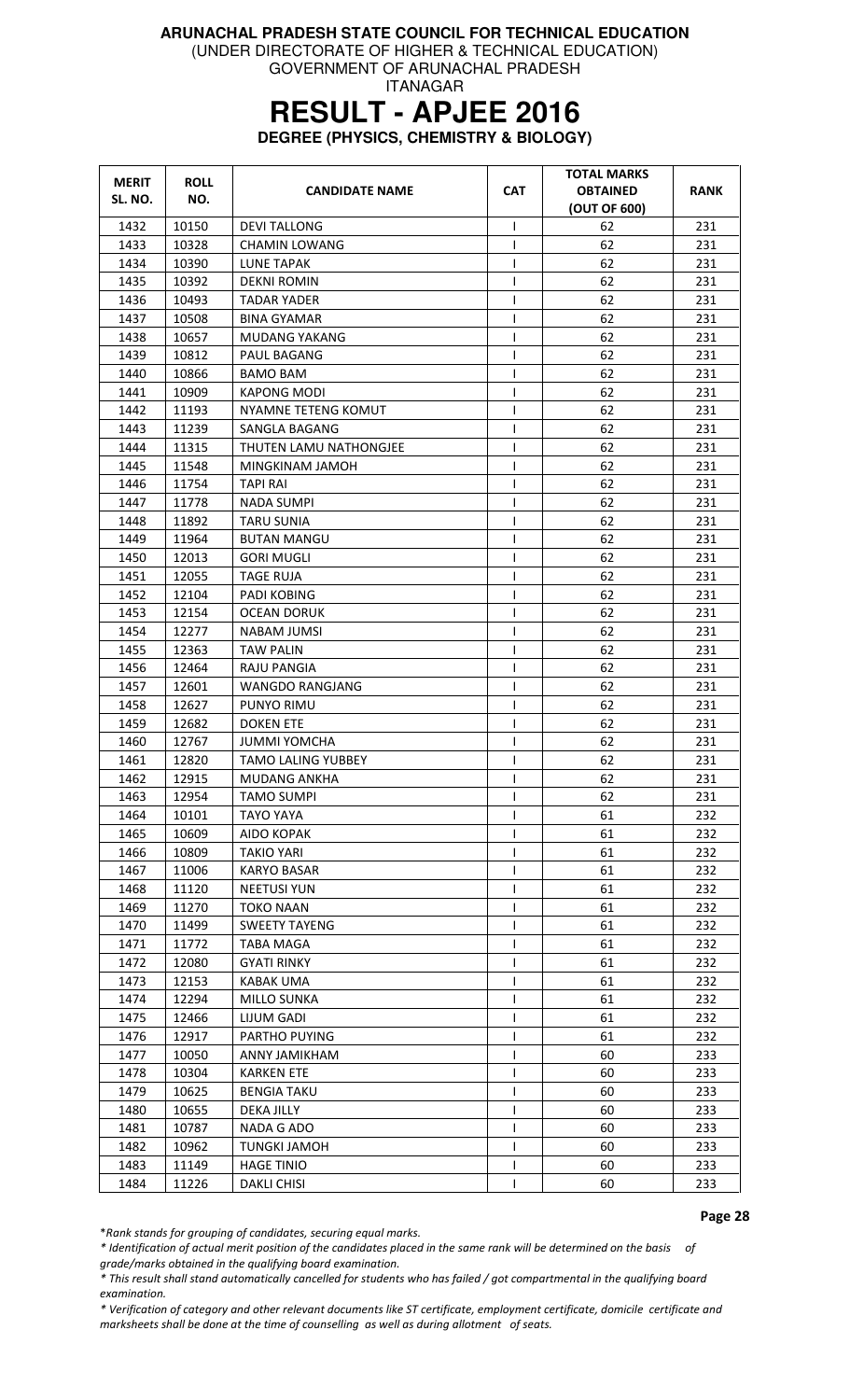(UNDER DIRECTORATE OF HIGHER & TECHNICAL EDUCATION)

GOVERNMENT OF ARUNACHAL PRADESH ITANAGAR

### **RESULT - APJEE 2016**

**DEGREE (PHYSICS, CHEMISTRY & BIOLOGY)** 

| <b>MERIT</b><br>SL. NO. | <b>ROLL</b><br>NO. | <b>CANDIDATE NAME</b>     | <b>CAT</b>   | TOTAL MARKS<br><b>OBTAINED</b><br>(OUT OF 600) | <b>RANK</b> |
|-------------------------|--------------------|---------------------------|--------------|------------------------------------------------|-------------|
| 1432                    | 10150              | <b>DEVI TALLONG</b>       | $\mathbf{I}$ | 62                                             | 231         |
| 1433                    | 10328              | <b>CHAMIN LOWANG</b>      | $\mathbf{I}$ | 62                                             | 231         |
| 1434                    | 10390              | LUNE TAPAK                |              | 62                                             | 231         |
| 1435                    | 10392              | <b>DEKNI ROMIN</b>        | I            | 62                                             | 231         |
| 1436                    | 10493              | TADAR YADER               | $\mathsf{I}$ | 62                                             | 231         |
| 1437                    | 10508              | <b>BINA GYAMAR</b>        | I            | 62                                             | 231         |
| 1438                    | 10657              | <b>MUDANG YAKANG</b>      | $\mathbf{I}$ | 62                                             | 231         |
| 1439                    | 10812              | PAUL BAGANG               |              | 62                                             | 231         |
| 1440                    | 10866              | BAMO BAM                  |              | 62                                             | 231         |
| 1441                    | 10909              | KAPONG MODI               | 1            | 62                                             | 231         |
| 1442                    | 11193              | NYAMNE TETENG KOMUT       |              | 62                                             | 231         |
| 1443                    | 11239              | SANGLA BAGANG             |              | 62                                             | 231         |
| 1444                    | 11315              | THUTEN LAMU NATHONGJEE    | I            | 62                                             | 231         |
| 1445                    | 11548              | MINGKINAM JAMOH           | I            | 62                                             | 231         |
| 1446                    | 11754              | <b>TAPI RAI</b>           | 1            | 62                                             | 231         |
| 1447                    | 11778              | <b>NADA SUMPI</b>         |              | 62                                             | 231         |
| 1448                    | 11892              | <b>TARU SUNIA</b>         |              | 62                                             | 231         |
| 1449                    | 11964              | <b>BUTAN MANGU</b>        | 1            | 62                                             | 231         |
| 1450                    | 12013              | <b>GORI MUGLI</b>         | $\mathsf{l}$ | 62                                             | 231         |
| 1451                    | 12055              | <b>TAGE RUJA</b>          | I            | 62                                             | 231         |
| 1452                    | 12104              | <b>PADI KOBING</b>        |              | 62                                             | 231         |
| 1453                    | 12154              | OCEAN DORUK               |              | 62                                             | 231         |
| 1454                    | 12277              | <b>NABAM JUMSI</b>        |              | 62                                             | 231         |
| 1455                    | 12363              | <b>TAW PALIN</b>          |              | 62                                             | 231         |
| 1456                    | 12464              | RAJU PANGIA               | T            | 62                                             | 231         |
| 1457                    | 12601              | WANGDO RANGJANG           | T            | 62                                             | 231         |
| 1458                    | 12627              | PUNYO RIMU                |              | 62                                             | 231         |
| 1459                    | 12682              | <b>DOKEN ETE</b>          | $\mathsf{I}$ | 62                                             | 231         |
| 1460                    | 12767              | <b>JUMMI YOMCHA</b>       | $\mathsf{I}$ | 62                                             | 231         |
| 1461                    | 12820              | <b>TAMO LALING YUBBEY</b> | $\mathbf{I}$ | 62                                             | 231         |
| 1462                    | 12915              | MUDANG ANKHA              | $\mathbf{I}$ | 62                                             | 231         |
| 1463                    | 12954              | <b>TAMO SUMPI</b>         | $\mathbf{I}$ | 62                                             | 231         |
| 1464                    | 10101              | <b>TAYO YAYA</b>          |              | 61                                             | 232         |
| 1465                    | 10609              | AIDO KOPAK                |              | 61                                             | 232         |
| 1466                    | 10809              | <b>TAKIO YARI</b>         |              | 61                                             | 232         |
| 1467                    | 11006              | <b>KARYO BASAR</b>        |              | 61                                             | 232         |
| 1468                    | 11120              | <b>NEETUSI YUN</b>        | $\mathbf{I}$ | 61                                             | 232         |
| 1469                    | 11270              | TOKO NAAN                 | L            | 61                                             | 232         |
| 1470                    | 11499              | <b>SWEETY TAYENG</b>      | $\mathbf{I}$ | 61                                             | 232         |
| 1471                    | 11772              | <b>TABA MAGA</b>          |              | 61                                             | 232         |
| 1472                    | 12080              | <b>GYATI RINKY</b>        |              | 61                                             | 232         |
| 1473                    | 12153              | KABAK UMA                 |              | 61                                             | 232         |
| 1474                    | 12294              | MILLO SUNKA               | $\mathbf{I}$ | 61                                             | 232         |
| 1475                    | 12466              | LIJUM GADI                |              | 61                                             | 232         |
| 1476                    | 12917              | PARTHO PUYING             |              | 61                                             | 232         |
| 1477                    | 10050              | ANNY JAMIKHAM             |              | 60                                             | 233         |
| 1478                    | 10304              | <b>KARKEN ETE</b>         |              | 60                                             | 233         |
| 1479                    | 10625              | <b>BENGIA TAKU</b>        |              | 60                                             | 233         |
| 1480                    | 10655              | <b>DEKA JILLY</b>         | $\mathbf{I}$ | 60                                             | 233         |
| 1481                    | 10787              | NADA G ADO                |              | 60                                             | 233         |
| 1482                    | 10962              | <b>TUNGKI JAMOH</b>       |              | 60                                             | 233         |
| 1483                    | 11149              | <b>HAGE TINIO</b>         | $\mathbf{I}$ | 60                                             | 233         |
| 1484                    | 11226              | DAKLI CHISI               | $\mathsf{I}$ | 60                                             | 233         |

Page 28

\*Rank stands for grouping of candidates, securing equal marks.

\* Identification of actual merit position of the candidates placed in the same rank will be determined on the basis of grade/marks obtained in the qualifying board examination.

\* This result shall stand automatically cancelled for students who has failed / got compartmental in the qualifying board examination.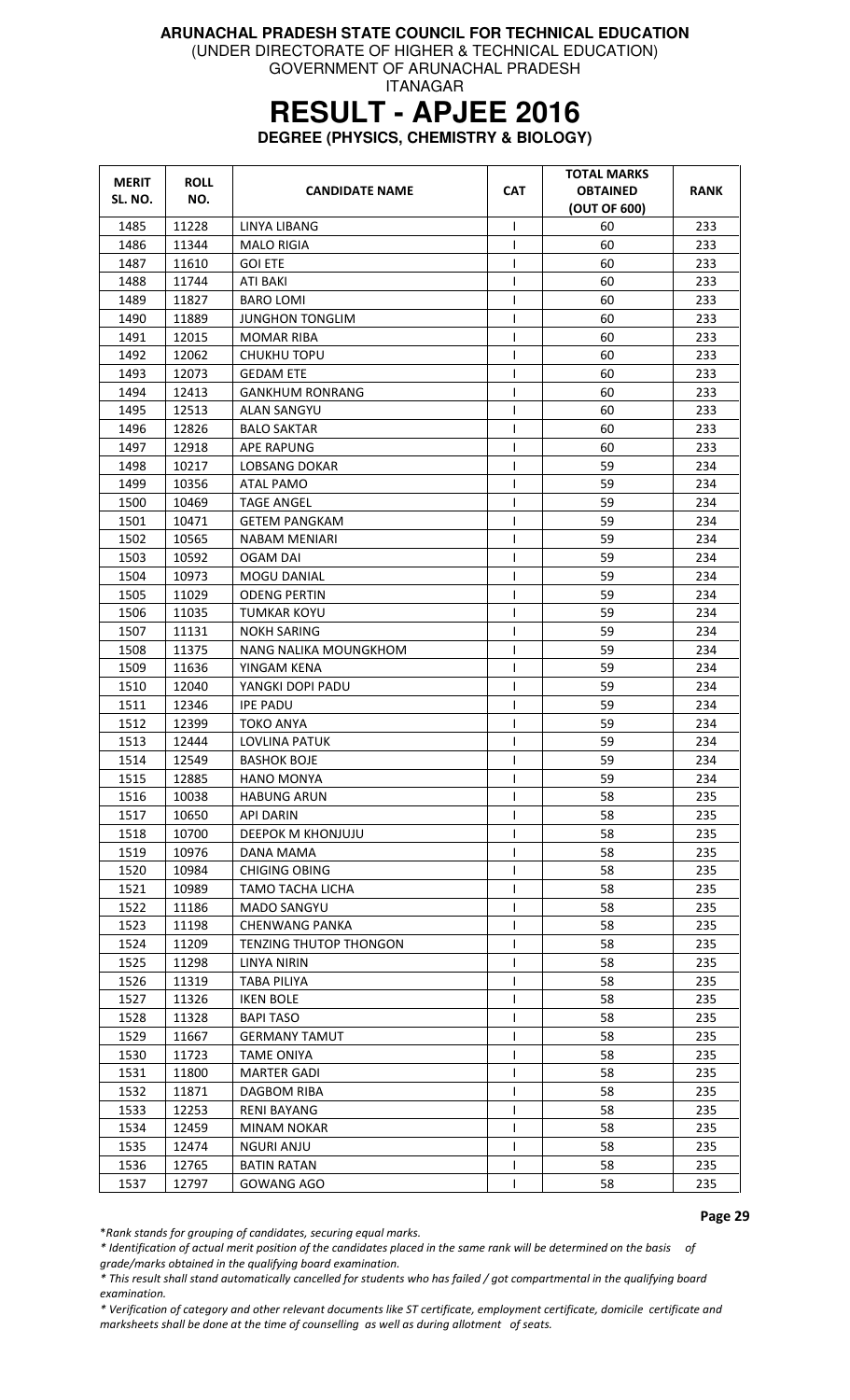(UNDER DIRECTORATE OF HIGHER & TECHNICAL EDUCATION)

GOVERNMENT OF ARUNACHAL PRADESH ITANAGAR

### **RESULT - APJEE 2016**

**DEGREE (PHYSICS, CHEMISTRY & BIOLOGY)** 

| <b>MERIT</b><br>SL. NO. | <b>ROLL</b><br>NO. | <b>CANDIDATE NAME</b>                     | <b>CAT</b>   | <b>TOTAL MARKS</b><br><b>OBTAINED</b><br>(OUT OF 600) | RANK |
|-------------------------|--------------------|-------------------------------------------|--------------|-------------------------------------------------------|------|
| 1485                    | 11228              | LINYA LIBANG                              | T            | 60                                                    | 233  |
| 1486                    | 11344              | <b>MALO RIGIA</b>                         | ı            | 60                                                    | 233  |
| 1487                    | 11610              | <b>GOI ETE</b>                            | $\mathsf{I}$ | 60                                                    | 233  |
| 1488                    | 11744              | ATI BAKI                                  | ı            | 60                                                    | 233  |
| 1489                    | 11827              | <b>BARO LOMI</b>                          | $\mathsf{I}$ | 60                                                    | 233  |
| 1490                    | 11889              | <b>JUNGHON TONGLIM</b>                    | T            | 60                                                    | 233  |
| 1491                    | 12015              | <b>MOMAR RIBA</b>                         | T            | 60                                                    | 233  |
| 1492                    | 12062              | <b>CHUKHU TOPU</b>                        | 1            | 60                                                    | 233  |
| 1493                    | 12073              | <b>GEDAM ETE</b>                          | $\mathsf{l}$ | 60                                                    | 233  |
| 1494                    | 12413              | <b>GANKHUM RONRANG</b>                    | 1            | 60                                                    | 233  |
| 1495                    | 12513              | <b>ALAN SANGYU</b>                        | T            | 60                                                    | 233  |
| 1496                    | 12826              | <b>BALO SAKTAR</b>                        | $\mathbf{I}$ | 60                                                    | 233  |
| 1497                    | 12918              | <b>APE RAPUNG</b>                         | T            | 60                                                    | 233  |
| 1498                    | 10217              | LOBSANG DOKAR                             | 1            | 59                                                    | 234  |
| 1499                    | 10356              | ATAL PAMO                                 | T            | 59                                                    | 234  |
| 1500                    | 10469              | <b>TAGE ANGEL</b>                         | $\mathsf{I}$ | 59                                                    | 234  |
| 1501                    | 10471              | <b>GETEM PANGKAM</b>                      |              | 59                                                    | 234  |
| 1502                    | 10565              | NABAM MENIARI                             | ı            | 59                                                    | 234  |
| 1503                    | 10592              | OGAM DAI                                  | ı            | 59                                                    | 234  |
| 1504                    | 10973              | <b>MOGU DANIAL</b>                        | T            | 59                                                    | 234  |
| 1505                    | 11029              | <b>ODENG PERTIN</b>                       | $\mathbf{I}$ | 59                                                    | 234  |
| 1506                    | 11035              | <b>TUMKAR KOYU</b>                        |              | 59                                                    | 234  |
| 1507                    | 11131              | <b>NOKH SARING</b>                        | 1            | 59                                                    | 234  |
| 1508                    | 11375              | NANG NALIKA MOUNGKHOM                     | 1            | 59                                                    | 234  |
| 1509                    | 11636              | YINGAM KENA                               | T            | 59                                                    | 234  |
| 1510                    | 12040              | YANGKI DOPI PADU                          | T            | 59                                                    | 234  |
| 1511                    | 12346              | <b>IPE PADU</b>                           | T            | 59                                                    | 234  |
| 1512                    | 12399              | TOKO ANYA                                 | ı            | 59                                                    | 234  |
| 1513                    | 12444              | LOVLINA PATUK                             | ı            | 59                                                    | 234  |
| 1514                    | 12549              | <b>BASHOK BOJE</b>                        | $\mathbf{I}$ | 59                                                    | 234  |
| 1515                    | 12885              | HANO MONYA                                | T            | 59                                                    | 234  |
| 1516                    | 10038              | <b>HABUNG ARUN</b>                        | T            | 58                                                    | 235  |
| 1517                    | 10650              | <b>API DARIN</b>                          | L            | 58                                                    | 235  |
| 1518                    | 10700              | DEEPOK M KHONJUJU                         |              | 58                                                    | 235  |
| 1519                    | 10976              | DANA MAMA                                 |              | 58                                                    | 235  |
| 1520                    | 10984              | <b>CHIGING OBING</b>                      |              | 58                                                    | 235  |
| 1521                    | 10989              | <b>TAMO TACHA LICHA</b>                   | $\mathsf{I}$ | 58                                                    | 235  |
| 1522                    | 11186              | <b>MADO SANGYU</b>                        |              | 58                                                    | 235  |
| 1523                    | 11198              | <b>CHENWANG PANKA</b>                     | T            | 58                                                    | 235  |
| 1524                    | 11209              | <b>TENZING THUTOP THONGON</b>             |              | 58                                                    | 235  |
| 1525                    | 11298              | LINYA NIRIN                               |              | 58                                                    | 235  |
| 1526                    | 11319              | TABA PILIYA                               |              | 58                                                    | 235  |
| 1527                    | 11326              | <b>IKEN BOLE</b>                          | $\mathbf{I}$ | 58                                                    | 235  |
| 1528                    | 11328              | <b>BAPI TASO</b>                          | $\mathbf{I}$ | 58                                                    | 235  |
| 1529                    | 11667              |                                           |              | 58                                                    | 235  |
| 1530                    | 11723              | <b>GERMANY TAMUT</b><br><b>TAME ONIYA</b> | $\mathbf{I}$ | 58                                                    | 235  |
| 1531                    | 11800              | <b>MARTER GADI</b>                        | $\mathsf{I}$ | 58                                                    | 235  |
| 1532                    | 11871              | DAGBOM RIBA                               | I.           | 58                                                    | 235  |
| 1533                    | 12253              | <b>RENI BAYANG</b>                        |              | 58                                                    | 235  |
|                         |                    |                                           |              |                                                       |      |
| 1534                    | 12459              | MINAM NOKAR                               |              | 58                                                    | 235  |
| 1535                    | 12474              | <b>NGURI ANJU</b>                         | ı            | 58                                                    | 235  |
| 1536                    | 12765              | <b>BATIN RATAN</b>                        | L            | 58<br>58                                              | 235  |
| 1537                    | 12797              | GOWANG AGO                                |              |                                                       | 235  |

Page 29

\*Rank stands for grouping of candidates, securing equal marks.

\* Identification of actual merit position of the candidates placed in the same rank will be determined on the basis of grade/marks obtained in the qualifying board examination.

\* This result shall stand automatically cancelled for students who has failed / got compartmental in the qualifying board examination.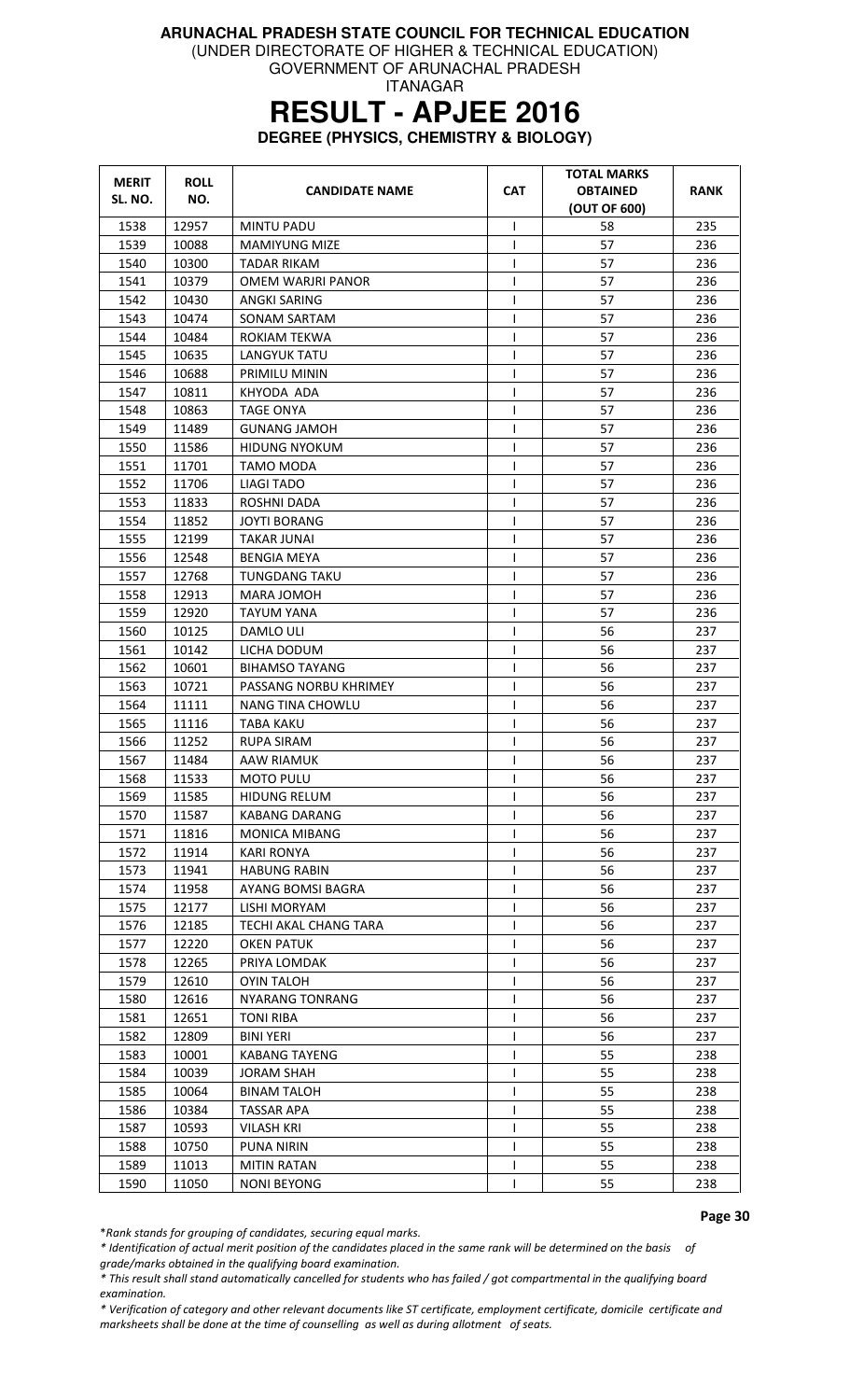(UNDER DIRECTORATE OF HIGHER & TECHNICAL EDUCATION)

GOVERNMENT OF ARUNACHAL PRADESH ITANAGAR

# **RESULT - APJEE 2016**

**DEGREE (PHYSICS, CHEMISTRY & BIOLOGY)** 

| <b>MERIT</b><br>SL. NO. | <b>ROLL</b><br>NO. | <b>CANDIDATE NAME</b>  | <b>CAT</b>   | TOTAL MARKS<br><b>OBTAINED</b><br>(OUT OF 600) | <b>RANK</b> |
|-------------------------|--------------------|------------------------|--------------|------------------------------------------------|-------------|
| 1538                    | 12957              | <b>MINTU PADU</b>      | I.           | 58                                             | 235         |
| 1539                    | 10088              | <b>MAMIYUNG MIZE</b>   | $\mathbf{I}$ | 57                                             | 236         |
| 1540                    | 10300              | <b>TADAR RIKAM</b>     |              | 57                                             | 236         |
| 1541                    | 10379              | OMEM WARJRI PANOR      | ı            | 57                                             | 236         |
| 1542                    | 10430              | ANGKI SARING           | ı            | 57                                             | 236         |
| 1543                    | 10474              | <b>SONAM SARTAM</b>    | $\mathbf{I}$ | 57                                             | 236         |
| 1544                    | 10484              | ROKIAM TEKWA           | $\mathbf{I}$ | 57                                             | 236         |
| 1545                    | 10635              | <b>LANGYUK TATU</b>    |              | 57                                             | 236         |
| 1546                    | 10688              | PRIMILU MININ          |              | 57                                             | 236         |
| 1547                    | 10811              | KHYODA ADA             | ı            | 57                                             | 236         |
| 1548                    | 10863              | <b>TAGE ONYA</b>       | $\mathbf{I}$ | 57                                             | 236         |
| 1549                    | 11489              | <b>GUNANG JAMOH</b>    |              | 57                                             | 236         |
| 1550                    | 11586              | <b>HIDUNG NYOKUM</b>   | T            | 57                                             | 236         |
| 1551                    | 11701              | TAMO MODA              | $\mathsf{I}$ | 57                                             | 236         |
| 1552                    | 11706              | <b>LIAGI TADO</b>      | $\mathsf{I}$ | 57                                             | 236         |
| 1553                    | 11833              | ROSHNI DADA            | $\mathsf{I}$ | 57                                             | 236         |
| 1554                    | 11852              | <b>JOYTI BORANG</b>    |              | 57                                             | 236         |
| 1555                    | 12199              | TAKAR JUNAI            | 1            | 57                                             | 236         |
| 1556                    | 12548              | <b>BENGIA MEYA</b>     | ı            | 57                                             | 236         |
| 1557                    | 12768              | <b>TUNGDANG TAKU</b>   | ı            | 57                                             | 236         |
| 1558                    | 12913              | MARA JOMOH             |              | 57                                             | 236         |
| 1559                    | 12920              | <b>TAYUM YANA</b>      |              | 57                                             | 236         |
| 1560                    | 10125              | DAMLO ULI              | $\mathsf{I}$ | 56                                             | 237         |
| 1561                    | 10142              | LICHA DODUM            | $\mathsf{I}$ | 56                                             | 237         |
| 1562                    | 10601              | <b>BIHAMSO TAYANG</b>  | T            | 56                                             | 237         |
| 1563                    | 10721              | PASSANG NORBU KHRIMEY  | T            | 56                                             | 237         |
| 1564                    | 11111              | NANG TINA CHOWLU       |              | 56                                             | 237         |
| 1565                    | 11116              | <b>TABA KAKU</b>       |              | 56                                             | 237         |
| 1566                    | 11252              | <b>RUPA SIRAM</b>      | T            | 56                                             | 237         |
| 1567                    | 11484              | AAW RIAMUK             | 1            | 56                                             | 237         |
|                         |                    |                        |              |                                                |             |
| 1568                    | 11533              | <b>MOTO PULU</b>       | $\mathsf{I}$ | 56                                             | 237         |
| 1569                    | 11585              | <b>HIDUNG RELUM</b>    | ı            | 56                                             | 237         |
| 1570                    | 11587              | <b>KABANG DARANG</b>   |              | 56                                             | 237         |
| 1571                    | 11816              | <b>MONICA MIBANG</b>   |              | 56                                             | 237         |
| 1572                    | 11914              | <b>KARI RONYA</b>      |              | 56                                             | 237         |
| 1573                    | 11941              | <b>HABUNG RABIN</b>    |              | 56                                             | 237         |
| 1574                    | 11958              | AYANG BOMSI BAGRA      |              | 56                                             | 237         |
| 1575                    | 12177              | LISHI MORYAM           | $\mathsf{I}$ | 56                                             | 237         |
| 1576                    | 12185              | TECHI AKAL CHANG TARA  |              | 56                                             | 237         |
| 1577                    | 12220              | <b>OKEN PATUK</b>      |              | 56                                             | 237         |
| 1578                    | 12265              | PRIYA LOMDAK           |              | 56                                             | 237         |
| 1579                    | 12610              | <b>OYIN TALOH</b>      | $\mathbf{I}$ | 56                                             | 237         |
| 1580                    | 12616              | <b>NYARANG TONRANG</b> |              | 56                                             | 237         |
| 1581                    | 12651              | <b>TONI RIBA</b>       |              | 56                                             | 237         |
| 1582                    | 12809              | <b>BINI YERI</b>       |              | 56                                             | 237         |
| 1583                    | 10001              | KABANG TAYENG          |              | 55                                             | 238         |
| 1584                    | 10039              | <b>JORAM SHAH</b>      | $\mathsf{I}$ | 55                                             | 238         |
| 1585                    | 10064              | <b>BINAM TALOH</b>     |              | 55                                             | 238         |
| 1586                    | 10384              | <b>TASSAR APA</b>      |              | 55                                             | 238         |
| 1587                    | 10593              | <b>VILASH KRI</b>      | $\mathsf{I}$ | 55                                             | 238         |
| 1588                    | 10750              | <b>PUNA NIRIN</b>      |              | 55                                             | 238         |
| 1589                    | 11013              | <b>MITIN RATAN</b>     | L            | 55                                             | 238         |
| 1590                    | 11050              | <b>NONI BEYONG</b>     |              | 55                                             | 238         |

Page 30

\*Rank stands for grouping of candidates, securing equal marks.

\* Identification of actual merit position of the candidates placed in the same rank will be determined on the basis of grade/marks obtained in the qualifying board examination.

\* This result shall stand automatically cancelled for students who has failed / got compartmental in the qualifying board examination.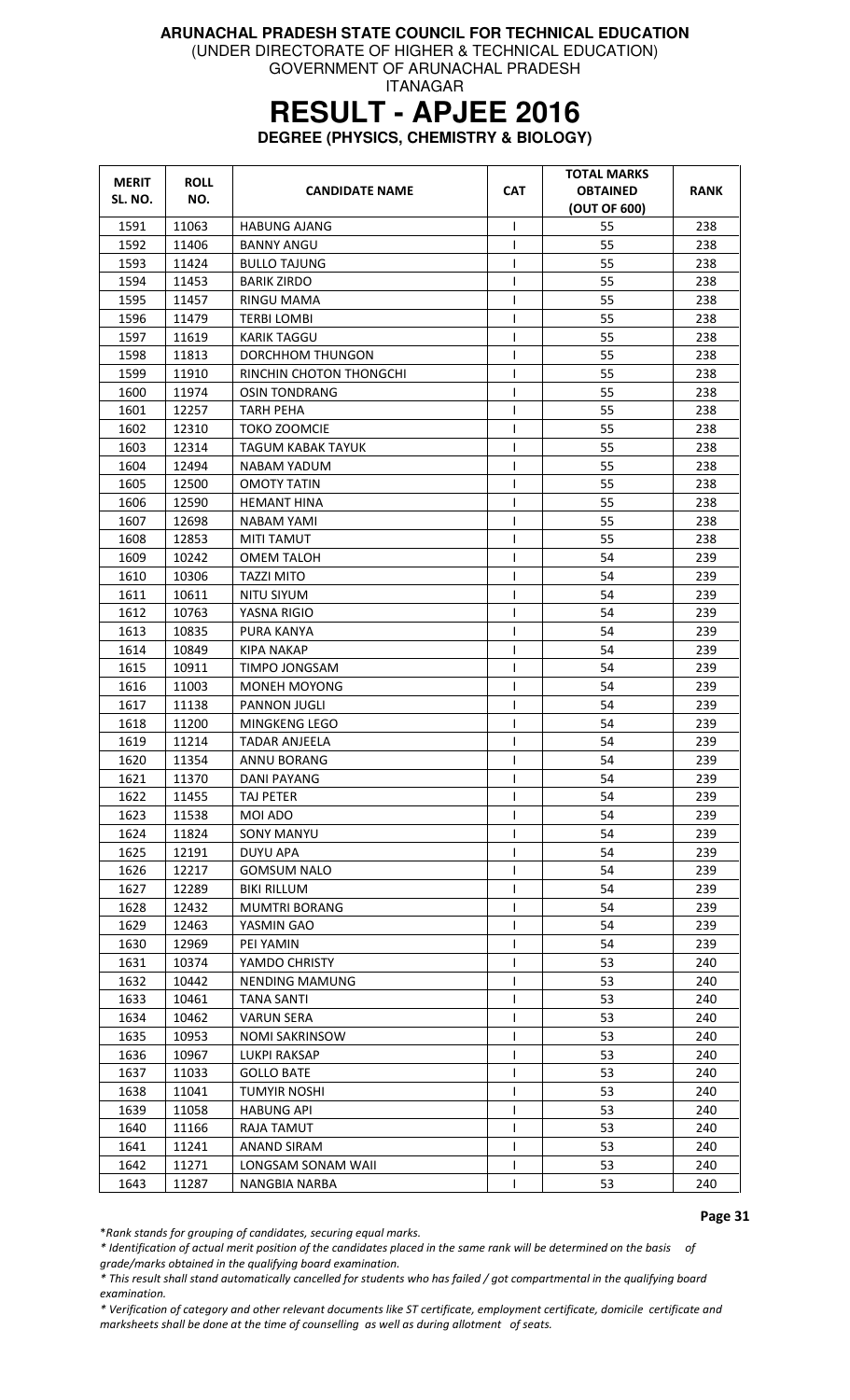(UNDER DIRECTORATE OF HIGHER & TECHNICAL EDUCATION)

GOVERNMENT OF ARUNACHAL PRADESH ITANAGAR

# **RESULT - APJEE 2016**

**DEGREE (PHYSICS, CHEMISTRY & BIOLOGY)** 

| <b>MERIT</b> | <b>ROLL</b> | <b>CANDIDATE NAME</b>    | <b>CAT</b>   | <b>TOTAL MARKS</b><br><b>OBTAINED</b> | RANK |
|--------------|-------------|--------------------------|--------------|---------------------------------------|------|
| SL. NO.      | NO.         |                          |              | (OUT OF 600)                          |      |
| 1591         | 11063       | <b>HABUNG AJANG</b>      | T            | 55                                    | 238  |
| 1592         | 11406       | <b>BANNY ANGU</b>        | T            | 55                                    | 238  |
| 1593         | 11424       | <b>BULLO TAJUNG</b>      | T            | 55                                    | 238  |
| 1594         | 11453       | <b>BARIK ZIRDO</b>       | $\mathsf{I}$ | 55                                    | 238  |
| 1595         | 11457       | RINGU MAMA               | I            | 55                                    | 238  |
| 1596         | 11479       | <b>TERBI LOMBI</b>       | $\mathsf{I}$ | 55                                    | 238  |
| 1597         | 11619       | <b>KARIK TAGGU</b>       | T            | 55                                    | 238  |
| 1598         | 11813       | DORCHHOM THUNGON         | $\mathsf{I}$ | 55                                    | 238  |
| 1599         | 11910       | RINCHIN CHOTON THONGCHI  | T            | 55                                    | 238  |
| 1600         | 11974       | OSIN TONDRANG            | T            | 55                                    | 238  |
| 1601         | 12257       | <b>TARH PEHA</b>         | ı            | 55                                    | 238  |
| 1602         | 12310       | TOKO ZOOMCIE             | $\mathsf{l}$ | 55                                    | 238  |
| 1603         | 12314       | <b>TAGUM KABAK TAYUK</b> | T            | 55                                    | 238  |
| 1604         | 12494       | NABAM YADUM              | ı            | 55                                    | 238  |
| 1605         | 12500       | <b>OMOTY TATIN</b>       | $\mathsf{l}$ | 55                                    | 238  |
| 1606         | 12590       | <b>HEMANT HINA</b>       | T            | 55                                    | 238  |
| 1607         | 12698       | NABAM YAMI               | T            | 55                                    | 238  |
| 1608         | 12853       | <b>MITI TAMUT</b>        | $\mathsf{I}$ | 55                                    | 238  |
| 1609         | 10242       | OMEM TALOH               | $\mathsf{l}$ | 54                                    | 239  |
| 1610         | 10306       | TAZZI MITO               | ı            | 54                                    | 239  |
| 1611         | 10611       | NITU SIYUM               | $\mathsf{I}$ | 54                                    | 239  |
| 1612         | 10763       | YASNA RIGIO              | T            | 54                                    | 239  |
| 1613         | 10835       | PURA KANYA               | T            | 54                                    | 239  |
| 1614         | 10849       | KIPA NAKAP               | T            | 54                                    | 239  |
| 1615         | 10911       | TIMPO JONGSAM            | T            | 54                                    | 239  |
| 1616         | 11003       | MONEH MOYONG             | I            | 54                                    | 239  |
| 1617         | 11138       | PANNON JUGLI             | T            | 54                                    | 239  |
| 1618         | 11200       | MINGKENG LEGO            | T            | 54                                    | 239  |
| 1619         | 11214       | TADAR ANJEELA            | I            | 54                                    | 239  |
| 1620         | 11354       | ANNU BORANG              | T            | 54                                    | 239  |
| 1621         | 11370       | DANI PAYANG              | L            | 54                                    | 239  |
| 1622         | 11455       | TAJ PETER                | $\mathsf{l}$ | 54                                    | 239  |
| 1623         | 11538       | MOI ADO                  |              | 54                                    | 239  |
| 1624         | 11824       | <b>SONY MANYU</b>        | T            | 54                                    | 239  |
| 1625         | 12191       | <b>DUYU APA</b>          | I            | 54                                    | 239  |
| 1626         | 12217       | <b>GOMSUM NALO</b>       | $\mathsf{l}$ | 54                                    | 239  |
| 1627         | 12289       | <b>BIKI RILLUM</b>       | $\mathsf{l}$ | 54                                    | 239  |
| 1628         | 12432       | MUMTRI BORANG            | T            | 54                                    | 239  |
| 1629         | 12463       | YASMIN GAO               | T            | 54                                    | 239  |
| 1630         | 12969       | PEI YAMIN                | T            | 54                                    | 239  |
| 1631         | 10374       | YAMDO CHRISTY            | $\mathsf{l}$ | 53                                    | 240  |
| 1632         | 10442       | NENDING MAMUNG           | T            | 53                                    | 240  |
| 1633         | 10461       | TANA SANTI               | L            | 53                                    | 240  |
| 1634         | 10462       | <b>VARUN SERA</b>        | T            | 53                                    | 240  |
| 1635         | 10953       | <b>NOMI SAKRINSOW</b>    | T            | 53                                    | 240  |
| 1636         | 10967       | <b>LUKPI RAKSAP</b>      | T            | 53                                    | 240  |
| 1637         | 11033       | <b>GOLLO BATE</b>        | $\mathsf{l}$ | 53                                    | 240  |
| 1638         | 11041       | TUMYIR NOSHI             | $\mathsf{l}$ | 53                                    | 240  |
| 1639         | 11058       | <b>HABUNG API</b>        | T            | 53                                    | 240  |
| 1640         | 11166       | RAJA TAMUT               | T            | 53                                    | 240  |
| 1641         | 11241       | ANAND SIRAM              | T            | 53                                    | 240  |
| 1642         | 11271       | LONGSAM SONAM WAII       | T            | 53                                    | 240  |
| 1643         | 11287       | NANGBIA NARBA            | ı            | 53                                    | 240  |

Page 31

\*Rank stands for grouping of candidates, securing equal marks.

\* Identification of actual merit position of the candidates placed in the same rank will be determined on the basis of grade/marks obtained in the qualifying board examination.

\* This result shall stand automatically cancelled for students who has failed / got compartmental in the qualifying board examination.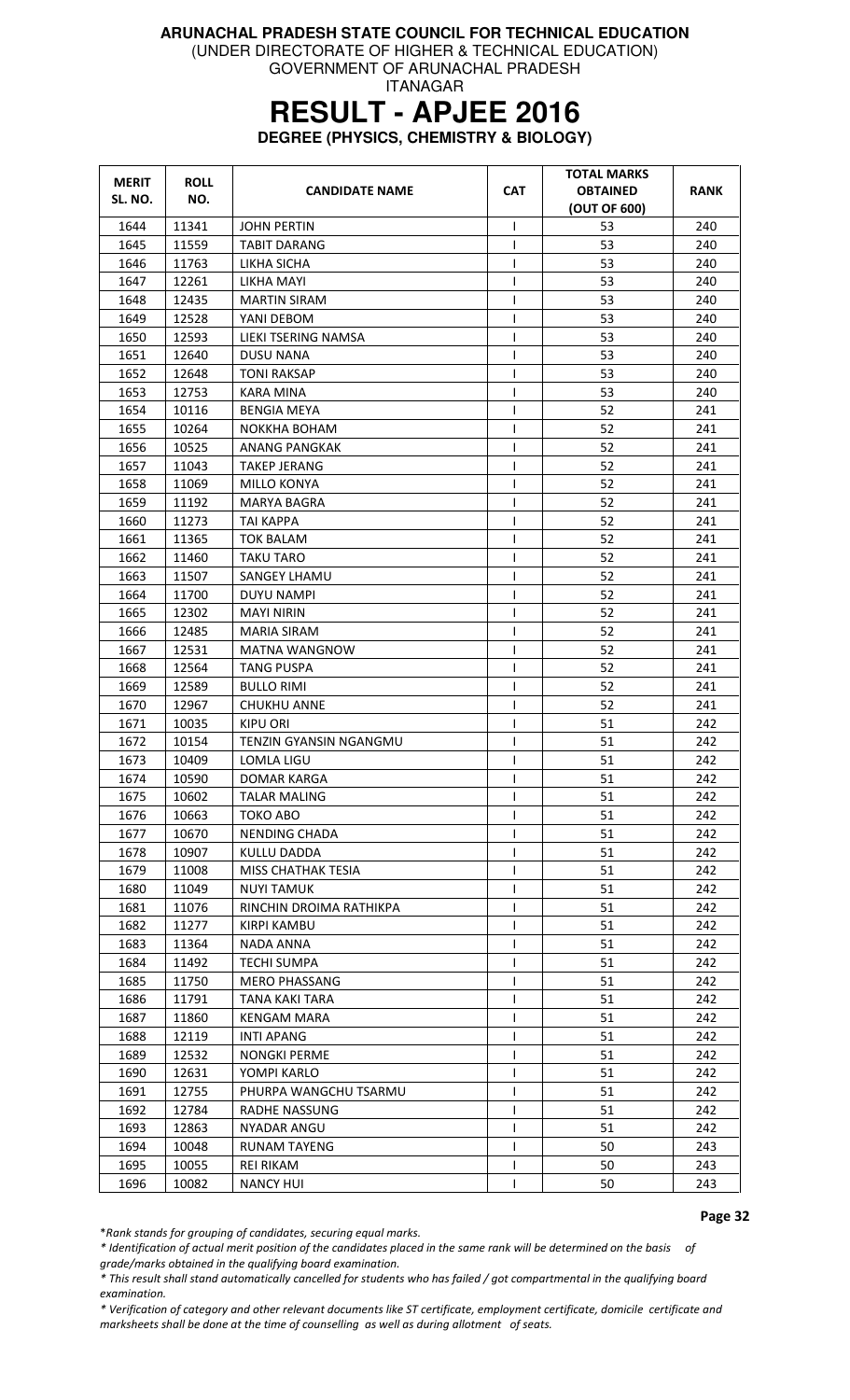(UNDER DIRECTORATE OF HIGHER & TECHNICAL EDUCATION)

GOVERNMENT OF ARUNACHAL PRADESH ITANAGAR

# **RESULT - APJEE 2016**

**DEGREE (PHYSICS, CHEMISTRY & BIOLOGY)** 

| <b>MERIT</b><br>SL. NO. | <b>ROLL</b><br>NO. | <b>CANDIDATE NAME</b>     | <b>CAT</b>   | <b>TOTAL MARKS</b><br><b>OBTAINED</b><br>(OUT OF 600) | RANK |
|-------------------------|--------------------|---------------------------|--------------|-------------------------------------------------------|------|
| 1644                    | 11341              | <b>JOHN PERTIN</b>        | I            | 53                                                    | 240  |
| 1645                    | 11559              | <b>TABIT DARANG</b>       | $\mathbf{I}$ | 53                                                    | 240  |
| 1646                    | 11763              | LIKHA SICHA               | $\mathbf{I}$ | 53                                                    | 240  |
| 1647                    | 12261              | LIKHA MAYI                | 1            | 53                                                    | 240  |
| 1648                    | 12435              | <b>MARTIN SIRAM</b>       | I            | 53                                                    | 240  |
| 1649                    | 12528              | YANI DEBOM                | $\mathsf{I}$ | 53                                                    | 240  |
| 1650                    | 12593              | LIEKI TSERING NAMSA       | $\mathsf{I}$ | 53                                                    | 240  |
| 1651                    | 12640              | <b>DUSU NANA</b>          | T            | 53                                                    | 240  |
| 1652                    | 12648              | <b>TONI RAKSAP</b>        | 1            | 53                                                    | 240  |
| 1653                    | 12753              | KARA MINA                 | 1            | 53                                                    | 240  |
| 1654                    | 10116              | <b>BENGIA MEYA</b>        | I            | 52                                                    | 241  |
| 1655                    | 10264              | NOKKHA BOHAM              | T            | 52                                                    | 241  |
| 1656                    | 10525              | ANANG PANGKAK             |              | 52                                                    | 241  |
| 1657                    | 11043              | <b>TAKEP JERANG</b>       | T            | 52                                                    | 241  |
| 1658                    | 11069              | <b>MILLO KONYA</b>        | $\mathsf{I}$ | 52                                                    | 241  |
| 1659                    | 11192              | <b>MARYA BAGRA</b>        | I            | 52                                                    | 241  |
| 1660                    | 11273              | TAI KAPPA                 | T            | 52                                                    | 241  |
| 1661                    | 11365              | TOK BALAM                 |              | 52                                                    | 241  |
| 1662                    | 11460              | TAKU TARO                 | $\mathbf{I}$ | 52                                                    | 241  |
| 1663                    | 11507              | <b>SANGEY LHAMU</b>       | $\mathsf{I}$ | 52                                                    | 241  |
| 1664                    | 11700              | <b>DUYU NAMPI</b>         | I            | 52                                                    | 241  |
| 1665                    | 12302              | MAYI NIRIN                | ı            | 52                                                    | 241  |
| 1666                    | 12485              | MARIA SIRAM               |              | 52                                                    | 241  |
| 1667                    | 12531              | MATNA WANGNOW             | I            | 52                                                    | 241  |
| 1668                    | 12564              | <b>TANG PUSPA</b>         | ı            | 52                                                    | 241  |
| 1669                    | 12589              | <b>BULLO RIMI</b>         | $\mathsf{I}$ | 52                                                    | 241  |
| 1670                    | 12967              | <b>CHUKHU ANNE</b>        | T            | 52                                                    | 241  |
| 1671                    | 10035              | <b>KIPU ORI</b>           | T            | 51                                                    | 242  |
| 1672                    | 10154              | TENZIN GYANSIN NGANGMU    | I            | 51                                                    | 242  |
| 1673                    | 10409              | LOMLA LIGU                | $\mathsf{I}$ | 51                                                    | 242  |
| 1674                    | 10590              | <b>DOMAR KARGA</b>        | $\mathbf{I}$ | 51                                                    | 242  |
| 1675                    | 10602              | <b>TALAR MALING</b>       | ı            | 51                                                    | 242  |
| 1676                    | 10663              | TOKO ABO                  |              | 51                                                    | 242  |
| 1677                    | 10670              | <b>NENDING CHADA</b>      |              | 51                                                    | 242  |
| 1678                    | 10907              | KULLU DADDA               |              | 51                                                    | 242  |
| 1679                    | 11008              | <b>MISS CHATHAK TESIA</b> | $\mathbf{I}$ | 51                                                    | 242  |
| 1680                    | 11049              | <b>NUYI TAMUK</b>         |              | 51                                                    | 242  |
| 1681                    | 11076              | RINCHIN DROIMA RATHIKPA   |              | 51                                                    | 242  |
| 1682                    | 11277              | <b>KIRPI KAMBU</b>        |              | 51                                                    | 242  |
| 1683                    | 11364              | <b>NADA ANNA</b>          | T            | 51                                                    | 242  |
| 1684                    | 11492              | <b>TECHI SUMPA</b>        | $\mathsf{I}$ | 51                                                    | 242  |
| 1685                    | 11750              | <b>MERO PHASSANG</b>      |              | 51                                                    | 242  |
| 1686                    | 11791              | TANA KAKI TARA            |              | 51                                                    | 242  |
| 1687                    | 11860              | <b>KENGAM MARA</b>        |              | 51                                                    | 242  |
| 1688                    | 12119              | <b>INTI APANG</b>         |              | 51                                                    | 242  |
| 1689                    | 12532              | <b>NONGKI PERME</b>       |              | 51                                                    | 242  |
| 1690                    | 12631              | YOMPI KARLO               | $\mathbf{I}$ | 51                                                    | 242  |
| 1691                    | 12755              | PHURPA WANGCHU TSARMU     | I.           | 51                                                    | 242  |
| 1692                    | 12784              | <b>RADHE NASSUNG</b>      | T            | 51                                                    | 242  |
| 1693                    | 12863              | <b>NYADAR ANGU</b>        |              | 51                                                    | 242  |
| 1694                    | 10048              | <b>RUNAM TAYENG</b>       |              | 50                                                    | 243  |
| 1695                    | 10055              | <b>REI RIKAM</b>          |              | 50                                                    | 243  |
| 1696                    | 10082              | <b>NANCY HUI</b>          |              | 50                                                    | 243  |

Page 32

\*Rank stands for grouping of candidates, securing equal marks.

\* Identification of actual merit position of the candidates placed in the same rank will be determined on the basis of grade/marks obtained in the qualifying board examination.

\* This result shall stand automatically cancelled for students who has failed / got compartmental in the qualifying board examination.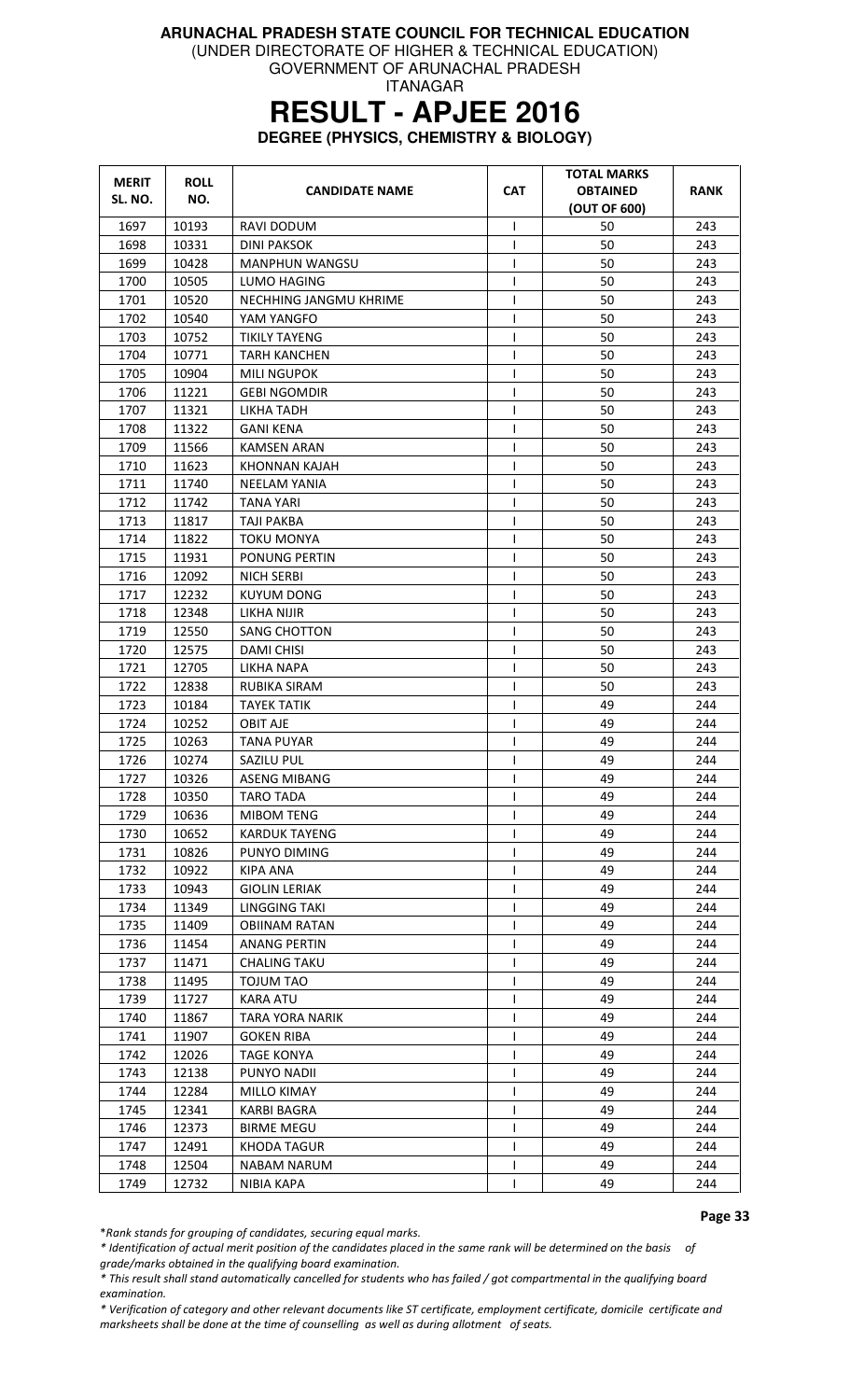(UNDER DIRECTORATE OF HIGHER & TECHNICAL EDUCATION)

GOVERNMENT OF ARUNACHAL PRADESH ITANAGAR

# **RESULT - APJEE 2016**

**DEGREE (PHYSICS, CHEMISTRY & BIOLOGY)** 

| <b>MERIT</b><br>SL. NO. | <b>ROLL</b><br>NO. | <b>CANDIDATE NAME</b>  | <b>CAT</b>   | <b>TOTAL MARKS</b><br><b>OBTAINED</b><br>(OUT OF 600) | <b>RANK</b> |
|-------------------------|--------------------|------------------------|--------------|-------------------------------------------------------|-------------|
| 1697                    | 10193              | RAVI DODUM             | $\mathsf{l}$ | 50                                                    | 243         |
| 1698                    | 10331              | <b>DINI PAKSOK</b>     | L            | 50                                                    | 243         |
| 1699                    | 10428              | MANPHUN WANGSU         | T            | 50                                                    | 243         |
| 1700                    | 10505              | LUMO HAGING            | T            | 50                                                    | 243         |
| 1701                    | 10520              | NECHHING JANGMU KHRIME | T            | 50                                                    | 243         |
| 1702                    | 10540              | YAM YANGFO             | $\mathsf{l}$ | 50                                                    | 243         |
| 1703                    | 10752              | <b>TIKILY TAYENG</b>   | $\mathbf{I}$ | 50                                                    | 243         |
| 1704                    | 10771              | <b>TARH KANCHEN</b>    | T            | 50                                                    | 243         |
| 1705                    | 10904              | MILI NGUPOK            | T            | 50                                                    | 243         |
| 1706                    | 11221              | <b>GEBI NGOMDIR</b>    | $\mathsf{l}$ | 50                                                    | 243         |
| 1707                    | 11321              | LIKHA TADH             | $\mathsf{I}$ | 50                                                    | 243         |
| 1708                    | 11322              | <b>GANI KENA</b>       | T            | 50                                                    | 243         |
| 1709                    | 11566              | <b>KAMSEN ARAN</b>     | T            | 50                                                    | 243         |
| 1710                    | 11623              | KHONNAN KAJAH          | T            | 50                                                    | 243         |
| 1711                    | 11740              | <b>NEELAM YANIA</b>    | T            | 50                                                    | 243         |
| 1712                    | 11742              | <b>TANA YARI</b>       | T            | 50                                                    | 243         |
| 1713                    | 11817              | TAJI PAKBA             | T            | 50                                                    | 243         |
| 1714                    | 11822              | <b>TOKU MONYA</b>      | T            | 50                                                    | 243         |
| 1715                    | 11931              | PONUNG PERTIN          | I            | 50                                                    | 243         |
| 1716                    | 12092              | <b>NICH SERBI</b>      | $\mathsf{l}$ | 50                                                    | 243         |
| 1717                    | 12232              | KUYUM DONG             | T            | 50                                                    | 243         |
| 1718                    | 12348              | LIKHA NIJIR            | T            | 50                                                    | 243         |
| 1719                    | 12550              | <b>SANG CHOTTON</b>    | $\mathsf{I}$ | 50                                                    | 243         |
| 1720                    | 12575              | <b>DAMI CHISI</b>      | $\mathsf{I}$ | 50                                                    | 243         |
| 1721                    | 12705              | LIKHA NAPA             |              | 50                                                    | 243         |
| 1722                    | 12838              |                        | T            | 50                                                    | 243         |
|                         |                    | RUBIKA SIRAM           | L            |                                                       |             |
| 1723                    | 10184              | <b>TAYEK TATIK</b>     | $\mathsf{I}$ | 49                                                    | 244         |
| 1724                    | 10252              | <b>OBIT AJE</b>        | ı            | 49                                                    | 244         |
| 1725                    | 10263              | <b>TANA PUYAR</b>      | T            | 49                                                    | 244         |
| 1726                    | 10274              | SAZILU PUL             | I            | 49                                                    | 244         |
| 1727                    | 10326              | ASENG MIBANG           | L            | 49                                                    | 244         |
| 1728                    | 10350              | <b>TARO TADA</b>       | $\mathsf{I}$ | 49                                                    | 244         |
| 1729                    | 10636              | MIBOM TENG             |              | 49                                                    | 244         |
| 1730                    | 10652              | <b>KARDUK TAYENG</b>   | I            | 49                                                    | 244         |
| 1731                    | 10826              | PUNYO DIMING           | T            | 49                                                    | 244         |
| 1732                    | 10922              | KIPA ANA               | T            | 49                                                    | 244         |
| 1733                    | 10943              | <b>GIOLIN LERIAK</b>   | T            | 49                                                    | 244         |
| 1734                    | 11349              | LINGGING TAKI          | T            | 49                                                    | 244         |
| 1735                    | 11409              | <b>OBIINAM RATAN</b>   | I            | 49                                                    | 244         |
| 1736                    | 11454              | <b>ANANG PERTIN</b>    | T            | 49                                                    | 244         |
| 1737                    | 11471              | <b>CHALING TAKU</b>    | T            | 49                                                    | 244         |
| 1738                    | 11495              | <b>TOJUM TAO</b>       | $\mathsf{l}$ | 49                                                    | 244         |
| 1739                    | 11727              | <b>KARA ATU</b>        | I            | 49                                                    | 244         |
| 1740                    | 11867              | <b>TARA YORA NARIK</b> | T            | 49                                                    | 244         |
| 1741                    | 11907              | <b>GOKEN RIBA</b>      | T            | 49                                                    | 244         |
| 1742                    | 12026              | <b>TAGE KONYA</b>      | T            | 49                                                    | 244         |
| 1743                    | 12138              | PUNYO NADII            | T            | 49                                                    | 244         |
| 1744                    | 12284              | MILLO KIMAY            | $\mathsf{l}$ | 49                                                    | 244         |
| 1745                    | 12341              | <b>KARBI BAGRA</b>     | I            | 49                                                    | 244         |
| 1746                    | 12373              | <b>BIRME MEGU</b>      | $\mathbf{I}$ | 49                                                    | 244         |
| 1747                    | 12491              | <b>KHODA TAGUR</b>     | T            | 49                                                    | 244         |
| 1748                    | 12504              | NABAM NARUM            | I            | 49                                                    | 244         |
| 1749                    | 12732              | NIBIA KAPA             | T            | 49                                                    | 244         |

Page 33

\*Rank stands for grouping of candidates, securing equal marks.

\* Identification of actual merit position of the candidates placed in the same rank will be determined on the basis of grade/marks obtained in the qualifying board examination.

\* This result shall stand automatically cancelled for students who has failed / got compartmental in the qualifying board examination.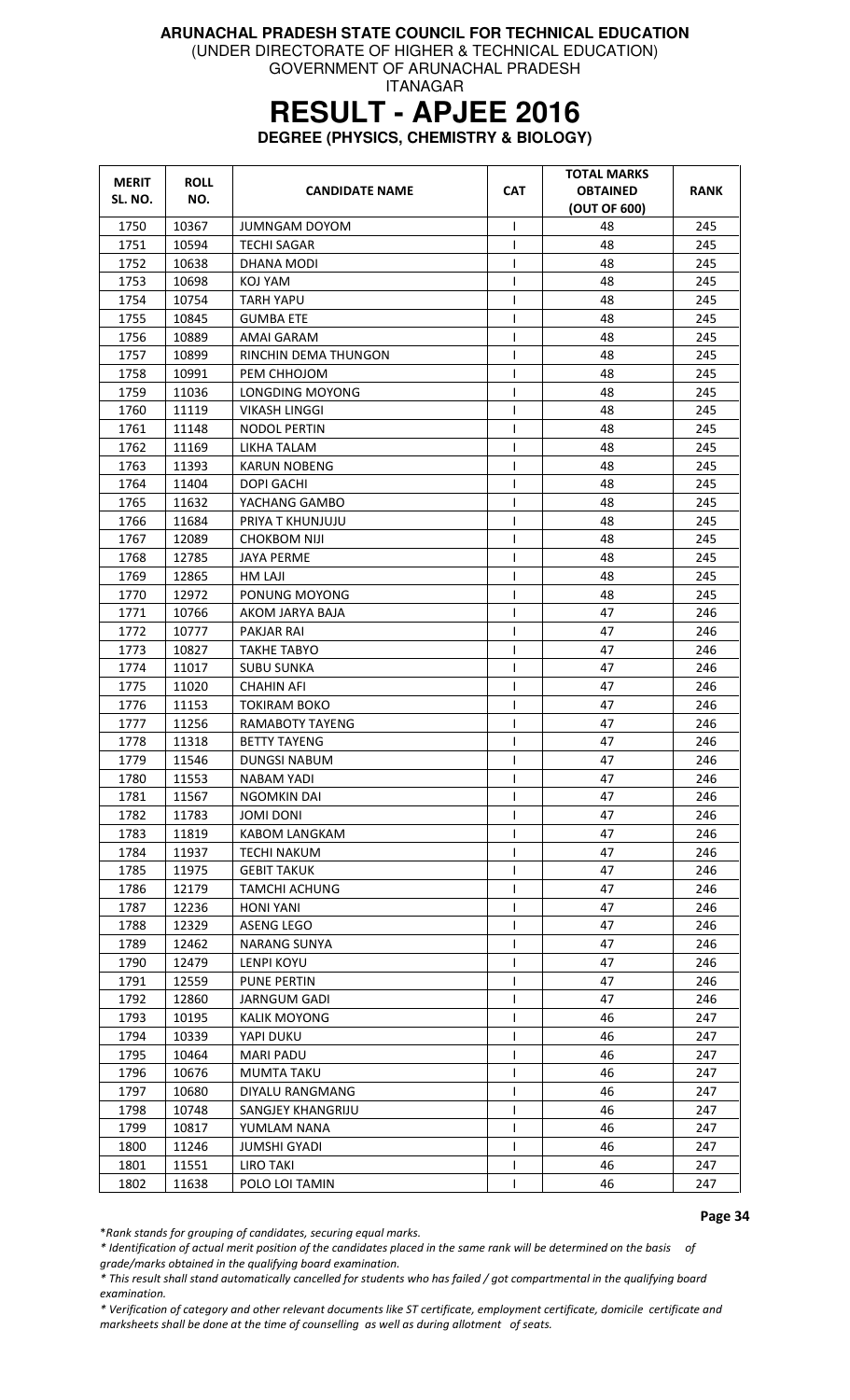(UNDER DIRECTORATE OF HIGHER & TECHNICAL EDUCATION)

GOVERNMENT OF ARUNACHAL PRADESH ITANAGAR

# **RESULT - APJEE 2016**

**DEGREE (PHYSICS, CHEMISTRY & BIOLOGY)** 

| <b>MERIT</b><br>SL. NO. | <b>ROLL</b><br>NO. | <b>CANDIDATE NAME</b> | <b>CAT</b>   | <b>TOTAL MARKS</b><br><b>OBTAINED</b><br>(OUT OF 600) | <b>RANK</b> |
|-------------------------|--------------------|-----------------------|--------------|-------------------------------------------------------|-------------|
| 1750                    | 10367              | <b>JUMNGAM DOYOM</b>  | T            | 48                                                    | 245         |
| 1751                    | 10594              | <b>TECHI SAGAR</b>    | $\mathsf{I}$ | 48                                                    | 245         |
| 1752                    | 10638              | DHANA MODI            | T            | 48                                                    | 245         |
| 1753                    | 10698              | KOJ YAM               | I            | 48                                                    | 245         |
| 1754                    | 10754              | <b>TARH YAPU</b>      | ı            | 48                                                    | 245         |
| 1755                    | 10845              | <b>GUMBA ETE</b>      | $\mathsf{I}$ | 48                                                    | 245         |
| 1756                    | 10889              | AMAI GARAM            | T            | 48                                                    | 245         |
| 1757                    | 10899              | RINCHIN DEMA THUNGON  | 1            | 48                                                    | 245         |
| 1758                    | 10991              | PEM CHHOJOM           | $\mathbf{I}$ | 48                                                    | 245         |
| 1759                    | 11036              | LONGDING MOYONG       | 1            | 48                                                    | 245         |
| 1760                    | 11119              | <b>VIKASH LINGGI</b>  |              | 48                                                    | 245         |
| 1761                    | 11148              | NODOL PERTIN          | $\mathbf{I}$ | 48                                                    | 245         |
| 1762                    | 11169              | LIKHA TALAM           | T            | 48                                                    | 245         |
| 1763                    | 11393              | <b>KARUN NOBENG</b>   | 1            | 48                                                    | 245         |
| 1764                    | 11404              | DOPI GACHI            | $\mathsf{I}$ | 48                                                    | 245         |
| 1765                    | 11632              | YACHANG GAMBO         | T            | 48                                                    | 245         |
| 1766                    | 11684              | PRIYA T KHUNJUJU      |              | 48                                                    | 245         |
| 1767                    | 12089              | <b>CHOKBOM NIJI</b>   |              | 48                                                    | 245         |
| 1768                    | 12785              | <b>JAYA PERME</b>     | I            | 48                                                    | 245         |
| 1769                    | 12865              | <b>HM LAJI</b>        | $\mathbf{I}$ | 48                                                    | 245         |
| 1770                    | 12972              | PONUNG MOYONG         | T            | 48                                                    | 245         |
| 1771                    | 10766              | AKOM JARYA BAJA       |              | 47                                                    | 246         |
| 1772                    | 10777              | PAKJAR RAI            |              | 47                                                    | 246         |
| 1773                    | 10827              | <b>TAKHE TABYO</b>    | $\mathbf{I}$ | 47                                                    | 246         |
| 1774                    | 11017              | <b>SUBU SUNKA</b>     | T            | 47                                                    | 246         |
| 1775                    | 11020              | CHAHIN AFI            | T            | 47                                                    | 246         |
| 1776                    | 11153              | <b>TOKIRAM BOKO</b>   | T            | 47                                                    | 246         |
| 1777                    | 11256              | RAMABOTY TAYENG       | $\mathbf{I}$ | 47                                                    | 246         |
| 1778                    | 11318              | <b>BETTY TAYENG</b>   | $\mathsf{l}$ | 47                                                    | 246         |
| 1779                    | 11546              | <b>DUNGSI NABUM</b>   |              | 47                                                    | 246         |
| 1780                    | 11553              | NABAM YADI            |              | 47                                                    | 246         |
| 1781                    | 11567              | <b>NGOMKIN DAI</b>    | T            | 47                                                    | 246         |
| 1782                    | 11783              | <b>JOMI DONI</b>      | $\mathbf{I}$ | 47                                                    | 246         |
| 1783                    | 11819              | <b>KABOM LANGKAM</b>  |              | 47                                                    | 246         |
| 1784                    | 11937              | <b>TECHI NAKUM</b>    |              | 47                                                    | 246         |
| 1785                    | 11975              | <b>GEBIT TAKUK</b>    |              | 47                                                    | 246         |
| 1786                    | 12179              | <b>TAMCHI ACHUNG</b>  |              | 47                                                    | 246         |
| 1787                    | 12236              | HONI YANI             |              | 47                                                    | 246         |
| 1788                    | 12329              | <b>ASENG LEGO</b>     | $\mathsf{I}$ | 47                                                    | 246         |
| 1789                    | 12462              | <b>NARANG SUNYA</b>   |              | 47                                                    | 246         |
| 1790                    | 12479              | LENPI KOYU            |              | 47                                                    | 246         |
| 1791                    | 12559              | PUNE PERTIN           |              | 47                                                    | 246         |
| 1792                    | 12860              | <b>JARNGUM GADI</b>   |              | 47                                                    | 246         |
| 1793                    | 10195              | <b>KALIK MOYONG</b>   |              | 46                                                    | 247         |
| 1794                    | 10339              | YAPI DUKU             |              | 46                                                    | 247         |
| 1795                    | 10464              | MARI PADU             |              | 46                                                    | 247         |
| 1796                    | 10676              | <b>MUMTA TAKU</b>     |              | 46                                                    | 247         |
| 1797                    | 10680              | DIYALU RANGMANG       |              | 46                                                    | 247         |
| 1798                    | 10748              | SANGJEY KHANGRIJU     |              | 46                                                    | 247         |
| 1799                    | 10817              | YUMLAM NANA           |              | 46                                                    | 247         |
| 1800                    | 11246              | <b>JUMSHI GYADI</b>   | $\mathsf{I}$ | 46                                                    | 247         |
| 1801                    | 11551              | LIRO TAKI             | $\mathbf{I}$ | 46                                                    | 247         |
| 1802                    | 11638              | POLO LOI TAMIN        | $\mathbf{I}$ | 46                                                    | 247         |

Page 34

\*Rank stands for grouping of candidates, securing equal marks.

\* Identification of actual merit position of the candidates placed in the same rank will be determined on the basis of grade/marks obtained in the qualifying board examination.

\* This result shall stand automatically cancelled for students who has failed / got compartmental in the qualifying board examination.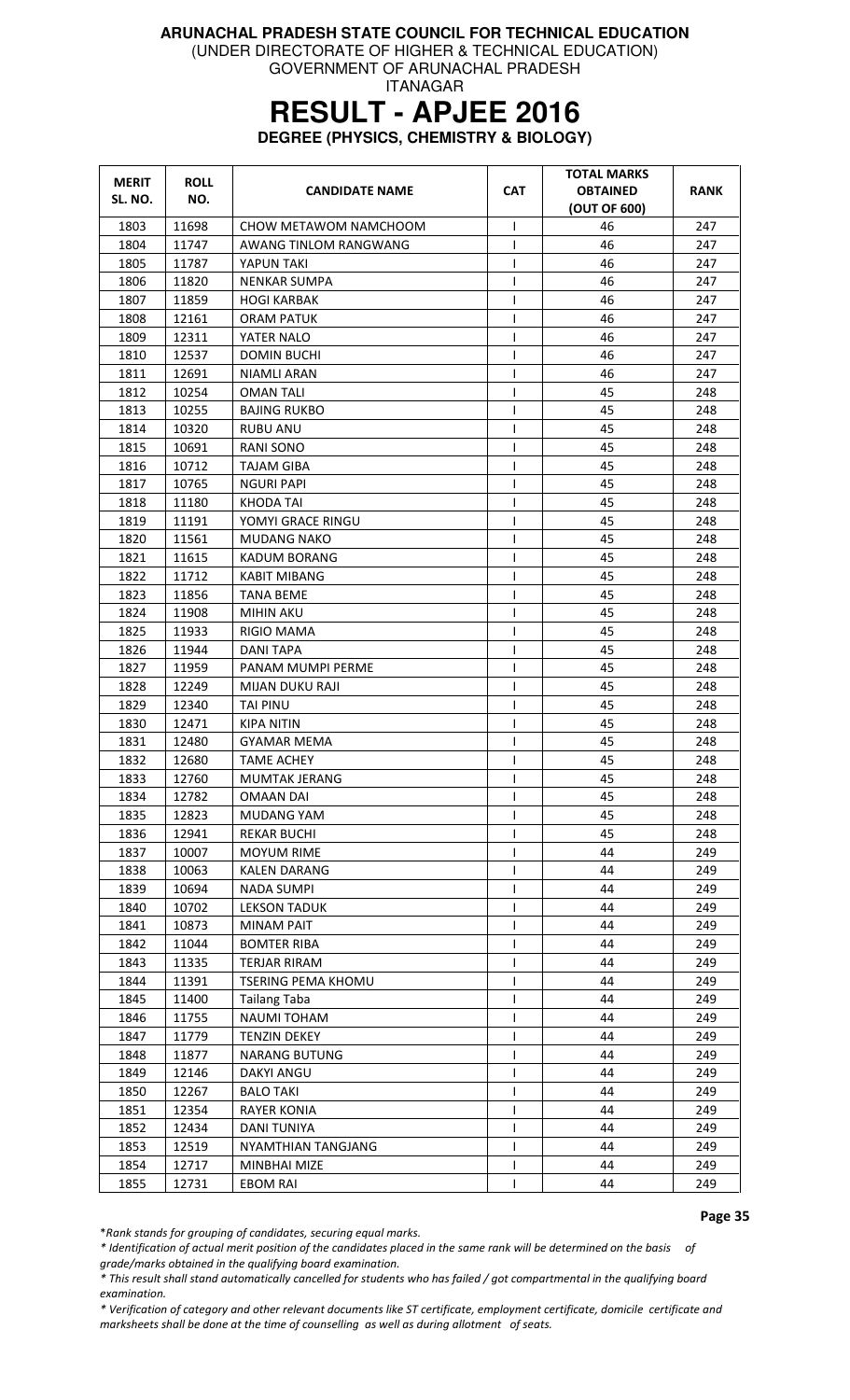(UNDER DIRECTORATE OF HIGHER & TECHNICAL EDUCATION) GOVERNMENT OF ARUNACHAL PRADESH

ITANAGAR

### **RESULT - APJEE 2016**

**DEGREE (PHYSICS, CHEMISTRY & BIOLOGY)** 

| <b>MERIT</b><br>SL. NO. | <b>ROLL</b><br>NO. | <b>CANDIDATE NAME</b>                       | <b>CAT</b>   | <b>TOTAL MARKS</b><br><b>OBTAINED</b><br>(OUT OF 600) | RANK       |
|-------------------------|--------------------|---------------------------------------------|--------------|-------------------------------------------------------|------------|
| 1803                    | 11698              | CHOW METAWOM NAMCHOOM                       | $\mathsf{I}$ | 46                                                    | 247        |
| 1804                    | 11747              | AWANG TINLOM RANGWANG                       | ı            | 46                                                    | 247        |
| 1805                    | 11787              | YAPUN TAKI                                  | T            | 46                                                    | 247        |
| 1806                    | 11820              | NENKAR SUMPA                                | I            | 46                                                    | 247        |
| 1807                    | 11859              | <b>HOGI KARBAK</b>                          | ı            | 46                                                    | 247        |
| 1808                    | 12161              | <b>ORAM PATUK</b>                           | T            | 46                                                    | 247        |
| 1809                    | 12311              | YATER NALO                                  | $\mathbf{I}$ | 46                                                    | 247        |
| 1810                    | 12537              | <b>DOMIN BUCHI</b>                          | 1            | 46                                                    | 247        |
| 1811                    | 12691              | NIAMLI ARAN                                 | I            | 46                                                    | 247        |
| 1812                    | 10254              | <b>OMAN TALI</b>                            | 1            | 45                                                    | 248        |
| 1813                    | 10255              | <b>BAJING RUKBO</b>                         | T            | 45                                                    | 248        |
| 1814                    | 10320              | RUBU ANU                                    |              | 45                                                    | 248        |
| 1815                    | 10691              | <b>RANI SONO</b>                            | T            | 45                                                    | 248        |
| 1816                    | 10712              | TAJAM GIBA                                  | 1            | 45                                                    | 248        |
| 1817                    | 10765              | <b>NGURI PAPI</b>                           | T            | 45                                                    | 248        |
| 1818                    | 11180              | KHODA TAI                                   | T            | 45                                                    | 248        |
| 1819                    | 11191              | YOMYI GRACE RINGU                           |              | 45                                                    | 248        |
| 1820                    | 11561              | <b>MUDANG NAKO</b>                          |              | 45                                                    | 248        |
| 1821                    | 11615              | KADUM BORANG                                | I            | 45                                                    | 248        |
| 1822                    | 11712              | <b>KABIT MIBANG</b>                         | T            | 45                                                    | 248        |
| 1823                    | 11856              | <b>TANA BEME</b>                            | T            | 45                                                    | 248        |
| 1824                    | 11908              | <b>MIHIN AKU</b>                            |              | 45                                                    | 248        |
| 1825                    | 11933              | RIGIO MAMA                                  |              | 45                                                    | 248        |
| 1826                    | 11944              | <b>DANI TAPA</b>                            |              | 45                                                    | 248        |
| 1827                    | 11959              | PANAM MUMPI PERME                           | T            | 45                                                    | 248        |
| 1828                    | 12249              | MIJAN DUKU RAJI                             | T            | 45                                                    | 248        |
| 1829                    | 12340              | <b>TAI PINU</b>                             | T            | 45                                                    | 248        |
| 1830                    | 12471              | KIPA NITIN                                  | I            | 45                                                    | 248        |
| 1831                    | 12480              | <b>GYAMAR MEMA</b>                          | ı            | 45                                                    | 248        |
| 1832                    | 12680              | <b>TAME ACHEY</b>                           | $\mathbf{I}$ | 45                                                    | 248        |
| 1833                    | 12760              | MUMTAK JERANG                               |              | 45                                                    | 248        |
| 1834                    | 12782              | <b>OMAAN DAI</b>                            | ı            | 45                                                    | 248        |
| 1835                    | 12823              | <b>MUDANG YAM</b>                           | I.           | 45                                                    | 248        |
| 1836                    | 12941              | <b>REKAR BUCHI</b>                          |              | 45                                                    | 248        |
| 1837                    | 10007              | MOYUM RIME                                  | $\mathbf{I}$ | 44                                                    | 249        |
| 1838                    | 10063              | <b>KALEN DARANG</b>                         |              | 44                                                    | 249        |
| 1839                    | 10694              | <b>NADA SUMPI</b>                           |              | 44                                                    | 249        |
| 1840                    | 10702              | <b>LEKSON TADUK</b>                         | $\mathbf{I}$ | 44                                                    | 249        |
| 1841                    | 10873              | <b>MINAM PAIT</b>                           | T            | 44                                                    | 249        |
| 1842                    | 11044              | <b>BOMTER RIBA</b>                          | $\mathsf{I}$ | 44                                                    | 249        |
| 1843                    | 11335              | <b>TERJAR RIRAM</b>                         |              | 44                                                    | 249        |
| 1844                    | 11391              | <b>TSERING PEMA KHOMU</b>                   |              | 44                                                    | 249        |
| 1845                    | 11400              | <b>Tailang Taba</b>                         | $\mathsf{l}$ | 44                                                    | 249        |
| 1846                    | 11755              | NAUMI TOHAM                                 |              | 44                                                    | 249        |
| 1847                    |                    |                                             | $\mathbf{I}$ | 44                                                    | 249        |
| 1848                    | 11779<br>11877     | <b>TENZIN DEKEY</b><br><b>NARANG BUTUNG</b> |              | 44                                                    | 249        |
| 1849                    | 12146              | DAKYI ANGU                                  |              | 44                                                    | 249        |
| 1850                    | 12267              | <b>BALO TAKI</b>                            |              | 44                                                    | 249        |
| 1851                    | 12354              |                                             |              | 44                                                    | 249        |
|                         |                    | <b>RAYER KONIA</b>                          |              | 44                                                    |            |
| 1852                    | 12434              | DANI TUNIYA                                 |              |                                                       | 249        |
| 1853                    | 12519              | NYAMTHIAN TANGJANG                          |              | 44                                                    | 249        |
| 1854                    | 12717              | MINBHAI MIZE                                | L            | 44<br>44                                              | 249<br>249 |
| 1855                    | 12731              | <b>EBOM RAI</b>                             |              |                                                       |            |

Page 35

\*Rank stands for grouping of candidates, securing equal marks.

\* Identification of actual merit position of the candidates placed in the same rank will be determined on the basis of grade/marks obtained in the qualifying board examination.

\* This result shall stand automatically cancelled for students who has failed / got compartmental in the qualifying board examination.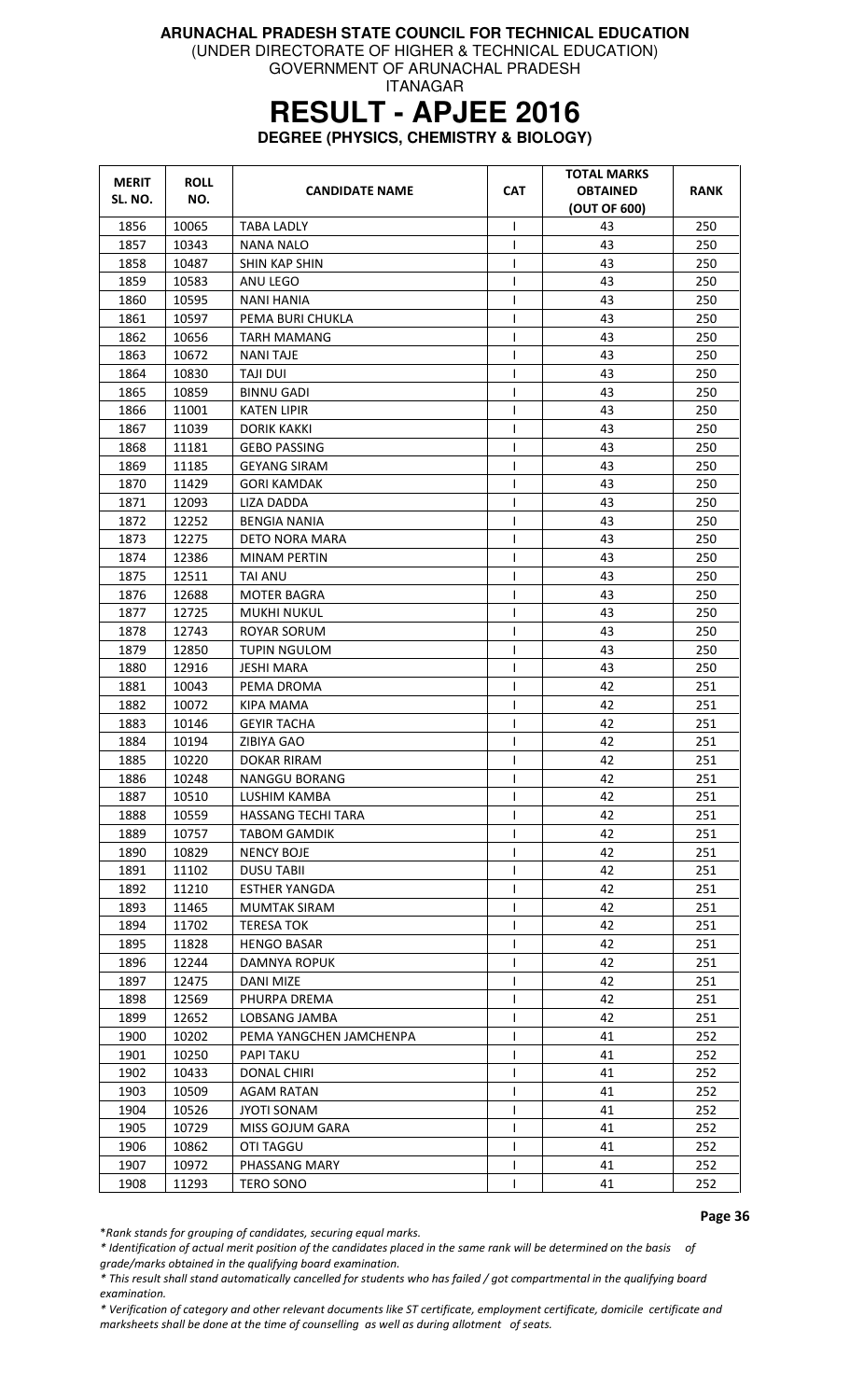(UNDER DIRECTORATE OF HIGHER & TECHNICAL EDUCATION)

GOVERNMENT OF ARUNACHAL PRADESH ITANAGAR

# **RESULT - APJEE 2016**

**DEGREE (PHYSICS, CHEMISTRY & BIOLOGY)** 

| <b>MERIT</b> | <b>ROLL</b> | <b>CANDIDATE NAME</b>     | <b>CAT</b>   | <b>TOTAL MARKS</b><br><b>OBTAINED</b> | <b>RANK</b> |
|--------------|-------------|---------------------------|--------------|---------------------------------------|-------------|
| SL. NO.      | NO.         |                           | (OUT OF 600) |                                       |             |
| 1856         | 10065       | <b>TABA LADLY</b>         | $\mathsf{I}$ | 43                                    | 250         |
| 1857         | 10343       | <b>NANA NALO</b>          | T            | 43                                    | 250         |
| 1858         | 10487       | SHIN KAP SHIN             |              | 43                                    | 250         |
| 1859         | 10583       | ANU LEGO                  |              | 43                                    | 250         |
| 1860         | 10595       | NANI HANIA                | ı            | 43                                    | 250         |
| 1861         | 10597       | PEMA BURI CHUKLA          | I            | 43                                    | 250         |
| 1862         | 10656       | <b>TARH MAMANG</b>        |              | 43                                    | 250         |
| 1863         | 10672       | <b>NANI TAJE</b>          |              | 43                                    | 250         |
| 1864         | 10830       | TAJI DUI                  | T            | 43                                    | 250         |
| 1865         | 10859       | BINNU GADI                | 1            | 43                                    | 250         |
| 1866         | 11001       | KATEN LIPIR               | I            | 43                                    | 250         |
| 1867         | 11039       | DORIK KAKKI               | $\mathbf{I}$ | 43                                    | 250         |
| 1868         | 11181       | <b>GEBO PASSING</b>       | $\mathbf{I}$ | 43                                    | 250         |
| 1869         | 11185       | <b>GEYANG SIRAM</b>       | I            | 43                                    | 250         |
| 1870         | 11429       | <b>GORI KAMDAK</b>        | I            | 43                                    | 250         |
| 1871         | 12093       | <b>LIZA DADDA</b>         | $\mathsf{I}$ | 43                                    | 250         |
| 1872         | 12252       | <b>BENGIA NANIA</b>       |              | 43                                    | 250         |
| 1873         | 12275       | DETO NORA MARA            |              | 43                                    | 250         |
| 1874         | 12386       | <b>MINAM PERTIN</b>       | I            | 43                                    | 250         |
| 1875         | 12511       | TAI ANU                   | ı            | 43                                    | 250         |
| 1876         | 12688       | <b>MOTER BAGRA</b>        | $\mathsf{I}$ | 43                                    | 250         |
| 1877         | 12725       | MUKHI NUKUL               | T            | 43                                    | 250         |
| 1878         | 12743       | ROYAR SORUM               | $\mathbf{I}$ | 43                                    | 250         |
| 1879         | 12850       | TUPIN NGULOM              | I            | 43                                    | 250         |
| 1880         | 12916       | JESHI MARA                | $\mathbf{I}$ | 43                                    | 250         |
| 1881         | 10043       | PEMA DROMA                | T            | 42                                    | 251         |
| 1882         | 10072       | KIPA MAMA                 | T            | 42                                    | 251         |
| 1883         | 10146       | <b>GEYIR TACHA</b>        | $\mathsf{I}$ | 42                                    | 251         |
| 1884         | 10194       | ZIBIYA GAO                | $\mathsf{l}$ | 42                                    | 251         |
| 1885         | 10220       | <b>DOKAR RIRAM</b>        | 1            | 42                                    | 251         |
| 1886         | 10248       | NANGGU BORANG             | T            | 42                                    | 251         |
| 1887         | 10510       | LUSHIM KAMBA              | T            | 42                                    | 251         |
| 1888         | 10559       | <b>HASSANG TECHI TARA</b> | $\mathsf{I}$ | 42                                    | 251         |
| 1889         | 10757       | <b>TABOM GAMDIK</b>       |              | 42                                    | 251         |
| 1890         | 10829       | <b>NENCY BOJE</b>         | $\mathbf{I}$ | 42                                    | 251         |
| 1891         | 11102       | <b>DUSU TABII</b>         | $\mathbf{I}$ | 42                                    | 251         |
| 1892         | 11210       | <b>ESTHER YANGDA</b>      |              | 42                                    | 251         |
| 1893         | 11465       | <b>MUMTAK SIRAM</b>       |              | 42                                    | 251         |
| 1894         | 11702       | <b>TERESA TOK</b>         | $\mathsf{I}$ | 42                                    | 251         |
| 1895         | 11828       | <b>HENGO BASAR</b>        | T            | 42                                    | 251         |
| 1896         | 12244       | DAMNYA ROPUK              |              | 42                                    | 251         |
| 1897         | 12475       | <b>DANI MIZE</b>          | $\mathsf{I}$ | 42                                    | 251         |
| 1898         | 12569       | PHURPA DREMA              |              | 42                                    | 251         |
| 1899         | 12652       | LOBSANG JAMBA             |              | 42                                    | 251         |
| 1900         | 10202       | PEMA YANGCHEN JAMCHENPA   |              | 41                                    | 252         |
| 1901         | 10250       | PAPI TAKU                 |              | 41                                    | 252         |
| 1902         | 10433       | DONAL CHIRI               | $\mathbf{I}$ | 41                                    | 252         |
| 1903         | 10509       | <b>AGAM RATAN</b>         | I.           | 41                                    | 252         |
| 1904         | 10526       | <b>JYOTI SONAM</b>        | $\mathsf{I}$ | 41                                    | 252         |
| 1905         | 10729       | <b>MISS GOJUM GARA</b>    |              | 41                                    | 252         |
| 1906         | 10862       | <b>OTI TAGGU</b>          | $\mathbf{I}$ | 41                                    | 252         |
| 1907         | 10972       | PHASSANG MARY             |              | 41                                    | 252         |
| 1908         | 11293       | TERO SONO                 |              | 41                                    | 252         |

Page 36

\*Rank stands for grouping of candidates, securing equal marks.

\* Identification of actual merit position of the candidates placed in the same rank will be determined on the basis of grade/marks obtained in the qualifying board examination.

\* This result shall stand automatically cancelled for students who has failed / got compartmental in the qualifying board examination.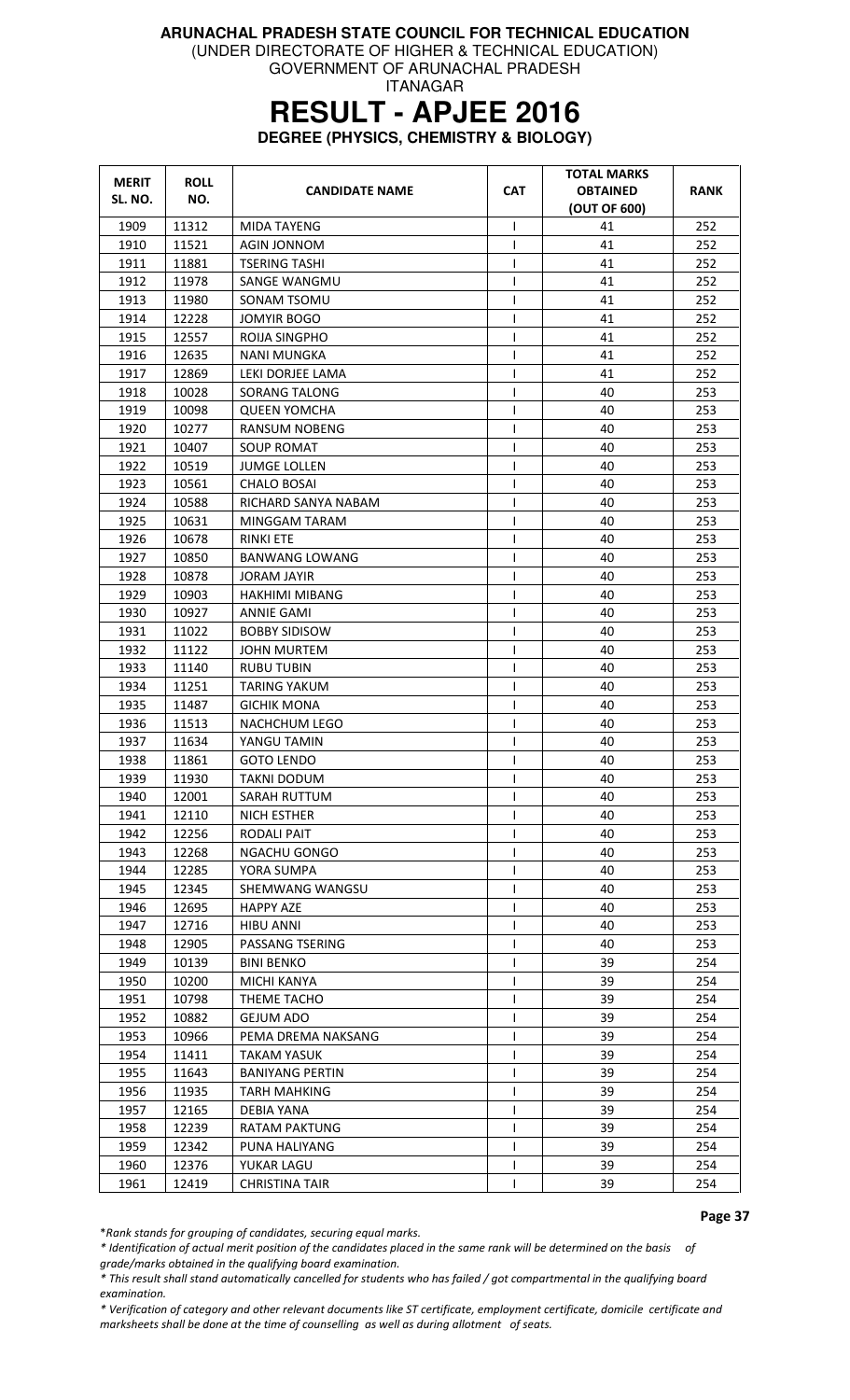(UNDER DIRECTORATE OF HIGHER & TECHNICAL EDUCATION)

GOVERNMENT OF ARUNACHAL PRADESH ITANAGAR

# **RESULT - APJEE 2016**

**DEGREE (PHYSICS, CHEMISTRY & BIOLOGY)** 

| <b>MERIT</b> | <b>ROLL</b> |                        | <b>CAT</b>   | <b>TOTAL MARKS</b><br><b>OBTAINED</b> | RANK |
|--------------|-------------|------------------------|--------------|---------------------------------------|------|
| SL. NO.      | NO.         | <b>CANDIDATE NAME</b>  |              | (OUT OF 600)                          |      |
| 1909         | 11312       | <b>MIDA TAYENG</b>     | $\mathsf{I}$ | 41                                    | 252  |
| 1910         | 11521       | <b>AGIN JONNOM</b>     | ı            | 41                                    | 252  |
| 1911         | 11881       | <b>TSERING TASHI</b>   | $\mathbf{I}$ | 41                                    | 252  |
| 1912         | 11978       | SANGE WANGMU           |              | 41                                    | 252  |
| 1913         | 11980       | SONAM TSOMU            | $\mathbf{I}$ | 41                                    | 252  |
| 1914         | 12228       | <b>JOMYIR BOGO</b>     | $\mathbf{I}$ | 41                                    | 252  |
| 1915         | 12557       | ROIJA SINGPHO          |              | 41                                    | 252  |
| 1916         | 12635       | NANI MUNGKA            |              | 41                                    | 252  |
| 1917         | 12869       | LEKI DORJEE LAMA       | $\mathsf{I}$ | 41                                    | 252  |
| 1918         | 10028       | <b>SORANG TALONG</b>   | 1            | 40                                    | 253  |
| 1919         | 10098       | <b>QUEEN YOMCHA</b>    | $\mathbf{I}$ | 40                                    | 253  |
| 1920         | 10277       | <b>RANSUM NOBENG</b>   | $\mathbf{I}$ | 40                                    | 253  |
| 1921         | 10407       | SOUP ROMAT             | $\mathbf{I}$ | 40                                    | 253  |
| 1922         | 10519       | <b>JUMGE LOLLEN</b>    | $\mathsf{I}$ | 40                                    | 253  |
| 1923         | 10561       | <b>CHALO BOSAI</b>     | $\mathsf{I}$ | 40                                    | 253  |
| 1924         | 10588       | RICHARD SANYA NABAM    |              | 40                                    | 253  |
| 1925         | 10631       | MINGGAM TARAM          |              | 40                                    | 253  |
| 1926         | 10678       | RINKI ETE              | ı            | 40                                    | 253  |
| 1927         | 10850       | BANWANG LOWANG         | I            | 40                                    | 253  |
| 1928         | 10878       | JORAM JAYIR            | ı            | 40                                    | 253  |
| 1929         | 10903       | <b>HAKHIMI MIBANG</b>  | T            | 40                                    | 253  |
| 1930         | 10927       | ANNIE GAMI             | ı            | 40                                    | 253  |
| 1931         | 11022       | <b>BOBBY SIDISOW</b>   | $\mathbf{I}$ | 40                                    | 253  |
| 1932         | 11122       | JOHN MURTEM            | $\mathsf{l}$ | 40                                    | 253  |
| 1933         | 11140       | RUBU TUBIN             | T            | 40                                    | 253  |
| 1934         | 11251       | TARING YAKUM           | I            | 40                                    | 253  |
| 1935         | 11487       | <b>GICHIK MONA</b>     |              | 40                                    | 253  |
| 1936         | 11513       | <b>NACHCHUM LEGO</b>   | $\mathsf{I}$ | 40                                    | 253  |
| 1937         | 11634       | YANGU TAMIN            | 1            | 40                                    | 253  |
| 1938         | 11861       | <b>GOTO LENDO</b>      | $\mathbf{I}$ | 40                                    | 253  |
| 1939         | 11930       | TAKNI DODUM            | T            | 40                                    | 253  |
| 1940         | 12001       | SARAH RUTTUM           | T            | 40                                    | 253  |
| 1941         | 12110       | NICH ESTHER            | $\mathsf{I}$ | 40                                    | 253  |
| 1942         | 12256       | <b>RODALI PAIT</b>     | $\mathbf{I}$ | 40                                    | 253  |
| 1943         | 12268       | NGACHU GONGO           |              | 40                                    | 253  |
| 1944         | 12285       | YORA SUMPA             |              | 40                                    | 253  |
| 1945         | 12345       | SHEMWANG WANGSU        |              | 40                                    | 253  |
| 1946         | 12695       | <b>HAPPY AZE</b>       |              | 40                                    | 253  |
| 1947         | 12716       | <b>HIBU ANNI</b>       |              | 40                                    | 253  |
| 1948         | 12905       | PASSANG TSERING        | T            | 40                                    | 253  |
| 1949         | 10139       | <b>BINI BENKO</b>      |              | 39                                    | 254  |
| 1950         | 10200       | <b>MICHI KANYA</b>     |              | 39                                    | 254  |
| 1951         | 10798       | THEME TACHO            | $\mathbf{I}$ | 39                                    | 254  |
| 1952         | 10882       | <b>GEJUM ADO</b>       |              | 39                                    | 254  |
| 1953         | 10966       | PEMA DREMA NAKSANG     |              | 39                                    | 254  |
| 1954         | 11411       | TAKAM YASUK            |              | 39                                    | 254  |
| 1955         | 11643       | <b>BANIYANG PERTIN</b> |              | 39                                    | 254  |
| 1956         | 11935       | <b>TARH MAHKING</b>    | I.           | 39                                    | 254  |
| 1957         | 12165       | DEBIA YANA             |              | 39                                    | 254  |
| 1958         | 12239       | <b>RATAM PAKTUNG</b>   |              | 39                                    | 254  |
| 1959         | 12342       | PUNA HALIYANG          |              | 39                                    | 254  |
| 1960         | 12376       | YUKAR LAGU             |              | 39                                    | 254  |
| 1961         | 12419       | <b>CHRISTINA TAIR</b>  |              | 39                                    | 254  |

Page 37

\*Rank stands for grouping of candidates, securing equal marks.

\* Identification of actual merit position of the candidates placed in the same rank will be determined on the basis of grade/marks obtained in the qualifying board examination.

\* This result shall stand automatically cancelled for students who has failed / got compartmental in the qualifying board examination.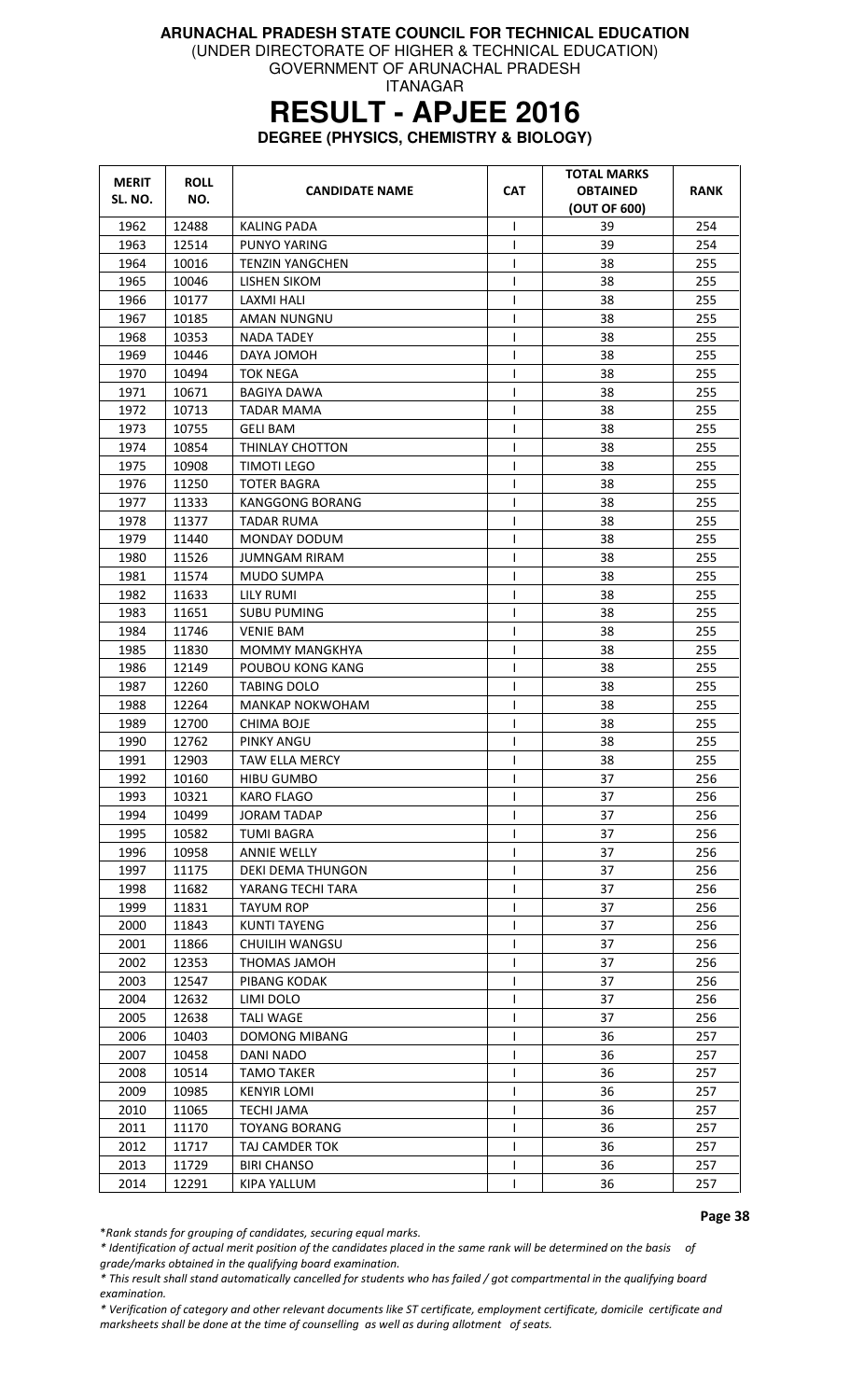(UNDER DIRECTORATE OF HIGHER & TECHNICAL EDUCATION)

GOVERNMENT OF ARUNACHAL PRADESH ITANAGAR

# **RESULT - APJEE 2016**

**DEGREE (PHYSICS, CHEMISTRY & BIOLOGY)** 

| <b>MERIT</b> | <b>ROLL</b> | <b>CANDIDATE NAME</b>    | <b>CAT</b>   | <b>TOTAL MARKS</b><br><b>OBTAINED</b> | RANK |
|--------------|-------------|--------------------------|--------------|---------------------------------------|------|
| SL. NO.      | NO.         |                          |              | (OUT OF 600)                          |      |
| 1962         | 12488       | <b>KALING PADA</b>       | T            | 39                                    | 254  |
| 1963         | 12514       | PUNYO YARING             | T            | 39                                    | 254  |
| 1964         | 10016       | TENZIN YANGCHEN          | T            | 38                                    | 255  |
| 1965         | 10046       | LISHEN SIKOM             | $\mathsf{I}$ | 38                                    | 255  |
| 1966         | 10177       | LAXMI HALI               | $\mathsf{l}$ | 38                                    | 255  |
| 1967         | 10185       | AMAN NUNGNU              | T            | 38                                    | 255  |
| 1968         | 10353       | NADA TADEY               | $\mathsf{l}$ | 38                                    | 255  |
| 1969         | 10446       | DAYA JOMOH               | ı            | 38                                    | 255  |
| 1970         | 10494       | TOK NEGA                 | T            | 38                                    | 255  |
| 1971         | 10671       | BAGIYA DAWA              | T            | 38                                    | 255  |
| 1972         | 10713       | <b>TADAR MAMA</b>        | I            | 38                                    | 255  |
| 1973         | 10755       | <b>GELI BAM</b>          | $\mathsf{l}$ | 38                                    | 255  |
| 1974         | 10854       | THINLAY CHOTTON          | $\mathsf{I}$ | 38                                    | 255  |
| 1975         | 10908       | <b>TIMOTI LEGO</b>       | I            | 38                                    | 255  |
| 1976         | 11250       | <b>TOTER BAGRA</b>       | $\mathsf{l}$ | 38                                    | 255  |
| 1977         | 11333       | <b>KANGGONG BORANG</b>   | T            | 38                                    | 255  |
| 1978         | 11377       | TADAR RUMA               | T            | 38                                    | 255  |
| 1979         | 11440       | <b>MONDAY DODUM</b>      | $\mathsf{I}$ | 38                                    | 255  |
| 1980         | 11526       | JUMNGAM RIRAM            | T            | 38                                    | 255  |
| 1981         | 11574       | <b>MUDO SUMPA</b>        | T            | 38                                    | 255  |
| 1982         | 11633       | LILY RUMI                | $\mathsf{I}$ | 38                                    | 255  |
| 1983         | 11651       | <b>SUBU PUMING</b>       | T            | 38                                    | 255  |
| 1984         | 11746       | <b>VENIE BAM</b>         | $\mathsf{l}$ | 38                                    | 255  |
| 1985         | 11830       | MOMMY MANGKHYA           | T            | 38                                    | 255  |
| 1986         | 12149       | POUBOU KONG KANG         | T            | 38                                    | 255  |
| 1987         | 12260       | <b>TABING DOLO</b>       | I            | 38                                    | 255  |
| 1988         | 12264       | MANKAP NOKWOHAM          | T            | 38                                    | 255  |
| 1989         | 12700       | <b>CHIMA BOJE</b>        | $\mathsf{I}$ | 38                                    | 255  |
| 1990         | 12762       | PINKY ANGU               | I            | 38                                    | 255  |
| 1991         | 12903       | TAW ELLA MERCY           | $\mathsf{l}$ | 38                                    | 255  |
| 1992         | 10160       | <b>HIBU GUMBO</b>        | L            | 37                                    | 256  |
| 1993         | 10321       | <b>KARO FLAGO</b>        | $\mathsf{l}$ | 37                                    | 256  |
| 1994         | 10499       | <b>JORAM TADAP</b>       | T            | 37                                    | 256  |
| 1995         | 10582       | <b>TUMI BAGRA</b>        | T            | 37                                    | 256  |
| 1996         | 10958       | <b>ANNIE WELLY</b>       |              | 37                                    | 256  |
| 1997         | 11175       | <b>DEKI DEMA THUNGON</b> | T            | 37                                    | 256  |
| 1998         | 11682       | YARANG TECHI TARA        | T            | 37                                    | 256  |
| 1999         | 11831       | <b>TAYUM ROP</b>         | T            | 37                                    | 256  |
| 2000         | 11843       | <b>KUNTI TAYENG</b>      | I            | 37                                    | 256  |
| 2001         | 11866       | <b>CHUILIH WANGSU</b>    | T            | 37                                    | 256  |
| 2002         | 12353       | THOMAS JAMOH             | $\mathsf{l}$ | 37                                    | 256  |
| 2003         | 12547       | PIBANG KODAK             | T            | 37                                    | 256  |
| 2004         | 12632       | LIMI DOLO                | $\mathsf{l}$ | 37                                    | 256  |
| 2005         | 12638       | <b>TALI WAGE</b>         | ı            | 37                                    | 256  |
| 2006         | 10403       | <b>DOMONG MIBANG</b>     | T            | 36                                    | 257  |
| 2007         | 10458       | DANI NADO                | T            | 36                                    | 257  |
| 2008         | 10514       | <b>TAMO TAKER</b>        | $\mathsf{l}$ | 36                                    | 257  |
| 2009         | 10985       | <b>KENYIR LOMI</b>       | $\mathsf{l}$ | 36                                    | 257  |
| 2010         | 11065       | <b>TECHI JAMA</b>        | $\mathsf{l}$ | 36                                    | 257  |
| 2011         | 11170       | <b>TOYANG BORANG</b>     | T            | 36                                    | 257  |
| 2012         | 11717       | TAJ CAMDER TOK           | $\mathsf{I}$ | 36                                    | 257  |
| 2013         | 11729       | <b>BIRI CHANSO</b>       | $\mathsf{I}$ | 36                                    | 257  |
| 2014         | 12291       | KIPA YALLUM              | ı            | 36                                    | 257  |

Page 38

\*Rank stands for grouping of candidates, securing equal marks.

\* Identification of actual merit position of the candidates placed in the same rank will be determined on the basis of grade/marks obtained in the qualifying board examination.

\* This result shall stand automatically cancelled for students who has failed / got compartmental in the qualifying board examination.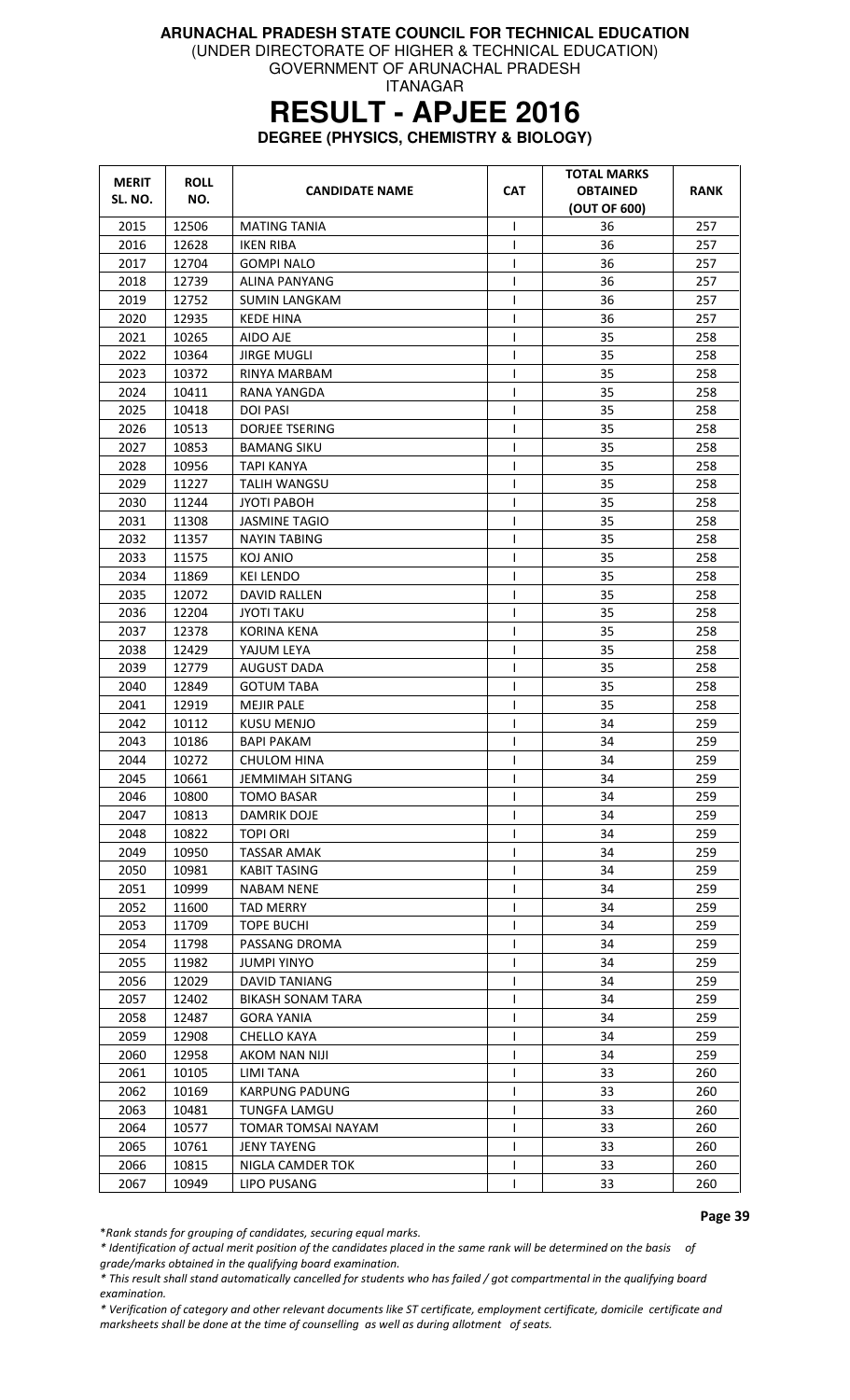(UNDER DIRECTORATE OF HIGHER & TECHNICAL EDUCATION)

GOVERNMENT OF ARUNACHAL PRADESH ITANAGAR

# **RESULT - APJEE 2016**

**DEGREE (PHYSICS, CHEMISTRY & BIOLOGY)** 

| <b>MERIT</b><br>SL. NO. | <b>ROLL</b><br>NO. | <b>CANDIDATE NAME</b>    | <b>CAT</b>     | <b>TOTAL MARKS</b><br><b>OBTAINED</b><br>(OUT OF 600) | RANK       |
|-------------------------|--------------------|--------------------------|----------------|-------------------------------------------------------|------------|
| 2015                    | 12506              | <b>MATING TANIA</b>      | I              | 36                                                    | 257        |
| 2016                    | 12628              | <b>IKEN RIBA</b>         | $\mathbf{I}$   | 36                                                    | 257        |
| 2017                    | 12704              | GOMPI NALO               | ı              | 36                                                    | 257        |
| 2018                    | 12739              | ALINA PANYANG            | T              | 36                                                    | 257        |
| 2019                    | 12752              | <b>SUMIN LANGKAM</b>     | T              | 36                                                    | 257        |
| 2020                    | 12935              | <b>KEDE HINA</b>         | I              | 36                                                    | 257        |
| 2021                    | 10265              | AIDO AJE                 | $\mathsf{l}$   | 35                                                    | 258        |
| 2022                    | 10364              | <b>JIRGE MUGLI</b>       |                | 35                                                    | 258        |
| 2023                    | 10372              | RINYA MARBAM             | ı              | 35                                                    | 258        |
| 2024                    | 10411              | RANA YANGDA              | T              | 35                                                    | 258        |
| 2025                    | 10418              | <b>DOI PASI</b>          | $\mathsf{I}$   | 35                                                    | 258        |
| 2026                    | 10513              | <b>DORJEE TSERING</b>    | $\mathsf{I}$   | 35                                                    | 258        |
| 2027                    | 10853              | <b>BAMANG SIKU</b>       | I              | 35                                                    | 258        |
| 2028                    | 10956              | TAPI KANYA               | ı              | 35                                                    | 258        |
| 2029                    | 11227              | TALIH WANGSU             | T              | 35                                                    | 258        |
| 2030                    | 11244              | <b>JYOTI PABOH</b>       | $\mathsf{I}$   | 35                                                    | 258        |
| 2031                    | 11308              | <b>JASMINE TAGIO</b>     | T              | 35                                                    | 258        |
| 2032                    | 11357              | <b>NAYIN TABING</b>      | T              | 35                                                    | 258        |
| 2033                    | 11575              | KOJ ANIO                 | T              | 35                                                    | 258        |
| 2034                    | 11869              | <b>KEI LENDO</b>         | $\mathsf{l}$   | 35                                                    | 258        |
| 2035                    | 12072              | <b>DAVID RALLEN</b>      |                | 35                                                    | 258        |
| 2036                    | 12204              | <b>JYOTI TAKU</b>        | $\mathsf{I}$   | 35                                                    | 258        |
| 2037                    | 12378              | <b>KORINA KENA</b>       | T              | 35                                                    | 258        |
| 2038                    | 12429              | YAJUM LEYA               | $\mathsf{l}$   | 35                                                    | 258        |
| 2039                    | 12779              | <b>AUGUST DADA</b>       | I              | 35                                                    | 258        |
| 2040                    | 12849              | <b>GOTUM TABA</b>        | $\mathbf{I}$   | 35                                                    | 258        |
| 2041                    | 12919              | <b>MEJIR PALE</b>        | $\overline{1}$ | 35                                                    | 258        |
| 2042                    | 10112              | <b>KUSU MENJO</b>        | ı              | 34                                                    | 259        |
| 2043                    | 10186              | <b>BAPI PAKAM</b>        | T              | 34                                                    | 259        |
| 2044                    | 10272              | <b>CHULOM HINA</b>       | I              | 34                                                    | 259        |
| 2045                    | 10661              | JEMMIMAH SITANG          | $\mathbf{I}$   | 34                                                    | 259        |
| 2046                    | 10800              | <b>TOMO BASAR</b>        | ı              | 34                                                    | 259        |
| 2047                    | 10813              | DAMRIK DOJE              |                | 34                                                    | 259        |
| 2048                    | 10822              | <b>TOPI ORI</b>          |                | 34                                                    | 259        |
| 2049                    | 10950              | <b>TASSAR AMAK</b>       | T              | 34                                                    | 259        |
| 2050                    | 10981              | KABIT TASING             |                | 34                                                    | 259        |
| 2051                    | 10999              | <b>NABAM NENE</b>        |                | 34                                                    | 259        |
| 2052                    | 11600              | TAD MERRY                | $\mathsf{I}$   | 34                                                    | 259        |
| 2053                    | 11709              | <b>TOPE BUCHI</b>        |                | 34                                                    | 259        |
| 2054                    | 11798              | PASSANG DROMA            |                | 34                                                    | 259        |
| 2055                    | 11982              | <b>JUMPI YINYO</b>       |                | 34                                                    | 259        |
| 2056                    | 12029              | <b>DAVID TANIANG</b>     | ı              | 34                                                    | 259        |
| 2057                    | 12402              | <b>BIKASH SONAM TARA</b> | I              | 34                                                    | 259        |
| 2058                    | 12487              | <b>GORA YANIA</b>        | T              | 34                                                    | 259        |
| 2059                    | 12908              | <b>CHELLO KAYA</b>       |                | 34                                                    | 259        |
| 2060                    | 12958              | AKOM NAN NIJI            |                | 34                                                    | 259        |
| 2061                    | 10105              | LIMI TANA                |                | 33                                                    | 260        |
| 2062                    | 10169              | <b>KARPUNG PADUNG</b>    | I.             | 33                                                    | 260        |
| 2063                    | 10481              | <b>TUNGFA LAMGU</b>      | T              | 33                                                    |            |
| 2064                    | 10577              | TOMAR TOMSAI NAYAM       | T              | 33                                                    | 260<br>260 |
|                         |                    |                          |                |                                                       |            |
| 2065                    | 10761              | <b>JENY TAYENG</b>       |                | 33                                                    | 260        |
| 2066                    | 10815              | NIGLA CAMDER TOK         | 1              | 33<br>33                                              | 260        |
| 2067                    | 10949              | LIPO PUSANG              |                |                                                       | 260        |

Page 39

\*Rank stands for grouping of candidates, securing equal marks.

\* Identification of actual merit position of the candidates placed in the same rank will be determined on the basis of grade/marks obtained in the qualifying board examination.

\* This result shall stand automatically cancelled for students who has failed / got compartmental in the qualifying board examination.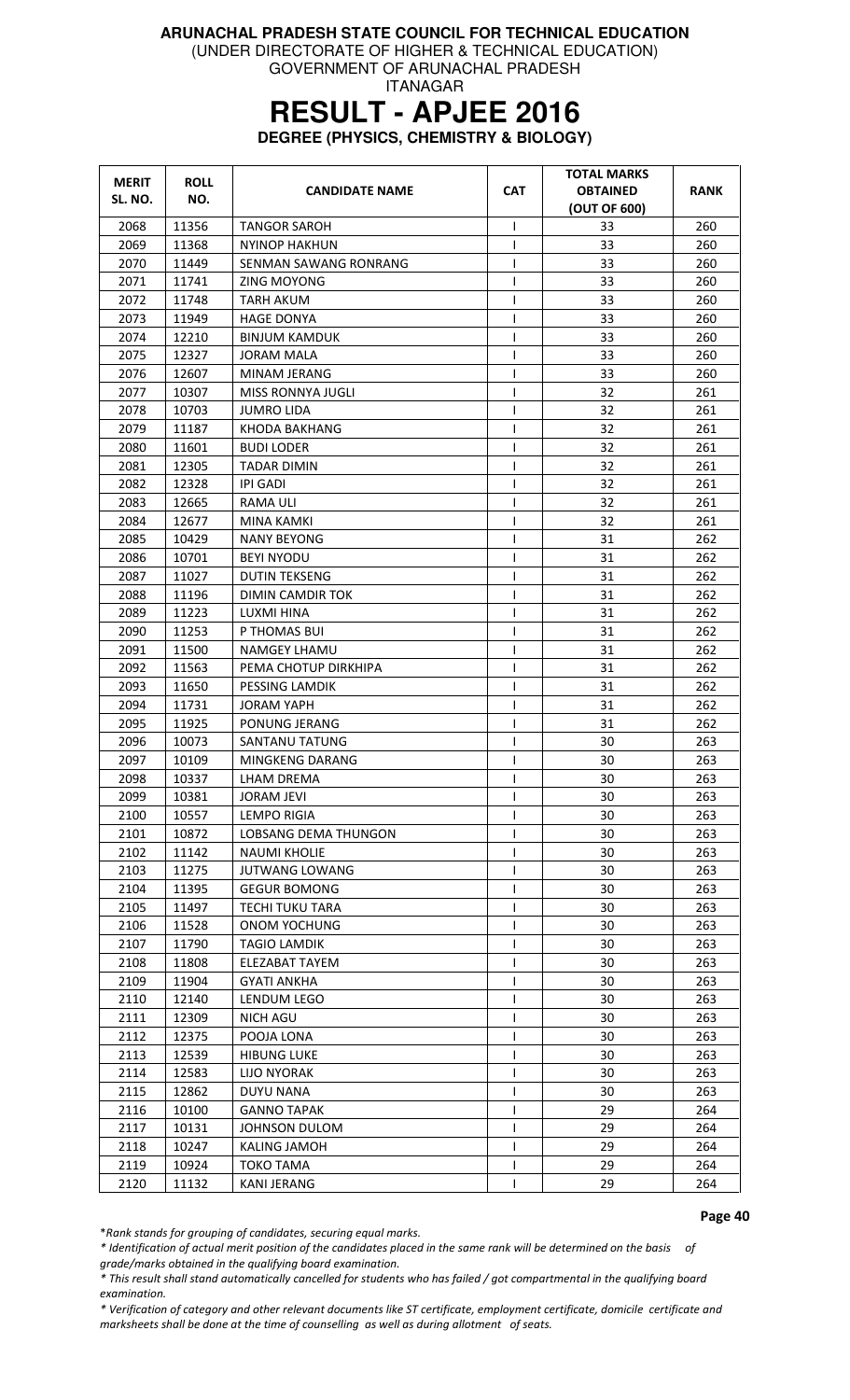(UNDER DIRECTORATE OF HIGHER & TECHNICAL EDUCATION) GOVERNMENT OF ARUNACHAL PRADESH

ITANAGAR

### **RESULT - APJEE 2016**

**DEGREE (PHYSICS, CHEMISTRY & BIOLOGY)** 

| <b>MERIT</b><br>SL. NO. | <b>ROLL</b><br>NO. | <b>CANDIDATE NAME</b>    | <b>CAT</b>   | <b>TOTAL MARKS</b><br><b>OBTAINED</b><br>(OUT OF 600) | RANK |
|-------------------------|--------------------|--------------------------|--------------|-------------------------------------------------------|------|
| 2068                    | 11356              | <b>TANGOR SAROH</b>      | T            | 33                                                    | 260  |
| 2069                    | 11368              | NYINOP HAKHUN            | ı            | 33                                                    | 260  |
| 2070                    | 11449              | SENMAN SAWANG RONRANG    | T            | 33                                                    | 260  |
| 2071                    | 11741              | ZING MOYONG              | T            | 33                                                    | 260  |
| 2072                    | 11748              | TARH AKUM                | T            | 33                                                    | 260  |
| 2073                    | 11949              | <b>HAGE DONYA</b>        | T            | 33                                                    | 260  |
| 2074                    | 12210              | <b>BINJUM KAMDUK</b>     | T            | 33                                                    | 260  |
| 2075                    | 12327              | <b>JORAM MALA</b>        | ı            | 33                                                    | 260  |
| 2076                    | 12607              | MINAM JERANG             | ı            | 33                                                    | 260  |
| 2077                    | 10307              | <b>MISS RONNYA JUGLI</b> | $\mathsf{I}$ | 32                                                    | 261  |
| 2078                    | 10703              | <b>JUMRO LIDA</b>        | $\mathsf{I}$ | 32                                                    | 261  |
| 2079                    | 11187              | KHODA BAKHANG            | T            | 32                                                    | 261  |
| 2080                    | 11601              | <b>BUDI LODER</b>        | $\mathsf{I}$ | 32                                                    | 261  |
| 2081                    | 12305              | TADAR DIMIN              | I            | 32                                                    | 261  |
| 2082                    | 12328              | <b>IPI GADI</b>          | $\mathbf{I}$ | 32                                                    | 261  |
| 2083                    | 12665              | RAMA ULI                 | T            | 32                                                    | 261  |
| 2084                    | 12677              | MINA KAMKI               | T            | 32                                                    | 261  |
| 2085                    | 10429              | <b>NANY BEYONG</b>       | T            | 31                                                    | 262  |
| 2086                    | 10701              | <b>BEYI NYODU</b>        | $\mathsf{l}$ | 31                                                    | 262  |
| 2087                    | 11027              | <b>DUTIN TEKSENG</b>     | $\mathsf{l}$ | 31                                                    | 262  |
| 2088                    | 11196              | DIMIN CAMDIR TOK         | $\mathbf{I}$ | 31                                                    | 262  |
| 2089                    | 11223              | LUXMI HINA               | T            | 31                                                    | 262  |
| 2090                    | 11253              | P THOMAS BUI             | $\mathsf{I}$ | 31                                                    | 262  |
| 2091                    | 11500              | NAMGEY LHAMU             | T            | 31                                                    | 262  |
| 2092                    | 11563              | PEMA CHOTUP DIRKHIPA     | T            | 31                                                    | 262  |
| 2093                    | 11650              | PESSING LAMDIK           | $\mathsf{l}$ | 31                                                    | 262  |
| 2094                    | 11731              | <b>JORAM YAPH</b>        | T            | 31                                                    | 262  |
| 2095                    | 11925              | PONUNG JERANG            | T            | 31                                                    | 262  |
| 2096                    | 10073              | SANTANU TATUNG           | T            | 30                                                    | 263  |
| 2097                    | 10109              | MINGKENG DARANG          | T            | 30                                                    | 263  |
| 2098                    | 10337              | LHAM DREMA               | $\mathsf{I}$ | 30                                                    | 263  |
| 2099                    | 10381              | <b>JORAM JEVI</b>        | $\mathsf{l}$ | 30                                                    | 263  |
| 2100                    | 10557              | <b>LEMPO RIGIA</b>       | $\mathbf{I}$ | 30                                                    | 263  |
| 2101                    | 10872              | LOBSANG DEMA THUNGON     | T            | 30                                                    | 263  |
| 2102                    | 11142              | <b>NAUMI KHOLIE</b>      | T            | 30                                                    | 263  |
| 2103                    | 11275              | <b>JUTWANG LOWANG</b>    |              | 30                                                    | 263  |
| 2104                    | 11395              | <b>GEGUR BOMONG</b>      | I            | 30                                                    | 263  |
| 2105                    | 11497              | <b>TECHI TUKU TARA</b>   | I.           | 30                                                    | 263  |
| 2106                    | 11528              | ONOM YOCHUNG             | T            | 30                                                    | 263  |
| 2107                    | 11790              | <b>TAGIO LAMDIK</b>      |              | 30                                                    | 263  |
| 2108                    | 11808              | ELEZABAT TAYEM           |              | 30                                                    | 263  |
| 2109                    | 11904              | <b>GYATI ANKHA</b>       |              | 30                                                    | 263  |
| 2110                    | 12140              | LENDUM LEGO              |              | 30                                                    | 263  |
| 2111                    | 12309              | NICH AGU                 | T            | 30                                                    | 263  |
| 2112                    | 12375              | POOJA LONA               |              | 30                                                    | 263  |
| 2113                    | 12539              | <b>HIBUNG LUKE</b>       |              | 30                                                    | 263  |
| 2114                    | 12583              | <b>LIJO NYORAK</b>       | I            | 30                                                    | 263  |
| 2115                    | 12862              | <b>DUYU NANA</b>         | T            | 30                                                    | 263  |
| 2116                    | 10100              | <b>GANNO TAPAK</b>       | T            | 29                                                    | 264  |
| 2117                    | 10131              | JOHNSON DULOM            | $\mathsf{l}$ | 29                                                    | 264  |
| 2118                    | 10247              | <b>KALING JAMOH</b>      | T            | 29                                                    | 264  |
| 2119                    | 10924              | TOKO TAMA                | T            | 29                                                    | 264  |
| 2120                    | 11132              | KANI JERANG              |              | 29                                                    | 264  |

Page 40

\*Rank stands for grouping of candidates, securing equal marks.

\* Identification of actual merit position of the candidates placed in the same rank will be determined on the basis of grade/marks obtained in the qualifying board examination.

\* This result shall stand automatically cancelled for students who has failed / got compartmental in the qualifying board examination.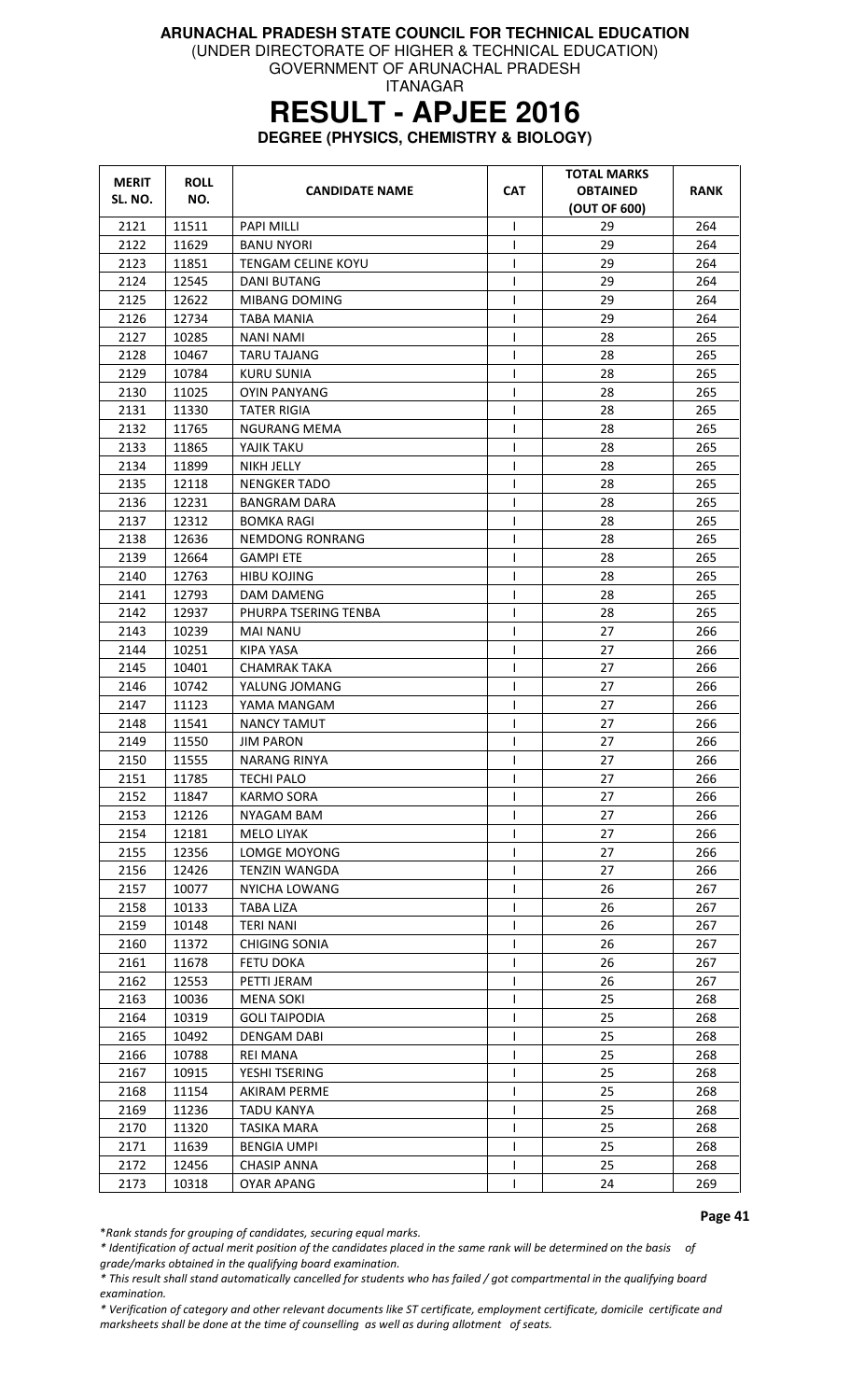(UNDER DIRECTORATE OF HIGHER & TECHNICAL EDUCATION)

GOVERNMENT OF ARUNACHAL PRADESH ITANAGAR

# **RESULT - APJEE 2016**

**DEGREE (PHYSICS, CHEMISTRY & BIOLOGY)** 

| <b>MERIT</b><br>SL. NO. | <b>ROLL</b><br>NO. | <b>CANDIDATE NAME</b>  | <b>CAT</b>   | <b>TOTAL MARKS</b><br><b>OBTAINED</b><br>(OUT OF 600) | <b>RANK</b> |
|-------------------------|--------------------|------------------------|--------------|-------------------------------------------------------|-------------|
| 2121                    | 11511              | <b>PAPI MILLI</b>      | T            | 29                                                    | 264         |
| 2122                    | 11629              | <b>BANU NYORI</b>      | L            | 29                                                    | 264         |
| 2123                    | 11851              | TENGAM CELINE KOYU     | $\mathsf{I}$ | 29                                                    | 264         |
| 2124                    | 12545              | <b>DANI BUTANG</b>     | T            | 29                                                    | 264         |
| 2125                    | 12622              | MIBANG DOMING          | T            | 29                                                    | 264         |
| 2126                    | 12734              | <b>TABA MANIA</b>      | T            | 29                                                    | 264         |
| 2127                    | 10285              | <b>NANI NAMI</b>       | T            | 28                                                    | 265         |
| 2128                    | 10467              | <b>TARU TAJANG</b>     | T            | 28                                                    | 265         |
| 2129                    | 10784              | KURU SUNIA             | T            | 28                                                    | 265         |
| 2130                    | 11025              | <b>OYIN PANYANG</b>    | T            | 28                                                    | 265         |
| 2131                    | 11330              | <b>TATER RIGIA</b>     | $\mathsf{I}$ | 28                                                    | 265         |
| 2132                    | 11765              | NGURANG MEMA           | T            | 28                                                    | 265         |
| 2133                    | 11865              | YAJIK TAKU             | T            | 28                                                    | 265         |
| 2134                    | 11899              | NIKH JELLY             | $\mathsf{l}$ | 28                                                    | 265         |
| 2135                    | 12118              | <b>NENGKER TADO</b>    | T            | 28                                                    | 265         |
| 2136                    | 12231              | <b>BANGRAM DARA</b>    | T            | 28                                                    | 265         |
| 2137                    | 12312              | <b>BOMKA RAGI</b>      | T            | 28                                                    | 265         |
| 2138                    | 12636              | <b>NEMDONG RONRANG</b> | T            | 28                                                    | 265         |
| 2139                    | 12664              | <b>GAMPI ETE</b>       | $\mathsf{l}$ | 28                                                    | 265         |
| 2140                    | 12763              | <b>HIBU KOJING</b>     | T            | 28                                                    | 265         |
| 2141                    | 12793              | DAM DAMENG             | T            | 28                                                    | 265         |
| 2142                    | 12937              | PHURPA TSERING TENBA   | T            | 28                                                    | 265         |
| 2143                    | 10239              | <b>MAI NANU</b>        | T            | 27                                                    | 266         |
| 2144                    | 10251              | KIPA YASA              | T            | 27                                                    | 266         |
| 2145                    | 10401              | CHAMRAK TAKA           | T            | 27                                                    | 266         |
| 2146                    | 10742              | YALUNG JOMANG          | L            | 27                                                    | 266         |
| 2147                    | 11123              | YAMA MANGAM            | T            | 27                                                    | 266         |
| 2148                    | 11541              | <b>NANCY TAMUT</b>     | T            | 27                                                    | 266         |
| 2149                    | 11550              | <b>JIM PARON</b>       | T            | 27                                                    | 266         |
| 2150                    | 11555              | <b>NARANG RINYA</b>    | I            | 27                                                    | 266         |
| 2151                    | 11785              | <b>TECHI PALO</b>      | $\mathsf{I}$ | 27                                                    | 266         |
| 2152                    | 11847              | <b>KARMO SORA</b>      | T            | 27                                                    | 266         |
| 2153                    | 12126              | NYAGAM BAM             | L            | 27                                                    | 266         |
| 2154                    | 12181              | MELO LIYAK             |              | 27                                                    | 266         |
| 2155                    | 12356              | LOMGE MOYONG           |              | 27                                                    | 266         |
| 2156                    | 12426              | <b>TENZIN WANGDA</b>   | T            | 27                                                    | 266         |
| 2157                    | 10077              | <b>NYICHA LOWANG</b>   | T            | 26                                                    | 267         |
| 2158                    | 10133              | TABA LIZA              | $\mathsf{I}$ | 26                                                    | 267         |
| 2159                    | 10148              | <b>TERI NANI</b>       | I            | 26                                                    | 267         |
| 2160                    | 11372              | <b>CHIGING SONIA</b>   | T            | 26                                                    | 267         |
| 2161                    | 11678              | <b>FETU DOKA</b>       | $\mathsf{I}$ | 26                                                    | 267         |
| 2162                    | 12553              | PETTI JERAM            | $\mathsf{l}$ | 26                                                    | 267         |
| 2163                    | 10036              | <b>MENA SOKI</b>       | I            | 25                                                    | 268         |
| 2164                    | 10319              | <b>GOLI TAIPODIA</b>   | $\mathsf{l}$ | 25                                                    | 268         |
| 2165                    | 10492              | <b>DENGAM DABI</b>     | T            | 25                                                    | 268         |
| 2166                    | 10788              | <b>REI MANA</b>        | T            | 25                                                    | 268         |
| 2167                    | 10915              | YESHI TSERING          | $\mathsf{I}$ | 25                                                    | 268         |
| 2168                    | 11154              | <b>AKIRAM PERME</b>    | T            | 25                                                    | 268         |
| 2169                    | 11236              | <b>TADU KANYA</b>      | I            | 25                                                    | 268         |
| 2170                    | 11320              | <b>TASIKA MARA</b>     | T            | 25                                                    | 268         |
| 2171                    | 11639              | <b>BENGIA UMPI</b>     | T            | 25                                                    | 268         |
| 2172                    | 12456              | <b>CHASIP ANNA</b>     | T            | 25                                                    | 268         |
| 2173                    | 10318              | <b>OYAR APANG</b>      | T            | 24                                                    | 269         |

Page 41

\*Rank stands for grouping of candidates, securing equal marks.

\* Identification of actual merit position of the candidates placed in the same rank will be determined on the basis of grade/marks obtained in the qualifying board examination.

\* This result shall stand automatically cancelled for students who has failed / got compartmental in the qualifying board examination.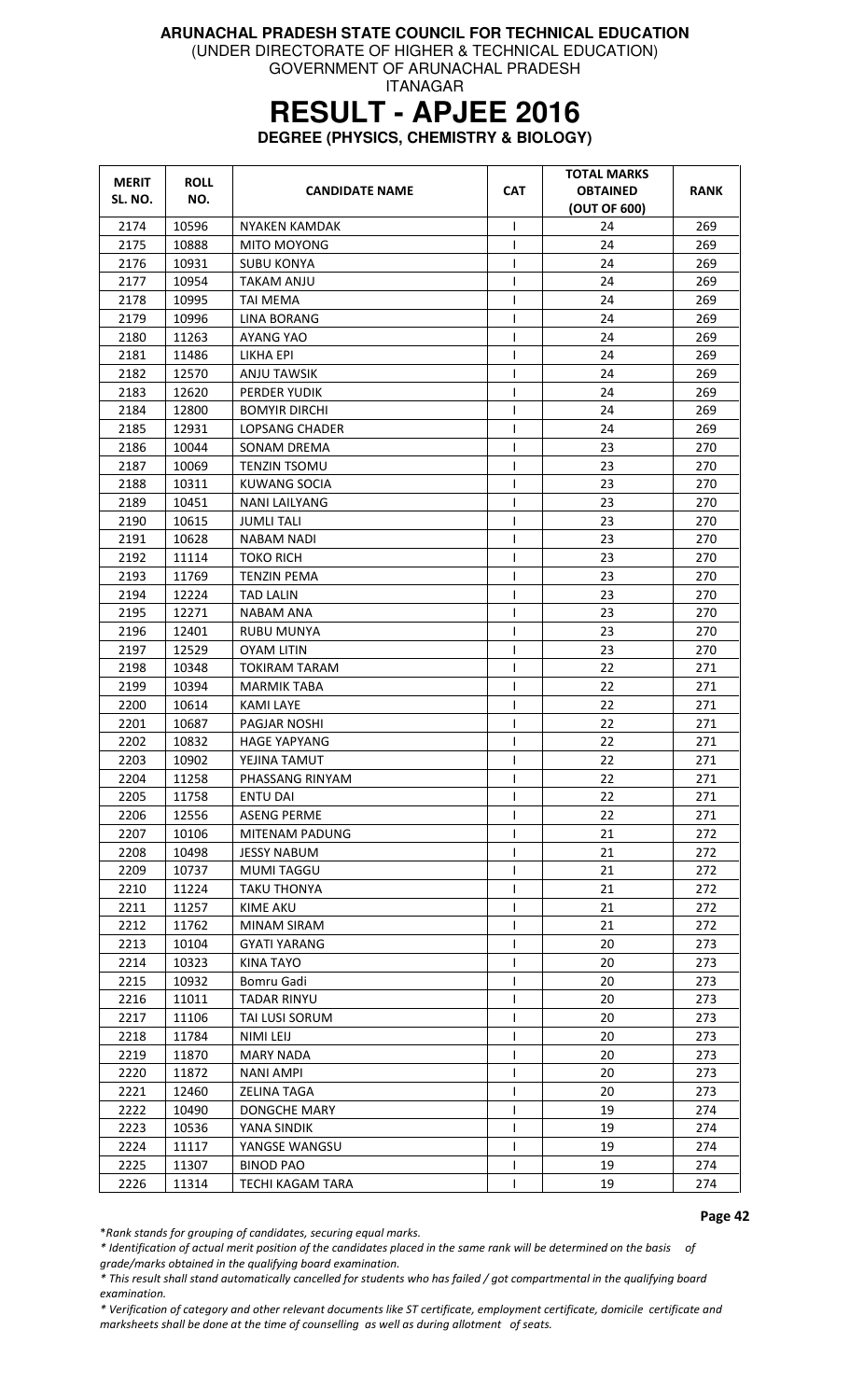(UNDER DIRECTORATE OF HIGHER & TECHNICAL EDUCATION)

GOVERNMENT OF ARUNACHAL PRADESH ITANAGAR

# **RESULT - APJEE 2016**

**DEGREE (PHYSICS, CHEMISTRY & BIOLOGY)** 

| <b>MERIT</b><br>SL. NO. | <b>ROLL</b><br>NO. | <b>CANDIDATE NAME</b> | <b>CAT</b>     | <b>TOTAL MARKS</b><br><b>OBTAINED</b><br>(OUT OF 600) | RANK |
|-------------------------|--------------------|-----------------------|----------------|-------------------------------------------------------|------|
| 2174                    | 10596              | NYAKEN KAMDAK         | T              | 24                                                    | 269  |
| 2175                    | 10888              | MITO MOYONG           | $\mathbf{I}$   | 24                                                    | 269  |
| 2176                    | 10931              | <b>SUBU KONYA</b>     | T              | 24                                                    | 269  |
| 2177                    | 10954              | TAKAM ANJU            | $\mathbf{I}$   | 24                                                    | 269  |
| 2178                    | 10995              | <b>TAI MEMA</b>       | $\mathsf{I}$   | 24                                                    | 269  |
| 2179                    | 10996              | <b>LINA BORANG</b>    | T              | 24                                                    | 269  |
| 2180                    | 11263              | AYANG YAO             | T              | 24                                                    | 269  |
| 2181                    | 11486              | LIKHA EPI             | ı              | 24                                                    | 269  |
| 2182                    | 12570              | ANJU TAWSIK           | T              | 24                                                    | 269  |
| 2183                    | 12620              | PERDER YUDIK          | $\mathsf{I}$   | 24                                                    | 269  |
| 2184                    | 12800              | <b>BOMYIR DIRCHI</b>  | $\mathsf{l}$   | 24                                                    | 269  |
| 2185                    | 12931              | LOPSANG CHADER        | $\mathsf{I}$   | 24                                                    | 269  |
| 2186                    | 10044              | <b>SONAM DREMA</b>    | $\mathsf{I}$   | 23                                                    | 270  |
| 2187                    | 10069              | TENZIN TSOMU          | I              | 23                                                    | 270  |
| 2188                    | 10311              | <b>KUWANG SOCIA</b>   | $\mathbf{I}$   | 23                                                    | 270  |
| 2189                    | 10451              | NANI LAILYANG         | T              | 23                                                    | 270  |
| 2190                    | 10615              | <b>JUMLI TALI</b>     | $\overline{1}$ | 23                                                    | 270  |
| 2191                    | 10628              | <b>NABAM NADI</b>     | T              | 23                                                    | 270  |
| 2192                    | 11114              | <b>TOKO RICH</b>      | $\mathsf{l}$   | 23                                                    | 270  |
| 2193                    | 11769              | <b>TENZIN PEMA</b>    | I              | 23                                                    | 270  |
| 2194                    | 12224              | <b>TAD LALIN</b>      | $\mathbf{I}$   | 23                                                    | 270  |
| 2195                    | 12271              | <b>NABAM ANA</b>      | T              | 23                                                    | 270  |
| 2196                    | 12401              | <b>RUBU MUNYA</b>     | T              | 23                                                    | 270  |
| 2197                    | 12529              | OYAM LITIN            | $\mathsf{I}$   | 23                                                    | 270  |
| 2198                    | 10348              | <b>TOKIRAM TARAM</b>  | T              | 22                                                    | 271  |
| 2199                    | 10394              | <b>MARMIK TABA</b>    | T              | 22                                                    | 271  |
| 2200                    | 10614              | <b>KAMI LAYE</b>      | $\mathsf{I}$   | 22                                                    | 271  |
| 2201                    | 10687              | PAGJAR NOSHI          | T              | 22                                                    | 271  |
| 2202                    | 10832              | <b>HAGE YAPYANG</b>   | T              | 22                                                    | 271  |
| 2203                    | 10902              | YEJINA TAMUT          | T              | 22                                                    | 271  |
| 2204                    | 11258              | PHASSANG RINYAM       | T              | 22                                                    | 271  |
| 2205                    | 11758              | <b>ENTU DAI</b>       | T              | 22                                                    | 271  |
| 2206                    | 12556              | <b>ASENG PERME</b>    | $\mathbf{I}$   | 22                                                    | 271  |
| 2207                    | 10106              | MITENAM PADUNG        | T              | 21                                                    | 272  |
| 2208                    | 10498              | <b>JESSY NABUM</b>    |                | 21                                                    | 272  |
| 2209                    | 10737              | <b>MUMI TAGGU</b>     |                | 21                                                    | 272  |
| 2210                    | 11224              | <b>TAKU THONYA</b>    | I              | 21                                                    | 272  |
| 2211                    | 11257              | <b>KIME AKU</b>       | I.             | 21                                                    | 272  |
| 2212                    | 11762              | MINAM SIRAM           | T              | 21                                                    | 272  |
| 2213                    | 10104              | <b>GYATI YARANG</b>   | T              | 20                                                    | 273  |
| 2214                    | 10323              | <b>KINA TAYO</b>      |                | 20                                                    | 273  |
| 2215                    | 10932              | Bomru Gadi            |                | 20                                                    | 273  |
| 2216                    | 11011              | <b>TADAR RINYU</b>    | I.             | 20                                                    | 273  |
| 2217                    | 11106              | TAI LUSI SORUM        |                | 20                                                    | 273  |
| 2218                    | 11784              | NIMI LEIJ             |                | 20                                                    | 273  |
| 2219                    | 11870              | <b>MARY NADA</b>      |                | 20                                                    | 273  |
| 2220                    | 11872              | <b>NANI AMPI</b>      |                | 20                                                    | 273  |
| 2221                    | 12460              | <b>ZELINA TAGA</b>    | T              | 20                                                    | 273  |
| 2222                    | 10490              | <b>DONGCHE MARY</b>   | $\mathsf{I}$   | 19                                                    | 274  |
| 2223                    | 10536              | YANA SINDIK           | T              | 19                                                    | 274  |
| 2224                    | 11117              | YANGSE WANGSU         | T              | 19                                                    | 274  |
| 2225                    | 11307              | BINOD PAO             | I.             | 19                                                    | 274  |
| 2226                    | 11314              | TECHI KAGAM TARA      |                | 19                                                    | 274  |

Page 42

\*Rank stands for grouping of candidates, securing equal marks.

\* Identification of actual merit position of the candidates placed in the same rank will be determined on the basis of grade/marks obtained in the qualifying board examination.

\* This result shall stand automatically cancelled for students who has failed / got compartmental in the qualifying board examination.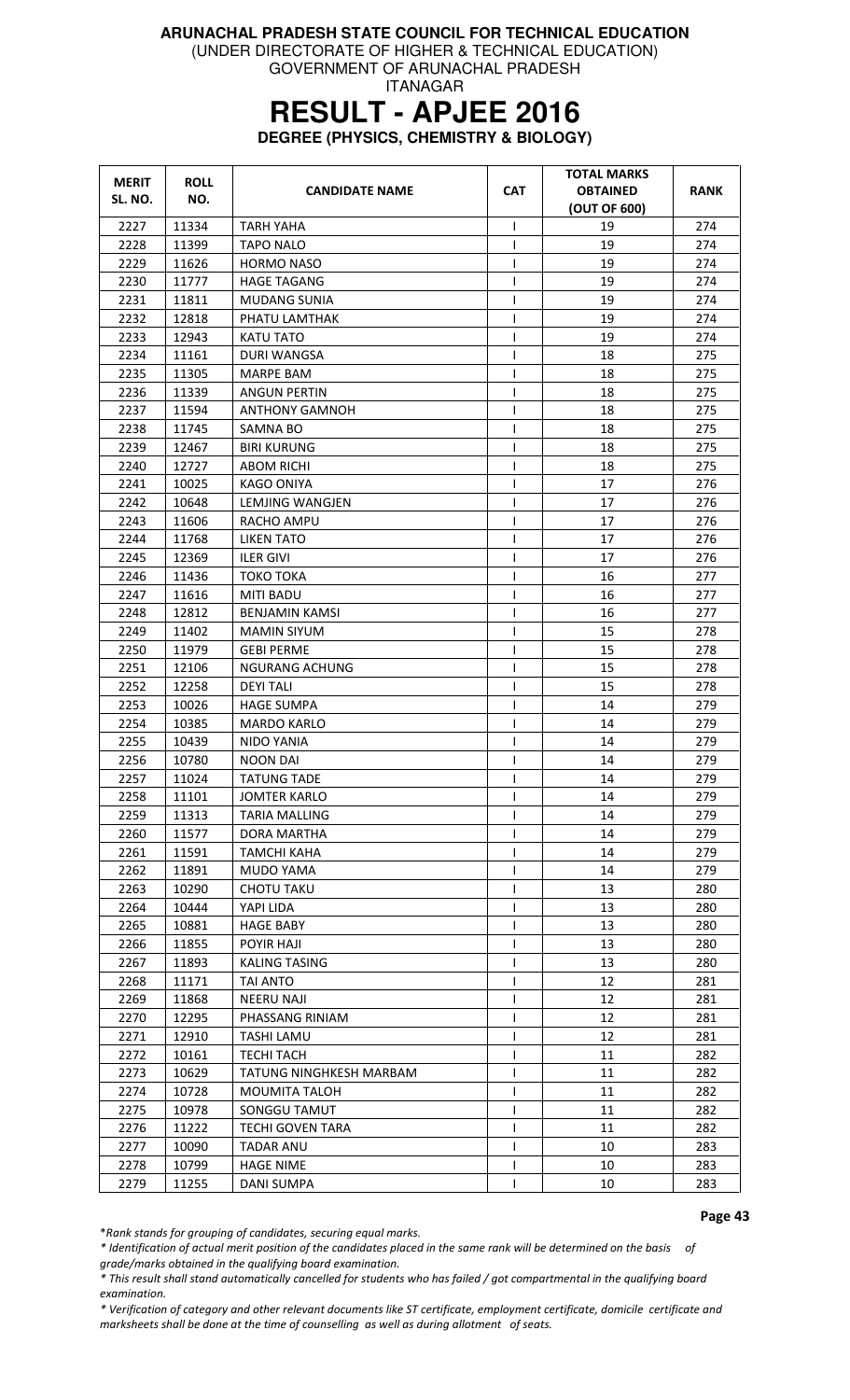(UNDER DIRECTORATE OF HIGHER & TECHNICAL EDUCATION)

GOVERNMENT OF ARUNACHAL PRADESH ITANAGAR

# **RESULT - APJEE 2016**

**DEGREE (PHYSICS, CHEMISTRY & BIOLOGY)** 

| <b>MERIT</b> | <b>ROLL</b> | <b>CANDIDATE NAME</b>   | <b>CAT</b>   | <b>TOTAL MARKS</b><br><b>OBTAINED</b> | RANK |
|--------------|-------------|-------------------------|--------------|---------------------------------------|------|
| SL. NO.      | NO.         |                         |              | (OUT OF 600)                          |      |
| 2227         | 11334       | <b>TARH YAHA</b>        | I            | 19                                    | 274  |
| 2228         | 11399       | <b>TAPO NALO</b>        | $\mathbf{I}$ | 19                                    | 274  |
| 2229         | 11626       | <b>HORMO NASO</b>       | $\mathbf{I}$ | 19                                    | 274  |
| 2230         | 11777       | <b>HAGE TAGANG</b>      |              | 19                                    | 274  |
| 2231         | 11811       | MUDANG SUNIA            | I            | 19                                    | 274  |
| 2232         | 12818       | PHATU LAMTHAK           | T            | 19                                    | 274  |
| 2233         | 12943       | KATU TATO               |              | 19                                    | 274  |
| 2234         | 11161       | DURI WANGSA             |              | 18                                    | 275  |
| 2235         | 11305       | <b>MARPE BAM</b>        | T            | 18                                    | 275  |
| 2236         | 11339       | <b>ANGUN PERTIN</b>     | 1            | 18                                    | 275  |
| 2237         | 11594       | <b>ANTHONY GAMNOH</b>   | ı            | 18                                    | 275  |
| 2238         | 11745       | SAMNA BO                | $\mathbf{I}$ | 18                                    | 275  |
| 2239         | 12467       | <b>BIRI KURUNG</b>      | T            | 18                                    | 275  |
| 2240         | 12727       | <b>ABOM RICHI</b>       | $\mathsf{I}$ | 18                                    | 275  |
| 2241         | 10025       | <b>KAGO ONIYA</b>       | ı            | 17                                    | 276  |
| 2242         | 10648       | LEMJING WANGJEN         | T            | 17                                    | 276  |
| 2243         | 11606       | RACHO AMPU              |              | 17                                    | 276  |
| 2244         | 11768       | LIKEN TATO              | ı            | 17                                    | 276  |
| 2245         | 12369       | ILER GIVI               | $\mathsf{I}$ | 17                                    | 276  |
| 2246         | 11436       | <b>TOKO TOKA</b>        | $\mathsf{I}$ | 16                                    | 277  |
| 2247         | 11616       | <b>MITI BADU</b>        | $\mathsf{I}$ | 16                                    | 277  |
| 2248         | 12812       | BENJAMIN KAMSI          | T            | 16                                    | 277  |
| 2249         | 11402       | <b>MAMIN SIYUM</b>      |              | 15                                    | 278  |
| 2250         | 11979       | <b>GEBI PERME</b>       | $\mathbf{I}$ | 15                                    | 278  |
| 2251         | 12106       | <b>NGURANG ACHUNG</b>   | T            | 15                                    | 278  |
| 2252         | 12258       | <b>DEYI TALI</b>        | $\mathsf{I}$ | 15                                    | 278  |
| 2253         | 10026       | <b>HAGE SUMPA</b>       |              | 14                                    | 279  |
| 2254         | 10385       | <b>MARDO KARLO</b>      | $\mathsf{I}$ | 14                                    | 279  |
| 2255         | 10439       | NIDO YANIA              | 1            | 14                                    | 279  |
| 2256         | 10780       | <b>NOON DAI</b>         | T            | 14                                    | 279  |
| 2257         | 11024       | <b>TATUNG TADE</b>      | $\mathsf{I}$ | 14                                    | 279  |
| 2258         | 11101       | <b>JOMTER KARLO</b>     | $\mathbf{I}$ | 14                                    | 279  |
| 2259         | 11313       | <b>TARIA MALLING</b>    |              | 14                                    | 279  |
| 2260         | 11577       | DORA MARTHA             |              | 14                                    | 279  |
| 2261         | 11591       | <b>TAMCHI KAHA</b>      |              | 14                                    | 279  |
| 2262         | 11891       | MUDO YAMA               |              | 14                                    | 279  |
| 2263         | 10290       | <b>CHOTU TAKU</b>       |              | 13                                    | 280  |
| 2264         | 10444       | YAPI LIDA               | $\mathbf{I}$ | 13                                    | 280  |
| 2265         | 10881       | <b>HAGE BABY</b>        | $\mathbf{I}$ | 13                                    | 280  |
| 2266         | 11855       | POYIR HAJI              |              | 13                                    | 280  |
| 2267         | 11893       | <b>KALING TASING</b>    |              | 13                                    | 280  |
| 2268         | 11171       | <b>TAI ANTO</b>         |              | 12                                    | 281  |
| 2269         | 11868       | <b>NEERU NAJI</b>       |              | 12                                    | 281  |
| 2270         | 12295       | PHASSANG RINIAM         |              | 12                                    | 281  |
| 2271         | 12910       | <b>TASHI LAMU</b>       | $\mathsf{I}$ | 12                                    | 281  |
| 2272         | 10161       | <b>TECHI TACH</b>       |              | 11                                    | 282  |
| 2273         | 10629       | TATUNG NINGHKESH MARBAM |              | 11                                    | 282  |
| 2274         | 10728       | MOUMITA TALOH           | $\mathsf{l}$ | 11                                    | 282  |
| 2275         | 10978       | SONGGU TAMUT            |              | 11                                    | 282  |
| 2276         | 11222       | <b>TECHI GOVEN TARA</b> |              | 11                                    | 282  |
| 2277         | 10090       | <b>TADAR ANU</b>        |              | 10                                    | 283  |
| 2278         | 10799       | <b>HAGE NIME</b>        |              | 10                                    | 283  |
| 2279         | 11255       | DANI SUMPA              |              | 10                                    | 283  |

Page 43

\*Rank stands for grouping of candidates, securing equal marks.

\* Identification of actual merit position of the candidates placed in the same rank will be determined on the basis of grade/marks obtained in the qualifying board examination.

\* This result shall stand automatically cancelled for students who has failed / got compartmental in the qualifying board examination.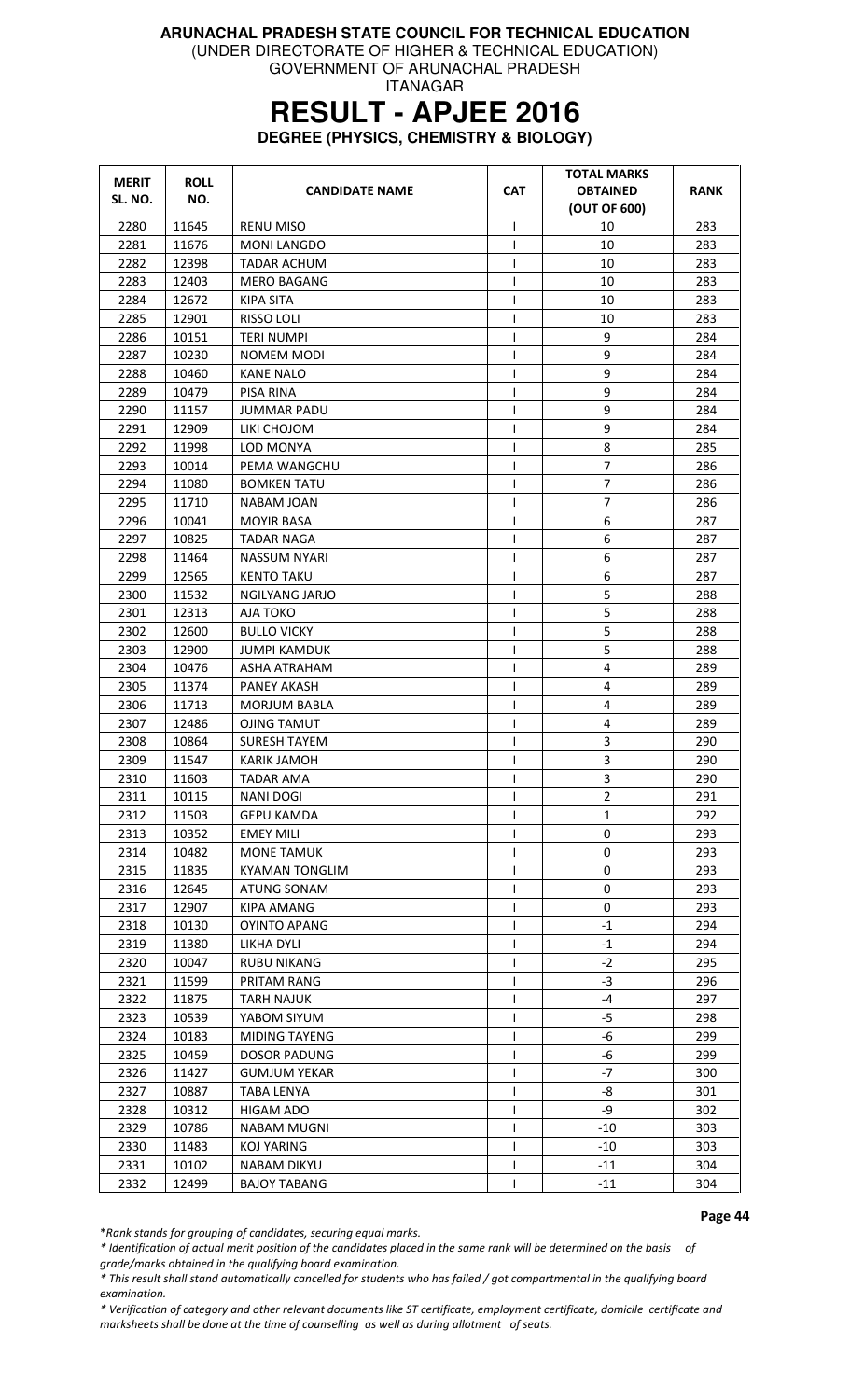(UNDER DIRECTORATE OF HIGHER & TECHNICAL EDUCATION)

GOVERNMENT OF ARUNACHAL PRADESH ITANAGAR

# **RESULT - APJEE 2016**

**DEGREE (PHYSICS, CHEMISTRY & BIOLOGY)** 

| <b>MERIT</b> | <b>ROLL</b>    |                                        |                   | <b>TOTAL MARKS</b> |            |
|--------------|----------------|----------------------------------------|-------------------|--------------------|------------|
| SL. NO.      | NO.            | <b>CANDIDATE NAME</b>                  | <b>CAT</b>        | <b>OBTAINED</b>    | RANK       |
|              |                |                                        |                   | (OUT OF 600)       |            |
| 2280<br>2281 | 11645<br>11676 | <b>RENU MISO</b><br><b>MONI LANGDO</b> | $\mathbf{I}$<br>T | 10<br>10           | 283<br>283 |
| 2282         | 12398          |                                        | T                 | 10                 | 283        |
| 2283         | 12403          | TADAR ACHUM<br><b>MERO BAGANG</b>      | T                 | 10                 | 283        |
| 2284         | 12672          |                                        |                   | 10                 | 283        |
| 2285         | 12901          | KIPA SITA<br><b>RISSO LOLI</b>         | I<br>$\mathsf{I}$ | 10                 | 283        |
| 2286         | 10151          |                                        | T                 | 9                  | 284        |
| 2287         | 10230          | TERI NUMPI<br>NOMEM MODI               | $\mathsf{I}$      | 9                  | 284        |
| 2288         | 10460          | <b>KANE NALO</b>                       | T                 | 9                  | 284        |
| 2289         | 10479          | PISA RINA                              | T                 | 9                  | 284        |
| 2290         | 11157          | <b>JUMMAR PADU</b>                     | T                 | 9                  | 284        |
| 2291         | 12909          | LIKI CHOJOM                            | $\mathsf{I}$      | 9                  | 284        |
| 2292         | 11998          | LOD MONYA                              | $\mathsf{I}$      | 8                  | 285        |
| 2293         | 10014          | PEMA WANGCHU                           | T                 | 7                  | 286        |
| 2294         | 11080          | <b>BOMKEN TATU</b>                     | T                 | 7                  | 286        |
| 2295         | 11710          | NABAM JOAN                             | T                 | $\overline{7}$     | 286        |
| 2296         | 10041          | <b>MOYIR BASA</b>                      | $\mathsf{l}$      | 6                  | 287        |
| 2297         | 10825          | <b>TADAR NAGA</b>                      | T                 | 6                  | 287        |
| 2298         | 11464          | NASSUM NYARI                           | T                 | 6                  | 287        |
| 2299         | 12565          | <b>KENTO TAKU</b>                      | T                 | 6                  | 287        |
| 2300         | 11532          | <b>NGILYANG JARJO</b>                  | T                 | 5                  | 288        |
| 2301         | 12313          | AJA TOKO                               | L                 | 5                  | 288        |
| 2302         | 12600          | <b>BULLO VICKY</b>                     | $\mathsf{l}$      | 5                  | 288        |
| 2303         | 12900          | JUMPI KAMDUK                           | T                 | 5                  | 288        |
| 2304         | 10476          | ASHA ATRAHAM                           | T                 | 4                  | 289        |
| 2305         | 11374          | PANEY AKASH                            | T                 | 4                  | 289        |
| 2306         | 11713          | <b>MORJUM BABLA</b>                    | T                 | 4                  | 289        |
| 2307         | 12486          | <b>OJING TAMUT</b>                     | ı                 | 4                  | 289        |
| 2308         | 10864          | SURESH TAYEM                           | I                 | 3                  | 290        |
| 2309         | 11547          | KARIK JAMOH                            | T                 | 3                  | 290        |
| 2310         | 11603          | TADAR AMA                              | T                 | 3                  | 290        |
| 2311         | 10115          | <b>NANI DOGI</b>                       | L                 | $\overline{2}$     | 291        |
| 2312         | 11503          | <b>GEPU KAMDA</b>                      | T                 | $\mathbf{1}$       | 292        |
| 2313         | 10352          | <b>EMEY MILI</b>                       | $\mathbf{I}$      | 0                  | 293        |
| 2314         | 10482          | <b>MONE TAMUK</b>                      | L                 | 0                  | 293        |
| 2315         | 11835          | <b>KYAMAN TONGLIM</b>                  | T                 | 0                  | 293        |
| 2316         | 12645          | ATUNG SONAM                            | T                 | 0                  | 293        |
| 2317         | 12907          | KIPA AMANG                             | I                 | 0                  | 293        |
| 2318         | 10130          | <b>OYINTO APANG</b>                    | T                 | $-1$               | 294        |
| 2319         | 11380          | LIKHA DYLI                             | $\mathbf{I}$      | $-1$               | 294        |
| 2320         | 10047          | <b>RUBU NIKANG</b>                     |                   | $-2$               | 295        |
| 2321         | 11599          | PRITAM RANG                            | T                 | $-3$               | 296        |
| 2322         | 11875          | <b>TARH NAJUK</b>                      | L                 | $-4$               | 297        |
| 2323         | 10539          | YABOM SIYUM                            | $\mathsf{l}$      | $-5$               | 298        |
| 2324         | 10183          | <b>MIDING TAYENG</b>                   | T                 | -6                 | 299        |
| 2325         | 10459          | <b>DOSOR PADUNG</b>                    | L                 | -6                 | 299        |
| 2326         | 11427          | <b>GUMJUM YEKAR</b>                    | I                 | $-7$               | 300        |
| 2327         | 10887          | <b>TABA LENYA</b>                      | $\mathsf{l}$      | -8                 | 301        |
| 2328         | 10312          | <b>HIGAM ADO</b>                       | T                 | -9                 | 302        |
| 2329         | 10786          | <b>NABAM MUGNI</b>                     | T                 | $-10$              | 303        |
| 2330         | 11483          | <b>KOJ YARING</b>                      | L                 | $-10$              | 303        |
| 2331         | 10102          | NABAM DIKYU                            | I                 | $-11$              | 304        |
| 2332         | 12499          | <b>BAJOY TABANG</b>                    |                   | $-11$              | 304        |

Page 44

\*Rank stands for grouping of candidates, securing equal marks.

\* Identification of actual merit position of the candidates placed in the same rank will be determined on the basis of grade/marks obtained in the qualifying board examination.

\* This result shall stand automatically cancelled for students who has failed / got compartmental in the qualifying board examination.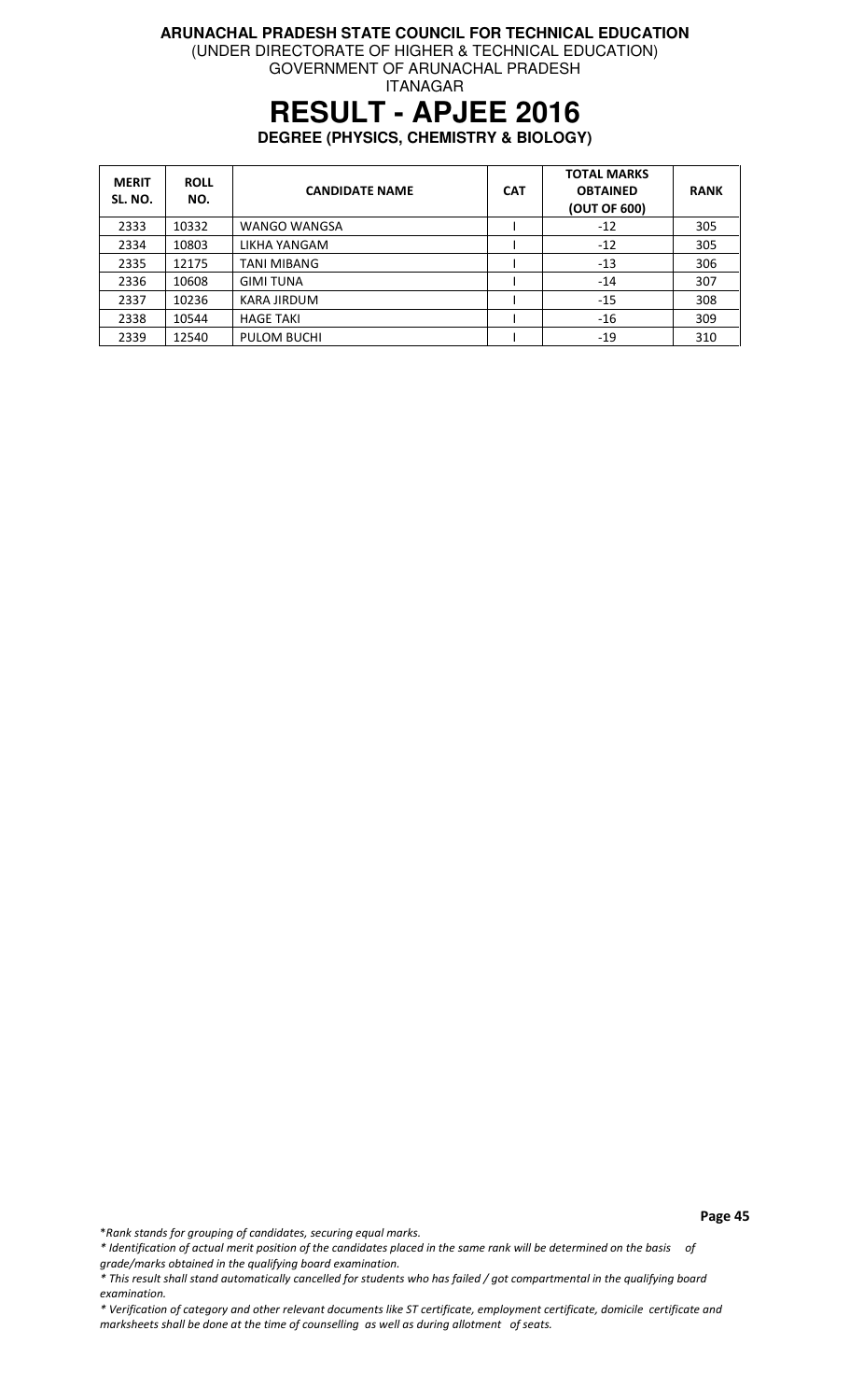(UNDER DIRECTORATE OF HIGHER & TECHNICAL EDUCATION)

GOVERNMENT OF ARUNACHAL PRADESH ITANAGAR

### **RESULT - APJEE 2016**

**DEGREE (PHYSICS, CHEMISTRY & BIOLOGY)** 

| <b>MERIT</b><br>SL. NO. | <b>ROLL</b><br>NO. | <b>CANDIDATE NAME</b> | <b>CAT</b> | <b>TOTAL MARKS</b><br><b>OBTAINED</b><br>(OUT OF 600) | <b>RANK</b> |
|-------------------------|--------------------|-----------------------|------------|-------------------------------------------------------|-------------|
| 2333                    | 10332              | <b>WANGO WANGSA</b>   |            | $-12$                                                 | 305         |
| 2334                    | 10803              | LIKHA YANGAM          |            | $-12$                                                 | 305         |
| 2335                    | 12175              | <b>TANI MIBANG</b>    |            | $-13$                                                 | 306         |
| 2336                    | 10608              | <b>GIMI TUNA</b>      |            | $-14$                                                 | 307         |
| 2337                    | 10236              | KARA JIRDUM           |            | $-15$                                                 | 308         |
| 2338                    | 10544              | <b>HAGE TAKI</b>      |            | $-16$                                                 | 309         |
| 2339                    | 12540              | <b>PULOM BUCHI</b>    |            | $-19$                                                 | 310         |

\*Rank stands for grouping of candidates, securing equal marks.

\* Identification of actual merit position of the candidates placed in the same rank will be determined on the basis of grade/marks obtained in the qualifying board examination.

<sup>\*</sup> This result shall stand automatically cancelled for students who has failed / got compartmental in the qualifying board examination.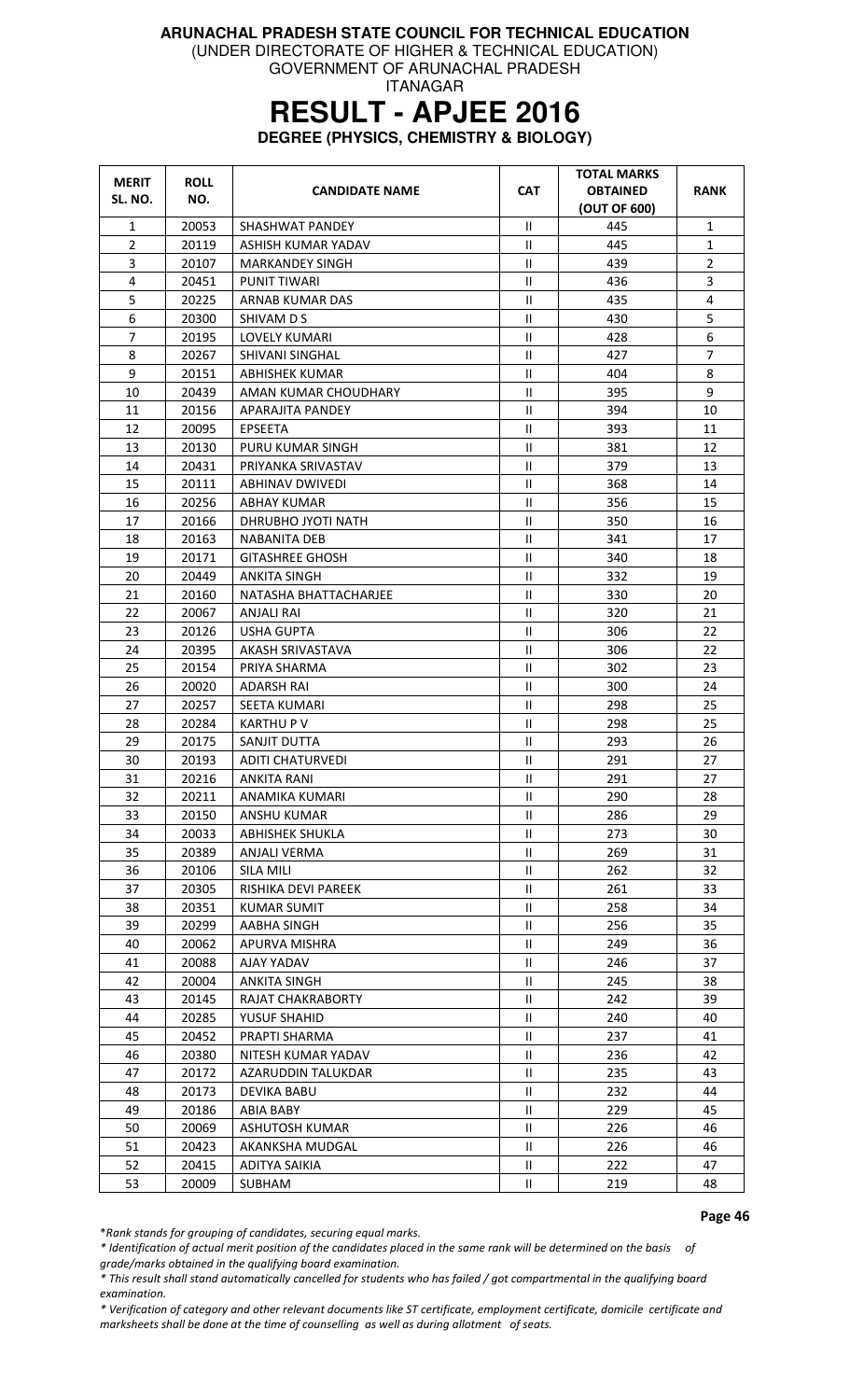GOVERNMENT OF ARUNACHAL PRADESH

ITANAGAR

### **RESULT - APJEE 2016**

**DEGREE (PHYSICS, CHEMISTRY & BIOLOGY)** 

| <b>MERIT</b><br>SL. NO. | <b>ROLL</b><br>NO. | <b>CANDIDATE NAME</b>   | <b>CAT</b>    | <b>TOTAL MARKS</b><br><b>OBTAINED</b><br>(OUT OF 600) | <b>RANK</b>    |
|-------------------------|--------------------|-------------------------|---------------|-------------------------------------------------------|----------------|
| $\mathbf{1}$            | 20053              | SHASHWAT PANDEY         | $\mathbf{H}$  | 445                                                   | $\mathbf{1}$   |
| $\overline{2}$          | 20119              | ASHISH KUMAR YADAV      | $\mathbf{H}$  | 445                                                   | $\mathbf{1}$   |
| 3                       | 20107              | <b>MARKANDEY SINGH</b>  | Ш             | 439                                                   | $\overline{2}$ |
| 4                       | 20451              | <b>PUNIT TIWARI</b>     | Ш             | 436                                                   | $\overline{3}$ |
| 5                       | 20225              | ARNAB KUMAR DAS         | $\mathbf{II}$ | 435                                                   | 4              |
| 6                       | 20300              | SHIVAM D S              | $\mathbf{H}$  | 430                                                   | 5              |
| 7                       | 20195              | LOVELY KUMARI           | Ш             | 428                                                   | 6              |
| 8                       | 20267              | SHIVANI SINGHAL         | $\rm{II}$     | 427                                                   | $\overline{7}$ |
| 9                       | 20151              | ABHISHEK KUMAR          | Ш             | 404                                                   | 8              |
| 10                      | 20439              | AMAN KUMAR CHOUDHARY    | $\mathbf{H}$  | 395                                                   | 9              |
| 11                      | 20156              | <b>APARAJITA PANDEY</b> | $\mathbf{H}$  | 394                                                   | 10             |
| 12                      | 20095              | <b>EPSEETA</b>          | $\mathbf{H}$  | 393                                                   | 11             |
| 13                      | 20130              | PURU KUMAR SINGH        | Ш             | 381                                                   | 12             |
| 14                      | 20431              | PRIYANKA SRIVASTAV      | Ш             | 379                                                   | 13             |
| 15                      | 20111              | ABHINAV DWIVEDI         | $\mathbf{H}$  | 368                                                   | 14             |
| 16                      | 20256              | ABHAY KUMAR             | $\mathbf{II}$ | 356                                                   | 15             |
| 17                      | 20166              | DHRUBHO JYOTI NATH      | $\mathbf{H}$  | 350                                                   | 16             |
| 18                      | 20163              | <b>NABANITA DEB</b>     | $\mathbf{H}$  | 341                                                   | 17             |
| 19                      | 20171              | <b>GITASHREE GHOSH</b>  | $\mathbf{H}$  | 340                                                   | 18             |
| 20                      | 20449              | ANKITA SINGH            | Ш             | 332                                                   | 19             |
| 21                      | 20160              | NATASHA BHATTACHARJEE   | Ш             | 330                                                   | 20             |
| 22                      | 20067              | <b>ANJALI RAI</b>       | $\mathbf{H}$  | 320                                                   | 21             |
| 23                      | 20126              | <b>USHA GUPTA</b>       | $\mathbf{H}$  | 306                                                   | 22             |
| 24                      | 20395              | AKASH SRIVASTAVA        | $\rm{II}$     | 306                                                   | 22             |
| 25                      | 20154              | PRIYA SHARMA            | Ш             | 302                                                   | 23             |
| 26                      | 20020              | <b>ADARSH RAI</b>       | $\mathbf{H}$  | 300                                                   | 24             |
| 27                      | 20257              | <b>SEETA KUMARI</b>     | Ш             | 298                                                   | 25             |
| 28                      | 20284              | <b>KARTHUP V</b>        | Ш             | 298                                                   | 25             |
| 29                      | 20175              | SANJIT DUTTA            | $\mathbf{H}$  | 293                                                   | 26             |
| 30                      | 20193              | <b>ADITI CHATURVEDI</b> | Ш             | 291                                                   | 27             |
| 31                      | 20216              | <b>ANKITA RANI</b>      | $\mathbf{H}$  | 291                                                   | 27             |
| 32                      | 20211              | ANAMIKA KUMARI          | Ш             | 290                                                   | 28             |
| 33                      | 20150              | ANSHU KUMAR             | Ш             | 286                                                   | 29             |
| 34                      | 20033              | <b>ABHISHEK SHUKLA</b>  | Ш             | 273                                                   | 30             |
| 35                      | 20389              | <b>ANJALI VERMA</b>     | Ш             | 269                                                   | 31             |
| 36                      | 20106              | SILA MILI               | Ш             | 262                                                   | 32             |
| 37                      | 20305              | RISHIKA DEVI PAREEK     | Ш             | 261                                                   | 33             |
| 38                      | 20351              | <b>KUMAR SUMIT</b>      | Ш             | 258                                                   | 34             |
| 39                      | 20299              | AABHA SINGH             | Ш             | 256                                                   | 35             |
| 40                      | 20062              | APURVA MISHRA           | Ш             | 249                                                   | 36             |
| 41                      | 20088              | AJAY YADAV              | Ш             | 246                                                   | 37             |
| 42                      | 20004              | <b>ANKITA SINGH</b>     | Ш             | 245                                                   | 38             |
| 43                      | 20145              | RAJAT CHAKRABORTY       | Ш             | 242                                                   | 39             |
| 44                      | 20285              | YUSUF SHAHID            | Ш             | 240                                                   | 40             |
| 45                      | 20452              | PRAPTI SHARMA           | Ш             | 237                                                   | 41             |
| 46                      | 20380              | NITESH KUMAR YADAV      | Ш             | 236                                                   | 42             |
| 47                      | 20172              | AZARUDDIN TALUKDAR      | Ш             | 235                                                   | 43             |
| 48                      | 20173              | <b>DEVIKA BABU</b>      | Ш             | 232                                                   | 44             |
| 49                      | 20186              | <b>ABIA BABY</b>        | Ш             | 229                                                   | 45             |
| 50                      | 20069              | ASHUTOSH KUMAR          | Ш             | 226                                                   | 46             |
| 51                      | 20423              | AKANKSHA MUDGAL         | $\mathbf{H}$  | 226                                                   | 46             |
| 52                      | 20415              | ADITYA SAIKIA           | Ш             | 222                                                   | 47             |
| 53                      | 20009              | SUBHAM                  | Ш             | 219                                                   | 48             |

Page 46

\*Rank stands for grouping of candidates, securing equal marks.

\* Identification of actual merit position of the candidates placed in the same rank will be determined on the basis of grade/marks obtained in the qualifying board examination.

\* This result shall stand automatically cancelled for students who has failed / got compartmental in the qualifying board examination.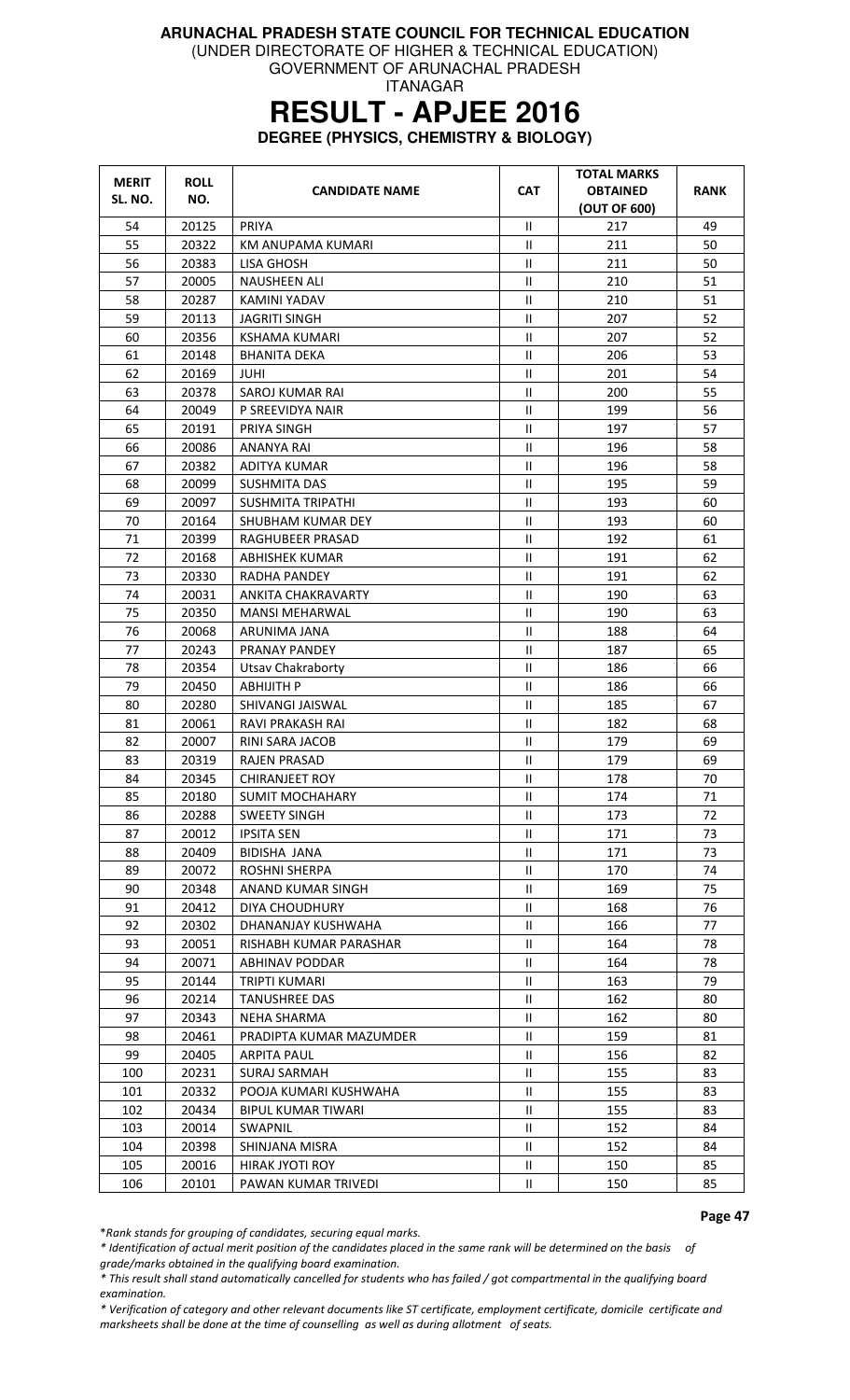(UNDER DIRECTORATE OF HIGHER & TECHNICAL EDUCATION) GOVERNMENT OF ARUNACHAL PRADESH

ITANAGAR

### **RESULT - APJEE 2016**

**DEGREE (PHYSICS, CHEMISTRY & BIOLOGY)** 

| <b>MERIT</b><br>SL. NO. | <b>ROLL</b><br>NO. | <b>CANDIDATE NAME</b>     | <b>CAT</b>                 | <b>TOTAL MARKS</b><br><b>OBTAINED</b><br>(OUT OF 600) | <b>RANK</b> |
|-------------------------|--------------------|---------------------------|----------------------------|-------------------------------------------------------|-------------|
| 54                      | 20125              | PRIYA                     | $\mathbf{II}$              | 217                                                   | 49          |
| 55                      | 20322              | KM ANUPAMA KUMARI         | $\mathbf{H}$               | 211                                                   | 50          |
| 56                      | 20383              | LISA GHOSH                | Ш                          | 211                                                   | 50          |
| 57                      | 20005              | <b>NAUSHEEN ALI</b>       | Ш                          | 210                                                   | 51          |
| 58                      | 20287              | KAMINI YADAV              | $\mathbf{H}$               | 210                                                   | 51          |
| 59                      | 20113              | <b>JAGRITI SINGH</b>      | $\mathbf{H}$               | 207                                                   | 52          |
| 60                      | 20356              | <b>KSHAMA KUMARI</b>      | Ш                          | 207                                                   | 52          |
| 61                      | 20148              | <b>BHANITA DEKA</b>       | $\sf II$                   | 206                                                   | 53          |
| 62                      | 20169              | JUHI                      | Ш                          | 201                                                   | 54          |
| 63                      | 20378              | SAROJ KUMAR RAI           | $\mathsf{I}$               | 200                                                   | 55          |
| 64                      | 20049              | P SREEVIDYA NAIR          | $\mathbf{H}$               | 199                                                   | 56          |
| 65                      | 20191              | PRIYA SINGH               | Ш                          | 197                                                   | 57          |
| 66                      | 20086              | ANANYA RAI                | Ш                          | 196                                                   | 58          |
| 67                      | 20382              | ADITYA KUMAR              | $\sf II$                   | 196                                                   | 58          |
| 68                      | 20099              | <b>SUSHMITA DAS</b>       | Ш                          | 195                                                   | 59          |
| 69                      | 20097              | <b>SUSHMITA TRIPATHI</b>  | $\mathbf{H}$               | 193                                                   | 60          |
| 70                      | 20164              | SHUBHAM KUMAR DEY         | Ш                          | 193                                                   | 60          |
| 71                      | 20399              | RAGHUBEER PRASAD          | Ш                          | 192                                                   | 61          |
| 72                      | 20168              | <b>ABHISHEK KUMAR</b>     | $\mathbf{H}$               | 191                                                   | 62          |
| 73                      | 20330              | <b>RADHA PANDEY</b>       | Ш                          | 191                                                   | 62          |
| 74                      | 20031              | ANKITA CHAKRAVARTY        | $\mathbf{H}$               | 190                                                   | 63          |
| 75                      | 20350              | <b>MANSI MEHARWAL</b>     | $\sf II$                   | 190                                                   | 63          |
| 76                      | 20068              | ARUNIMA JANA              | Ш                          | 188                                                   | 64          |
| 77                      | 20243              | PRANAY PANDEY             | $\mathbf{H}$               | 187                                                   | 65          |
| 78                      | 20354              | Utsav Chakraborty         | $\mathbf{H}$               | 186                                                   | 66          |
| 79                      | 20450              | <b>ABHIJITH P</b>         | $\mathbf{H}$               | 186                                                   | 66          |
| 80                      | 20280              | SHIVANGI JAISWAL          | Ш                          | 185                                                   | 67          |
| 81                      | 20061              | RAVI PRAKASH RAI          | Ш                          | 182                                                   | 68          |
| 82                      | 20007              | <b>RINI SARA JACOB</b>    | Ш                          | 179                                                   | 69          |
| 83                      | 20319              | <b>RAJEN PRASAD</b>       | Ш                          | 179                                                   | 69          |
| 84                      | 20345              | <b>CHIRANJEET ROY</b>     | Ш                          | 178                                                   | 70          |
| 85                      | 20180              | <b>SUMIT MOCHAHARY</b>    | Ш                          | 174                                                   | 71          |
| 86                      | 20288              | <b>SWEETY SINGH</b>       | Ш                          | 173                                                   | 72          |
| 87                      | 20012              | <b>IPSITA SEN</b>         | Ш                          | 171                                                   | 73          |
| 88                      | 20409              | BIDISHA JANA              | Ш                          | 171                                                   | 73          |
| 89                      | 20072              | <b>ROSHNI SHERPA</b>      | Ш                          | 170                                                   | 74          |
| 90                      | 20348              | ANAND KUMAR SINGH         | Ш                          | 169                                                   | 75          |
| 91                      | 20412              | DIYA CHOUDHURY            | Ш                          | 168                                                   | 76          |
| 92                      | 20302              | DHANANJAY KUSHWAHA        | Ш                          | 166                                                   | 77          |
| 93                      | 20051              | RISHABH KUMAR PARASHAR    | $\mathbf{H}$               | 164                                                   | 78          |
| 94                      | 20071              | <b>ABHINAV PODDAR</b>     | Ш                          | 164                                                   | 78          |
| 95                      | 20144              | TRIPTI KUMARI             | Ш                          | 163                                                   | 79          |
|                         |                    |                           |                            |                                                       |             |
| 96<br>97                | 20214              | <b>TANUSHREE DAS</b>      | Ш                          | 162                                                   | 80          |
|                         | 20343              | <b>NEHA SHARMA</b>        | Ш                          | 162                                                   | 80          |
| 98                      | 20461              | PRADIPTA KUMAR MAZUMDER   | Ш                          | 159                                                   | 81          |
| 99                      | 20405              | <b>ARPITA PAUL</b>        | Ш                          | 156                                                   | 82          |
| 100                     | 20231              | <b>SURAJ SARMAH</b>       | Ш                          | 155                                                   | 83          |
| 101                     | 20332              | POOJA KUMARI KUSHWAHA     | Ш                          | 155                                                   | 83          |
| 102                     | 20434              | <b>BIPUL KUMAR TIWARI</b> | Ш                          | 155                                                   | 83          |
| 103                     | 20014              | SWAPNIL                   | Ш                          | 152                                                   | 84          |
| 104                     | 20398              | SHINJANA MISRA            | Ш                          | 152                                                   | 84          |
| 105                     | 20016              | HIRAK JYOTI ROY           | Ш                          | 150                                                   | 85          |
| 106                     | 20101              | PAWAN KUMAR TRIVEDI       | $\ensuremath{\mathsf{II}}$ | 150                                                   | 85          |

Page 47

\*Rank stands for grouping of candidates, securing equal marks.

\* Identification of actual merit position of the candidates placed in the same rank will be determined on the basis of

grade/marks obtained in the qualifying board examination.

\* This result shall stand automatically cancelled for students who has failed / got compartmental in the qualifying board examination.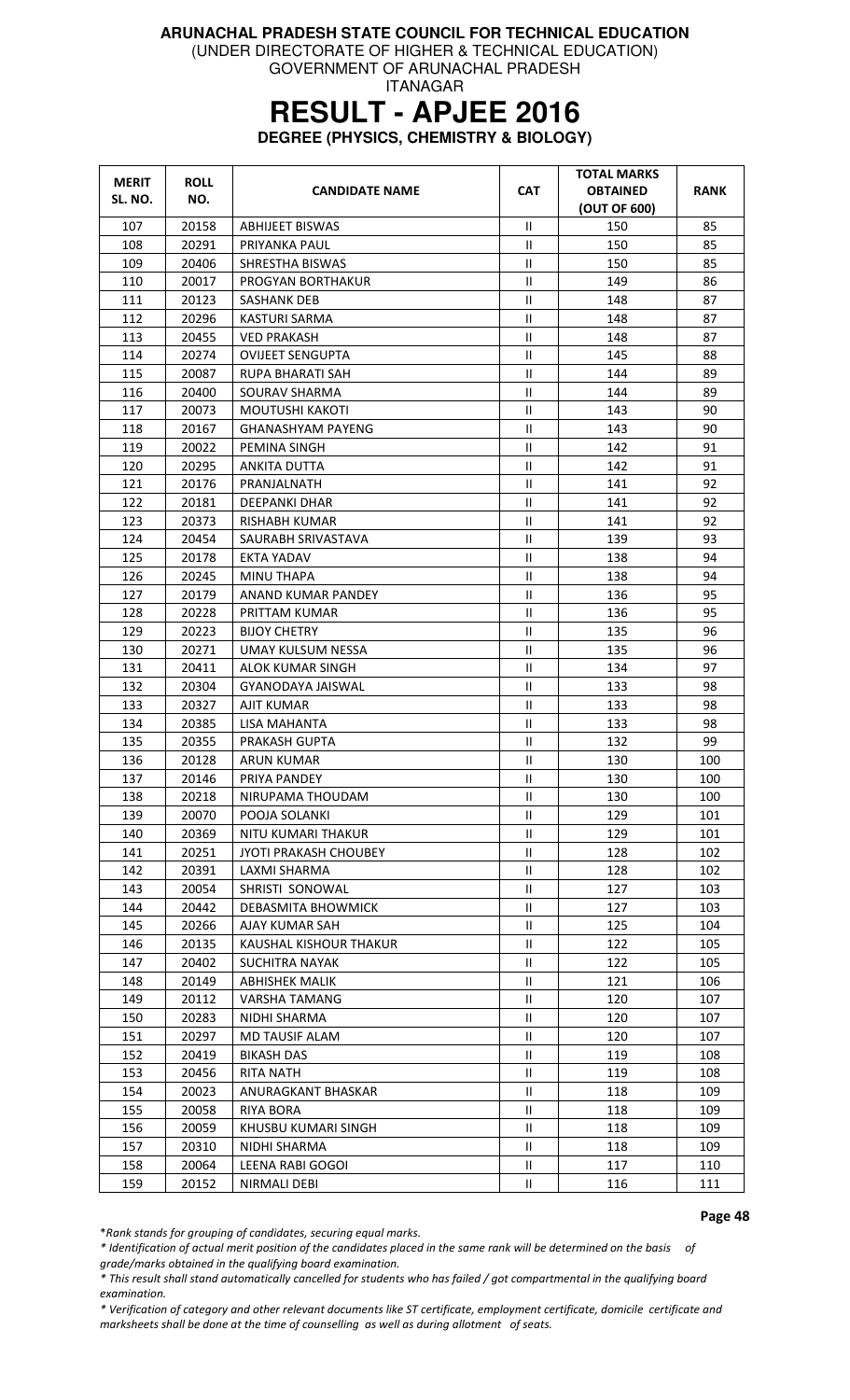GOVERNMENT OF ARUNACHAL PRADESH

ITANAGAR

### **RESULT - APJEE 2016**

**DEGREE (PHYSICS, CHEMISTRY & BIOLOGY)** 

| <b>MERIT</b><br>SL. NO. | <b>ROLL</b><br>NO. | <b>CANDIDATE NAME</b>                   | <b>CAT</b>                 | TOTAL MARKS<br><b>OBTAINED</b><br>(OUT OF 600) | RANK       |
|-------------------------|--------------------|-----------------------------------------|----------------------------|------------------------------------------------|------------|
| 107                     | 20158              | <b>ABHIJEET BISWAS</b>                  | Ш                          | 150                                            | 85         |
| 108                     | 20291              | PRIYANKA PAUL                           | Ш                          | 150                                            | 85         |
| 109                     | 20406              | SHRESTHA BISWAS                         | Ш                          | 150                                            | 85         |
| 110                     | 20017              | PROGYAN BORTHAKUR                       | $\ensuremath{\mathsf{II}}$ | 149                                            | 86         |
| 111                     | 20123              | <b>SASHANK DEB</b>                      | Ш                          | 148                                            | 87         |
| 112                     | 20296              | KASTURI SARMA                           | $\mathbf{H}$               | 148                                            | 87         |
| 113                     | 20455              | <b>VED PRAKASH</b>                      | Ш                          | 148                                            | 87         |
| 114                     | 20274              | <b>OVIJEET SENGUPTA</b>                 | $\ensuremath{\mathsf{II}}$ | 145                                            | 88         |
| 115                     | 20087              | RUPA BHARATI SAH                        | Ш                          | 144                                            | 89         |
| 116                     | 20400              | SOURAV SHARMA                           | Ш                          | 144                                            | 89         |
| 117                     | 20073              | MOUTUSHI KAKOTI                         | Ш                          | 143                                            | 90         |
| 118                     | 20167              | <b>GHANASHYAM PAYENG</b>                | Ш                          | 143                                            | 90         |
| 119                     | 20022              | <b>PEMINA SINGH</b>                     | $\mathbf{H}$               | 142                                            | 91         |
| 120                     | 20295              | ANKITA DUTTA                            | Ш                          | 142                                            | 91         |
| 121                     | 20176              | PRANJALNATH                             | $\mathbf{II}$              | 141                                            | 92         |
| 122                     | 20181              | <b>DEEPANKI DHAR</b>                    | $\ensuremath{\mathsf{II}}$ | 141                                            | 92         |
| 123                     | 20373              | RISHABH KUMAR                           | $\mathbf{H}$               | 141                                            | 92         |
| 124                     | 20454              | SAURABH SRIVASTAVA                      | $\mathbf{H}$               | 139                                            | 93         |
| 125                     | 20178              | <b>EKTA YADAV</b>                       | Ш                          | 138                                            | 94         |
| 126                     | 20245              | <b>MINU THAPA</b>                       | $\mathbf{H}$               | 138                                            | 94         |
| 127                     | 20179              | ANAND KUMAR PANDEY                      | $\mathbf{H}$               | 136                                            | 95         |
| 128                     | 20228              | PRITTAM KUMAR                           | $\mathbf{H}$               | 136                                            | 95         |
| 129                     | 20223              | <b>BIJOY CHETRY</b>                     | Ш                          | 135                                            | 96         |
| 130                     | 20271              | UMAY KULSUM NESSA                       | Ш                          | 135                                            | 96         |
| 131                     | 20411              | <b>ALOK KUMAR SINGH</b>                 | Ш                          | 134                                            | 97         |
| 132                     | 20304              | GYANODAYA JAISWAL                       | Ш                          | 133                                            | 98         |
| 133                     | 20327              | AJIT KUMAR                              | $\mathbf{II}$              | 133                                            | 98         |
| 134                     | 20385              | LISA MAHANTA                            | $\ensuremath{\mathsf{II}}$ | 133                                            | 98         |
| 135                     | 20355              | PRAKASH GUPTA                           | Ш                          | 132                                            | 99         |
| 136                     | 20128              | <b>ARUN KUMAR</b>                       | Ш                          | 130                                            | 100        |
| 137                     | 20146              | PRIYA PANDEY                            | Ш                          | 130                                            | 100        |
| 138                     | 20218              | NIRUPAMA THOUDAM                        | $\mathbf{H}$               | 130                                            | 100        |
| 139                     | 20070              | POOJA SOLANKI                           | Ш                          | 129                                            | 101        |
| 140                     | 20369              | NITU KUMARI THAKUR                      | Ш                          | 129                                            | 101        |
| 141                     | 20251              | JYOTI PRAKASH CHOUBEY                   | Ш                          | 128                                            | 102        |
| 142                     | 20391              | LAXMI SHARMA                            | Ш                          | 128                                            | 102        |
| 143                     | 20054              | SHRISTI SONOWAL                         | Ш                          | 127                                            | 103        |
| 144                     | 20442              | DEBASMITA BHOWMICK                      | Ш                          | 127                                            | 103        |
| 145                     | 20266              | AJAY KUMAR SAH                          | $\mathbf{H}$               | 125                                            | 104        |
| 146                     | 20135              | KAUSHAL KISHOUR THAKUR                  | $\mathbf{H}$               | 122                                            | 105        |
| 147                     | 20402              | <b>SUCHITRA NAYAK</b>                   | Ш                          | 122                                            | 105        |
| 148                     | 20149              | <b>ABHISHEK MALIK</b>                   | Ш                          | 121                                            | 106        |
| 149                     | 20112              | <b>VARSHA TAMANG</b>                    | Ш                          | 120                                            | 107        |
| 150                     | 20283              | NIDHI SHARMA                            | Ш                          | 120                                            | 107        |
| 151                     |                    | <b>MD TAUSIF ALAM</b>                   | Ш                          | 120                                            | 107        |
| 152                     | 20297<br>20419     | <b>BIKASH DAS</b>                       | Ш                          | 119                                            | 108        |
| 153                     | 20456              | <b>RITA NATH</b>                        | Ш                          | 119                                            | 108        |
| 154                     | 20023              | ANURAGKANT BHASKAR                      | Ш                          | 118                                            | 109        |
|                         |                    |                                         |                            |                                                |            |
| 155                     | 20058              | <b>RIYA BORA</b><br>KHUSBU KUMARI SINGH | Ш<br>Ш                     | 118<br>118                                     | 109<br>109 |
| 156                     | 20059              |                                         |                            |                                                |            |
| 157                     | 20310              | NIDHI SHARMA                            | Ш                          | 118                                            | 109        |
| 158                     | 20064              | LEENA RABI GOGOI                        | Ш                          | 117                                            | 110        |
| 159                     | 20152              | NIRMALI DEBI                            | Ш                          | 116                                            | 111        |

Page 48

\*Rank stands for grouping of candidates, securing equal marks.

\* Identification of actual merit position of the candidates placed in the same rank will be determined on the basis of

grade/marks obtained in the qualifying board examination.

\* This result shall stand automatically cancelled for students who has failed / got compartmental in the qualifying board examination.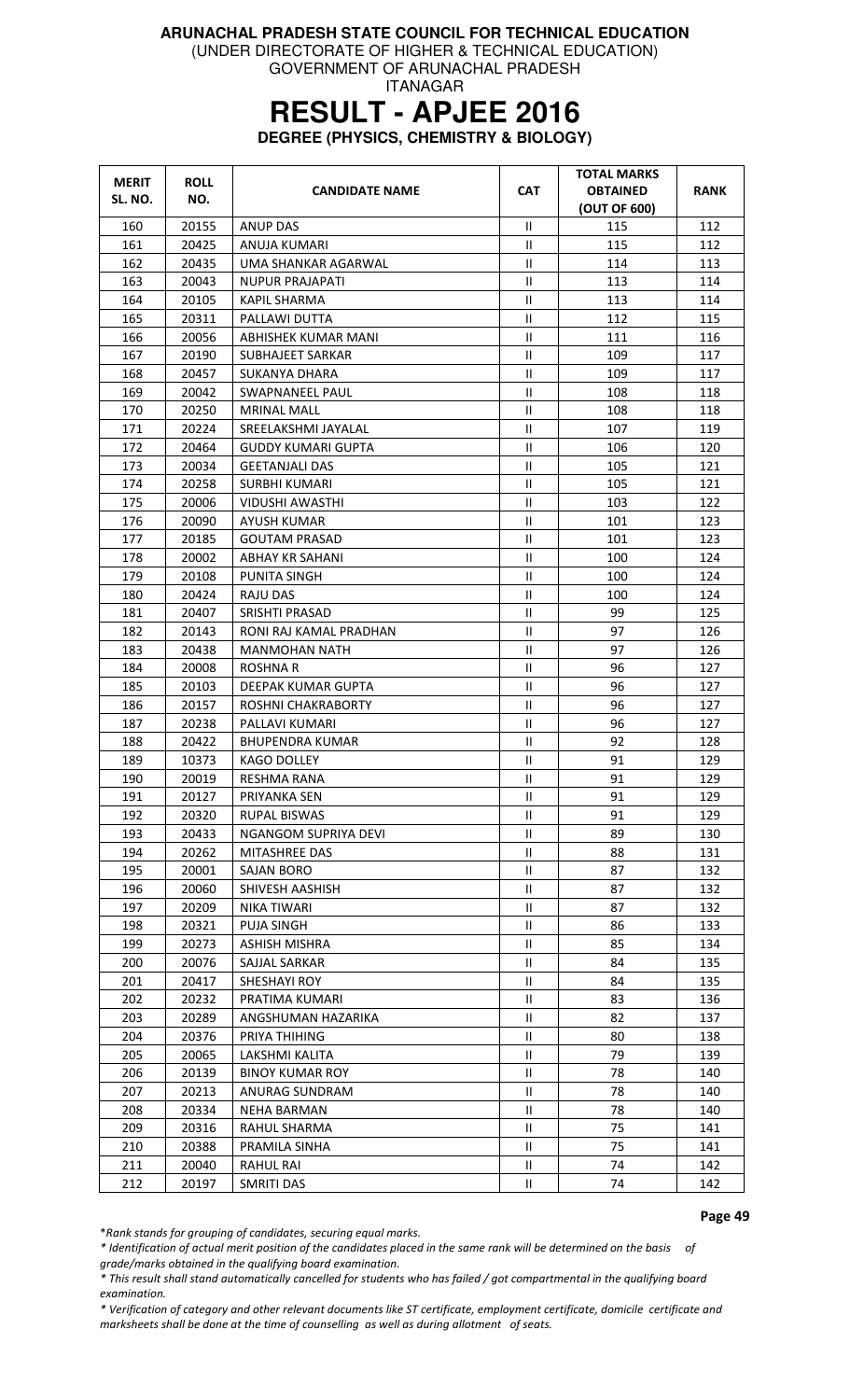GOVERNMENT OF ARUNACHAL PRADESH

#### ITANAGAR

# **RESULT - APJEE 2016**

**DEGREE (PHYSICS, CHEMISTRY & BIOLOGY)** 

| <b>MERIT</b><br>SL. NO. | <b>ROLL</b><br>NO. | <b>CANDIDATE NAME</b>     | <b>CAT</b>                 | <b>TOTAL MARKS</b><br><b>OBTAINED</b><br>(OUT OF 600) | RANK |
|-------------------------|--------------------|---------------------------|----------------------------|-------------------------------------------------------|------|
| 160                     | 20155              | <b>ANUP DAS</b>           | $\mathbf{II}$              | 115                                                   | 112  |
| 161                     | 20425              | ANUJA KUMARI              | $\mathbf{II}$              | 115                                                   | 112  |
| 162                     | 20435              | UMA SHANKAR AGARWAL       | $\mathbf{H}$               | 114                                                   | 113  |
| 163                     | 20043              | <b>NUPUR PRAJAPATI</b>    | $\mathbf{H}$               | 113                                                   | 114  |
| 164                     | 20105              | <b>KAPIL SHARMA</b>       | Ш                          | 113                                                   | 114  |
| 165                     | 20311              | PALLAWI DUTTA             | $\mathbf{H}$               | 112                                                   | 115  |
| 166                     | 20056              | ABHISHEK KUMAR MANI       | $\mathbf{II}$              | 111                                                   | 116  |
| 167                     | 20190              | SUBHAJEET SARKAR          | $\mathbf{H}$               | 109                                                   | 117  |
| 168                     | 20457              | SUKANYA DHARA             | Ш                          | 109                                                   | 117  |
| 169                     | 20042              | SWAPNANEEL PAUL           | Ш                          | 108                                                   | 118  |
| 170                     | 20250              | <b>MRINAL MALL</b>        | Ш                          | 108                                                   | 118  |
| 171                     | 20224              | SREELAKSHMI JAYALAL       | Ш                          | 107                                                   | 119  |
| 172                     | 20464              | <b>GUDDY KUMARI GUPTA</b> | $\mathbf{II}$              | 106                                                   | 120  |
| 173                     | 20034              | <b>GEETANJALI DAS</b>     | $\ensuremath{\mathsf{II}}$ | 105                                                   | 121  |
| 174                     | 20258              | <b>SURBHI KUMARI</b>      | Ш                          | 105                                                   | 121  |
| 175                     | 20006              | <b>VIDUSHI AWASTHI</b>    | Ш                          | 103                                                   | 122  |
| 176                     | 20090              | AYUSH KUMAR               | Ш                          | 101                                                   | 123  |
| 177                     | 20185              | <b>GOUTAM PRASAD</b>      | $\mathbf{H}$               | 101                                                   | 123  |
| 178                     | 20002              | ABHAY KR SAHANI           | Ш                          | 100                                                   | 124  |
| 179                     | 20108              | <b>PUNITA SINGH</b>       | $\mathbf{H}$               | 100                                                   | 124  |
| 180                     | 20424              | RAJU DAS                  | Ш                          | 100                                                   | 124  |
| 181                     | 20407              | SRISHTI PRASAD            | $\mathbf{H}$               | 99                                                    | 125  |
| 182                     | 20143              | RONI RAJ KAMAL PRADHAN    | Ш                          | 97                                                    | 126  |
| 183                     | 20438              | <b>MANMOHAN NATH</b>      | Ш                          | 97                                                    | 126  |
| 184                     | 20008              | <b>ROSHNAR</b>            | Ш                          | 96                                                    | 127  |
| 185                     | 20103              | DEEPAK KUMAR GUPTA        | $\mathbf{II}$              | 96                                                    | 127  |
| 186                     | 20157              | ROSHNI CHAKRABORTY        | $\mathbf{H}$               | 96                                                    | 127  |
| 187                     | 20238              | PALLAVI KUMARI            | Ш                          | 96                                                    | 127  |
| 188                     | 20422              | <b>BHUPENDRA KUMAR</b>    | Ш                          | 92                                                    | 128  |
| 189                     | 10373              | <b>KAGO DOLLEY</b>        | $\ensuremath{\mathsf{II}}$ | 91                                                    | 129  |
| 190                     | 20019              | RESHMA RANA               | $\mathbf{H}$               | 91                                                    | 129  |
| 191                     | 20127              | PRIYANKA SEN              | $\mathbf{II}$              | 91                                                    | 129  |
| 192                     | 20320              | <b>RUPAL BISWAS</b>       | Ш                          | 91                                                    | 129  |
| 193                     | 20433              | NGANGOM SUPRIYA DEVI      | Ш                          | 89                                                    | 130  |
| 194                     | 20262              | <b>MITASHREE DAS</b>      | Ш                          | 88                                                    | 131  |
| 195                     | 20001              | SAJAN BORO                | Ш                          | 87                                                    | 132  |
| 196                     | 20060              | SHIVESH AASHISH           | Ш                          | 87                                                    | 132  |
| 197                     | 20209              | NIKA TIWARI               | Ш                          | 87                                                    | 132  |
| 198                     | 20321              | PUJA SINGH                | Ш                          | 86                                                    | 133  |
| 199                     | 20273              | <b>ASHISH MISHRA</b>      | Ш                          | 85                                                    | 134  |
| 200                     | 20076              | SAJJAL SARKAR             | Ш                          | 84                                                    | 135  |
| 201                     | 20417              | SHESHAYI ROY              | Ш                          | 84                                                    | 135  |
| 202                     | 20232              | PRATIMA KUMARI            | Ш                          | 83                                                    | 136  |
| 203                     | 20289              | ANGSHUMAN HAZARIKA        | Ш                          | 82                                                    | 137  |
| 204                     | 20376              | PRIYA THIHING             | Ш                          | 80                                                    | 138  |
| 205                     | 20065              | LAKSHMI KALITA            | Ш                          | 79                                                    | 139  |
| 206                     | 20139              | <b>BINOY KUMAR ROY</b>    | Ш                          | 78                                                    | 140  |
| 207                     | 20213              | ANURAG SUNDRAM            | Ш                          | 78                                                    | 140  |
| 208                     | 20334              | <b>NEHA BARMAN</b>        | $\mathbf{H}$               | 78                                                    | 140  |
| 209                     | 20316              | RAHUL SHARMA              | Ш                          | 75                                                    | 141  |
| 210                     | 20388              | PRAMILA SINHA             | Ш                          | 75                                                    | 141  |
| 211                     | 20040              | RAHUL RAI                 | Ш                          | 74                                                    | 142  |
| 212                     | 20197              | SMRITI DAS                | Ш                          | 74                                                    | 142  |

#### Page 49

\*Rank stands for grouping of candidates, securing equal marks.

\* Identification of actual merit position of the candidates placed in the same rank will be determined on the basis of grade/marks obtained in the qualifying board examination.

\* This result shall stand automatically cancelled for students who has failed / got compartmental in the qualifying board examination.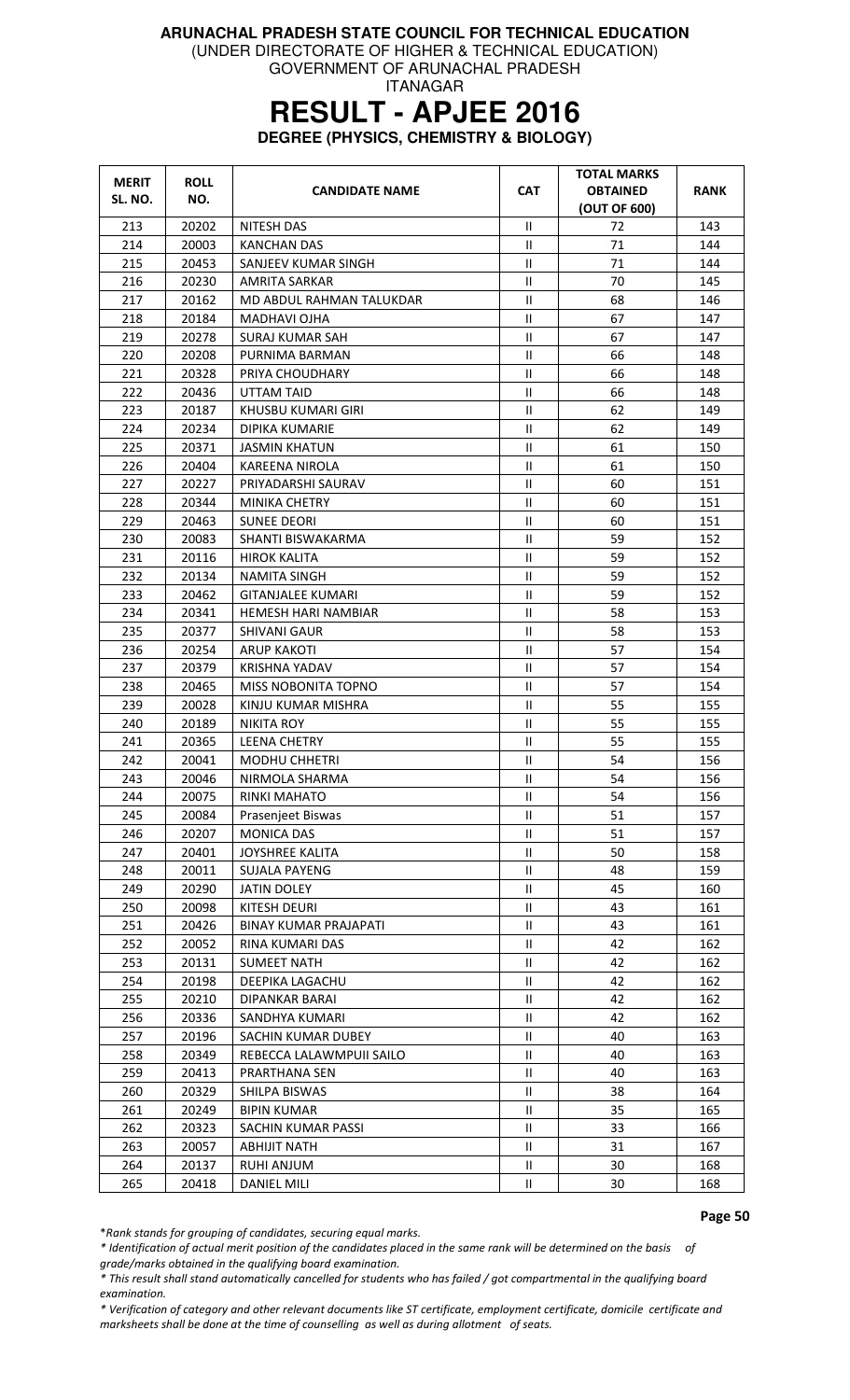GOVERNMENT OF ARUNACHAL PRADESH

ITANAGAR

### **RESULT - APJEE 2016**

**DEGREE (PHYSICS, CHEMISTRY & BIOLOGY)** 

| <b>MERIT</b><br>SL. NO. | <b>ROLL</b><br>NO. | <b>CANDIDATE NAME</b>        | <b>CAT</b>                 | TOTAL MARKS<br><b>OBTAINED</b><br>(OUT OF 600) | RANK |
|-------------------------|--------------------|------------------------------|----------------------------|------------------------------------------------|------|
| 213                     | 20202              | <b>NITESH DAS</b>            | Ш                          | 72                                             | 143  |
| 214                     | 20003              | KANCHAN DAS                  | $\mathbf{H}$               | 71                                             | 144  |
| 215                     | 20453              | SANJEEV KUMAR SINGH          | $\mathbf{H}$               | 71                                             | 144  |
| 216                     | 20230              | <b>AMRITA SARKAR</b>         | $\ensuremath{\mathsf{II}}$ | 70                                             | 145  |
| 217                     | 20162              | MD ABDUL RAHMAN TALUKDAR     | $\mathbf{II}$              | 68                                             | 146  |
| 218                     | 20184              | MADHAVI OJHA                 | $\mathbf{H}$               | 67                                             | 147  |
| 219                     | 20278              | SURAJ KUMAR SAH              | Ш                          | 67                                             | 147  |
| 220                     | 20208              | PURNIMA BARMAN               | $\mathbf{H}$               | 66                                             | 148  |
| 221                     | 20328              | PRIYA CHOUDHARY              | Ш                          | 66                                             | 148  |
| 222                     | 20436              | UTTAM TAID                   | $\rm{II}$                  | 66                                             | 148  |
| 223                     | 20187              | KHUSBU KUMARI GIRI           | $\ensuremath{\mathsf{II}}$ | 62                                             | 149  |
| 224                     | 20234              | <b>DIPIKA KUMARIE</b>        | $\mathbf{H}$               | 62                                             | 149  |
| 225                     | 20371              | <b>JASMIN KHATUN</b>         | $\mathbf{H}$               | 61                                             | 150  |
| 226                     | 20404              | KAREENA NIROLA               | Ш                          | 61                                             | 150  |
| 227                     | 20227              | PRIYADARSHI SAURAV           | $\mathbf{II}$              | 60                                             | 151  |
| 228                     | 20344              | <b>MINIKA CHETRY</b>         | Ш                          | 60                                             | 151  |
| 229                     | 20463              | <b>SUNEE DEORI</b>           | $\mathbf{H}$               | 60                                             | 151  |
| 230                     | 20083              | SHANTI BISWAKARMA            | $\mathbf{H}$               | 59                                             | 152  |
| 231                     | 20116              | <b>HIROK KALITA</b>          | Ш                          | 59                                             | 152  |
| 232                     | 20134              | <b>NAMITA SINGH</b>          | $\mathbf{II}$              | 59                                             | 152  |
| 233                     | 20462              | <b>GITANJALEE KUMARI</b>     | $\mathbf{H}$               | 59                                             | 152  |
| 234                     | 20341              | HEMESH HARI NAMBIAR          | $\mathbf{H}$               | 58                                             | 153  |
| 235                     | 20377              | <b>SHIVANI GAUR</b>          | Ш                          | 58                                             | 153  |
| 236                     | 20254              | <b>ARUP KAKOTI</b>           | $\ensuremath{\mathsf{II}}$ | 57                                             | 154  |
| 237                     | 20379              | KRISHNA YADAV                | $\mathbf{H}$               | 57                                             | 154  |
| 238                     | 20465              | MISS NOBONITA TOPNO          | $\mathbf{H}$               | 57                                             | 154  |
| 239                     | 20028              | KINJU KUMAR MISHRA           | $\mathbf{II}$              | 55                                             | 155  |
| 240                     | 20189              | <b>NIKITA ROY</b>            | $\rm{II}$                  | 55                                             | 155  |
| 241                     | 20365              | <b>LEENA CHETRY</b>          | $\mathbf{H}$               | 55                                             | 155  |
| 242                     | 20041              | <b>MODHU CHHETRI</b>         | Ш                          | 54                                             | 156  |
| 243                     | 20046              | NIRMOLA SHARMA               | $\mathbf{H}$               | 54                                             | 156  |
| 244                     | 20075              | <b>RINKI MAHATO</b>          | $\mathbf{H}$               | 54                                             | 156  |
| 245                     | 20084              | Prasenjeet Biswas            | Ш                          | 51                                             | 157  |
| 246                     | 20207              | <b>MONICA DAS</b>            | Ш                          | 51                                             | 157  |
| 247                     | 20401              | <b>JOYSHREE KALITA</b>       | Ш                          | 50                                             | 158  |
| 248                     | 20011              | <b>SUJALA PAYENG</b>         | Ш                          | 48                                             | 159  |
| 249                     | 20290              | <b>JATIN DOLEY</b>           | Ш                          | 45                                             | 160  |
| 250                     | 20098              | KITESH DEURI                 | Ш                          | 43                                             | 161  |
| 251                     | 20426              | <b>BINAY KUMAR PRAJAPATI</b> | $\mathbf{H}$               | 43                                             | 161  |
| 252                     | 20052              | <b>RINA KUMARI DAS</b>       | $\mathbf{H}$               | 42                                             | 162  |
| 253                     | 20131              | <b>SUMEET NATH</b>           | Ш                          | 42                                             | 162  |
| 254                     | 20198              | DEEPIKA LAGACHU              | Ш                          | 42                                             | 162  |
| 255                     | 20210              | DIPANKAR BARAI               | Ш                          | 42                                             | 162  |
| 256                     | 20336              | SANDHYA KUMARI               | $\mathbf{H}$               | 42                                             | 162  |
| 257                     | 20196              | SACHIN KUMAR DUBEY           | Ш                          | 40                                             | 163  |
| 258                     | 20349              | REBECCA LALAWMPUII SAILO     | Ш                          | 40                                             | 163  |
| 259                     | 20413              | PRARTHANA SEN                | Ш                          | 40                                             | 163  |
| 260                     | 20329              | SHILPA BISWAS                | Ш                          | 38                                             | 164  |
| 261                     | 20249              | <b>BIPIN KUMAR</b>           | Ш                          | 35                                             | 165  |
| 262                     | 20323              | SACHIN KUMAR PASSI           | Ш                          | 33                                             | 166  |
| 263                     | 20057              | <b>ABHIJIT NATH</b>          | Ш                          | 31                                             | 167  |
| 264                     | 20137              | RUHI ANJUM                   | Ш                          | 30                                             | 168  |
| 265                     | 20418              | DANIEL MILI                  | $\ensuremath{\mathsf{II}}$ | 30                                             | 168  |

Page 50

\*Rank stands for grouping of candidates, securing equal marks.

\* Identification of actual merit position of the candidates placed in the same rank will be determined on the basis of

grade/marks obtained in the qualifying board examination.

\* This result shall stand automatically cancelled for students who has failed / got compartmental in the qualifying board examination.